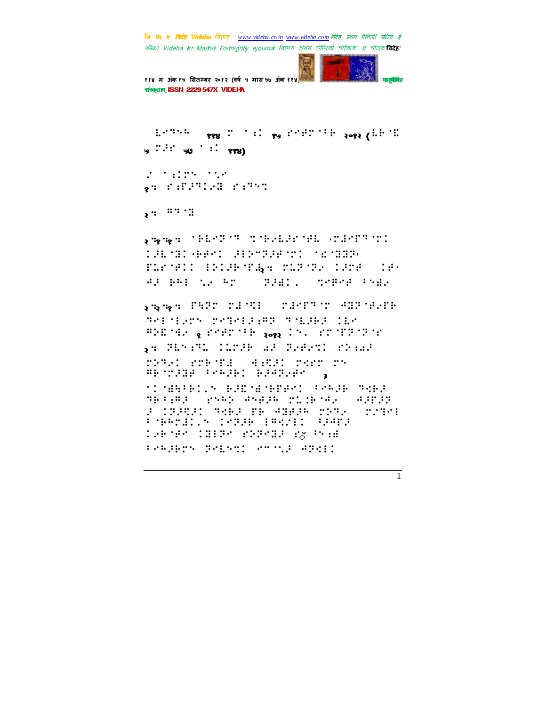

११४ म अंक १५ सितम्बर २०१२ (वर्ष ५ मास ५७ अंक ११) संस्कृतम् ISSN 2229-547X VIDEHA

ESTAR SAN DISTRIBUTE PORT OF THE ROAD CAR CARD THE *u* ;:: ' uu ;:: ???!)

 $\mathcal{L} \in \{1,2,3,3,5\}$ **.** : :::::.: ::::

 $3^{11}$   $1^{11}$   $1^{11}$ 

gogogom (1912-19) on the Landels (startinous) **TALMIN-BEMI ALDMAARMON MEMBIR** TERMIT INTERTIGA TERMIK TETE TER AP BAI NE AM ( THE ) START PARE

γήγη PHPS SING (SINFRNS AGPNAPH **THE MODEL DETELLING TO MODEL CAP** PDEMA & POPPOR Research, Inc. PERPEND ga Phring Confe af Pafani friaf TPRAI STRATE (4353) TRET TY HETTHE PERSON BRANCH  $\ddot{\mathbf{z}}$ MI MARFAIL'S AGRIMATAMENT CREAT BEFORE START ANDER TO BOAR CAPERS 3 123531 **THE TE SHEET TITLE**  $\mathbb{R}^n$ Presile Crash (Secold Georg teres thing conducts and rendiges depsyt energy dued

 $\mathbf{1}$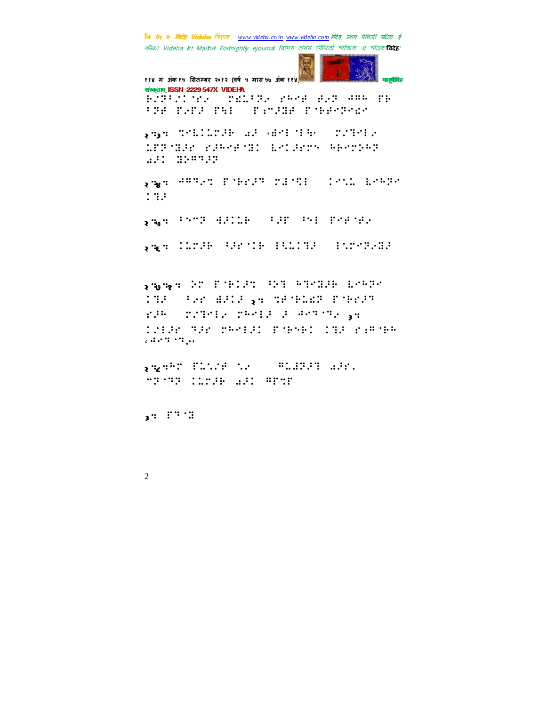粤 ११४ म अंक १५ सितम्बर २०१२ (वर्ष ५ मास ५७ अंक ११४) मानुबेगिह संस्कृतम् ISSN 2229-547X VIDEHA añficiel cantro ese alt son qu **THE PAPE PAPE PERSONAL PROPERTY** gaga sekilorik al Gerrie (overer) MPP MAR SCAPER MILLER APPROVAMENT  $\mathbf{a}$ :  $\mathbf{a}$   $\mathbf{a}$   $\mathbf{a}$   $\mathbf{a}$   $\mathbf{a}$   $\mathbf{a}$   $\mathbf{a}$   $\mathbf{a}$   $\mathbf{a}$   $\mathbf{a}$   $\mathbf{a}$   $\mathbf{a}$   $\mathbf{a}$   $\mathbf{a}$   $\mathbf{a}$   $\mathbf{a}$   $\mathbf{a}$   $\mathbf{a}$   $\mathbf{a}$   $\mathbf{a}$   $\mathbf{a}$   $\mathbf{a}$   $\mathbf{a}$   $\mathbf$ , me <sup>ang</sup>er fores rist (1911) (1911) Espe  $137$ gage from APILE (FPP) billinger av Sam Monde (Denis Balida) (Evropeda anonen der Pomperan den Anangemense INFORM WELF. . TETERS ETHING rum (rightly regional and disgu INDEX THE PRODUCT PORT ITH STROKE  $(4.14111)$ gegebr Planet ne **MORTH COMPASS AND MEMP** 

 $3:1.7.7$ 

 $\mathcal{L}$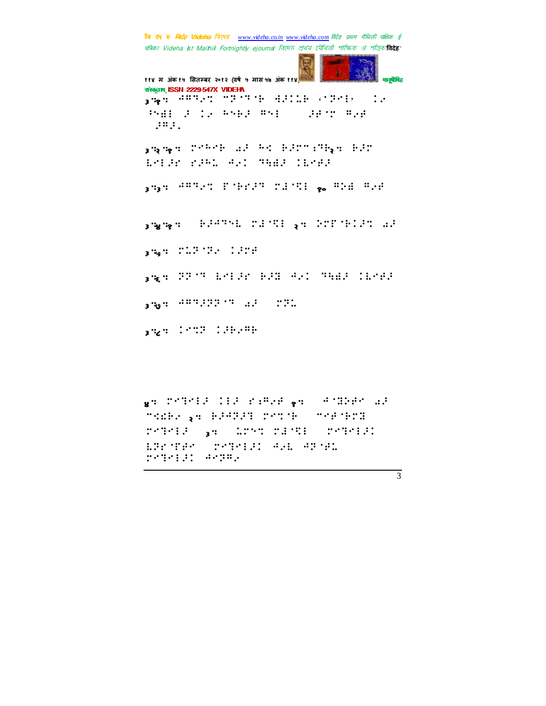पत्रिका Videha Ist Maithili Fortnightly ejournal রিদেহ প্রথম মৌথিরী পাক্ষিক প্র পত্রিকা**বিदेह**' ११४ म अंक १५ सितम्बर २०१२ (वर्ष ५ मास ५७ अंक ११४) मानुसीर मानुसीरे मानुसीरे ह संस्कृतम् ISSN 2229-547X VIDEHA इफ़ैसे सम्पाद: MP 99 8 82118 (KPKB) | 12 ⢸⣞.!⢼!⢴!⢳⢷⢼!⢻.!!)⢼⢾!⢻⢴⢾\*.!  $\left| \cdot \right|$ ३% अंकुल्ड अधिकारिक अधिकारिक स्थिति । ⣇.⢼!⢼⢳⣅!⢺⢴!⢹⣓⣞⢼!⣇⢾⢼! ३⣒३⣒!⢺⢻⢹⢴⣉!&⢷⢼⢹!⣜⣋..१० ⢻⢵⣞!⢻⢴⢾! ३%४% अब्देश व सिलिंग सिलिंग सिलिंग सिलिंग सिलिंग सिलिंग सिलिंग सिलिंग सिलिंग सिलिंग सिलिंग सिलिंग सिलिंग सिलिं<br>इ.स ३५: 2323 2323 1999  $_3$ ʻi $_6$ ʻi $_7$   $_7$   $_7$   $_7$   $_7$   $_8$   $_1$   $_1$   $_2$   $_1$   $_3$   $_1$   $_2$   $_1$   $_3$   $_1$   $_2$   $_1$   $_3$   $_1$   $_2$   $_3$   $_1$   $_2$   $_3$   $_1$   $_2$   $_3$   $_3$   $_4$   $_5$   $_5$   $_6$   $_7$   $_7$   $_8$   $_7$   $_8$   $_7$   $_8$   $_7$   $_8$ ३५७: <sup>अञ्चर</sup>ी स्थिति । अञ्चल**्** ३⣒८⣒!⣉⢽!⢼⢷⢴⢻⢷!  $_{\rm g}$ a (1979). $_{\rm d}$ . $_{\rm d}$  193 (1979). $_{\rm g}$ a (1979). $_{\rm d}$ . $_{\rm d}$ . 0⣊⣎⢷⢴!२⣒!⢷⢼⢺⢽⢼⣙!⣉⢷!)0⢾⢷⣝! ⣙.⢼\*!३⣒!!⣅⣉!⣜⣋.!)⣙.⢼! ⣇⢽&⢾0!⣙.⢼!⢺⢴⣇.⢺⢽⢾⣅0! ⣙.⢼!⢺⢽⢻⢴\*!

चि एक रु *विदेह Videha चिए*न्छ <u>www.videha.co.in www.videha.com</u> विदेह प्रथम मैथिली पाक्षिक ई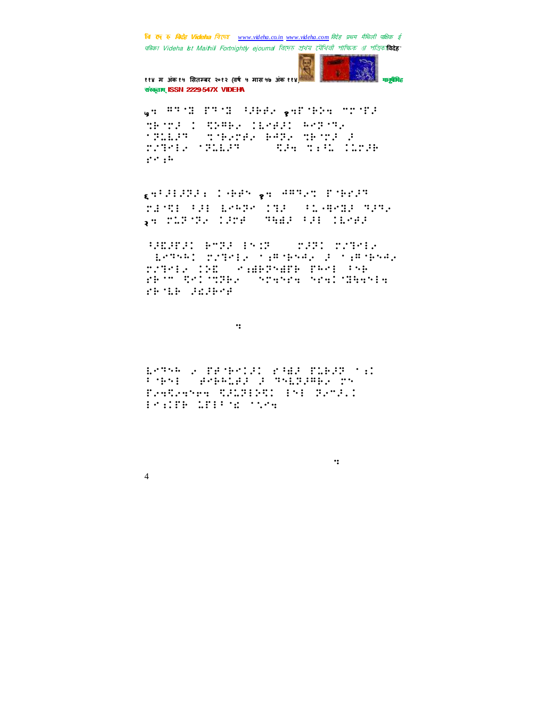

११४ म अंक १५ सितम्बर २०१२ (वर्ष ५ मास ५७ अंक ११४) मानुसार मानुसीमह संस्कृतम् ISSN 2229-547X VIDEHA

५⣒!⢻⢹⣝.&⢹⣝!⢸⢼⢷⢾⢴;१⣒&⢷⢵⣒!0&⢼! ⣉⢷⢼!!⣋⢵⢻⢷⢴!⣇⢾⢼!⢳⢽⢹⢴! ⢽⣅⣇⢼⢹;!⣉⢷⢴⢾⢴!⢷⢺⢽⢴!⣉⢷⢼!⢼! "⣙.⢴!⢽⣅⣇⢼⢹!;!!⣋⢼⣒!⣉⣐⢸⣅!⣅⢼⢷!  $\mathbf{y}^{\prime}$  ,  $\mathbf{y}^{\prime}$  ,  $\mathbf{y}^{\prime}$ 

६⣒⢼.⢼⢽⢼⣐!-⢷⢾.१⣒!⢺⢻⢹⢴⣉!&⢷⢼⢹! ⣜⣋..⢼.!⣇⢳⢽!⣙⢼.!⣅-⣛⣝⢼!⢹⢼⢹⢴! २⣒!⣅⢽⢽⢴!⢼⢾.!⢹⣓⣞⢼!⢼.!⣇⢾⢼!

⢸⢼⣏⢼&⢼!⢷0⢽⢼..⣈⢽!.\⢼⢽!"⣙.⢴^-! \Qurang: 2 \\Parangalari<br>Shaha iyo amalangan ishi "⣙.⢴!⢵⣏!)⣐⣞⢷⢽⣞&⢷!&⢳.!⢷!  $T<sub>0</sub>$ ⢷⣇⢷!⢼⣎⢼⢷⢾.Cbtfe!po!nt.trm!

Ejduje – Politika II. († 1838)<br>1900 – Politika II. († 1890)<br>1900 – Politika II. († 1890)

⣇⢹⢳!⢴.&⢾⢷⢼!⢸⣞⢼!&⣅⢷⢼⢽!⣐!)! {\test } #Perseca } #SERPPE, MS &⢴⣒⣋⢴⣒⢶⣒!⣋⢼⣅⢽.⢵⣋!..!⢽⢴0⢼>! .⣐&⢷!⣅&.⣎!⣁⣒!Bmm!uif!pme!

bu!uif!gpmmpxjoh!mjol⣒!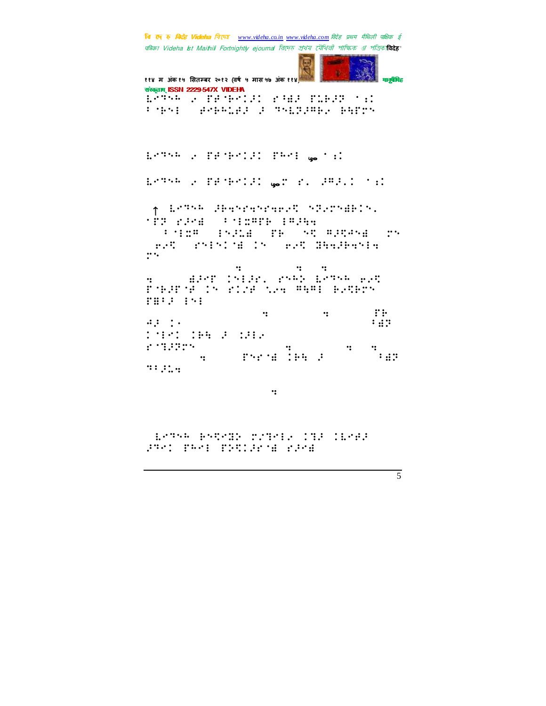११४ म अंक १५ सितम्बर २०१२ (वर्ष ५ मास ५७ अंक ११४) मानुसारी से अधिकारी मानुसारित संस्कृतम् ISSN 2229-547X VIDEHA ⣇⢹⢳!⢴.&⢾⢷⢼!⢸⣞⢼!&⣅⢷⢼⢽!⣐! ⢷.-!⢾⢷⢳⣅⢾⢼!⢼!⢹⣇⢽⢼⢻⢷⢴!⢷⣓&! LATHA & PROBLEM PAC BALL ⣇⢹⢳!⢴.&⢾⢷⢼!५०!>!⢼⢻⢼>!⣐! ↑ 10°PH 20°PH 10°PH 10°PH 10°PH 10°PH 10°PH 10°PH 10°PH 10°PH 10°PH 10°PH 10°PH 1 &⢽!⢼⣞0!.⣍⢻&⢷!.⢻⢼⣓⣒! !!.⣍⢻!#.⢼⣅⣞#!&⢷!#⣋!⢻⢼⣋⢺⣞#!! #⢶⢴⣋#!.⣞!!#⢶⢴⣋!⣝⣓⣒⢼⢷⣒.⣒#!  $\cdots$  . iuuq;00xxx⣒wjefib⣒dp⣒jo0joefy  $y$  =  $\frac{d}{dt}$ &⢷⢼&⢾!!"⢾!⣁⢴⣒!⢻⣓⢻.!⢷⢴⣋⢷! FB: 3 (19) ius;00sfbefs,00sfbefs,00sfbefs,00sfbefs **A** Bee by the big two states of the big two states of the big two states of the big two states of the big two states of the big two states of the big two states of the big two states of the big two states of the big two s .!⢷⣓!⢼!⣈⢼.⢴! ⣙⢼⢽iuuq;00xxx⣒wjefib⣒dp⣒jo 0joefy⣒ynm!&⣞!⢷⣓!⢼!Bee!!⣞⢽! ⢹⢼⣅⣒!  $\mathbf{g}$  is a set of  $\mathbf{g}$  is a set of  $\mathbf{g}$ 

!⣇⢹⢳!⢷⣋⣝⢵;"⣙.⢴!⣙⢼.⣇⢾⢼! ⢼⢹!&⢳.!&⢵⣋⢼⣞!⢼⣞!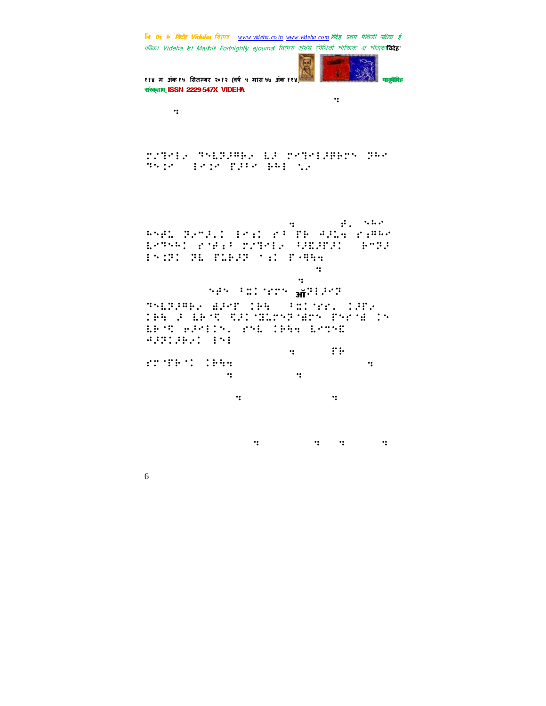| ११४ म अंक १५ सितम्बर २०१२ (वर्ष ५ मास ५७ अंक ११४ मध्ये के प्राप्त कर स्थान करने का मानूबी के |  |
|----------------------------------------------------------------------------------------------|--|
| संस्कृतम् ISSN 2229-547X VIDEHA                                                              |  |

**New York Control of Control of the Control of the Control of the Control of the Control of the Control of the Control of the Control of the Control of the Control of the Control of the Control of the Control of the Contro** 

|                      |  | $\mathbf{H}$ |  |
|----------------------|--|--------------|--|
| $\dddot{\mathbf{r}}$ |  |              |  |
|                      |  |              |  |

"⣙.⢴!⢹⣇⢽⢼⢻⢷⢴!⣇⢼!⣙.⢼⢿⢷!⢽⢳! ⢹⣈0!.⣈!&⢼!⢷⢳.!⣁⢴-!)dboopu!

hhbkfoesbawjefibles besteht in de steen de steen de steen de steen de steen de steen de steen de steen de steen<br>De steen de steen de steen de steen de steen de steen de steen de steen de steen de steen de steen de steen de ⢳⢾⣅!⢽⢴0⢼>!.⣐!⢸!&⢷!⢺⢼⣅⣒!⣐⢻⢳! ⣇⢹⢳!⢾⣐⢸!"⣙.⢴!⢸⢼⣏⢼&⢼0!⢷0⢽⢼! .⣈⢽!⢽⣇.&⣅⢷⢼⢽!⣐!&-⣛⣓⣒!!

ius (1990), provincia est anno 1990.<br>1900 - Carlo Carlo Carlo Carlo Carlo Carlo Carlo Carlo Carlo Carlo Carlo Carlo Carlo Carlo Carlo Carlo Carlo

ius (100 lbvmpomio dpn0vojobha vojoba vojoba vojoba vojoba vojoba vojoba vojoba vojoba vojoba vojoba vojoba vo bsj0 | 1991 - 1992 - 1993 - 1993 - 1994 - 1995 - 1997 - 1997 - 1997 - 1997 - 1997 - 1997 - 1997 - 1997 - 1997 BN1969B. BANT (PR) POINT (1986)  $\{+\}$  . The state  $\{+\}$  is the state  $\{+\}$ ⣇⢷⣋!⢶⢼.>!⣇!⢷⣓⣒!⣇⣉⣏! ⢺⢼⢽⢼⢷⢴!..! hhbkfoesbAwjefib⣒dpn!&⢷!

 $\mathcal{L}$  The  $\mathcal{L}$  -View  $\mathcal{L}$  of  $\mathcal{L}$  and  $\mathcal{L}$  -Similarly  $\mathcal{L}$  $\mathbf{G}$  ) and  $\mathbf{G}$  (  $\mathbf{G}$  ) and  $\mathbf{G}$  (  $\mathbf{G}$  ) and  $\mathbf{G}$  $\mathcal{G}$  =  $\mathcal{G}$  =  $\mathcal{G}$  =  $\mathcal{G}$  =  $\mathcal{G}$  =  $\mathcal{G}$  =  $\mathcal{G}$ 

 $\ddot{\mathbf{u}}$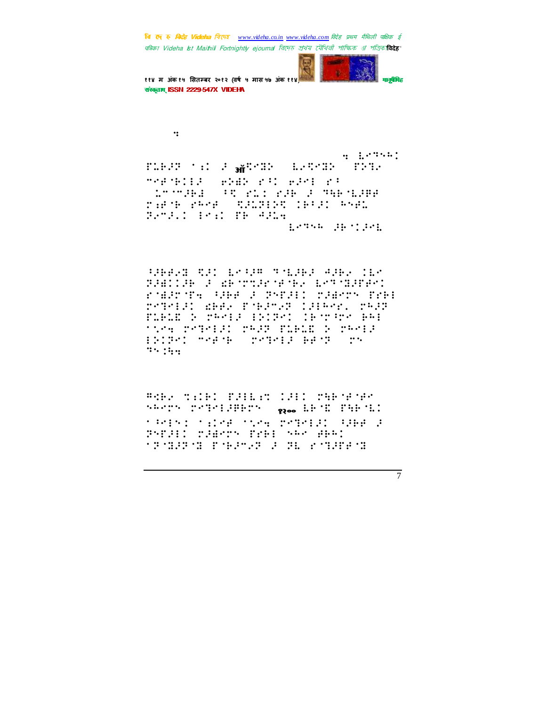

संस्कृतम् ISSN 2229-547X VIDEHA

 $\mathcal{G}$ 

 $q\in\mathbb{R}^{d\times d}$ EQRAN CONSTRUCT 0⢾⢷.⢼0!⢶⢵⣞⢵!⢸!⢶⢼.!⢸! )⣅00⢼⢷⣜-!⣋!⣅⣈!⢼⢷!⢼!⢹⣓⢷⣇⢼⢿⢾! ⣐⢾⢷!⢳⢾\*!⣋⢼⣅⢽.⢵⣋!⢷⢼!⢳⢾⣅! ⢽⢴0⢼>!.⣐!&⢷!⢺⢼⣅⣒! INTER STREET

⢸⢼⢷⢾⢴⣝!⣋⢼!⣇⢸⢼⢻!⢹⣇⢼⢷⢼!⢺⢼⢷⢴!⣇-! ⢽⢼⣞⢼⢷!⢼!⣎⢷⣉⢼⢾⢷⢴!⣇⢹⣝⢼&⢾!  $^{\circ}$  /  $^{\circ}$  /  $^{\circ}$  /  $^{\circ}$  /  $^{\circ}$  /  $^{\circ}$  /  $^{\circ}$  /  $^{\circ}$  /  $^{\circ}$  /  $^{\circ}$  /  $^{\circ}$  /  $^{\circ}$  /  $^{\circ}$  /  $^{\circ}$  /  $^{\circ}$  /  $^{\circ}$  /  $^{\circ}$  /  $^{\circ}$  /  $^{\circ}$  /  $^{\circ}$  /  $^{\circ}$  /  $^{\circ}$  /  $^{\circ}$  /  $^{\circ}$  /  $^{\circ}$  $\mathbb{R}^n$ 949.  $\mathbb{R}^n$ .  $\mathbb{R}^n$ .  $\mathbb{R}^n$ .  $\mathbb{R}^n$ .  $\mathbb{R}^n$ .  $\mathbb{R}^n$ .  $\mathbb{R}^n$ .  $\mathbb{R}^n$ .  $\mathbb{R}^n$ .  $\mathbb{R}^n$ .  $\mathbb{R}^n$ .  $\mathbb{R}^n$ .  $\mathbb{R}^n$ .  $\mathbb{R}^n$ .  $\mathbb{R}^n$ .  $\mathbb{R}^n$ .  $\mathbb{R}^n$ .  $\math$ &⣅⢷⣅⣏!⢵!⢳.⢼!.⢵⢽!⢷⢸!⢷⢳.!  $^{\prime}$  where  $^{\prime}$  and  $^{\prime}$  and  $^{\prime}$  and  $^{\prime}$  and  $^{\prime}$  and  $^{\prime}$  and  $^{\prime}$  and  $^{\prime}$  and  $^{\prime}$  and  $^{\prime}$  and  $^{\prime}$  and  $^{\prime}$  and  $^{\prime}$  and  $^{\prime}$  and  $^{\prime}$  and  $^{\prime}$  and  $^{\prime}$  and  $^{\prime}$  and  $^{\prime}$  and .⢵⢽!0⢾⢷!(⣙.⢼!⢷⢾⢽(!! ⢹⣈⣓⣒!

⢻⣊⢷⢴.⣉⣐⢷!&⢼.⣇⣐⣉!⢼.!⣓⢷⢾⢾-! SARTS TRINIFIET TO SAN WAS LETERTED  $^{\prime}$  Persian Service State (Persian Persian ⢽&⢼.!⢼⣞!&⢷.!⢳!⢾⢷⢳! ⢽⣝⢼⢽⣝!&⢷⢼0⢴⢽!⢼!⢽⣇!⣙⢼&⢾⣝-!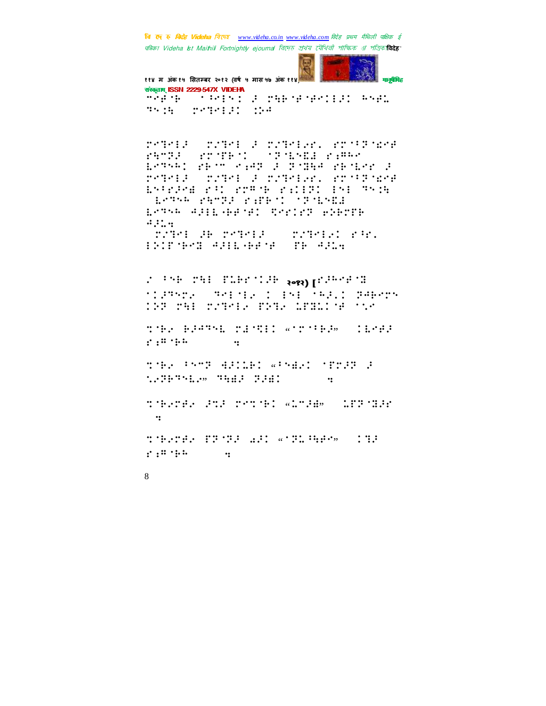

११४ म अंक १५ सितम्बर २०१२ (वर्ष ५ मास ५७ अंक ११४) संस्कृतम् ISSN 2229-547X VIDEHA **SAME SECTIONS IN THE REPORT OF A SEC**  $\cdots$  ,  $\cdots$  ,  $\cdots$ This repeat ne

retell rotel a rotelle crotages PROFIS POSTESI SPORTER PAPER ESTARD PROTOCHER 2 FORM PROPERTY  $\frac{1}{2} \left( \frac{1}{2} \left( \frac{1}{2} \right) \right) \left( \frac{1}{2} \left( \frac{1}{2} \right) \right)$ **TEMPE FOR TERMS STORES** ENFRIME RAD REACH REDED ENE ANCH Mense Arte Van Correnta LATAR APILAREARY TARIET REPOR  $\mathcal{L}$  ,  $\mathcal{L}$  ,  $\mathcal{L}$ **STATE OF STATES CONSTRUCTION CONTRACT ASSOCIATE TRACTICS** 

2005年10月1日 FLEETIFF (2003) [FIFTF13 SIPPOS TRESPORTED THE SALE PRESS **THE THE TIME IS SEEN ATTITUDE TO** 

the Blank first winds (1862)  $2.14 \pm 0.001$  $\dddot{\bullet}$ 

THE PATE BRIDE WINDS TEEP P **AND THE SECOND PROPERTY OF SAID**  $\dddot{\mathbf{r}}$ 

there and rethel with strain the  $\dddot{\mathbf{r}}$ 

there frit al citates (th  $\mathbb{R}^n$  , if we have  $\mathbb{R}^n$  $\dddot{\mathbf{r}}$ 

 $\mathbf{8}$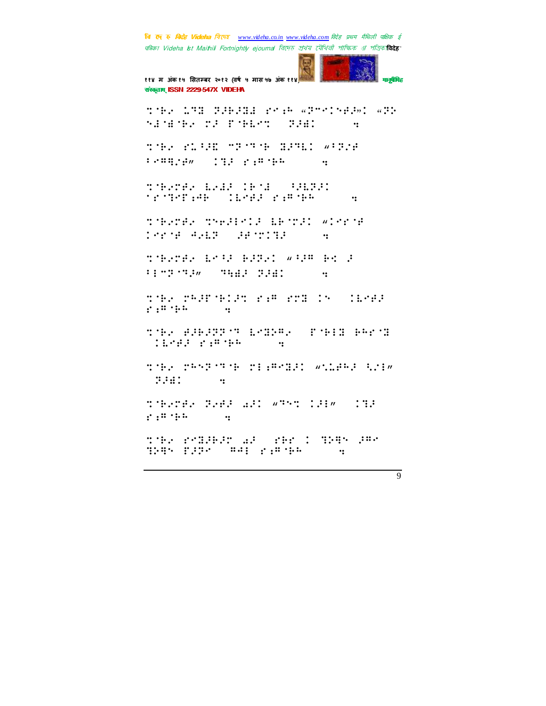११४ म अंक १५ सितम्बर २०१२ (वर्ष ५ मास ५७ अंक ११४) संस्कृतम् ISSN 2229-547X VIDEHA



the LTE PRESER real areainships and Similar to Pompet (2001) a THE FILLE TRIPE BREE WIRE **PARTICO (1998)** 2014 2022 2022 2023 richte bis den bestehen trunched in the resource of the second control of the second second second second second second second second s  $\dddot{\bullet}$ there theless around the top of **THE RAIR SHOTTE**  $\dddot{\bullet}$ there boy hard was held  $\frac{1}{2}$  :  $\frac{1}{2}$  :  $\frac{1}{2}$  ;  $\frac{1}{2}$  ;  $\frac{1}{2}$  ;  $\frac{1}{2}$  ;  $\frac{1}{2}$  ;  $\frac{1}{2}$  ;  $\frac{1}{2}$  ;  $\frac{1}{2}$  ;  $\frac{1}{2}$  ;  $\frac{1}{2}$  ;  $\frac{1}{2}$  ;  $\frac{1}{2}$  ;  $\frac{1}{2}$  ;  $\frac{1}{2}$  ;  $\frac{1}{2}$  ;  $\frac{1}{2}$  ;  $\frac{1$  $\mathcal{L} = \{ \mathcal{L} \mid \mathcal{L} \in \mathcal{L} \}$ the refreshinger and in Times  $\mathbf{r}^{\prime}$  ,  $\mathbf{r}^{\prime}$  ,  $\mathbf{r}^{\prime}$  ,  $\mathbf{r}^{\prime}$  $\dddot{\mathbf{r}}$ the ABBRY LODA, FORD PROD **TEPAR PARTNE**  $\mathbf{r}$ the response riseasi wileed the  $\ddot{z}$  , and  $\ddot{z}$  , and  $\ddot{z}$  , and  $\ddot{z}$ there had all which are the  $\mathbf{r}$  and  $\mathbf{r}$  and  $\mathbf{r}$  and  $\mathbf{r}$ the relation at the Common and THE FIRE WAI PIRTH  $\dddot{\bullet}$ 

 $\overline{Q}$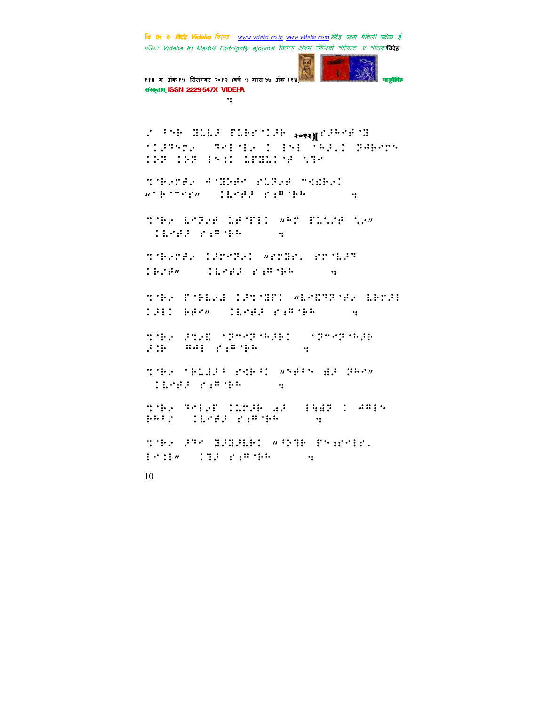११४ म अंक १५ सितम्बर २०१२ (वर्ष ५ मास ५७ अंक ११४ संस्कृतम् ISSN 2229-547X VIDEHA



 $\cdot$ :

2015年10月1日には、FLFPの102年、<sub>Re83</sub>gのSFPのF1日 SIPPOS TRINK I PHOTOGRAPHY **MARKET BALL MARKET STAR** 

tikere, Admies rugge market  $\mathbf{r}$  $\mathbf{w}^*$  is the space of  $\mathbf{g}$  in the space of  $\mathbf{g}$  is the space of  $\mathbf{w}$ 

TORY ESTAR LEOTIC WAT PLOTE OFW tical rumber  $\sim$   $\sim$ 

there is revel write and the TESPA (TESPAI PARTER )  $\dddot{\mathbf{r}}$ 

the Phili Chrim windhish about **CONSTRUCTS OF STATE OF STATE OF STATE OF STATE OF STATE OF STATE OF STATE OF STATE**  $\mathcal{L} = \mathcal{L}$ 

THE PIER CROSS WHILE CONTOR WHE  $3.15$   $1.041$   $2.1011$  $\dddot{\mathbf{r}}$ 

the thill reflict white distribution tished rawship  $\mathbf{H}$ 

the Wid Cone at 1982 C Amis pary then specific and

the Conditions with Preside  $19.116 \pm 11.12 \pm 1.01946 \pm 0.0194$ 

 $10<sup>10</sup>$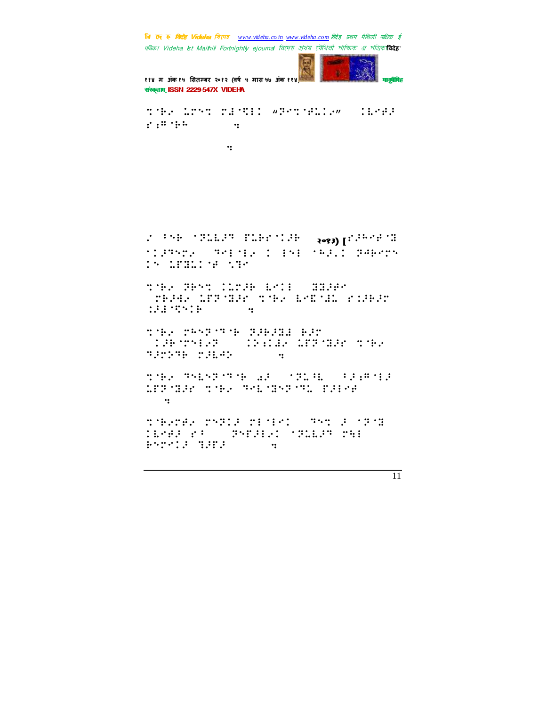११४ म अंक १५ सितम्बर २०१२ (वर्ष ५ मास ५७ अंक ११४) मानुसार मानुसीमेह संस्कृतम् ISSN 2229-547X VIDEHA

⣉⢷⢴!⣅⣉!⣜⣋.!"⢽⣉⢾⣅⢴"!)⣇⢾⢼! ⣐⢻⢷⢳\*!!22⣒56&!!!!!

Puifs; 2<br>Puifs: 2<br>92<br>92

"!⢷!⢽⣅⣇⢼⢹!&⣅⢷⢼⢷!)२०१३) [⢼⢳⢾⣝! ⢼⢹⢴-!⢹..⢴^!..!⢳⢼>!⢽⢺⢷! !⣅&⣝⣅⢾!⣁⣙@!

⣉⢷⢴!⢽⢷⣉!⣅⢼⢷!⣇.!#⣝⣝⢼⢾#! );PRANK 1PP (BAC) (PPANK 1PPAN<br>Kilometik ⣈⢼⣜⣋⢷\*!!44⣒44&!!!!!

⣉⢷⢴!⢳⢽⢹⢷!⢽⢼⢷⢼⣝⣜!⢷⢼!  $\pm$  . The start  $\sim$   $\pm$  . The start  $\sim$  10  $\pm$  2  $\pm$  2  $\pm$  2  $\pm$  2  $\pm$  2  $\pm$  2  $\pm$  2  $\pm$ ⢹⢼⢵⢹⢷!⢼⣇⢺⢵\*!!23⣒15&!!!!!

⣉⢷⢴!⢹⣇⢽⢹⢷!⣔⢼!#⢽⣅⢸⣇#)⢼⣐⢻.⢼! ⣅&⢽⣝⢼!⣉⢷⢴!⢹⣇⣝⢽⢹⣅!&⢼.⢾\*!!  $23$ 

⣉⢷⢴⢾⢴!⢽⢼!..!#⢹⣉!⢼!⢽⣝! ⣇⢾⢼!⢸#!)⢽&⢼.⢴!⢽⣅⣇⢼⢹!⣓..! ₿NOVI3 BRE 2000 | 1000 | 1000 | 1000 | 1000 | 1000 | 1000 | 1000 | 1000 | 1000 | 1000 | 1000 | 1000 | 1000 | 1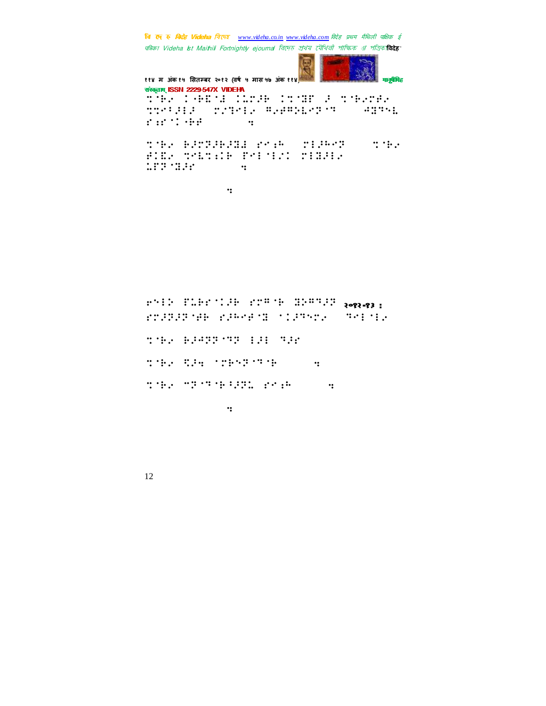११४ म अंक १५ सितम्बर २०१२ (वर्ष ५ मास ५७ अंक ११४) मानुषी मानुषी मानुषी मानुषी मानुषी मानुषी मानुषी मानुषी मानुष संस्कृतम् ISSN 2229-547X VIDEHA ⣉⢷⢴!-⢷⣏⣜!⣅⢼⢷!⣉⣝&!⢼!⣉⢷⢴⢾⢴! ⣉⣉⢼.⢼.!"⣙.⢴!⢻⢴⢾⢻⢵⣇⢽⢹!)!⢺⣝⢹⣇! ⣐-⢷⢾\*!!24⣒9:&!!!!!  $^{\prime}$  which is a set of the set of the set of the set of the set of the set of the set of the set of the set of the s  $\vdots$   $\vdots$   $\vdots$   $\vdots$   $\vdots$   $\vdots$   $\vdots$   $\vdots$   $\vdots$ ⣅&⢽⣝⢼\*!!22⣒22&!!!!! Puifs;!!1⣒:4&!!!!! ⢶.⢵!&⣅⢷⢼⢷.⢻⢷!⣝⢵⢻⢹⢼⢽!२०१२ -१३ :

⢼⢽⢼⢽⢾⢷!⢼⢳⢾⣝!⢼⢹⢴-!⢹..⢴!

⣉⢷⢴!⢷⢼⢺⢽⢽⢹⢽!.⢼.!⢹⢼!!61&!!!!!

⣉⢷⢴!⣋⢼⣒!⢷⢽⢹⢷!!39⣒83&!!!!!

⣉⢷⢴!0⢽⢹⢷⢸⢼⢽⣅!⣐⢳!!2:⣒26&!!!!!

 $\frac{2}{3}$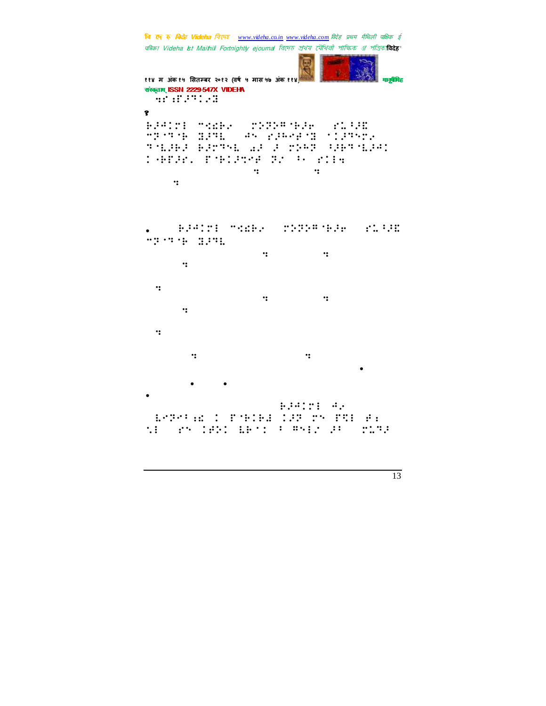११४ म अंक १५ सितम्बर २०१२ (वर्ष ५ मास ५७ अंक ११४) मानुसीर मानुसीरे मानुसीरे ह संस्कृतम् ISSN 2229-547X VIDEHA  $2^2$ १ ⢷⢼⢺.!0⣊⣎⢷⢴;!⢵⢽⢵⢻⢷⢼⢶!)⣅⢸⢼⣏! 0⢽⢹⢷!⣝⢼⢹⣇\*!⢺!⢼⢳⢾⣝!⢼⢹⢴! ⢹⣇⢼⢷⢼!⢷⢼⢹⣇!⣔⢼!⢼!⢵⢳⢽!⢸⢼⢷⢹⣇⢼⢺! -⢷&⢼>!&⢷⢼⣉⢾!⢽"!⢸3!.⣒!! ius (10epdinob0wjeto 10epdinob0wjeto 10epdinob0wjeto 10epdinob0wjeto 10epdinob0wjeto 10epdinob0wjeto 10epdinob fib $\theta$ •! ⢷⢼⢺.!0⣊⣎⢷⢴;!⢵⢽⢵⢻⢷⢼⢶!)⣅⢸⢼⣏! 0⢽⢹⢷!⣝⢼⢹⣇\*!epxompbe!mjol! iuuqt;00tjuftigtation on the phmf dpn0bowj efib. **efib.** effects of the product of the  $\mathbf{f}$ iuuqt;00tjuftigtation on the phmf dpn0bowj efib. **efib.** effects of the product of the in the control of the control of the control of the control of the control of the control of the control of the tjuft $\mathbf{q}$  $\frac{1}{2}$ Mjlf!•!2!•!Sfnpwf!Qsfwjfx!  $\bullet$   $\bullet$   $\bullet$   $\bullet$ Hbohfti!Hvokbo!⢷⢼⢺.!⢺⢴! ) LAPA AN INSTRIA (1980) 27 AN INSTRIA (1980) ⣁.-!!⢾⢵!⣇⢷⣈!⢸!⢻."!⢼}!⣅⢹⢼!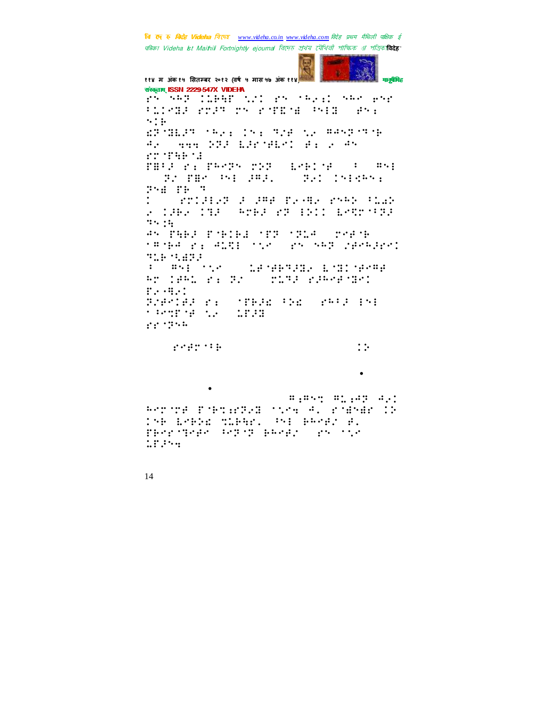```
COMPANY
                                                 \mathbf{g}११४ म अंक १५ सितम्बर २०१२ (वर्ष ५ मास ५७ अंक ११४<mark>, व</mark>
                                                             मानुबैमिह
संस्कृतम् ISSN 2229-547X VIDEHA
rêleka dikar wat re skrid eks ker
SIMBERT TY PTEM PHB #5:
\ddots :
STORES TRANSVERSE NA RANGEMEN
42 Ann 233 Earnamat di 2045
PERTHERS
FBF3 r: PROPR 200 120010 (F. And
     Br PHP PH (PR)
                                      SECTIFICATE
Pre pr n
\ddot{\cdot}SPOILER PORT ENTER PART CLAS
2018-01: MED ATES 27 ENIX EPTEMBE
35.24AN THE TYPIES YTP YTER (THEYE
tempo ri onggi tin ya sog panograf
71971872
\mathcal{F} = \mathbb{P} \mathcal{M} \cup \mathcal{M} \mathcal{M} \cup \mathcal{M} \mathcal{M} \mathcal{M} \mathcal{M} \mathcal{M} \mathcal{M} \mathcal{M} \mathcal{M} \mathcal{M} \mathcal{M} \mathcal{M} \mathcal{M} \mathcal{M} \mathcal{M} \mathcal{M} \mathcal{M} \mathcal{M} \mathcal{M} \mathcal{M} \mathcal{M} \mathcal{M} \mathcal{M} \mathcal{M} \mathcal{M} \mathcal{M} \mathcal{M} \mathcal{M} \mathcal{M} \mathcal{M} \mathcal{M} \mathcal{MRE 1881 F. P. (1919) PLAY PARKENBEL
f: 4f: 1Brandal richtele (br. 2013-151
SPORTS AS ARE
gar ng saki
      \mathcal{L}^2 and \mathcal{L}^2 and \mathcal{L}^2 and \mathcal{L}^2\dddot{\phantom{0}}:
                                                       \bulletB.BYT BL:43 421
Report Portugal Steelth Poder CD
InfoReso mitter (St Freez E.
PROPORT OFFICERS IN THE
1.113334
```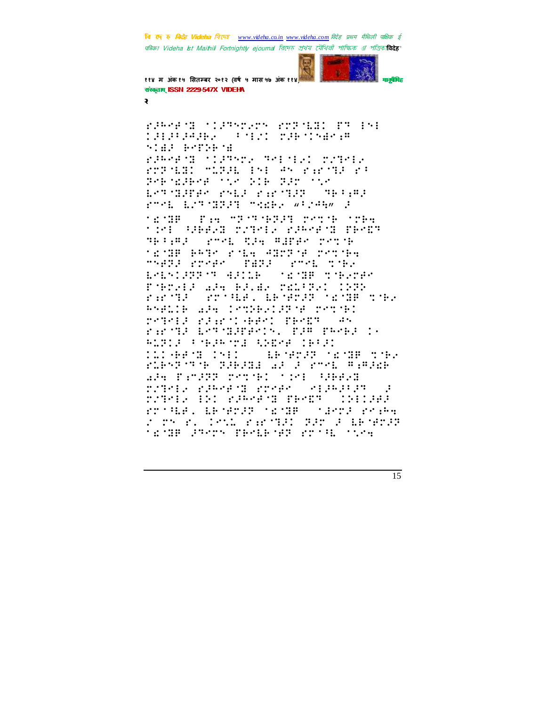

११४ म अंक १५ सितम्बर २०१२ (वर्ष ५ मास ५७ अंक ११४) संस्कृतम् ISSN 2229-547X VIDEHA

₹

FARME MITTERS FRANKLICH IN theories ( christeas) **STAR BRITERS** FARETH TIPPES PEINED TOPICS Restal time by Willett Pr Premiere to Sie PRT to por durant enguila natural capaçan rmen nich der er mener wilder ab **TEMBER PARTY-PARTY STATE TODA** time (SBBAS proves) rammeds perso TERE FOL TH SHE THE TOTH **TENNE PRIM ENERGY AND THE STATE OF THE SERVICE** mage professionage and the EPERINTENT ANILE (MEMBER 196214) FORDALL WAS BILBY DELEGATOIGGE randa (romale, legena midae does PSELIE APA (PTPERIPPE TETTE) readily right deet frem  $\mathbf{...}$ randa betomanesis, nam needa je ROSS PREPTE COOPS SEC **MIGHT IND ABMEDIANT TELE** PIRSPOSE SURVEY WAS SCOTLED FRAME APA PITATI TYTIK TIME RIBAI rziela raworci rrege (rigwala ) MARIN BRI MARGARA TEMPO (INBIGGA rriga, brenz from the for ready **MORTING CONSTRUCTION OF BENEDICT TEMB PROTH PROBECT STAR TOOK**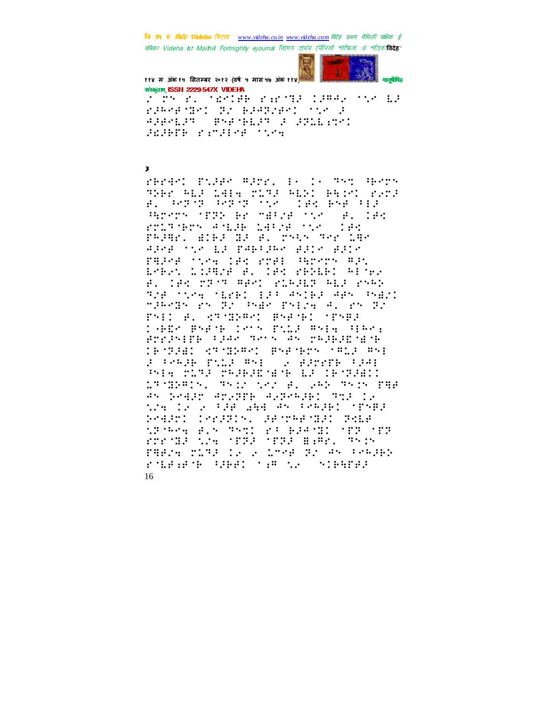

११४ म अंक १५ सितम्बर २०१२ (वर्ष ५ मास ५७ अंक ११४) संस्कृतम् ISSN 2229-547X VIDEHA

cîfr ku nerdêk kardîf (2842 niv 12 ramended dr Bagrien (no a ANALIS BYDGIN STANDARY BEBER FINISH MAR

## $\mathbf{3}$

reren fulen Albr. E. 16 dag Aenra TARA MEA 1414 MITA MEAL BRONT A.<br>Blockman Charles the Clar Braccia  $\mathbb{R}^2$  :  $\mathbb{R}^2$  : Person (FP) Bromatic (No. 8. 188 rolades adlab 1999 (Se  $\mathcal{L}$  and  $\mathcal{L}$ PRANK, ADEA BA A. Prank Mer 196 APPE TO BE PARTNED ARTS ARTS FARSE Straw (Ac Stall Arrors AR) isko cigarija, lat ekain aljer<br>A. 195 mese Ast roman ali an Sze nike nize: 13: Anieg Aen (niz makens an Brushman Phire A. an Br PAIL B. KRYBEAT BARYET YPARE DARK PSP B ISTS POLE PSEA SERS: Breleich (Dae mees as releacher IPSTED KTSEPS PSPSPS SPLP PSP F PARIN PYLE AND ON BRYER PIAD PHA TORE TRANSITY OF SECTIONS LT MERING THIS NAME AND THIN THE AN SPART ATSTED ASTRALLED TTR IS the la a fae and go forage opopa CONSTITUTE SHOPPERS IN THEFT 204221 SPORTH BIN THIS FOR BOARDS TER TER FTF NB APA (FRE) (FRE) BaRr. Thir PHENG PLAR IS & LOVE AN AN APAREN risers and the second control 16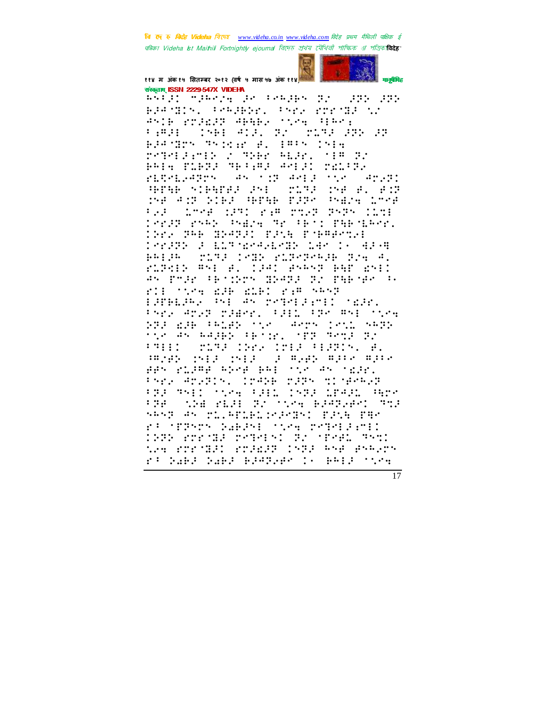

११४ म अंक १५ सितम्बर २०१२ (वर्ष ५ मास ५७ अंक ११४<mark>, व</mark> संस्कृतम् ISSN 2229-547X VIDEHA

ašijų njaryg je teajas pro jpr jpr BRANDIN, PRAGBEL PHER POPING NO ANIE PRIEIR ABABY MICH ALBOY 1588 ADAL RY (2028) 286 28  $\mathbf{1}$  ,  $\mathbf{2}$  ,  $\mathbf{3}$  ,  $\mathbf{4}$ BERTHY TRING B. BRIN INEW redelled: 2 deed Alle, 188 dr BRIA PLBSD SPIER ANDS MEDIC ritrikazen as no ang ne arkiyan WPAR STRAPES SAT STORE THE BUYER MF AIR NIEF WERE BIRM WANK 1778 PART COMME CRID ROB COORD RARA CLOS Christ robb (barn ar (Boildeborn) M. PH SPORT CONSTRUCTION **Crrath of Elstrandardth Lan Co. Alba** PRISH TEST INE MIRTHER TIME. PLACED AND B. CARD BRAND AND WHI 45 PMP (Frides BMP) PS PHROP (F ril tide num nimi rem sasp EPPEPA PAL AS MATRIPIT SERV Pres Anshi ndëre. Pdil Phri Ari inshe FRA 2008 FRIED STAR (Argy 1971 SAPP) the An AADAD (Brigg off) Send Br  $\begin{minipage}{.4\linewidth} \begin{tabular}{l} \hline \multicolumn{3}{l}{\textbf{0.12}} \end{tabular} \end{minipage} \begin{minipage}{.4\linewidth} \begin{tabular}{l} \hline \multicolumn{3}{l}{\textbf{0.12}} \end{tabular} \end{minipage} \begin{minipage}{.4\linewidth} \begin{tabular}{l} \hline \multicolumn{3}{l}{\textbf{0.12}} \end{tabular} \end{minipage} \begin{minipage}{.4\linewidth} \begin{tabular}{l} \hline \multicolumn{3}{l}{\textbf{0.12}} \end{tabular} \end{minipage} \begin{min$  $5.32331$ SAMAR MES MES JOS ANDRO ASSAMAS BEN PLIME ADAPTEAD TO AN TERR. Pres Aralin, Crawe rale nichereal FRA THE TOTH FAEL INFA LEARL HET FRA (1988–2021) Rochert Baghaget Mus SASP AS TO APOBLIMATES! FAVE FAM ra (PPSTS GABAS) (See repetation) **TREE STRIPS TREES OF EXISTEN TREE** the rorner roles (1930) to the space rt bakk bakk kiginger is kell sore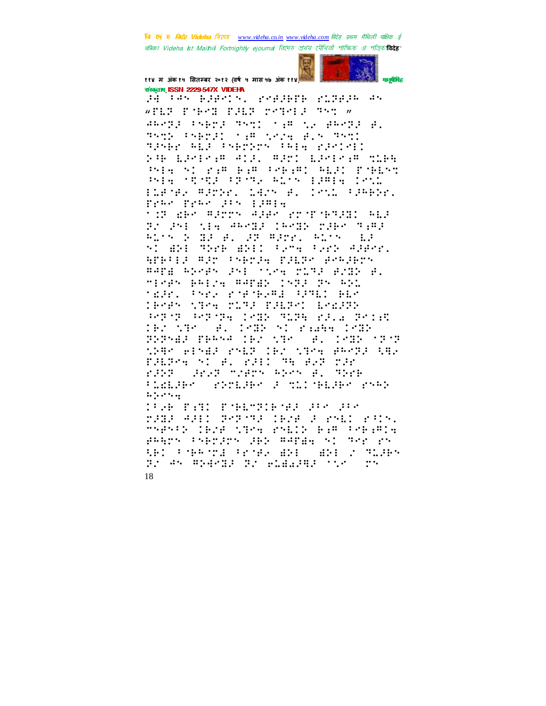

११४ म अंक १५ सितम्बर २०१२ (वर्ष ५ मास ५७ अंक ११४) संस्कृतम् ISSN 2229-547X VIDEHA

jā (fas pjests, psejpro pideja as WHIP PORCH PART SCREEN TO W anepi tspel dsej sin si dnepi d. There induced the correct dimension SPARE REPORTED THE SPACED SAR EPSIKAR ATAL APPI EPSIKAA MIRR Wielkich auf Karlenberg werden meist Print of the Choose Rich (1981) 1971 Hifter Warre, 1925 B. 1951 (Pabre, Pres Pres (PS 19814) ':P den Albre Albe driptball: ALD BY PHONIA ARMED IRMEN MIRM TARE RICH I HA AL AP RATE, RICH (AL) SI ARE TREE ARE: From Fred Albor. APPELE WEST CHESEN PERPOTENTIES BAPA ASPAN SNI MIRA PLTS BIZE B. MIRAN BAILA BAPAN 1993 PS AND

teach they premiume tamed ber Grey (Tre 2173 Palar) Lready PORTS PORTH (PORT SUPH FR.A POIR IBZ NTP (B. 1932 NI Page)  $1.4321$ PROMIN TEAM (PROVINC) B. 1882 (PTC SPROGINED PNLP (B2 SPA) PROPE RB2 PALPAG NI B. PAIL TH BAT TAP rath are when money along Plainer (athlier Foulomnier and 

**COVERED STEAMSLETH SOMEONY** rada Aafo depena tera a rego rate. "SPSIE IEZE STOW PSEIE PAR ISPARIA PRACK PRACED HAN BAPAN RD BRE CR ARI PORTOG PROBVERE (BREAK SLARY di es piedad di plebbo ti con 18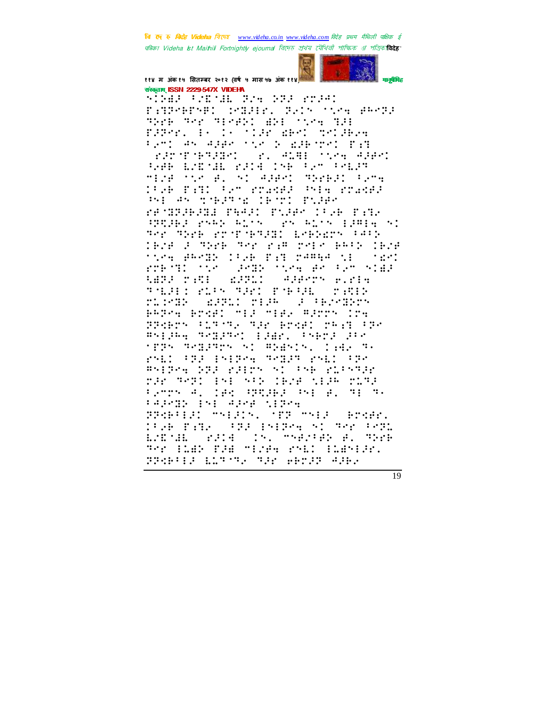

## ११४ म अंक १५ सितम्बर २०१२ (वर्ष ५ मास ५७ अंक ११४) संस्कृतम् ISSN 2229-547X VIDEHA

time crone change and PATPARTARI POLISK PAIN SYNS PRATH The Ter Ties: Abi ties Thi rær. 10 1001æ med triæde tien as appeared backgreat Pat egen hagger i er græn sreg ggen SHE EMPAL PATE THE PATTERN mine the B. S. Ales Market Care Die Pat fen diadel hie plade PH AN THERM IPTI PURP re<sup>1</sup>dp.e.go. rag: ruge (f.e. r.g. PRINCIPAL PART RESALT PACKED FOR EVALUAT ské skel erspreser Lekkers (14)<br>1929 – Sterk skelete referencievní ting BRMBA (F2B P39 24844 il condi PPECTIC CASE (PSER CASE BS FROM SIBR **AND STREET AND STREET Address parts** PERIODES BRITISHE, THE **WEBER THE CONFIDENT**  $11.14111$ PRPAN POSED MIS MIRA REDON ION FREED PORTH, THE BOSH OFFIT PRO Bright Seminary Edmon Press dia tras asperos si mensioni lens as rnic (Ba Brighe Shias rnic  $\cdots$ #5:Pre 223 r3:r5 51 P56 r1P573r THE PARI INE NEW IEER SIJR TIPP Plenne Al (1980) CERTER (PAI 91) ME MA PARTIN 151 APPR SIRES PREMISSIONALISM (TER MAIR OPPER) DEAR PANA (FRA) ESERGA SI TGA FGRI EMPHIL FRIE IN THRIED B. THE The field fiel misse end fientist. THEIR CONT. THE SPIRE SHE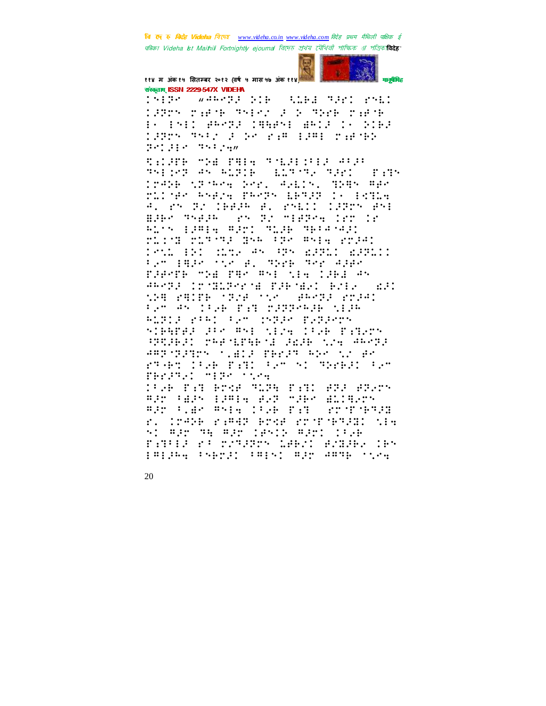

## ११४ म अंक १५ सितम्बर २०१२ (वर्ष ५ मास ५७ अंक ११४) संस्कृतम् ISSN 2229-547X VIDEHA

 $1.94391$ **A** WORD POINT CONTROL STATE OF THE STATE OF THE STATE OF THE STATE OF THE STATE OF THE STATE OF THE STATE OF THE STATE OF THE STATE OF THE STATE OF THE STATE OF THE STATE OF THE STATE OF THE STATE OF THE STATE OF THE STAT 1985 rack mars 2 b mar rack In India Bengga (Angri Aeria In Giba 1935-1941-1942 (Professor 1941) 598-42  $P(1,2;2;1;1)$   $P(2,1;2;2;1)$ 

CHIPP THE FAIR TENNISHE AND THE SPECIAL ALTER COLLECTED THE CONTROL CENT ITANG NESARA NATI ANGINI TNAS APA riche andre Parph 19722 (n. 1891e Al es de l'Ague di estil l'ades ds:<br>Babe dsgam (es de migdem lep le and property with the teachers rīch historija pa tie meļa krie Ministrative and program diffut Fem 1928 the B. Shee Servershe FRAME THE FRY RME NEW CREE AN ARABA (PARLBARAN PARANGA) RATA (183) SPE PEINE (SVE SSP) (BRPS) Primi From AN IPRE PAT SPPPORT SEPH RIBIE PRAI RET INBEN BEBENDN STEEDED FOR WATERING TOOK PETERS STRIBIL THE STREAM SENE SIN ARMIE ARPORTEN COBIA PREAR AND NO BE FRANCISK FILM (FAMOS) REFERD (FAM PERPET MIRK SAME **1926 F.M Bref MINE F.M. 893 89275** #Protest fPH4 B2P mPP enchant ale (las Agglica placerorum r. 1940 rimas erge rrataean diw **SAFE THE RIP LENIX RIPL CENE**  $\ddots$ 

FARED 23 MARZEN LABAT AVENUE TEN papea, chergo capho agricaame sung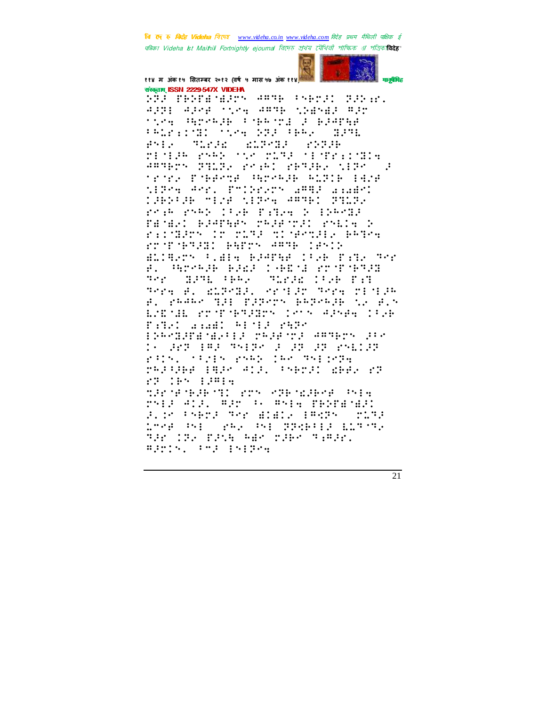

११४ म अंक १५ सितम्बर २०१२ (वर्ष ५ मास ५७ अंक ११४) संस्कृतम् ISSN 2229-547X VIDEHA

BENING THE ENERGY

533 PESPAGAANS ARTE PSENAL SASAN. aggi ageg sieg anne thangd ngr tics Serekak Channa a Basher **FALE: 1911 (1924) 2022 FORE ( 002000**  $\mathcal{L}^{\text{max}}$ and set a set  $\frac{1}{2}$  :  $\frac{1}{2}$  :  $\frac{1}{2}$  :  $\frac{1}{2}$  :  $\frac{1}{2}$  $\mathbf{a}$ MISER PARK TO MARK TEMPERATUR ARTES PRINT POINT METIL SIRE tring Piberne Shreege Algib 1428 tiles Ann. Prichers aggi asabt **1382-38 MINE NIPPH ARTEI PILP.** reak root like false to income Fanall Blanmar (1918-111) Prace & richers in miss moderner betwe rosperant earns agae (asis ALIBATY F.ATH BINTHE CEAN TATA TYP F. Breek Bad (GBM from B321 THE SEPECTED STATE CONFIDE Thre B. ELPhil. hridr Thre ridid B. PRARK TO: POTER BROADE NE B.S EMPAR STAPARTS CONSISTENCIES FIRE ANAL ALMI SAR :SAMBURGAL:IS TAGENTS APPETA UPA **1. Jef 183 75156 3 35 35 englan** ring (1971) real (80 351 2034 relige 1920 All. (Seril del. 23 **ST IBM EPHIA** MARINE ARRIVED COMMUNICATIONS AND ARRIVED AND ARRIVED AND ARRIVED AND ARRIVED AND ARRIVED AND ARRIVED AND ARRIVED A ryla ata, mar il myly rechenavi Alim Pebra Mer BlBl2 (Pede ) ruma 2008 PH (2002) PH STARFIE ELTYTA THE CIA PAGE REP SIRE TARRE.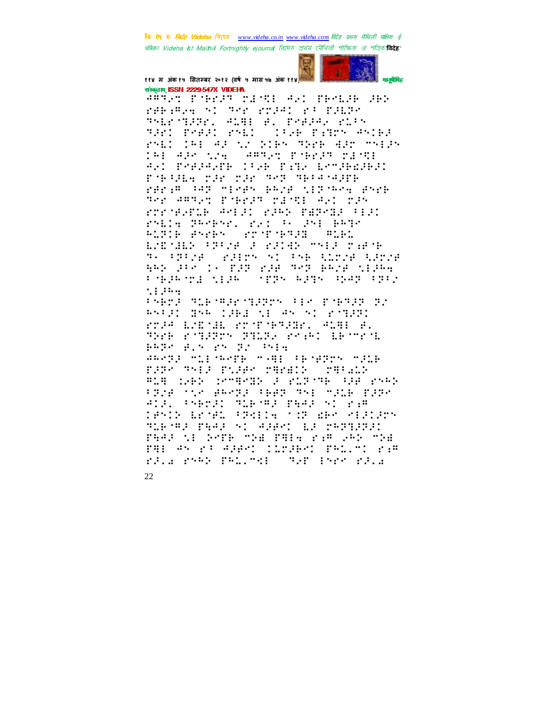

११४ म अंक १५ सितम्बर २०१२ (वर्ष ५ मास ५७ अंक ११४<mark>, व</mark> संस्कृतम् ISSN 2229-547X VIDEHA

aêdyn prezid nirti ay: perije jev rabisco si prr rradi ri padre THE THREE SEARCH PRESS FILL SAMI PARK PALL (1926 Pages Asia) ran ia ar u bibyane ar mhr. 161 426 NP **AUTOR PORT 2373** 421 Present That Pata Longbogbat PORTH TH TH TH THE TELENIF bere in der Street bezeitstreien eine The ARTES PORTER SINE ALL SIN PTP MARLE (AMER) PARA TERMIN (FEA) rnlla Bener, rei 80 Phi Bene BIDGE BRAKE STORIES WILL EMPORED FRIDE S PAIRD THE PAPE TH FRIDE SEARCH SI FRE ROOM RADIE 462 PP 1. PPP 218 929 BB28 51264 Popular Charles Control Addr. Charles the  $\sim$  :  $\sim$  :  $\sim$ 

PARTE SLEAMER MEDDY (FER DAMED DE RSPAC BSR CARE SE AS SI ROBBI role broad roomseler. end e. The rigger filt right in this BRPS B.S. PS BM PHE

ARRES MILLARED MANI (PROPER MILL  $\frac{1}{2}$   $\frac{1}{2}$   $\frac{1}{2}$   $\frac{1}{2}$   $\frac{1}{2}$   $\frac{1}{2}$   $\frac{1}{2}$   $\frac{1}{2}$   $\frac{1}{2}$   $\frac{1}{2}$ *<u><b>A* **A** *A* **A A** *A A A***</del> <b>***A <b> A <b> A <b> A <b> <b> A***</del>** *<b> A* </u> PLA (1962) POSAGE 2 PLACES (196 PSA) FRIE TOT BATE FEED THE TELE FIRT Will there minute page of rim TANIN ErnAL PRREIM (13 GBK KEATATN SLETER PARK STORRET AR TEPRING PARK NE GREE MOW PAEA SAR GRO MOW FAIL AN ES APPRO COMPRET FALLED EVA rala romb fml.chi (Sef inre rala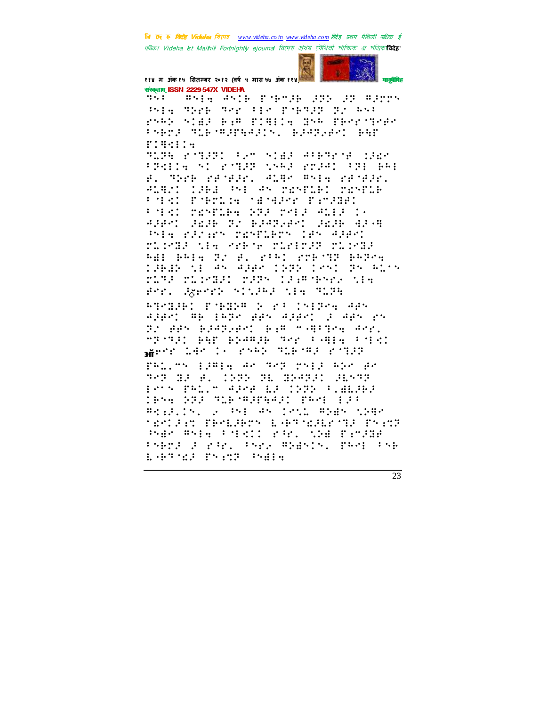

११४ म अंक १५ सितम्बर २०१२ (वर्ष ५ मास ५७ अंक ११४) संस्कृतम् ISSN 2229-547X VIDEHA

 $\mathbf{u}$ .: **ARRIA ANIE POETIE ING IN AINTS** Principal Service President Studies rned nigs bim fights dne fbnr mner **FREE TOP MAPRALES, BARAGE BAP** Finding

SLER KYBERI FAN SIWE AFRSKYR IERS FREDE SI POTER CORP PREAD FREDERE B. Ther efficies, Algebraiche effice. WEST THE PHOTO TEMPER TEMPER  $\ddot{\cdot}$ PHRITTED & TENERO PANERS PART TEMPLES DER TALE ALLES ANAN SEAR TY BIATIAN (ALAR AI)A Principal Service Constant TIPS: MA PPP- TIPPE TIPS RAL BRIA DZ AL 25RI 20B/ND BRDA.<br>19BAR NI AN APAK 1999 1991 DN BL'S MIRA MISMARI MARS CASHIBSES NIS Pro Rend StiPe Sim TLPE

**ANYNHI PYRDA N PA INIPA APS** agan me fezh aan agan d'aan en TZ AAN BJATZARI BAR MARTINA ARI. MESTED BAN BOWER THE FURNISH CO Went len is root miken room

fairs field as well been and a **THIS IS A SHOP OF BUILDING AND STARTS** Pros Pallo APre LP (1923-).ALPRE **CENT COM TOP TO SERVE CO**  $j:1...$   $j:1...$ Reading a sweeping Read Ready of **MACDAY PROBJECT BORTNARY MACDEMICS** PART ANIA FREDERIC PART CON FAMOUR Presid a part area Algrin, parl are LOUGH PROT PORC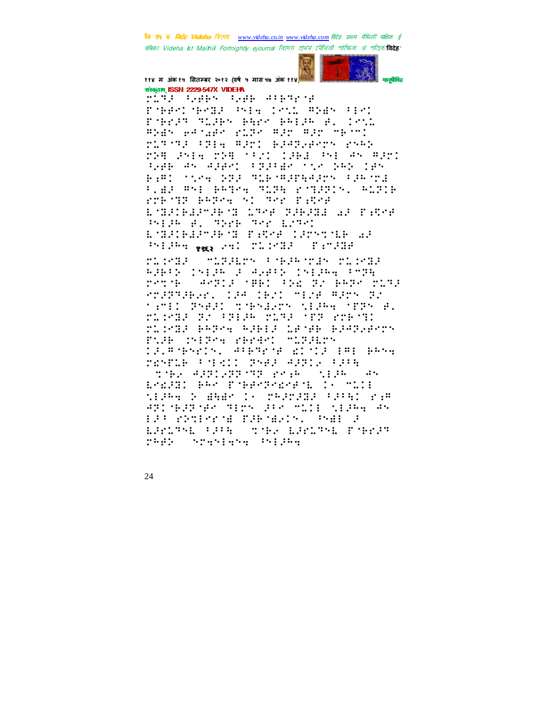

११४ म अंक १५ सितम्बर २०१२ (वर्ष ५ मास ५७ अंक ११४) संस्कृतम् ISSN 2229-547X VIDEHA

ring sysk sysk ackners Pobent dengan anggo tenggangkan aget rner mæk ber belæ elling Ayas parade plac Agriage mpire rusing this ward pasaperns read MAR 2514 MAR STAR CARE TSI AS RAMI SAR AN APROVISING TO DAY CRN BARI MYSH DRE RIBSRAHARS FARSTA **F.A. PHI PRIMA TEST PYTERIN, RESID** FTE TH BRIGG SI TOP PARCH EMBRIERTEME LTMF BRERE WA PARME PHIP B. THE TEACHERT L'ISSELPIE I PRYF CAPYLE AF Pright <sub>ser</sub> and flower famous

**MIRE TEET PRESS** agang 151ga g Agang 151gay noga<br>2019 - Aogle Maan, ngelo di aago 2019 roggager, 194 leri mire agor gr<br>Samil gregi moergron viges (fgr.e. MANE WORKER MAN ON PROVINC richi: BRP-6 R2B12 1878B B247.82rr FURNITHERS SEEMS TURNETS 19.8765215. Atenera alile (81.665)<br>Tanple frigil Pher Agely (99.6 Senator and propositions and proposition of the state of the state of the state of the state of the state of t EMERGE BRACE SERVIMENT (1) MILLE tiche 2 dhar () phorono (olig) rim APINEARNA MENS ARK MILE NEARS AN EPP PROFESSION (PHESIS) LAMINE CACH (THE LAMINE PORT) red sreshes blief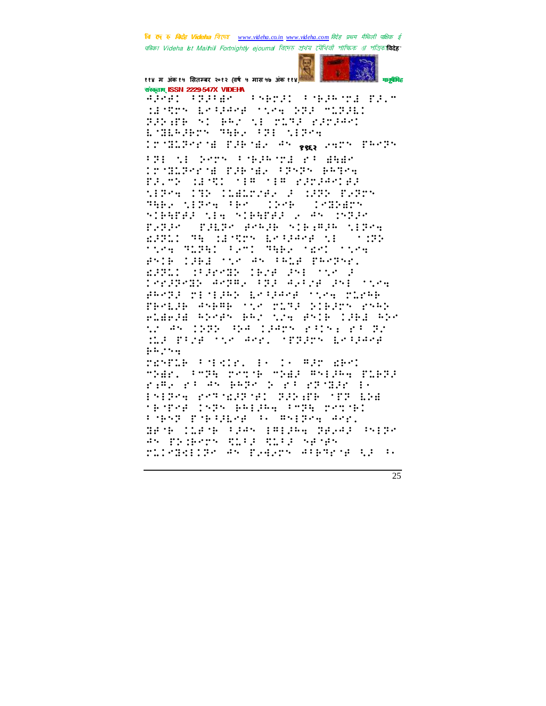

११४ म अंक १५ सितम्बर २०१२ (वर्ष ५ मास ५७ अंक ११४<mark>, व</mark> संस्कृतम् ISSN 2229-547X VIDEHA

**SEPRED PREPRIE EAST** alén (Singe MESTER LEADERS SAFE DER SAPEL PRESERVAT BAZ AR STORE PROPER EMERGERY MARY PRESSERVA IS MELFORME FUELMENT PROGRAMMENT FRONT

FB: SE Prom Frederoi pr dedr IT TEST OF THE HE STATE BRIDGE FRITS METER TER TER PROGRAMER SIPPA (TR (LELTIF) 2 (1978 F22TS THE SITES OF COST CONTROL SIBBED ME SIBBED 2005 MMBC **THIS SAMP SIMPS SING** Podern EPOINT THE ENTRY EXTRAGATOR  $\cdots$  : : : : tion SLPHI Ford SHEP tand tion PSIE LIED TOT AS PALE PROPSE. algen (fleren 1626 ling 1728 li<br>1981garen gegoria (flerenser 1761 line PROTE TECHING ESTAND COST TITUL regine samme over ring almen Pana ridrje post pod dre svip (jel pod trongs (1939) (1990) (1948) rither ringer MA PROF TO APPL TERROR ESPARA  $\frac{1}{2}$  :  $\frac{1}{2}$  :  $\frac{1}{2}$  :  $\frac{1}{2}$  :  $\frac{1}{2}$ 

revelk foreign, in 18 Aur eko "SAR, PTR TRTH TSAR PREPA TIPS ring resource page to recognize to ESERG PORTER MI SINGER TER ENG terne (SPS emigne from reside Port Portigate P. Stipe, Sep. Benholdenbolder (Aljanger Belge (Rijer AN TEMPER TELEVISION NEMP richesist an paper atenda tra a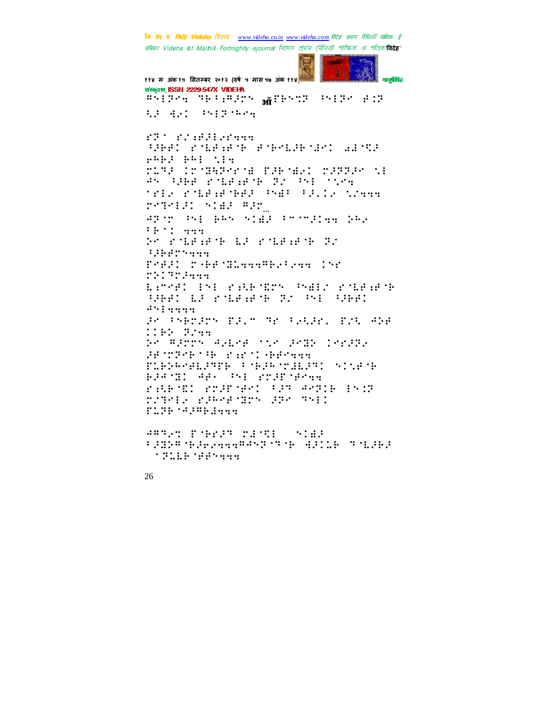**Service** 

 $\mathbf{z}$ मनुबैमिह ११४ म अंक १५ सितम्बर २०१२ (वर्ष ५ मास ५७ अंक ११४) संस्कृतम् ISSN 2229-547X VIDEHA BAIRE, BELEZEN WERNT PHREST track without **CONTRACTOR** SPECIALE ROLL PRODUCT SECTION php: ph: 119 ring industry a servant recent to An CHEATRACHE BY PHOTOGR tria robeledera menofalia same **PERMIT STAR BRE** apart bet has star concerned the **FB11 333** <u>Markedo Lianger S</u> **Albertane** Prest Time Minnerhaland Inn **MAINMANN** Earnel (151) patholics (1581) political SPACE AS ROBERTA TROOPS SPACE **Andrews** an theraph pack me taige, pai was **1182 Brug** Profesion Average throughling (research **SPATEMENT PARALLER** TIBRAHLETH FORFOLLET SINES BRAND ARTISE FOR THE rakted roginari (gm aroue 1512 rudele ramerdre ade dell **TIDE SCHEDUNG** ARTES ESPECTACINES SIAR **FIRE BIRGGGGGGGGGGGGGGGIRDE STRIK TELETHREE**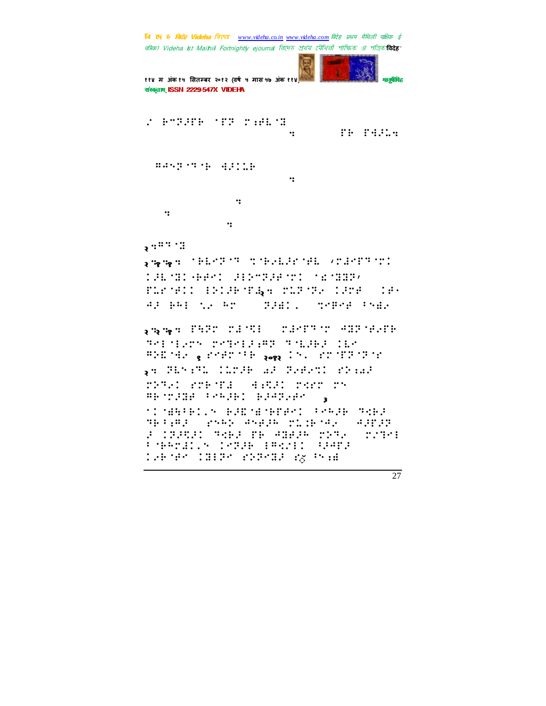चि एक रु *विदेह Videha चिए*न्छ <u>www.videha.co.in www.videha.com</u> विदेह प्रथम मैथिली पाक्षिक ई पत्रिका Videha Ist Maithili Fortnightly ejournal রিদেহ প্রথম মৌথিরী পাক্ষিক প্র পত্রিকা**বিदेह**' ११४ म अंक १५ सितम्बर २०१२ (वर्ष ५ मास ५७ अंक ११४) मानुसीर मानुसीरे मानुसीरे ह संस्कृतम् ISSN 2229-547X VIDEHA "!⢷0⢽⢼&⢷!&⢽!⣐⢾⣇⣝! hhbkfoesbAwjefib⣒dpn!!&⢷!&⣚⢼⣅⣒!! !⢻⢺⢽⢹⢷!⣚⢼⣅⢷! hekawiefiburie bakhawiefiburie bakhawiefiburie bakhawiefiburie bakhawiefiburie bakhawiefiburie bakhawiefiburie<br>Amerikaanse bakhawiefiburie bakhawiefiburie bakhawiefiburie bakhawiefiburie bakhawiefiburie bakhawiefiburie ba iuuq;00xxx⣒nbjuijmjmflibltbo high control of the control of the control of the control of the control of the control of the control of the control of the control of the control of the control of the control of the control of the control of the control  $q_1$  and  $q_2$  if  $q_3$  if  $q_4$  $\overline{\mathbf{z}}$ २७१७१ र प्राप्त का प्राप्त करने के साथ प्राप्त करने के साथ प्राप्त करने के साथ प्राप्त करने के साथ प्राप्त करन ⢼⣇⣝-⢷⢾!⢼.⢵0⢽⢼⢾!⣎⣝⣝⢽' EQUARE THE STATE OF STATE OF STATE OF STATE OF STATE OF STATE OF STATE OF STATE OF STATE OF STATE OF STATE OF STATE OF STATE OF STATE OF STATE OF STATE OF STATE OF STATE OF STATE OF STATE OF STATE OF STATE OF STATE OF STAT ⢺⢼!⢷⢳.!⣁⢴!⢳"0!⢽⢼⣞⣀.!⣉⢿⢾!⣞⢴! २ % % % % = ERPO - OG TRE = OG PRIT ON 1937 MEER = 1 ⢹..⢴!⣙.⢼⣐⢻⢽!⢹⣇⢼⢷⢼!⣇! PHONE OF STREET PROPERTY OF STREET PROPERTY OF STREET PROPERTY OF STREET PROPERTY OF STREET PROPERTY OF STREET २⣒!⢽⣇⣐⢹⣅!⣅⢼⢷!⣔⢼.⢽⢴⢾⢴⣉!⢵⣐⣔⢼! ⢵⢹⢴!⢷&⣜0!⣚⣐⣋⢼!⣊!! ⢻⢷⢼⣝⢾!⢳⢼⢷!⢷⢼⢺⢽⢴⢾0!३ ⣞⣓⢷>!⢷⢼⣏⣞⢷&⢾!⢳⢼⢷!⢹⣊⢷⢼! ⢹⢷⢸⣐⢻⢼-!⢳⢵!⢺⢾⢼⢳!⣅⣈⢷⢺⢴0!⢺⢼&⢼⢽! ⢼!⢽⢼⣋⢼!⢹⣊⢷⢼!&⢷!⢺⣝⢾⢼⢳!⢵⢹⢴0!"⣙.! ⢷⢳⣜>!⢽⢼⢷!.⢻⣊".!⢸⢼⢺&⢼!  $^{\prime}$  AFMP (IHPP PRPPH) R PH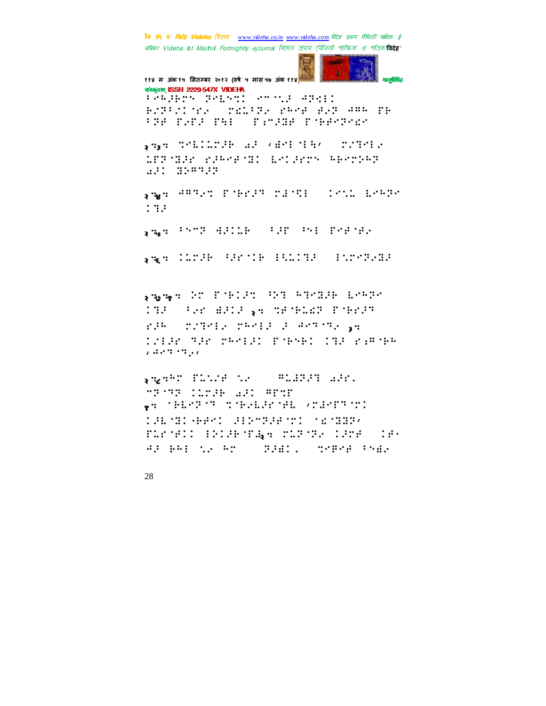मानुबेमिह ११४ म अंक १५ सितम्बर २०१२ (वर्ष ५ मास ५७ अंक ११४) संस्कृतम् ISSN 2229-547X VIDEHA

Program Schrit control 49411 BOTECOGE TELETA PROF BAT APR TR **THE PAPE PART OF PART PARTNER** 

, mar (1911) 120 also also del controlle MTT MAR START MAN AND ARREST **APP 198919** 

gage ARTIST ESPECT DESTE CONSULEMENT  $137.5$ 

gage from APILE (FPP) bill popier

<sub>ang</sub>e (1259) (Senig (S1219) (Strengen)

anonen der Pomperan dem Amendem Eenge THE CENT BELE VALUE HOME FORCES rus (rightly range is and driver and TEER TEP TRAINS ENRORM ITE PARNER  $\sqrt{372.22}$ 

gagar finið nó í Aldfjö ald. "F'WE TATED AND WEST <sub>e</sub>s (Blogom cobelencel vrachmor) **CONSTRUCT OFFICIAL CONSTRU** TLENEL (DISP) T&H TLP TR (STF (18) Al BA: S. Ar (1938), Schedulerg.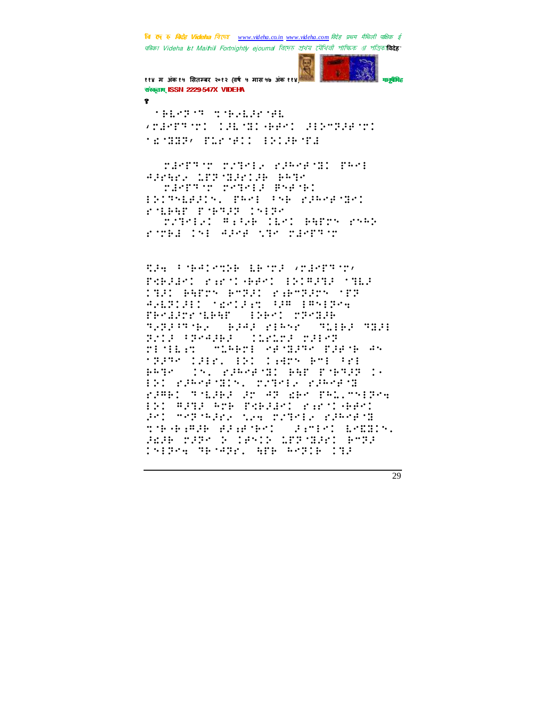

११४ म अंक १५ सितम्बर २०१२ (वर्ष ५ मास ५७ अंक ११४) संस्कृतम् ISSN 2229-547X VIDEHA

 $\bullet$ **MELPROT CONFLECTEL** VERTICE CHANDERS ADVISED **MANUSHMENT CONTROL** 

rancher regnaal sammende ches Alcher MITTHEOLD BATE TEMPUT TAPALE PARAL ESITALBEIN, PRAE PAR REPARTENT riber riber 1919 rateled #:000 (Led BAPro row) ronal (SE APAR STA district

the Chaleth Brol (nampro) PORTAGE VAN STARTE INTRAPA (TEA COM BOY PTH PAPTITY TO **ARDIORIT MEMILIST APP IPMIRMS** FRAMER MARK (MARK) PRANCH SARISBA BAG MIRT SILA SIN BMF PRAFES (MANNE MERP ridien schere gedien flede av **MEARY CAREL RED CHAMP RME REP** PROVISION SUPPORTED PARTICIPATE IN ESI PERMENENT TITMER PERMENE rame: Things ar an aby pellosines EDI ASTE AMB PRESENT PARTIGHANI Pol modifiers the provision reports THE HEART AREA MAY CONSTRUCT EMERITY. REAR TANK & CANCEL LINTERIO RTNA 15:Pro Metage, Ape Argie (9)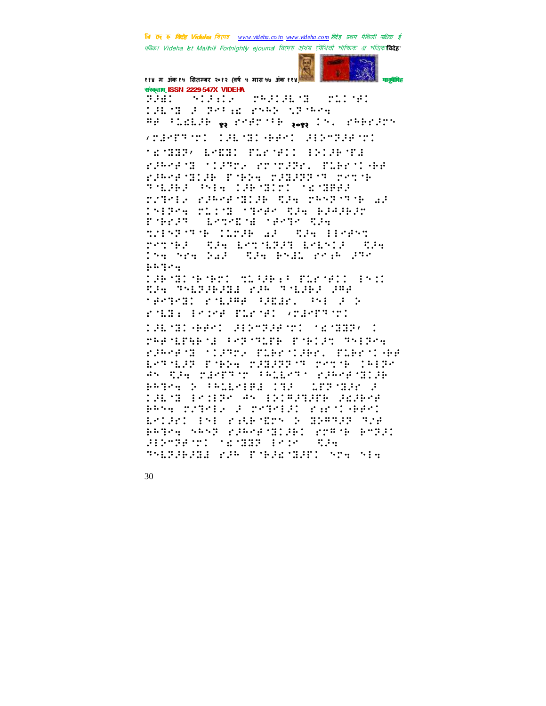

११४ म अंक १५ सितम्बर २०१२ (वर्ष ५ मास ५७ अंक ११४) संस्कृतम् ISSN 2229-547X VIDEHA

 $\mathcal{L}^{\mathcal{L}}\left( \mathcal{L}^{\mathcal{L}}\left( \mathcal{L}^{\mathcal{L}}\right) \right) =\mathcal{L}^{\mathcal{L}}\left( \mathcal{L}^{\mathcal{L}}\right)$  $19431313131$ **Address TABLE** DESE PORTE PART OF THE BP PLELPE & POPPORE 2002 IN. PREPPEN **VIGHTTI CHAING GERS SERVIER TEMBER EPHIL PLEMBII BELGEMPE** rakers offer from Hilbrocke ramerica fina razarri reti TANK WH CHAIN STORE TITEL FIRETTIE THE TRAP TE WA Siphe Micha (Sher Sae Bagaar babel (Davena Secretara tringene lirje af tje Heer reth: CA LetCOS LONG COR The new bad (SDA) Braz and dwg and **CONSIGNATION CONTROLLERS** 534 751336311 236 751363 382 SPORT PARA GREEN SALES rill Brock Marsh (maching **CONSTRUCTIONS** CONSTRUCTION THE SERIESE CONTROLLED IS SERIES TO EXPLA rakers overn pierolaet Cierolee ESTAR PAGE MRRFT MYTH 1917 AN CAR MEMORY PROBAT MORMANDIA WEBSTER S **MART ESTER AN INTERPRETATION** 

PRSH TITELE F TETERI PARTI-PROT Bright in: race-month compared the PROFESSOR PARTENT PORT PORT HETHT! MINE HOW THE THEFFIELD PIR PORTRIGHT STACKER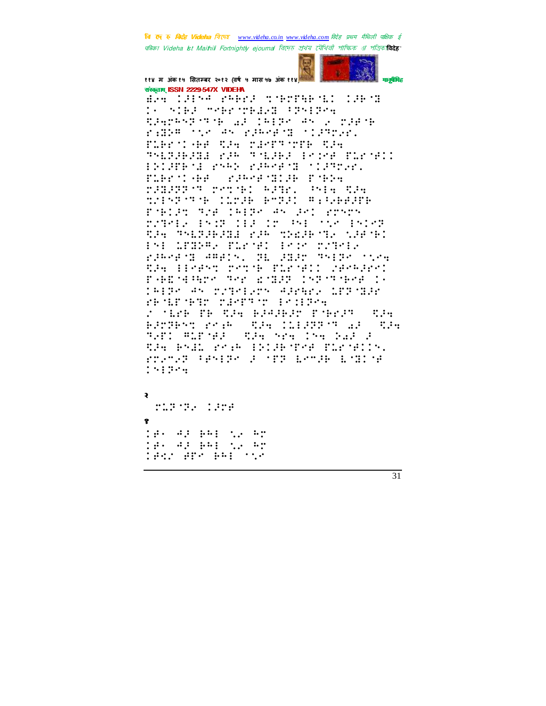

११४ म अंक १५ सितम्बर २०१२ (वर्ष ५ मास ५७ अंक ११४) संस्कृतम् ISSN 2229-547X VIDEHA

BAN 19154 YABYA TSETERGI 19873 <u> 10 miliar melenggal adalah sa</u> there's the all depth as a right rang tid an ranged tigger. TIME THE TAN TIME THE TA THERBAND RAFTMERS POSS TENSIN ESCRIBOL PARS PRAGHE OCRTEEL TIRE THE STREET FOR **CHIPS TETTE BILL**  $\cdots$  :  $\cdots$ trisporte (chris social machalica Poblet Realigates as and straps PARTIE ENGRESER IN PHESIMA ENIMP THE THIRRICH SPACE THAT SHOW PH APHAMA PLEAMI PAIR CONTROL randed Amery, H. Amar Syage (196 sin Afrans brock state: Newight PARTAGET TEL RIBE INFITEE I. 1919-05 criticism Alema 189-818 SPORTSHIP PRETTY POSSED r time of the bigging conduct  $\mathbb{Z}$  in the set of  $\mathbb{Z}$ BRTHET PORT SIR CONFIT AF  $\mathbb{R}^n$ TATI PUTTER STATES THE DAR P the Bran Prim (BillBorne ThroBlir, round tested a completed boarde  $1.513344$ 

 $\bullet$ **212-22-0228** £. 18, 43 BA: 12 AM 18. 43 BH: 12. 57 TART APP BAILING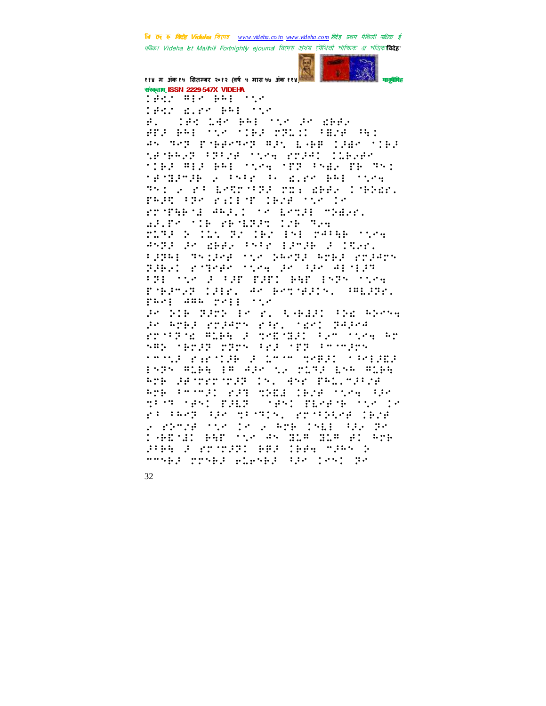

## ११४ म अंक १५ सितम्बर २०१२ (वर्ष ५ मास ५७ अंक ११४) संस्कृतम् ISSN 2229-547X VIDEHA this may paperty

THAT BUSY BREATER e. 194 ler eg sir er geger.<br>Anv eg sir stra meldi (mar ged as men popperent may plan tame offer SAMPASE PRPINE MINH STARD CORNAM ties will emissione structure that na manako koaren aurrea (h. 1954). This and Estricted road deed information PRPD FRAME SILLER TEMPLATAR IP rodhed amalica bandi makr. ARTY OF SEMINING COP TEM MIRA D'ILL RE IBE 191 2414B (1954)<br>Angli an BBBS 1912 1252B a IRSP. FJOHE SKIDER TIM DRAGU ROBU POJROK प्रक्रियों के परिवर्तन परिवर्त करते का प्रक्रिया गरियों FREE MAY FEED FRIDER HE ENTH MANN rapse (pre 40 kolumbi 1919).<br>Pri 195 soli sv Problements in rust Gelecostrum British an Area pragmente, contiguado rougher with a credibal alon circular SAN TEMPE MEMORIAL TERRITORING STORE PARTIES & LOOP SPEED SPEED 1575 Wiley 1W 416 N. 2173 156 Wiley ROB 28 OVER ORP 15, 452 PROJEKTIVE And Chinai rat make three tire Car **SERI PERPHY THATE** trusted the state ri (Per de de Storis, rrogene dere 2 PROVE TOO DO 2 ROE DALE REP BO Sambal egn for as oue ole al Are FIRE F STORED BRF 1884 MERS D

mneed proed elected dar (sol gr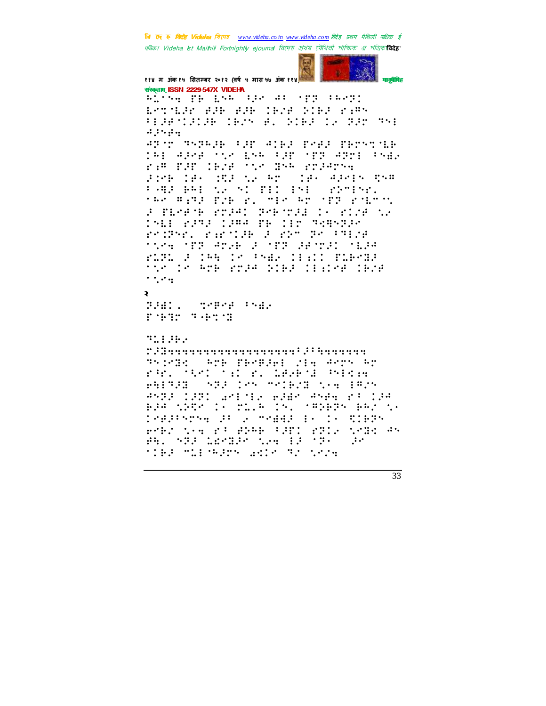

११४ म अंक १५ सितम्बर २०१२ (वर्ष ५ मास ५७ अंक ११४) संस्कृतम् ISSN 2229-547X VIDEHA

ahèng pacapan dan sara sangg ESTAGE FOR FOR IPSE DIRECTION HERMICH CROSS AL DIRECTA FAM TSE  $4.3544$ AP TO REPAIR (FIR) ADEL PREF PETETIE

18: APAR MIK ENR FUR MIT ATTE FNER ram bar (Bre overlash roadosa) Free Cest Strainly Art (1980) 41818 (the PAR PARAGUAY MILIPARA SERING. the Ring fire right and the rings F BERFOR STEED PRESTEE IN SIDE NA **SAID RATA CARA BE CIR TRAPSAR** rodhe. Partige a roman <sup>lig</sup>ire ting the graph of the detroit tipe FLRD 3 195 18 PARK ILEI FLBKER tir in Ank 2024 Sike Ibure ikre  $\mathcal{L}^{\text{max}}$ 

 $\mathbf{z}$ F.E. **Southern Construction** rum marts

**TERMINA** 

Things Are Pergee Ma Arry Ar ran atel nav no belear and ne PRINCE SEARCH MAIRIE NAM IRIS ANTE CETT antite eldn Angelet Cet BER NETH IS TOOR IN STREET BRISK Safirma in 2002 maggi 1971, 2016 PORT THE POST PROP COPIN PRIN SHOW ON PRI NGC 120320 NAMISI NGC  $\ddots$ **TIER MILLMARTY WAIR MAC NAME**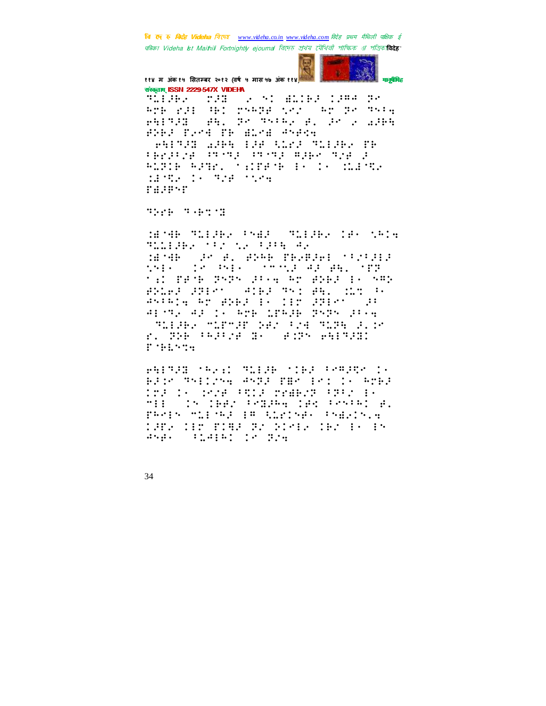

संस्कृतम् ISSN 2229-547X VIDEHA SLEEP THE 2001 BLIEF LEADER And ril He radio was an Pacta PHINE PROPERTY BOARD POST STARPS SOME TANK TH SLAG SNAMM **WHITED WEBS IER RINE TO THE TH** PROPOSE PROPOSED PROPOSED PORTU RITIE RATE. TAITEME ER IR MIEME  $11.212 + 14.212 + 14.24$ racesc

There were the

MAG THE PART TEER IN 197 **TELEPHONE: 12 SEPTEMBER** dener an el eppe pelegee (fargeg)<br>1995 - Drogher (fargeg) eg eg (fp til Tene Tyty (Poe ar enel Eo ymp BRIGG SHEET WIND THE BRI HIT OF asimia Ar anns 10 112 Sgìre<sup>ann</sup>sa Alima Alice Ark Crazk Para Stee STRIPPS MITMED DES PSA TREPA ELSE f. THE FAFINE IS A STRAINERI Firstner

PHING SEARCHIED SIE PRESS IN BEST THELMA ANTE PHT ETC IN BOBE THE IS THINK FRIE HEARING FOR IS MIE (18 IEEN FREIHA IER FRAFFICE) PARIS MILLAGE IN ALMISS. PSERING **1982 IEM FINA RA SIMER IBA ER EN**  $454.7$   $11414.7$   $18.74$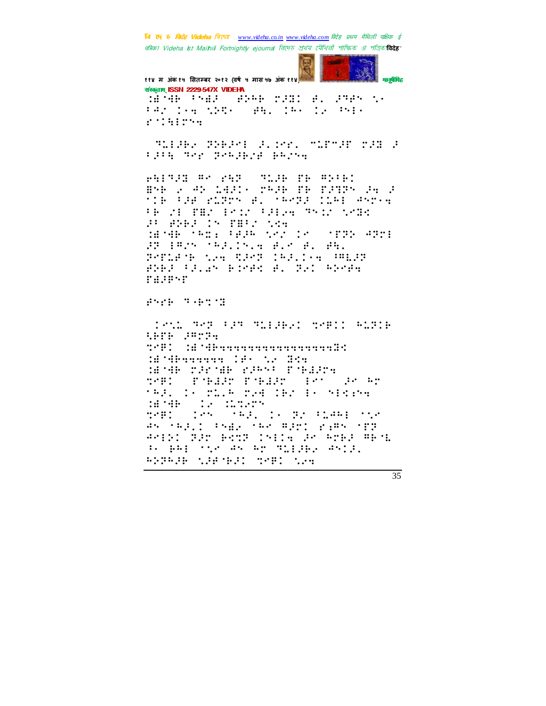筹 मनुबैमिह ११४ म अंक १५ सितम्बर २०१२ (वर्ष ५ मास ५७ अंक ११४) संस्कृतम् ISSN 2229-547X VIDEHA

**Service** 

dêrib (red) (eveb 2281 e. 29er t. FAS 194 5550 (BB) 189 120 8510 **POSTED** 

**THERE THERE FIRE TITTED THE F** ting her pendagan angsa

**AND THE MANUFACTURE OF A PARTIES** Bre 2 AN 1821, TAJE TE FJORN JA J tie the summer test (194 answe FRONT PEACHWICH FRIEG TRIDONATE **SP STEP IN THE SACH** MESHE SANG PERANJAN IS STEPHANENE 33 1825 (63.15.4 E.C.E. 84. STORY YA SPY INLINE MUST PRES PS.AN ESMAN P. PAI PROP racesc

Prek Makere

**THIS WAS LESS MILLERY WHEEE BIRED** three carre. **THE MONDAY SERVICES** Millennen Machen MORE THOMAS KINNE PORTION SPED FOREST PORTE (FOR 180 AS tag, is righted in the strainer divis de decembre 化对铁工人 AN YAZID PNEW YAR AZUL PIAN YEZ aribi dan komunisia ar'anka Akri  $\begin{minipage}{0.9\linewidth} \begin{tabular}{l} \hline 14 & 0.01 & 0.01 & 0.01 & 0.01 & 0.01 & 0.01 & 0.01 & 0.01 & 0.01 & 0.01 & 0.01 & 0.01 & 0.01 & 0.01 & 0.01 & 0.01 & 0.01 & 0.01 & 0.01 & 0.01 & 0.01 & 0.01 & 0.01 & 0.01 & 0.01 & 0.01 & 0.01 & 0.01 & 0.01 & 0.01 & 0.01 & 0.01 &$ **ANDREAS NEWSTAPHILICS**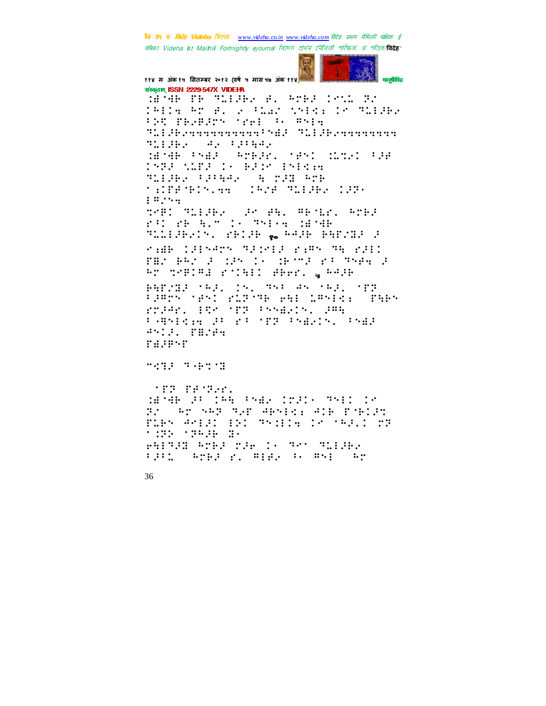**Service** 号: मनुबैमिह ११४ म अंक १५ सितम्बर २०१२ (वर्ष ५ मास ५७ अंक ११४)

संस्कृतम् ISSN 2229-547X VIDEHA METHE TH TUILER AN ATER ISSUE TV IREDA RESEVIA POWERNICA TRIPRA PER PROBREM SENE PROBREM "MIND-PRESERVENT "MIND-PRESERVE Thinks are produced HOB PART PORRY MAY NOVE PR 1593 MIRA IS BACK ESERIE THE SPEAK STREET **MITHMENT CONFIDENTIAL**  $1.3333...$ are: Sliger (groek, Abdibi, Aneg<br>231 ze kun 19 Shira (WSHE) hiladésik, Serak <sub>80</sub>640 Persaa a ram (Slydn Schilleam Sell) FB2 PR2 2 125 16 18/m2 pr S5PH 2 Rr SeBIAG STIBIL ABer. WARR PRESERVANCES, TALL TAX (48) 1983, 1993 FJATH SANT PORTH AND CANDOL THEN rrag, are opposed, and PARAGE AR PROSPECTABLE PARA  $4512.$  TH/Fm racesr **MANAGEMENT START SIP PROPERTY** 18786 25 195 3582 1221- 3581 12 Brooknews September 416 Fulls FLEN AMERICANI TRIEDE IM MARIL 27 **1982 (2020 2021) ANISE ATES TEM IN SALES** turn aral ri might a mai ar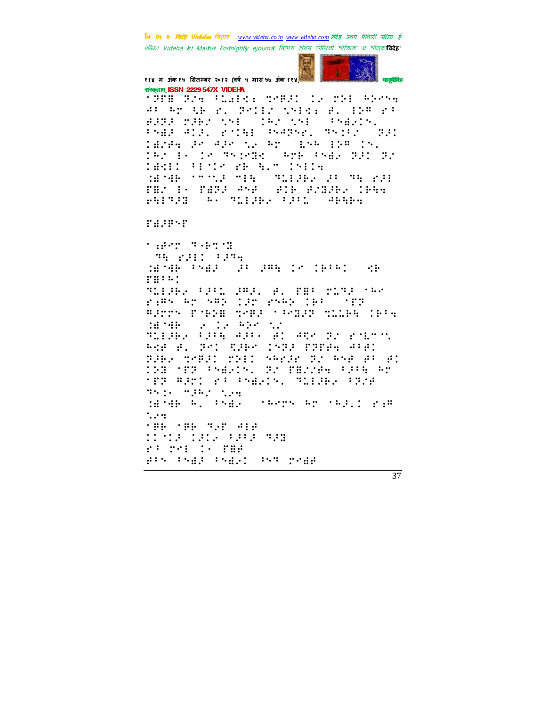

संस्कृतम् ISSN 2229-547X VIDEHA täfm are fight: tred: 12 rde Adree AF AT ER P. POID ANEXE R. INF PF agga pako yai (162 yai (1642).<br>Pama algu pola: Pagbel ghido  $154215$  $\mathbb{R}^n$ Targe an Ade no Ar (1880-1880) (S. TRO EXCIS TRIMIN CROB PRES THE TRICT TERED FESTA PRONE DOLLA MORE TO WE SEE SALERY AN ARREST FAR 1. FARR AND AIR ANDRE. 1864 WHITE WO THERE IF SOME

# racesr

**SAPP RESTAIN THE SERVICE SERVICE** NETHE PANEL (PROPRESS IP) NEEDS  $\ddotsc$ rm: W TELERA FRIE RRA BLOTH CETA (RR<br>Barnore new 1950 BnPa 1850 (PT BRYTH PARE THE TANKS TIGHT OFF HOW STATES TEEDS FREE AREA AT ANY NO FREED Ref #. Pri KIBr (593 PPPA AGE) BJB2 MPBJ1 MSB1 SRMJ2 B2 RSB B3 B1 CAB YER PHERING RZ EBZYAN PAPA AZ TER RESOURCE PABLING MILLER CRIM der en seguista de la constitución de la constitución de la constitución de la constitución de la constitución<br>En la constitución de la constitución de la constitución de la constitución de la constitución de la constituc distance and the state **Solutions** are easily seen  $\ddots$  : **MANUEL CONTROL** ri rel 10 THP gis tsep tsep; but poed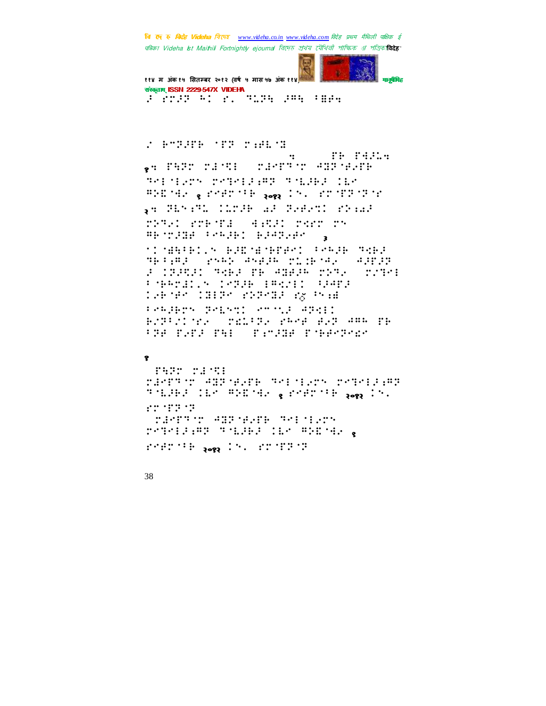

११४ म अंक १५ सितम्बर २०१२ (वर्ष ५ मास ५७ अंक ११४) संस्कृतम् ISSN 2229-547X VIDEHA From at r. mine pay (AP)

**TAPACH TE THEM STE PARK:**  $\cdot$ :  $\bullet$ : PRPP 22/5: TAMPAT MEPARE **THE MEAN STATES FOR THEFT CEN** PREMA gordnik <sub>ke</sub>g in om FRM m STORY CONFIDENTIAL CONF TRAD PTEMPER SERVICERT TY BESTINE CONTECT BINGLEY  $\mathbf{B}$ MINERFEILS BADNENBRAIN FRAGE MARK

meter you source minor surve S COURS MAN TH ANNUAL CONT  $11.1111$ PORTHILLS ISTAR BRACEL PARTY THEORY COOPY POPPORTUNG Prod Progress priset result april BOSTON TRUSS PROFILE AND TH **THE PAPE THE TIME POSSESSION** 

 $\mathbf{r}$ THET TEST MARTIN ABRAGGE THE BOYS MATHERST POLIFICIAL PREMIS & POPPOSE ANN IN. **THITTY AND WANDED TALACTER** reperson thing in marking PORTH DOWN IN PUBLIC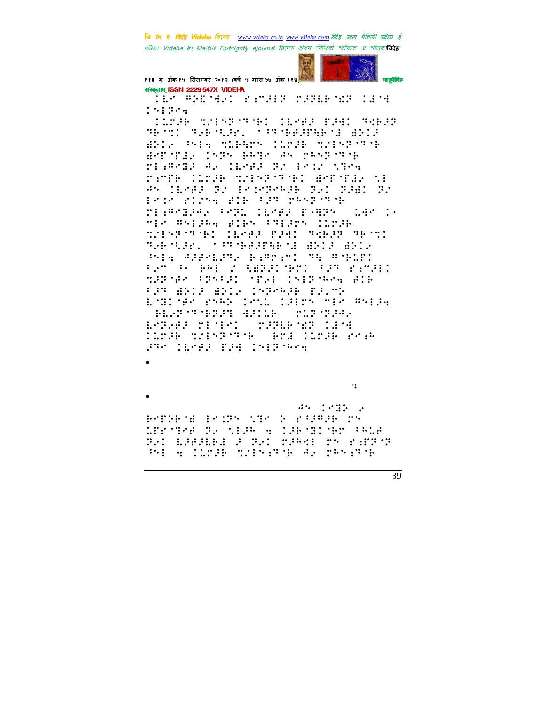

११४ म अंक १५ सितम्बर २०१२ (वर्ष ५ मास ५७ अंक ११४) संस्कृतम् ISSN 2229-547X VIDEHA

lis margar rasis paguerag cara  $\mathcal{L} \rightarrow \mathcal{L} \rightarrow \mathcal{L}$ 

TIME MIST THIS HEAR PART THRU **RESTURIES IN STRAINERS AND ARRIVE** BRIS PHA MIRRY CLMB MSENFUTH BOT TER COTS BRID AN TROTOIR rightle as light by frin the PATE COMP SVINGTHING AND TAX NI An TERRA BY PROPORTH BAI BABY BY Endr Blowe BiB FPP proporte MERMERA PARL CEMPA PARRY (148) 19 mic #signe aths (FRIES (Mr.H. the state of the field seed at the **TAR MARY OF THEATHROAD AREA AREA** PHA ANALOG BARYAN ME RYELD tin the BAI or tagginged tog (provided MARINE FRAGA (SPA) CALRIANA BIB FUR ANIX ANIX ISBN 88,000 Egraphend relations we was BROTHERS BROWN TO THE ESTARF TESTS!  $\sim$  22316 527 5254 TIMER MATHEMATIC ROLL TIMER SHIP FRA TEARS PER TAIR (824)

 $\ddot{\cdot}$ 

 $\mathcal{A}^{(1)} = \left\{ \begin{array}{ll} \mathcal{A}^{(1)}_{\mathcal{A}} \mathcal{A}^{(1)}_{\mathcal{A}} & \mathcal{A}^{(1)}_{\mathcal{A}} \\ \mathcal{A}^{(1)}_{\mathcal{A}} \mathcal{A}^{(1)}_{\mathcal{A}} & \mathcal{A}^{(1)}_{\mathcal{A}} \end{array} \right.$ POTERNE ESSPANJES D'ESPRES  $\cdot \cdot$ . MPROTES TO SEARCH CAROLINE FRAG BAD LARALES A BAD TAHRI TY YATA'A Prior Class and Prior Police and Prior Prior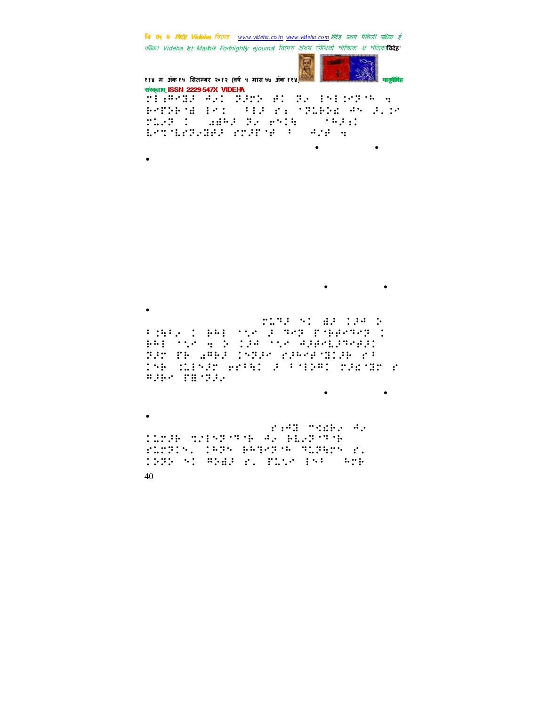**Service** ११४ म अंक १५ सितम्बर २०१२ (वर्ष ५ मास ५७ अंक ११४) मानुसार मानुसीमेह

संस्कृतम् ISSN 2229-547X VIDEHA .⣐⢻⣝⢼!⢺⢴!⢽⢼⢵!⢾!⢽⢴!..⣈⢽⢳!⣒! ⢷&⢵⢷⣞!.⣈(!.⢼!⣐!⢽⣅⢷⢵⣎!⢺!⢼>⣈! ;‰29 (1 aded 22 prim → 1931) ⣇⣉⣇⢽⢴⣝⢾⢼!⢼&⢾!⢸(!⢺"⢾!⣒!

 $\mathbf{E}[\mathbf{E}[\mathbf{E}[\mathbf{E}[\mathbf{E}[\mathbf{E}[\mathbf{E}[\mathbf{E}[\mathbf{E}[\mathbf{E}[\mathbf{E}[\mathbf{E}[\mathbf{E}[\mathbf{E}[\mathbf{E}[\mathbf{E}[\mathbf{E}[\mathbf{E}[\mathbf{E}[\mathbf{E}[\mathbf{E}[\mathbf{E}[\mathbf{E}[\mathbf{E}[\mathbf{E}[\mathbf{E}[\mathbf{E}[\mathbf{E}[\mathbf{E}[\mathbf{E}[\mathbf{E}[\mathbf{E}[\mathbf{E}[\mathbf{E}[\mathbf{E}[\mathbf{E}[\mathbf{$ 

 $\bullet$ 

 $\bullet$ Sbxjoesb!Ebt!⣅⢹⢼!!⣞⢼!⢼⢺!⢵! ⣈⣓⢴!!⢷⢳.!⣁!⢼!⢹⢽!&⢷⢾⢹⢽!! ⢷⢳.!⣁!⣒!⢵!⢼⢺!⣁!⢺⢼⢾⣇⢼⢹⢾⢼! ⢽⢼!&⢷!⣔⢻⢷⢼!⢽⢼!⢼⢳⢾⣝⢼⢷!⢸!  $\{ \forall \Phi \in \Omega, \{ \forall \Phi \in \Psi, \Phi \in \Psi, \Phi \in \Psi, \Phi \in \Psi, \Phi \in \Psi, \Phi \in \Psi, \Phi \in \Psi, \Phi \in \Psi, \Phi \in \Psi, \Phi \in \Psi, \Phi \in \Psi, \Phi \in \Psi, \Phi \in \Psi, \Phi \in \Psi, \Phi \in \Psi, \Phi \in \Psi, \Phi \in \Psi, \Phi \in \Psi, \Phi \in \Psi, \Phi \in \Psi, \Phi \in \Psi, \Phi \in \Psi, \Phi \in \Psi, \Phi \in \Psi, \Phi \in \Psi, \Phi \in \Psi, \Phi \in \Psi, \Phi \in \Psi, \Phi \in \Psi, \Phi \$ ⢻⢼⢷!&⣟⢽⢼⢴!

 $\bullet$  and  $\bullet$ 

 $\bullet$  and  $\bullet$  and  $\bullet$ 

40  $\bullet$ Qppobn!Nboebm!⣐⢺⣝!0⣊⣎⢷⢴!⢺⢴-! ⣅⢼⢷!⣉".⢽⢹⢷!⢺⢴!⢷⣇⢴⢽⢹⢷! ⣅⢽>!⢳⢽!⢷⢳⣙⢽⢳!⢹⣅⢽⣓!>! ⢵⢽⢵!!⢻⢵⣞⢼!>!&⣅⣁!.-!⢳⢷!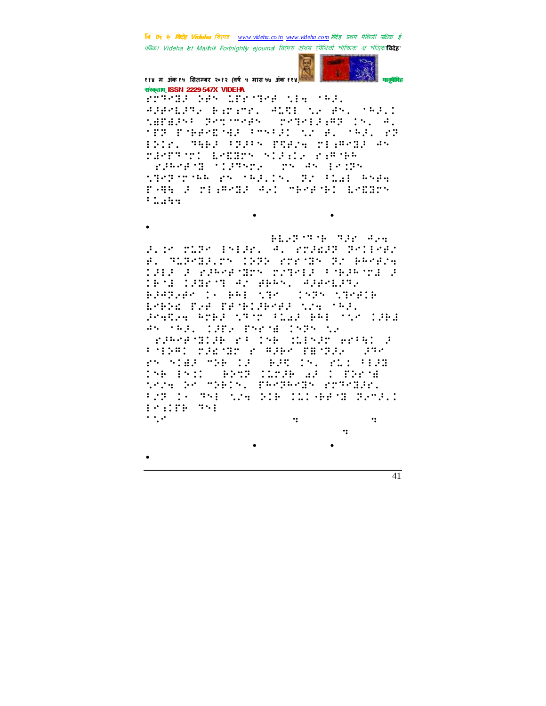

### ११४ म अंक १५ सितम्बर २०१२ (वर्ष ५ मास ५७ अंक ११४<mark>, व</mark> संस्कृतम् ISSN 2229-547X VIDEHA

rřinga des lerogne (14 oga) APPROXIMATION AND NO BY TABLE NAPAZSA Peninegs (pederlag 15, 4. MPP PARARARA PARRI NY B. MAR. 29 BRIEL MARK FRAGH PRAZA PEAMPRE 45 PARTS VI EREBOY SIERLY PARSER **ROBERT MORRHOOD BY AN BROWN** vispersk prosellin, blad knee PARE 2 MISRAGE ASI MEMBADI LADOM  $\ddotsc$ 

SLOPEN SE SA F. P. MIRA ENERGY A. MMARR TAIENRO #. TEP-HAIR TERP FOR THE POSTAGES **TEME CONSTRUCT OF BEAR COOPERING BIMBARY 10 BMI (197** 1525 MPH18 EMPRE PAR PROPERTY NOW ORD. Prates Ared Stor Play ARE over 1983 AN TAS, ISBN PNPME 1878 12 ramentale riche diesr erigt POINT MAKING RAP PEOPL 250 ry yles mae la cesar ly. Poli Alse<br>Lynchia 158 PSIL (BROP CLOPE AP 1 PRESE tria Sr Mikim, Perperby Provile. FMP 16 THE NAME AND INCOMENDED TO THE 2  $19.111 - 391$  $\cdot$  .  $\ddot{\cdot}$  $\cdot:$  $\dddot{\mathbf{z}}$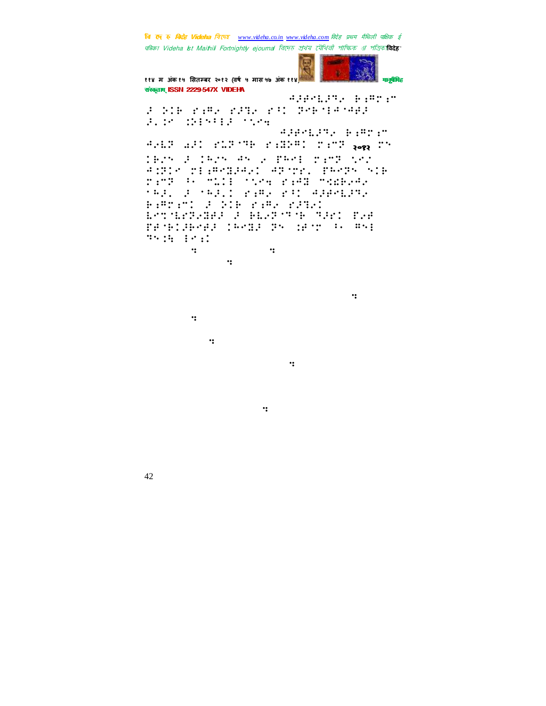११४ म अंक १५ सितम्बर २०१२ (वर्ष ५ मास ५७ अंक ११४) मानुसारी से अधिकारी मानुसारित

Here is a property ⢼!⢵⢷!⣐⢻⢴!⢼⣙⢴!⢸!⢽⢷.⢺⢺⢾⢼!  $\mathcal{L}$ . In the set of the set of the set of the set of the set of the set of the set of the set of the set of !Qppobn!Nboebm!⢺⢼⢾⣇⢼⢹⢴!⢷⣐⢻⣐0! ⢺⢴⣇⢽!⣔⢼!⣅⢽⢹⢷!⣐⣝⢵⢻!⣐0⢽!२०१२ !  $10.79 \pm 0.000$  and  $\pm$  1000 methods ⢺⣈⢽!.⣐⢻⣝⢼⢺⢴!⢺⢽>!&⢳⢽!⢷! ⣐0⢽!⢸3!0⣅.!⣁⣒!⣐⢺⣝!0⣊⣎⢷⢴⢺⢴! ⢳⢼>!⢼!⢳⢼>!⣐⢻⢴!⢸!⢺⢼⢾⣇⢼⢹⢴! BARAN DI DI DI BARANG ⣇⣉⣇⢽⢴⣝⢾⢼!⢼!⢷⣇⢴⢽⢹⢷!⢹⢼!&⢴⢾! &⢾⢷⢼⢷⢾⢼!⢳⣝⢼!⢽!⣈⢾!⢸3!⢻.! ⢹⣈⣓!.⣐!iuuq;00nbjuijmj.

esbnb, phtpspubject of the photographs of the photographs of the photographs of the photographs of the photographs of the photographs of the photographs of the photographs of the photographs of the photographs of the photo h.qptu`3:⣒iunm!

संस्कृतम् ISSN 2229-547X VIDEHA

biologiju biologiju.bdiju ba se obispisu biologiju biologiju biologiju biologiju. dibija dibija dibija dibija dibija dibija dibija dibija dibija dibija dibija dibija dibija dibija dibija dibij

sbibuije i bokbze i bokbze i bokbze i bokbze i bokbze i bokbze i bokbze i bokbze i bokbze i bokbze i bokbze i<br>Dogodki bokbze i bokbze i bokbze i bokbze i bokbze i bokbze i bokbze i bokbze i bokbze i bokbze i bokbze i bok eflijke flijder i bestieden in de staatstellijke flijder in de staatstellijke flijder in de staatstellijke fli<br>Ibnbs: Ibnbs: Ibnbs: Ibnbs: Ibnbs: Ibnbs: Ibnbs: Ibnbs: Ibnbs: Ibnbs: Ibnbs: Ibnbs: Ibnbs: Ibnbs: Ibnbs: Ibnbs

lfoesjulsbibliotheter in de staatstelling in de staatstelling van de staatstelling van de staatstelling van de<br>Tbnbejzbibliotheter in de staatstelling van de staatstelling van de staatstelling van de staatstelling van de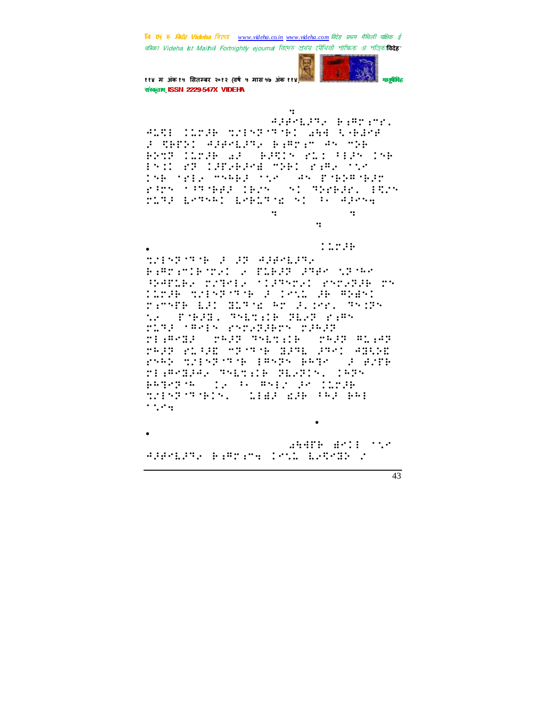

११४ म अंक १५ सितम्बर २०१२ (वर्ष ५ मास ५७ अंक ११४) मानुसी मानुसीमह संस्कृतम् ISSN 2229-547X VIDEHA

dibma<br>Barat dibawah dibawah dibawah dibawah dibawah dibawah dibawah dibawah dibawah dibawah dibawah dibawah dibawah<br>Barat dibawah dibawah dibawah dibawah dibawah dibawah dibawah dibawah dibawah dibawah dibawah dibawah diba Appoint the property ⢺⣅⣋.!⣅⢼⢷!⣉".⢽⢹⢷!⣔⣓⣚!⣃-⢷⣜⢾-! ⢼!⣋⢷&⢵!⢺⢼⢾⣇⢼⢹⢴!⢷⣐⢻⣐0!⢺!0⢵⢷! ⢷⢵⣉⢽!⣅⢼⢷!⣔⢼!)⢷⢼⣋!⣅⣈!.⢼!⢷! .⣈\*⢽!⢼&⢴⢷⢼⣞!0⢵⢷!⣐⢻⢴!⣁-!  $\{N_{\rm P} \in \{0,1\}^N \mid \{0,1\}^N \in \{0,1\}^N \}$  . The contribution of the contribution of the contribution of the contribution of  $\pm$  0.000  $\pm$  0.000  $\pm$  0.000  $\pm$  0.000  $\pm$  0.000  $\pm$  0.000  $\pm$  0.000  $\pm$  0.000  $\pm$ riga istori istori si s ius;00ftbnbbesquad;00ftbnbbesquad;00ftbnbbesquad;00ftbnbbesquad;00ftbnbbesquad;00ftbnbbesquad;00ftbnbbesquad;00

2301:0cmph.qptu`613⣒iunm!!

 $\ddots$ ⣉".⢽⢹⢷!⢼!⢼⢽!⢺⢼⢾⣇⢼⢹⢴! ⢷⣐⢻⣐0⢷⢴!⢴!&⣅⢷⢼⢽!⢼⢹⢾!⣁⢽⢳-! ⢸⢵⢺&⣅⢷⢴."⣙.⢴!⢼⢹⢴!⢴⢽⢼⢷!! ⣅⢼⢷!⣉".⢽⢹⢷!⢼!⣁⣅!⢼⢷!⢻⢵⣞! renere ag: ausse er glek, Sker ⣁⢴!)&⢷⢼⣝⣀!⢹⣇⣉⣐⢷!⢽⣇⢴⢽!⣐⢻\*-! ⣅⢹⢼!⢻.!⢴⢽⢼⢷!⢼⢳⢼⢽! .⣐⢻⣝⢼-!⢳⢼⢽!⢹⣇⣉⣐⢷-!⢳⢼⢽!⢻⣅⣐⢺⢽-! ⢳⢼⢽!⣅⢸⢼⣏!0⢽⢹⢷!⣝⢼⢹⣇!⢼⢹!⢺⣝⣃⢵⣏! ⢳⢵!⣉".⢽⢹⢷!.⢻⢽!⢷⢳⣙-!⢼!⢾"&⢷! .⣐⢻⣝⢼⢺⢴!⢹⣇⣉⣐⢷!⢽⣇⢴⢽>!⢳⢽! ⢷⢳⣙⢽⢳.!⢴!⢸3!⢻."!⢼!⣅⢼⢷! ⣉".⢽⢹⢷>-!⣅.⣞⢼!⣎⢼⢷!⢳⢼!⢷⢳.!  $\cdot$   $\cdot$   $\cdot$   $\cdot$ 

 $\bullet$   $\bullet$   $\bullet$   $\bullet$ Hbkfoesb!Uiblvs!⣔⣓⣚&⢷!⣞.!⣁! ⢺⢼⢾⣇⢼⢹⢴!⢷⣐⢻⣐0⣒!⣁⣅!⣇⢴⣋⣝⢵!"!

bc<sub>pvu!b</sub> birth of the basic birth of the basic birth of the basic birth of the basic birth of the basic birth of the basic birth of the basic birth of the basic birth of the basic birth of the basic birth of the basic bir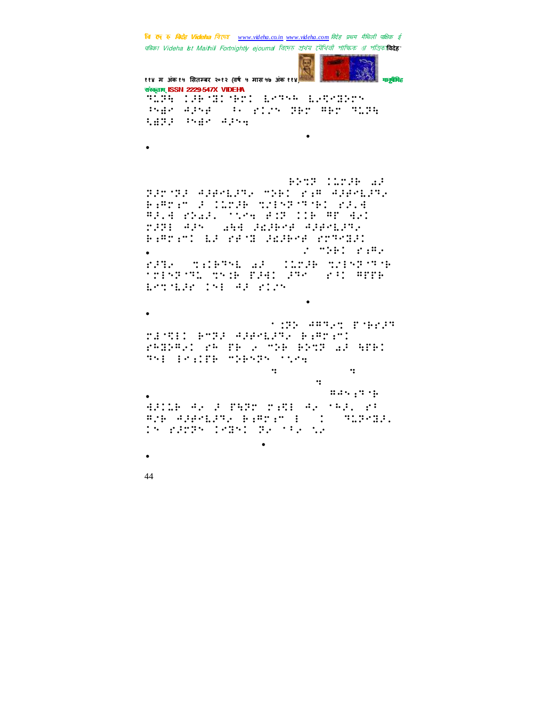**Service** 

११४ म अंक १५ सितम्बर २०१२ (वर्ष ५ मास ५७ अंक ११४) मानुसारी मानुसारित का प्राप्त करता है। अन्य स्थान के सामूल क संस्कृतम् ISSN 2229-547X VIDEHA ⢹⣅⢽⣓!⢼⢷⣝⢷!⣇⢹⢳!⣇⢴⣋⣝⢵! ⢸⣞!⢺⢼⢾-!⢸3!"!⢽⢷.⢻⢷!⢹⣅⢽⣓! **SAN SERVICE**  $\bullet$  $\bullet$   $\bullet$   $\bullet$   $\bullet$ Hbkfoesb!Uiblvs!⢷⢵⣉⢽!⣅⢼⢷!⣔⢼! ⢽⢼⢽⢼!⢺⢼⢾⣇⢼⢹⢴!0⢵⢷!⣐⢻!⢺⢼⢾⣇⢼⢹⢴! ⢷⣐⢻⣐0!⢼!⣅⢼⢷!⣉".⢽⢹⢷!⢼>⣚. ⢻⢼>⣚!⢵⣔⢼>!⣁⣒!⢾⣈⢽!⢷!⢻&!⣚⢴! ⢼⢽.!⢺⢼-!⣔⣓⣚!⢼⣎⢼⢷⢾!⢺⢼⢾⣇⢼⢹⢴! ⢷⣐⢻⣐0!⣇⢼!⢾⣝!⢼⣎⢼⢷⢾!⢹⣝⢼@@!  $\mathcal{L}$  "Nb: PiPe ⢼⣙⢴!)⣉⣐⢷⢹⣇!⣔⢼-!⣅⢼⢷!⣉".⢽⢹⢷-! .⢽⢹⣅!⣉⣈⢷!&⢼⣚!⢼⢹\*!⢸!⢻&&⢷! LATTER 191 42 8129  $\bullet$  $\bullet$   $\bullet$   $\bullet$   $\bullet$  $\overline{\phantom{a}}$ ⣜⣋.!⢷0⢽⢼!⢺⢼⢾⣇⢼⢹⢴!⢷⣐⢻⣐0! ⢳⣝⢵⢻⢴!⢳!&⢷!⢴!0⢵⢷!⢷⢵⣉⢽!⣔⢼!⣓&⢷! SAL ESTE SHEEK SAL ius;00ftbnbbesquad;00ftbnbbesquad;00ftbnbbesquad;00ftbnbbesquad;00ftbnbbesquad;00ftbnbbesquad;00ftbnbbesquad;00 2301:0cmph.qptu`613⣒iunm!!  $\mathbf{u}$  and  $\mathbf{v}$  is the position ⣚⢼⣅⢷!⢺⢴!⢼!&⣓⢽!⣐⣋.!⢺⢴!⢳⢼>!! B⁄B AJAMEJRA BIPSIM E (1 º RIPMB). !~ ratta (rath) ar ta sa c  $22$  is the probability of  $\bullet$  $\bullet$   $\bullet$   $\bullet$   $\bullet$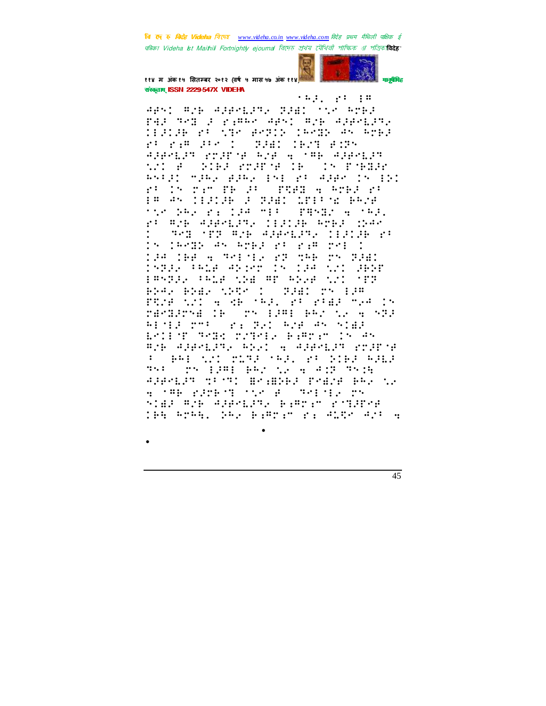

११४ म अंक १५ सितम्बर २०१२ (वर्ष ५ मास ५७ अंक ११४) संस्कृतम् ISSN 2229-547X VIDEHA

 $54.31 \pm 0.011$ 

APSI AND ANDREWS BRED TO ANNO PAR THE POSTAGE APSIONSHIPS ARRESTS HALAFTY: STR ARBIE IRROR AN AMER PERPENDITION **3281 1923 #125** AGAMIN PROPORTAGE A TARTAGANIN WIE DIE MARGEDE IN POSS 85131 MPAS BPAS 151 PT APPM 15 121 rt in het Me 21 (FRAG 4 Anel 21 PROPROTECTIBE OF TOWER WITH THE BRITE the SAV parties miss paral a tale rt Aye Adenbay, 193136 Area Span **MASS TO REPORT OF STARTS** In TRANS An Area at air rat 1980-1880 a CRAINIA AN NABON' NABO<br>1989-2004 and those 1980-2010 ART PRSTAG PROF STAR AT ATOM SON TIT Bing Bids (1958) 1 (1941) 25 198<br>Prof. (21) 4 3B 159, 25 2549 758 15 reserve le cry 1981 est le 4 MB RESERVITE CONSTRUCTION AND MOBE ESIMPORES PARES PARTICULADA BYE APPROXIMATELY A APPROXIMATEM **FOR BEE SAIL TIME SHALL ARE SIDE HALLS** 35: 25 EPH PROGRAM #12-3515 APPART TO THE BRABAN PRESENTS TO e 'Ab rankin the Booking ny STAR ASE ARESERS BAASAS STREET IPR RORA, DRA BAROAN 21 RUSA RORA A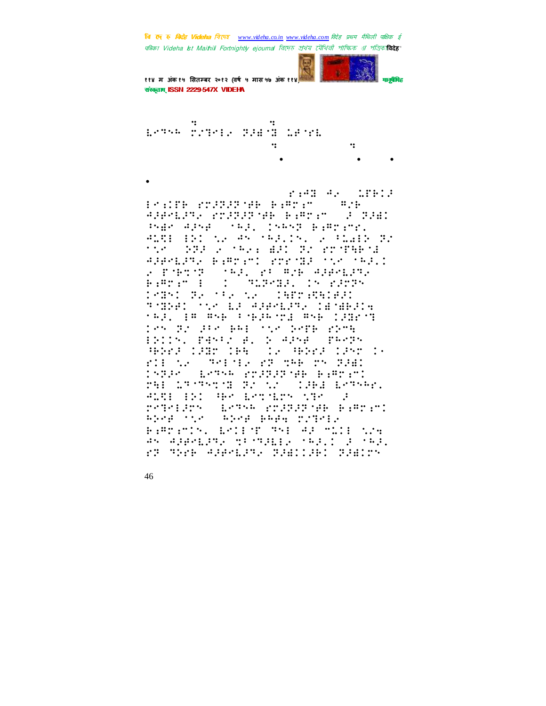मानुबेमिह

११४ म अंक १५ सितम्बर २०१२ (वर्ष ५ मास ५७ अंक ११४) संस्कृतम् ISSN 2229-547X VIDEHA

 $\dddot{\bullet}$ ٠: ESTAR TITELE CHECK LEGAL  $\cdot$ :  $\ddot{\cdot}$ 

 $\bullet$ 

rum d. (2003) Prince countries eaglest the spe aganigas progogada aldren (2004) suga apup (sap, juang pinggiga) HISE EDI NA PROTRAITS, A FILED BY PRESENTATIONS CONTENTS  $\mathcal{F}(\mathcal{F}_\mathbf{a},\mathcal{F}_\mathbf{a})$  . APPREND EERDEN STRIB TO TABLI a poeson (sea, an mar gagenana **PERMIT OF REPR**  $\mathcal{L}$  $H: H^{\alpha}H: H^{\alpha}H \to H^{\alpha}$ DARY: Restaurance (BEPARDER) STEED TO BE SPECIFICATED FOR tel, im make the man make climati Ten Brugge BAI (the Neph PNS) BRIDG PASCOB, SCAPAR (PROP) **TA BREATINE IS ARABIA E DE L'ANGUERRE DE L'ANGUERRE DE L'ANGUERRE DE L'ANGUERRE DE L'ANGUERRE DE L'ANGUERRE DE L'ANGUERRE DE** flick Selfie from the research  $1.9339$ ESTAR FRIBINGE BIRDING raf in German Al (i Tial Lengar ALSE END ART ESTIEN MAS  $\mathbf{r}$ SKIKLASK (1975) KOLAIAISIN PERSON<br>PIKA STVK (1976) PPAH SVIKLA BARTATING EMILYE THE AF MILE NOW an agabiyon didugiy saying sayi FO THE ANALOG CHAILER CHAIRS

46

 $\bullet$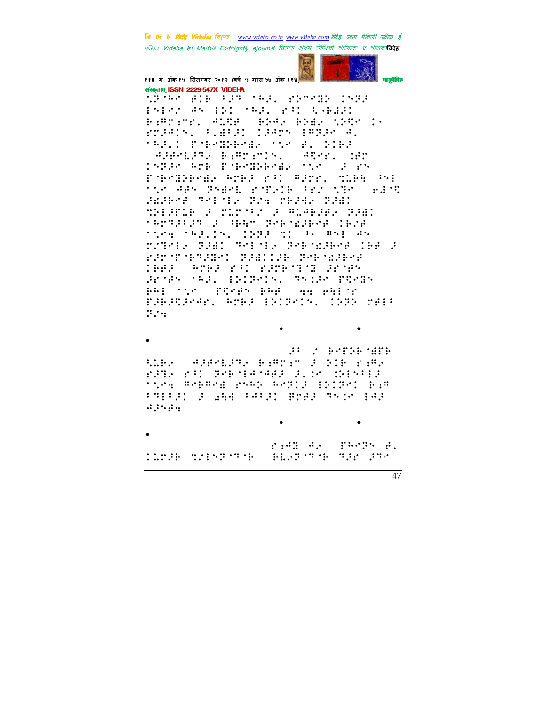

११४ म अंक १५ सितम्बर २०१२ (वर्ष ५ मास ५७ अंक ११४<mark>, व</mark> संस्कृतम् ISSN 2229-547X VIDEHA

třímu ate fan 192. studen 1922 ESERT AN EDI (SAFL) PAI AGHLEI BATTER ALDE BRAZ BREE MARK IN RRADA, P.APAN (AARA 18936 A. **TRACT PREMIEDING TO AL DIRE** 

**ANGELIA BIRTETA.** Athr. 187 15325 AME ESPOSEFIE SAM (2005 PORCHRECHER ROBERT WAR STREET AND the APR Brack Pofficie Fri the  $\cdots$  :  $\cdots$ JEJERA TRIMIN BJA TEJAN BJE: TREATLE A TITTED A MIGHAEL TAB rapside i des prendiere dele 1534 192.15, 1922 31 P. 851 45 rothers damp derived der Scheduler a FROM MARK SHELLE SHERLENE CRAF (Area rat ranking aries Professional Exchange (Second Profession PRI TOT TROPS PRE SAN PRITE Pakanakan keka Tilipelk. (1995 pers  $7.14$ 

**A A EXAMPLE 2008** SIRA (PREMIERA RAPORT 2 DIR KAPA PRES PRI PRESERVARI DI SCONFILIO tice RepRed engy Redig (2000) biR FAILS: 2 GAR FAILS: BrAIN Anno 142  $43.444$ 

 $\bullet$ 

 $\bullet$  $\bullet$ radia (Belgian thrub crispersp BENDAL THE STA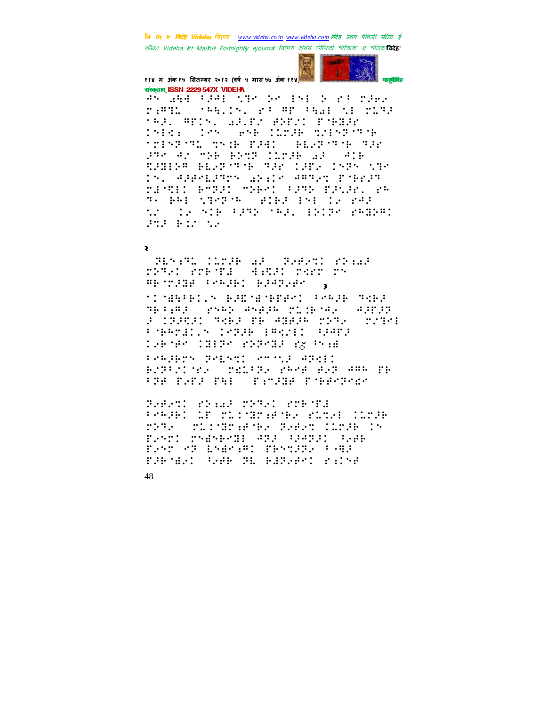

## ११४ म अंक १५ सितम्बर २०१२ (वर्ष ५ मास ५७ अंक ११४) संस्कृतम् ISSN 2229-547X VIDEHA

añ get fag sin an an the a ra rarr reso their researched to row 1922 APIS, GALEZ ANEZI ESPARA<br>1933: Jas Vask Ilpak prisponsk **TERMINE THE FAIL BEATTER TA** PRO AS MOR ROST CLEAR WE CATE SHIPE BLATTE THE CHEATERS OF The Albertandre arabic Anner Portin hindi emai maei dam balan ne A. BAL STORY SELECTION IN THE troots the CPPS (SEE, INTP) remove 353 Bill No

#### $\ddot{\mathbf{z}}$

TERT CONFIDENT THROUGHED TRANSPORTED HERRI TANT TY BETHE PERIC ENTER  $\ddot{\phantom{a}}$ 

**MINESER: BECAMEFRY PRAIR TABLE** TERES PARK PARK TODAYA (PRES F CRASS TER TE ABRAH 2272 **Sections PORTHERN CONFE ERVICE MARY** Derne (BIP) Margar (Kara

Progress Scheduler (1980) BOTEN YA SHIFI ARAB BUT AWA TE **THE PAPA PART PERSONAL PROPERTY** 

BARAT PRINT TRUL PTP TH PRAGU OF TO CHING THE POTER COTA rese (richerente Seder Cirab Co FANTI MNAHAMI ANG GAANG GAAR From SP Engrish, FRonger (1982) THAN WH H BURGAN FINE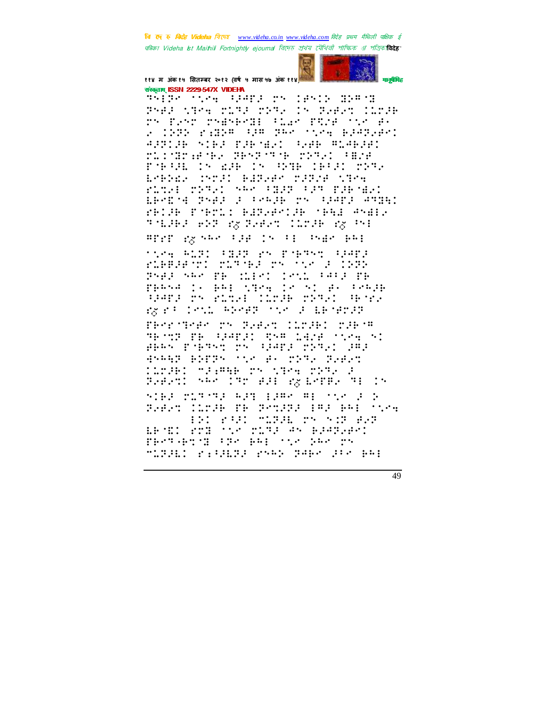> **Service** 粵 मानुबैमिह

११४ म अंक १५ सितम्बर २०१२ (वर्ष ५ मास ५७ अंक ११४) संस्कृतम् ISSN 2229-547X VIDEHA

stêr nye gera re lande men Pres threaters with the Seedmanishe rn from rodobed: High free tie de 2 1999 PARP OR SER MAR BJASHAM ANTIQ YOU DON'N' THE BLAND richerer Brythe riti (Br PORTH IN WHAT'S TRIB IBID 2016 EMPRES INTEL BERGEM TERME NTMH ring: restat see (digs (ggs pge-mail BRYD'N PYAR (F. PYA)B (M. PRADE ANGE) PRINK PORTIC REPORTED ORGANIZ THERE FROM SOPERN CLOSE AS THE

Frem by SAR (1980) to the there are

TORA ROZU FORZ KY ESPERA SPADR<br>KOBERFSON KOZEAR KY SOK FUNCE PARE ARE TRO MIRT CRAN PROF TR PERSA IS ERE STOR IO SI BS PORTE SPARE THE PLAYE CLOSE TEACH SEARC KY POLONI PROFESSION AND PROFES

Perrimer om Guevo (1996) overs<br>Mendo Pe (Vapa) små 1998 (1996) apos popuso psi ciapribile, lab 45553 BRESS (10 4) 2232 BREST COSH THREE TO STAR INTO A PREPAIR SERVICES ERRORS ENTER TRUCK

SIER MITSTE RET EERS RE SNA E N Ther Curse Te Trusts (82 pag tire 101 FARI MIRAL PA NIR AVR ERMED PPB TOM PLAR AN BRAGGANI

PROPERTY FROM BREATH STATES IN MIRRED FIRERRY PHP PAPE PPP DRI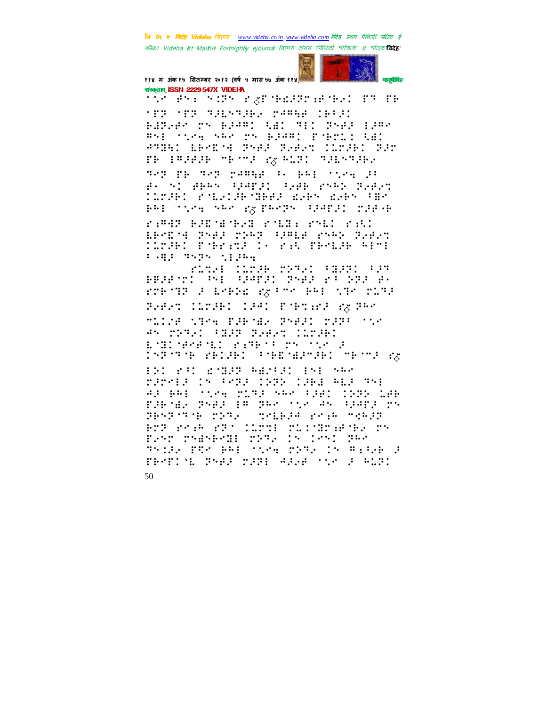

#### ११४ म अंक १५ सितम्बर २०१२ (वर्ष ५ मास ५७ अंक ११४<mark>, व</mark> संस्कृतम् ISSN 2229-547X VIDEHA

TO PRESSURE EXPORTEMENT PROPE **THE THE MILTING PARAL INSID** BASAR TY BANK AAN MIN SYAP 1200 #51 Ting SAR TS BR##I FOBTLI RAD **ANGEL LEADYE SYEP SARED CONFERENCE** TE IRAAR SECONDISCRIPT RALSRAE

382 PE 383 2484F P. ERE 1554 PP 86 SI 864S GRADEL GRAF 2542 BRAST <u>Mone: Whaterday Werner Werner</u> PRI TOTAL NEW PROPERT SPREAD TERRA

ramed bacherback rolls roll rati LEADYE PREP TORP (PREP TRAD PLEAT TIMED PORTHOL IS RED PROBLEMENT 1992 7525 51289

FTE THE FEATHER PRESS ERECTION TIME

Beech (1898) (201 Freman 1890)

MIDSE STRACTIFYER TREED WITH TOP an pravi (1922 leevi (1928)<br>Englandenel evangel province

ISPORTE PEIJEI POBENEPORI MENNI KO

101 PH EMBP REMAIL INFORM MARKER IN PROF INDE LABE ALA 351 AF BAI SYSK MIRE SAR FIRE INTO LOB rible) poet in has say de tiers re BESPORTE MARY COMPARED PRINCIPALER ése rod fel dussi successe el so<br>Pros sombeggi spel do dovi ello TRIA PRO PRESIDENTA IN PERPUR PROPERTY PARK WARE ARAB STACK ANDER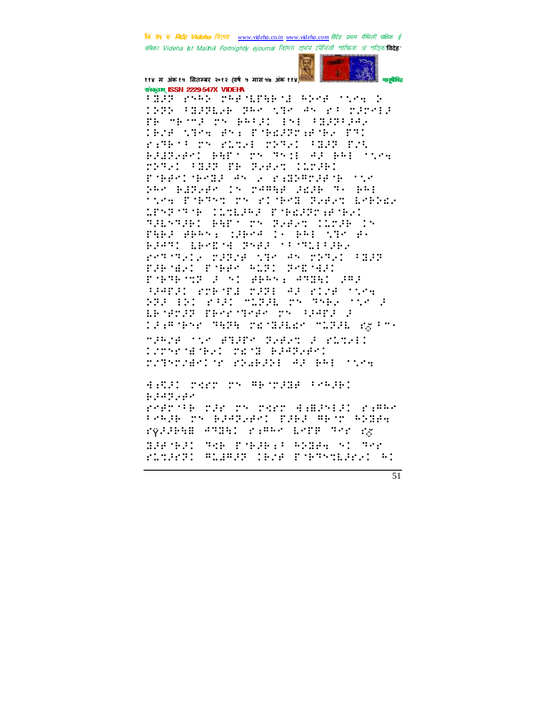११४ म अंक १५ सितम्बर २०१२ (वर्ष ५ मास ५७ अंक ११४) संस्कृतम् ISSN 2229-547X VIDEHA



FIRE ROOM TO MEMBERS ONCE THE S 1988 FIPREAR SAM NIM AN YA WAMMA PROTECTS PRINT INFORMATION CROB STOR AND PORCHRIGHT PRI rament reconcert remail than fift BRIEVENS BARY MY TYSE AR BAE SYNG **MARINE IN SERVICION** Pohen: Geda (An Le Padrerarde one SAR BUSARA DA MAARE JESE AY BA: tics Pobset by 210608 Seder Lobber SPYPTH CONDUCT PROPERTIES SHASHI PHES TA SARAT ILTAR IS PARJ ARANG (JRKA 1) RAT NTK AY<br>RJATI ERKENA JNAJ NENDIFJRV THE WAR THE SAID PERSON respect a stapped and that SPARAD PORTRA CARE AA PICA TOPA STAGE IN THE STAGE OF THE STAGE LE SPORT PERK TREP (PRO 1948) 3 13. Pres MARA randias mindi gets. maked the START Repet a clubal Correnantel cana Baggari rathramacion (remedel Ad BA) (1504

4800 TOM TY BETTER PERMIT

refrom the resource different rimes Pengh on Bangar: Edga Whoo About SVICES ANDER PARA LATE NAP SY BREAK THE PARE: ANDER MI THE FLTPPD WEBUR TEST POPPTERS WO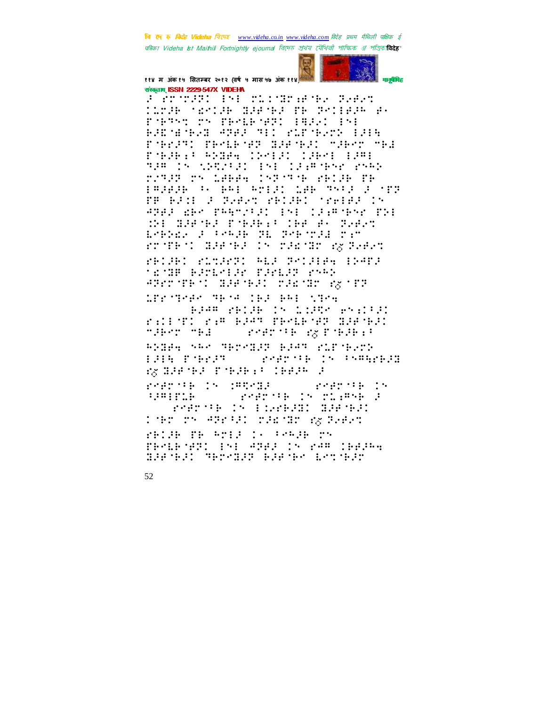

११४ म अंक १५ सितम्बर २०१२ (वर्ष ५ मास ५७ अंक ११४) संस्कृतम् ISSN 2229-547X VIDEHA

a from ago (151) concert down gadan COMPUTED BE BRETHE THOMPHONE AT FORTH TH TEMENET (HARD IN) BOSTOR COLLOS CONTROL DO Pobrini Thomhogh Bigohil Schor Shi PORTEIN PROPERTIES CORPORATE THE IN SPECIAL INFOIDEMENT PART DIRECTS LEEK CSPSPE PELECTE PROPERTY AND ANIXOTABLE MARKETING FROM A Read Pright trains in APPA WHO PARTITAL INFOLUTIONS TO: DI BR'ES P'ESEIN DE PO BARC ESPARA FUNDADO PEL PSPUDADO DU PENTENT SPECES IN TRENEW PREPER

FRIDE FITTET ALL PRISER IDAGE **TEMP RATEMENT PARLEY PARK** APPROPERTY HAMBER CONTROLLER

MESTREE TRIA IRE RAI 1364 BRAW PRING IN LINE BN:1921 riliti ra bas pedeng dang SCHECHE SECHEEP market med Abdem SAR Mercdiff BiAM Rid Westb BRIE PORTRO CONFIDENCE PROBABI KARAN PERPITER S

 $\{f^{\mu}f^{\mu}f^{\nu}f^{\nu}\}\in\mathbb{C}^{n}$ POPPORT 15 182022 **WEBSTER** SPORTSHER TO TEST PART 3 refrom The Corporate Monday Christ Adrill Slands Albach

SHISH TH ATIS IS PRASH TR PROLEOGRI 151 ARAD 15 PAR 188364 HAPSAI TESTAN EACH LOSTER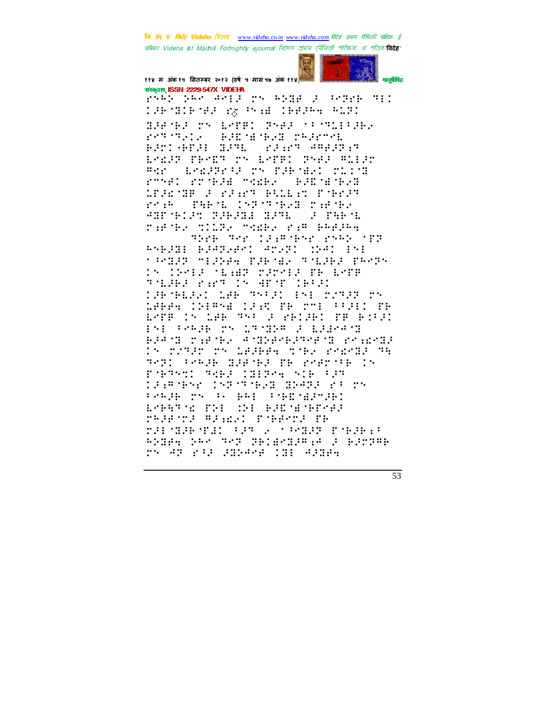

११४ म अंक १५ सितम्बर २०१२ (वर्ष ५ मास ५७ अंक ११४<mark>, व</mark> संस्कृतम् ISSN 2229-547X VIDEHA

PARK SAR ARES TO ANDER SUPPORT TES 1967IC6783 (% Prod 168956 ALC)

HARTER TO LETTE TORP TO THIS REA  $\mathcal{O}(\mathcal{O}(\mathcal{O}(\mathcal{O}(\mathcal{O})))$ **SACHINE PREPORT** 800 BOS 800 STR 800 BBD BREAK THREE TY BRTHI TYAK ALIKT  $\mathbb{R}^n$ **LEADER ON COMMANDERS** r<sup>ég</sup>el rombam membro eachmenta LPACHE 2 PART PULP POPP real farm information and rakter tille meder ram eggena

This Ter Lighter real (TTP 856381 63472851 47271 1241 151 **TREE MIRES THREE TREE TRYP In INGLE MEAST TATGER IB EMIP** TANK PET IN HIT IND. CAPSALL MARSHINE IN STREET GARAH (21858 (218 PR 251 PRAI) de intern EMPRISH CHE THAT I SECORD TROPICAL PHORES TRONGER SOLIDER BJANE SARNER ANDRAFINANCE PRAENO ch pridr on 18368. The Provinces THE PHAR ORPHALIB PHOTOGRAPH Populacji ugade iminacja się roz 13: Pres 1537 16: 10: 20: 20: 20: 20 Program of Policy Presidents EMPRISH CH BUNGMENT PREPORTEERS PORPORTE TH THE THE FIRE A SPEED POSH P BRIEG DAY MYN TELEMING J BRYTHB ry 48 rue durane 100 August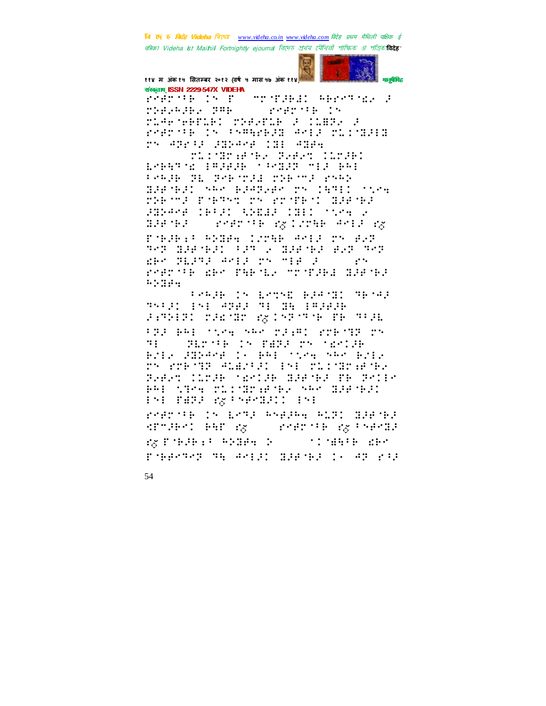

११४ म अंक १५ सितम्बर २०१२ (वर्ष ५ मास ५७ अंक ११४<mark>, व</mark> संस्कृतम् ISSN 2229-547X VIDEHA

rêfrye ty p **MONDAY WESTER**  $\mathcal{L}^2(\mathbb{R}^n)^{1+\frac{1}{2}}$  . The  $\mathcal{L}^2$ CLARARELEI CHARTLE FAILERS F<br>RAPAIE IN INBRESE AMIR CLIABEE ry 49r12 2024/2 101 4024

rd:Mrsene Reen Conet EMPRIN PROPER TEMPER MIR PRE PRAGE SE SPECTAL TRECTA PORT HARTER SAR BARDARY TS 19711 TURE THE TEST THREE TO STILL IS SEEN SHOW INSTALLED THIS TYPE 2 **HARRY SERVICE** cremone by Lomer Andelby

Poble: Aborg Comp Anil My Rut PARTICULAR PER TERRITORIA DE PARTICULAR der Tist gebiet met mie de  $\cdots$ reform and the mac opotified dieche  $1.1.144$ 

Program in Ernolf Block: MB 502 75121 | 151 | 4723 | 71 | 84 | 18223 PERPENDINANCE RESPONSE EN REPER

PRESENTED NAME 22:81 228-138 25 **TEP THAT A FETA PROTECTE**  $\mathbf{u}$ Brie Shawe to BBI the SBM Brie ry rrent substituted runnership BARAN CONSE NAMIS BRITE DE BAIRA PHI STAR TISTIFIES AND HIPSET 151 FERR 28 PERMIT 151

refrom the Eeng Anguay ALDI Bushed SPORT PHONS COMPANY SYSTEMS RSTORIE: PRIMA DO CONTENE EPO repeach and send make the sports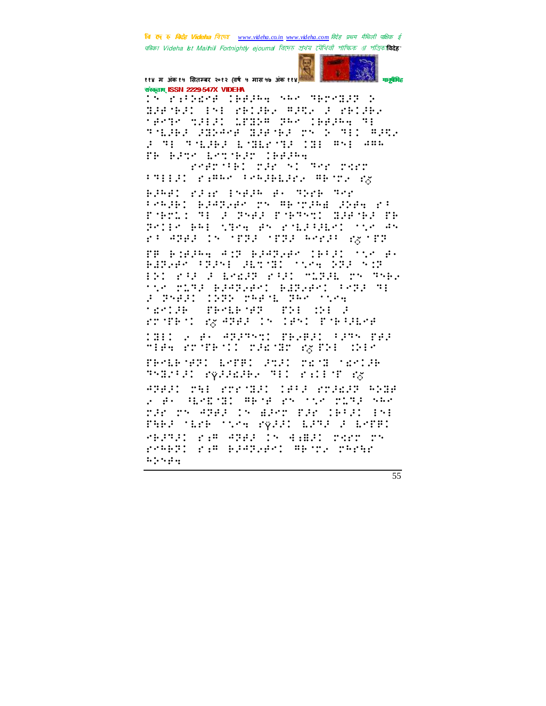

११४ म अंक १५ सितम्बर २०१२ (वर्ष ५ मास ५७ अंक ११४) संस्कृतम् ISSN 2229-547X VIDEHA

15 richer (Belga sas gerself b BARYEAN INE YENARA ARAS A YENARA terr maar broeine perspektivel TALAH ANYAYA NAFAR MYARATI BANG F WE WHERE EMBENDED THE WAY WWW M WHO WOODER CHANN

refribles the SI Ter rer PRISI PARRY PRESENT RETEAMS

BJRED YJAY 158JR BK 70YB 75Y Presence and the control of the second control of the second control of the second control of the second control of the second control of the second control of the second control of the second control of the second control Pobril ME 2 Pres Pobrent deemes PB Pollo BRI STOR BY POLEHERL TOO AN ri ATAL IN META META PAra ANTE

PROPINSING AND PARTNAMONDERS SAMUAR BERGEO FRANK (HETCH) TOOK 283 NOR IND PHOTOGRAPH PHAINTARE THOMAS **MARINE BEATHER BERGED FREE ME** F PARI (1972 PAPA PAR TORA **MANUEL PERSONAL**  $\mathbb{R}^n \to \mathbb{R}^n \to \mathbb{R}^n \to \mathbb{R}^n$ romer of graphs in land presence this a go andrews reagan core pad MIRA STATEANI TREATT SKIPE (DEA

TRALBART LATT: STO TEAT ANALIB THEFF SWITCH THE SHIPT S

APART THE PTP MERI CARR PTIMIN ANDR 2 Br HPENED RENE PROTOK PLACE NAM THE TROWNED IN BRET FRE IBRAIN IN PARA SEPE STRA PRAAI EASA A ERPI PERRI PAR PRES IN BABRI PAPP PN readily rim diagoner watch carder  $\ldots$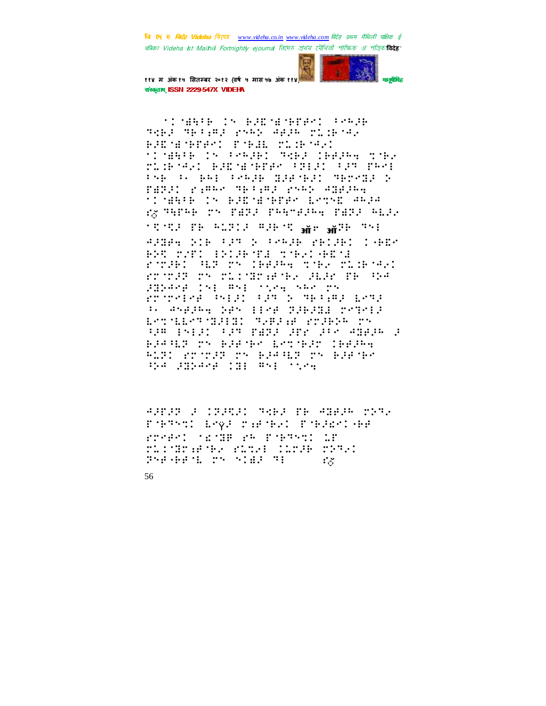

११४ म अंक १५ सितम्बर २०१२ (वर्ष ५ मास ५७ अंक ११४) संस्कृतम् ISSN 2229-547X VIDEHA

**MINHALLS EACHINEARY PARAB** THE TELES PAR SEEM TIMES BOOKSPEAT PSBA TERMS SIMBHE IS PARBI ROBE IBBPA STB. MUSE MASS RABINEMENT (PREAS (PAR) PRAB the to end there dreibed dephdr 2<br>Parch rimen deter rheb aderna **MINHALL IN BJENENHER BRYNE ARJA** K THEF TY THIS TEETHER THIS RUSS **TRING OF PLOTS REPORT WO WORK THE** ANGEL SIN FRANCIS PANGE SELON CONDA BAR COTI (1812B)TA STRAIGHEOA<br>KOTZEI (RIP)CY (1823BA) TOBA CLOBORAI rough on closerathy gage of the 2024/08 15: 85: 1570a 582 p5 rounded bill from Sometime Lema a. Angles nen fre fleidlichteter ESTALSTARIE WEIGHTERE TY APP ENERGY PROGRESS REPORT ARRESTS A BRAND TO BREAK ESTART IBERA ALTI KOUST ON BIANCE ON BIANG 194 285424 181 #51 1524

ANTIFACTIONS THE TE ANNUAL TIME POPTED ESPACE HOLD POPPERD HE rread: trum re reason in **MITHER MAN CONFIDENCY** Presentation right the ःह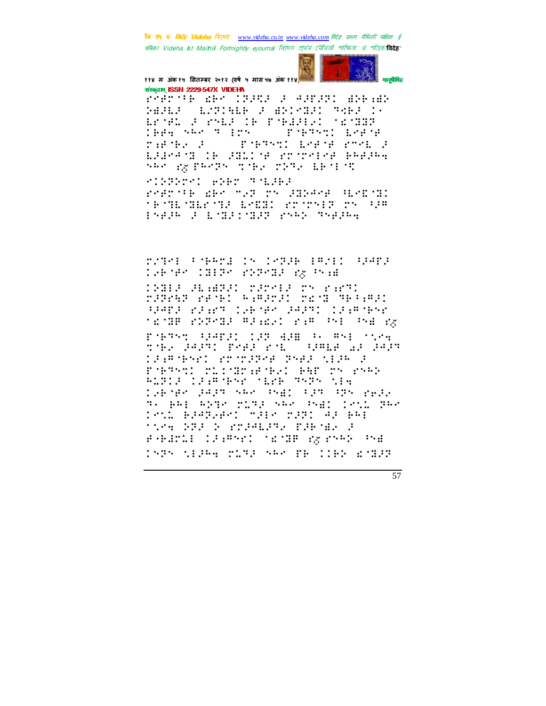**Service** 

NEALS (EMPIRED 3 ENIMER) MARS IN Engel a nord in Pondard Security<br>1994 Secondary - Constantinopela

LAPSON IP ANLIGE POSTERB BRAAR

refrom der mat produkere march: **TETRISHETH LAND, STIPALE TA LUB** PARA FINISTRAS PAR SARAH

nen og Pendholmster (Prak den) in

TITES ESPATE IN IPPER ERIC

Derne (Bige Strell & Som IPHE ALWEST TATCH TY PATT ratego renei gegrai reno meggal SPARE PERMIT LEFTER SACRI LEGANDRY 'STEP STREP RESEARCH PHOTOS SX Popular Carper (22 APR C) was such the PAPT PAR FALL COMER 22 PAPT

*Caserbret errordene diele Stal*k a

1911 BJ432891 M218 M231 43 BH: tice STA & STARATE TARTER A

FREDLE CAPROL TEND OS CARDO PE 1595 MIRRA MIRR SRO BE 1182 MMIRR

ESPRAND CLOSE ARTEST PAR CA 2012<br>PLPIP IPAPARK SEPPRANDA tierne aan sek hat fan de reie al par agas pras são der letr pas

KINDER PHE TANK

粤

**TOPS REFERENCE** 

११४ म अंक १५ सितम्बर २०१२ (वर्ष ५ मास ५७ अंक ११४) संस्कृतम् ISSN 2229-547X VIDEHA rèèrne der Couol a Auruol diesd.

The Second Control



 $\ldots$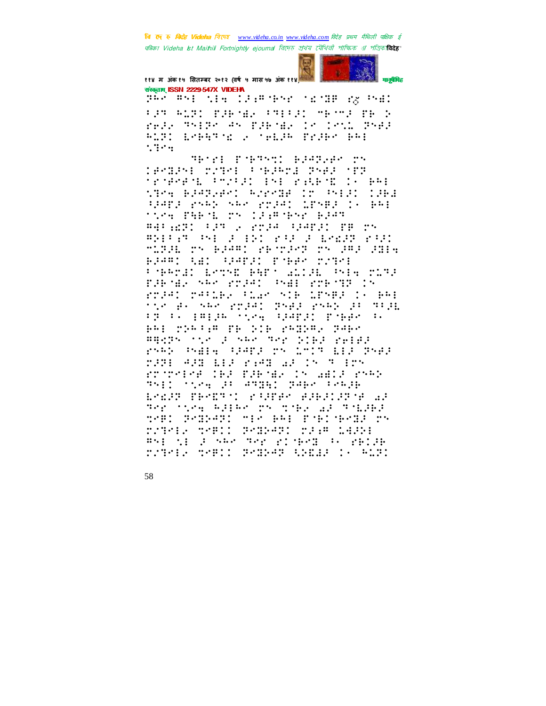> **Council** 筹 मानुबैमिह

११४ म अंक १५ सितम्बर २०१२ (वर्ष ५ मास ५७ अंक ११४<mark>, व</mark> संस्कृतम् ISSN 2229-547X VIDEHA

PAR AND NEW CENTRY CONDENS PAD FRAME THREE PROCHETERS released by an identical control pres RITO LAPRING & MALIP TECHN PRI  $1.394$ 

TEST POPTS: EPPLES DS TARBIYI MUTRI FYBIBMI TYAF YTT **TRIMPIN FOREST ENE RADE IN DER** STAR BJARGANI ASPARE IM (PEJ) IJB1 SPAPE PART ARE POSSED LEARS IN BRE tics PHPA 25 12:55-25 B243 #4:AST (27 ) Prim (2001) TH TV #2:FiT PH 2 :21 rBP 2 ind27 rB2 MIRAL TH BAWAI SEMIPAR TH AWA AREA BRAAD ART ARABIS BYBBY MITHE Pobel: Lord BAPY ALIA (Sia rus: FJRMER SAR STJAD (SAE) STRMTF D  $\bullet$  . rran rander than Sie ofset is be: ste en ske prig: 1581 pský profil.<br>Prosince (1818 stel Pieric Peke 84: 224:8 TR 218 243282 2482 #80PS tir F SAR Ter PIBE relea ryek (hala (Persony 1813-1813) 2391 438 613 2398 33 15 7 125 rounded the faking the mate read Berlin beleng di Sangar gance tengh BYAIR PRYORY FIRED BARINGER AF The street Repair on order all Tomers see: Pensee: Mic PAI Poblokers sy retele refli Sedbari riam 1435: BSE SE FOSBA RAFORMARE PO FRIER ritis ribi dibi di Libi di Lib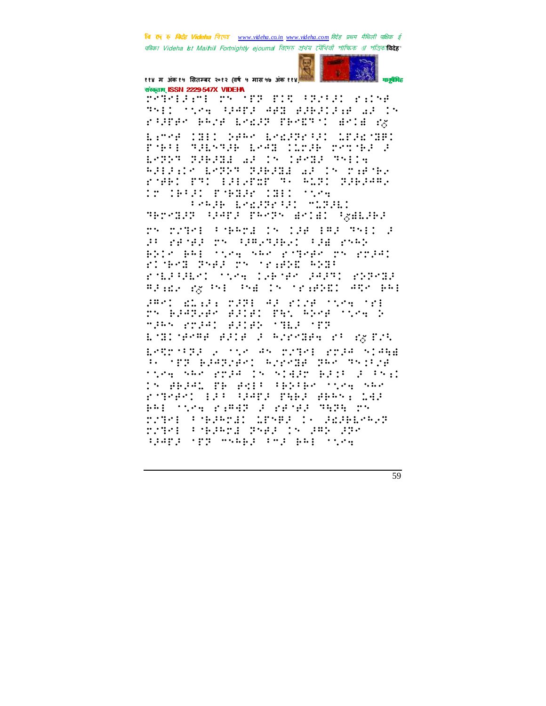

११४ म अंक १५ सितम्बर २०१२ (वर्ष ५ मास ५७ अंक ११४) संस्कृतम् ISSN 2229-547X VIDEHA

PARTIES TO THE FIR FRONT PINE 3511 Stea GARD ARB ROBOTAR WEITS riffer by: brog ferty: drid ry

Earne (SB) Semn Englassic Lolarde ren masma bem lina rerea a EMPORT PARABEL AND IN CHMBA THISE RAISIN BANG NARAH 20 IN MENG rjen par flerer av ern plejeë. **A THIS PROFILE SIL**  $\cdots$ 

**THE RESISTS TOOL** TETYINI HATA PRYTY WYLE SWEDER

rn raded foresi in 198 deg madi d PURPHENTY REPORT OF PYRE BDIS BAILEYSA, SAS PERBS TS PTPAI rided Peel py oracle exp ralegist the lefts feel report BRANK AN PHOTOGRAPH SERVICE

ager alake mage ga krye (neg oke rn Blazer Allai fan Abna Mona D MARK POARD BAIRD MALA MER ESTIMATE PAIR A POMORE PROGRAM

ESTRATE School Andrews Street night BOOTER BEATLERS RIPRER THAN THIS PA tive secondary is stage each a ssai (\* ARJAN PR ANI) (PRYTRY SYMA SAM roper (FF GAP) PAR ARRY: 142 PRI 1504 P.PHP 2 PRINT 7575 PM briga (childrich drum) (computers rate: Poblera Pode (n 28) 226 SPARE TRE THANK PTP BAIL TOTH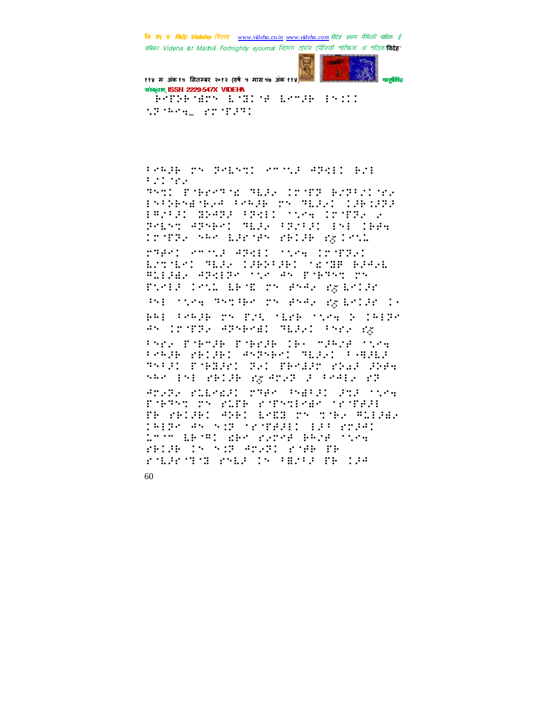

११४ म अंक १५ सितम्बर २०१२ (वर्ष ५ मास ५७ अंक ११४) संस्कृतम् ISSN 2229-547X VIDEHA BATTEMENT EMICH EAMIR (PILI

 $\mathcal{L}(\mathbb{R}^{n+1} \times \mathbb{R}_{+}^{n}) = \mathcal{L}(\mathbb{R}^{n+1} \times \mathbb{R}^{n+1})$ 

Proge programs consumerations  $1.11117744$ 

This Poberto TEA Cropp batter of PSPARSENER PRAGE ON TEACH LARGARY PRID BASE (SAID TOM COTS) 2 Print APNAR: MEJA FRYEJ: 1N1 (BAA ITTER SAM LEMARK PRIE REIMI

raen erug aand und croppe EZTALKI ALGA IGENGGEI YEARE EGGAL<br>ALIGEN GRAIRE YAK GN EARNAT PN Picker Confl. EBox and Phelosogenical

PHOTOGROUPS HE IN BARK AN ESTADOLS

PRI PRAJE TR POL METE MIRA DO IRIPA AN IMPERA APHEMBI PERAI PHEA EX

Pres Premae Presae des manie cism Program and start start count THE POSSES SAN PRESS CHARGE SAR ISI PRIJE POSTOJ PRED PR

Anyly riberal rage there and the PORTST TO PLEE POTOTREP OP TREE TH PHISHI ANNI LADD TA TAN ALLAN 1912/ AN NID (PTBB1) 133 Pr341 Loom ERORI WHO PADER PROF COPE PRINK IN NOR ADVEL ROWE TH roberts rules to Here the CA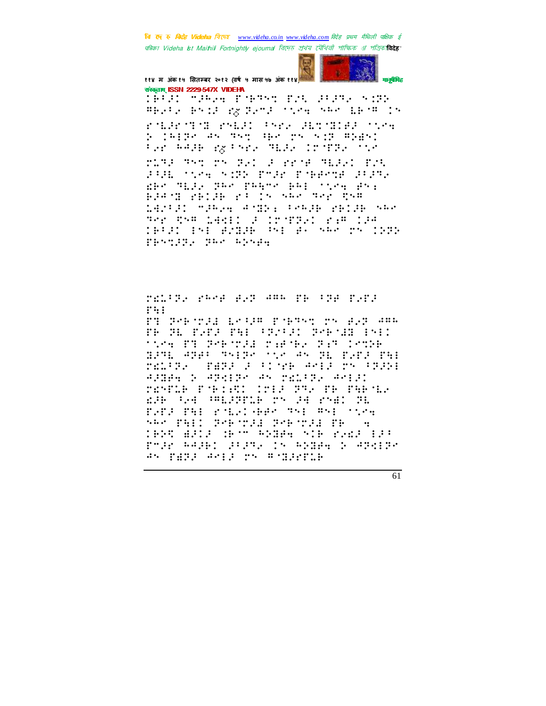

११४ म अंक १५ सितम्बर २०१२ (वर्ष ५ मास ५७ अंक ११४<mark>, व</mark> संस्कृतम् ISSN 2229-547X VIDEHA

têla saya parko pal alay kur 프레이어 대체 18 대상 대리에서 기능하는 사람이 요리하면 있다. rakena rus (mr. Artania (mr. 2 1912-19 Protect He and Struggle Fer RAPE røssere Steel instruksion TIME MAT TA BEL E FROM MEEST FIL FUL TYPE SOR POR PORPOR FURY der Alle Per Pears een stre die: BEATH PRIES PROTHOMAN NEP RNA 192331 MJR24 AMBER PARJE PEDJE SRM der sym 1961) a condact ram 194<br>1953: Eyf Azdab (yf Ar yme o'y 1939 PRSTILL BEST ENGIN

rding, resp. p.g. Ame ga (ga p.g.  $P<sub>1</sub>$ FT Persia Leagu Porter po Agricultu TH TE TATA THE STARKS THESE END tive for Personal parter for lesse BRAN ARAS ANIRK SYK AN BE PAPP PAI Paile. Taes lost ha shill no sega APSAG & APRIPE AN TELETA AMIRI MATLE FORISI (MISSING TRAINER) ERRORA PERSONAL TY 24 PYE  $\mathbb{R}^n$ FATA THE POLATOHER THE THE STAG SAR PHIL PORTUGE PORTUGE PRO A IBS AND SEM SYNE MI RAD 197 Ende A4del didna in Abdew a Adalda 45 PARA 4012 TS # SERVICE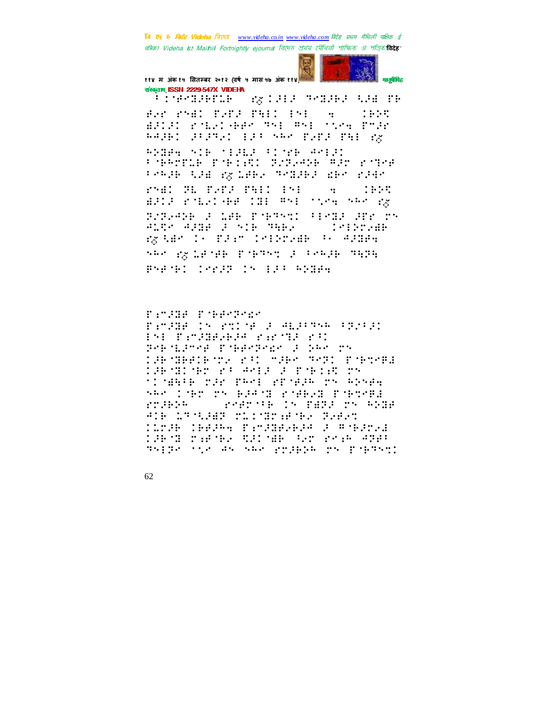

११४ म अंक १५ सितम्बर २०१२ (वर्ष ५ मास ५७ अंक ११४) संस्कृतम् ISSN 2229-547X VIDEHA

PARTED DESCRIPTION AND ANGEL

**FINANCHE WIND REAL SERVICE** FAR RNED TATA THIS INE **CONTROL**  $\dddot{\mathbf{r}}$ BRIED POLECHER THE BHE STRE POR RASHI SPIRAT LEFT SRM PAPE PHITRE ANGEL SIE SIELE FISCH ASIEI Polence policy system was rope Prese the gylee. Thises der baer **PAC H. P.M. PAC 1911**  $\ddot{\mathbf{r}}$ **Contract Contract Street** BRIA POLEIGH INFORMATION SAM PR SZSZARA S 188 PORTYC (PROS SPROCY)<br>A192 ASOB S YOK TARZO (CZYPYCHRO RSAGE IS FRED ISTRIBUTE ARBEN SAR POLETER ESPESSO E PREPROTABLE

F: SHE F: PERSON PATENT IN PTIME 2 WEBPTAN PROPE DA PESARAHA PENANGI President Poetford 2 250 pm THE MEATERSE ROLL SHER SPACE PRESSEN takominen etakia aldarreia ny SARIE MAN PROF PROFESS PROPAGA SAR LORD DN BARON ROBBAN POPTEN **SEPREMENTS PARA 25 AGGA STARTED** sta 1991. se virtura da Sala tirak teadwe peragalakan di mengrud DAPA PAPAZ RASAR GUN 2016 GUNDA Shipper the Ship have produced resources the sense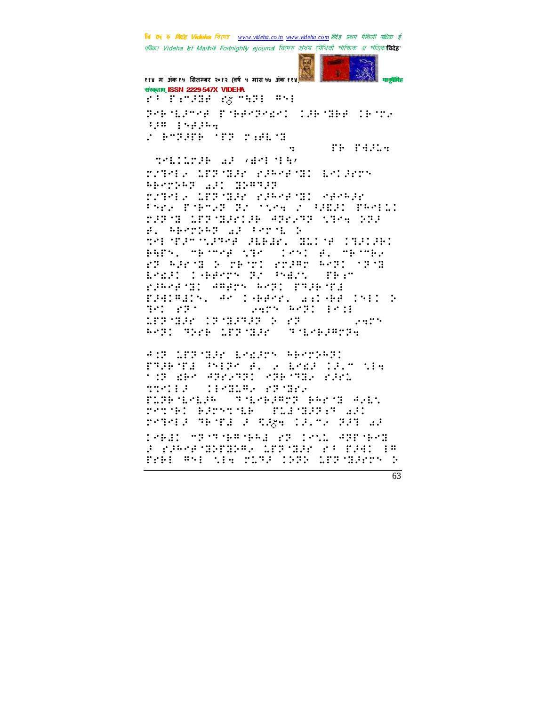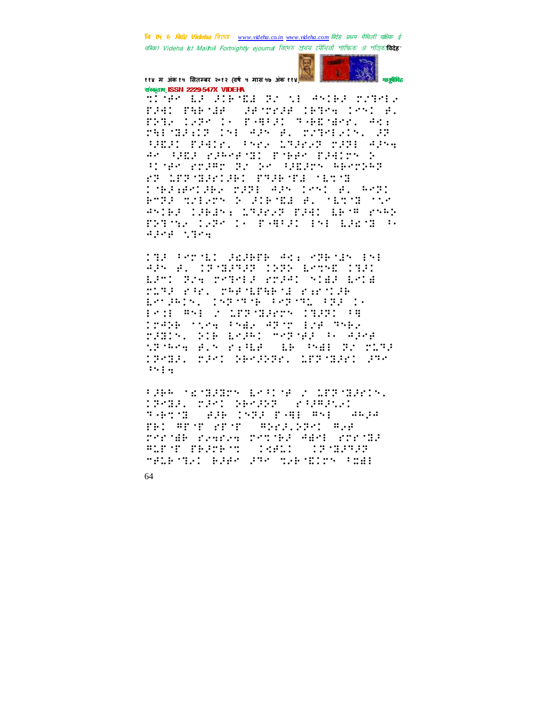

११४ म अंक १५ सितम्बर २०१२ (वर्ष ५ मास ५७ अंक ११४<mark>, व</mark> संस्कृतम् ISSN 2229-547X VIDEHA

tije aa albuma tu de griea tugge. TAGO THE WAR (ARTYPAR CETTE CONC. R. PRIA 1285 13 PARTE SARMANY ANY PAPORAID INFORMATION OR HARRY PRAIRS, They LAREAR MARE ARMA An ABR PRANENBO PARA BREDY ( BINA POSAD BI SA BADAN ABANSAR FROM MARKET PRINTS (1978) CHANNORA MARI AAS LES BO RER PTE THAT & EPTE #. TETH TYP ANIEF LEEDNE LAPPER PRAI LETA PNAD FRITH CAPE IN FHRID INFORMATION  $\begin{aligned} \mathcal{L}_{\mathcal{A}}^{\mathcal{A}}\mathcal{L}_{\mathcal{A}}\mathcal{L}_{\mathcal{B}}^{\mathcal{A}}&=\mathcal{L}_{\mathcal{A}}^{\mathcal{A}}\mathcal{L}_{\mathcal{A}}\mathcal{L}_{\mathcal{B}}^{\mathcal{A}}\end{aligned}$ 

<u> 193 Front GeBBB Ari rBendr (ri</u> APS B. CRYBRAR (1986 BYTHE 1921 EPT Pre retera crash sign belg ring ran repairement randome ESTATISTICAL TRANSPORTATION **POST #51 2 122 12225 1322 14** Trans they say are present ramos, pie brami nepoea () apeg SPORT RIN PINE (AR ONE PINEMEN **TRABLE REAL CHARGES LERABLE CRA**  $\cdots$ 

FRAME SECRETS ESPISE SURFICIENTS. SPARE TRAD GRAFIE (PREPORT **ARE INTERFIELD #51 ARIA**  $3.442.22$ TEL WE'T SE'T WESTLERY WAR repode paspar repode Adel proche BOOT BEECH WARD CONSTRUCT MAGE TEST BEAM CAR TERMIT AND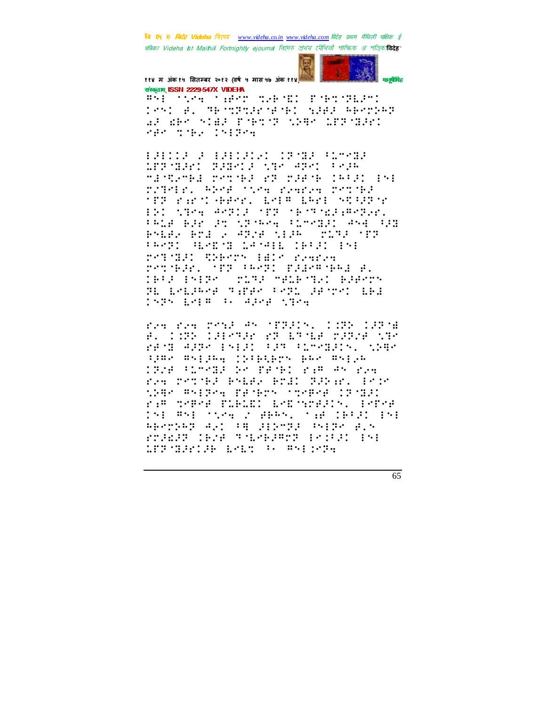११४ म अंक १५ सितम्बर २०१२ (वर्ष ५ मास ५७ अंक ११४) संस्कृतम् ISSN 2229-547X VIDEHA



#AE tire take the SET Pretrain: lesi A. Mandhuarnana, maaa Aadroah AF ARM STAR CHRYC (1987-1920) **PER THE INITES** 

STRATES STRATEGIST ARMS FRAM METRAMBE CATTER CR CREME CREAT ENE ratele, bree steamerser rette TER PARTIMENT, LMIR LAPE SERRET ESI NTME AMPIR TEP TESTAREAMPRAI PALE BER ET NOTARA PLANER: AND PED Prisk Pri 2 ATM STAR (2173-183 **FRAME READERS LARABE CERED BRB** retempt Chronolate reares rendeze, ord (600) rigemens a. TEACHERS TEACHERS SELECTED TEACHER di inidene taren fudi desrri ibi 1898 personal diagonal system

fre fre poil en (FREIN, 1988) 1987# #. CORPORER BEAT ET NA TARTE STR rang agger program and conducts, there space and page (problems often and ca **TRIE FORMOE DA PAREI BYM AN BUG** rea rether byles brill **THER. POP** SPAR PRIPRE PENETH STREET IPSED. ram nemer flatlik aekonomika (ere 15: Ani stra 2 Abbr. Sab 16:21 Ini 8802282 421 FB 212022 FM120 8.5 roada deze priseamon estat est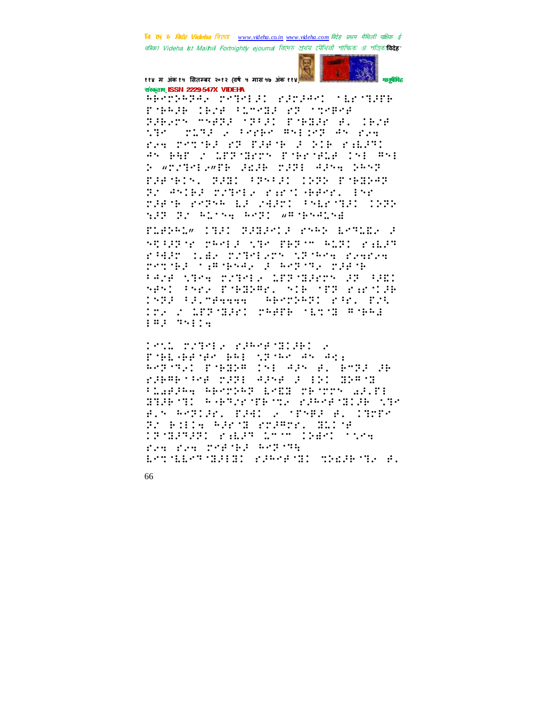

११४ म अंक १५ सितम्बर २०१२ (वर्ष ५ मास ५७ अंक ११४) संस्कृतम् ISSN 2229-547X VIDEHA

RÉPORTAN OPTRES VIDIARI MENTINIR PORTH CHIP SIMMED PRODUCEDE Babary myada (dhaa) poboar a. (bra **STORY A PREP WALLER WAS EVE William** ran retha ra farm a bib ruan: An BAD 2 12273227 Presidue (n: Ani : Wright.wff Addr raft Adna 2007 FARMENT START COORDINATE Br Ancel provide rarotagens, the raene repos da rearc'hodrennet (1939 SHP BY RITNE ROBI WRIGHTINE

mark, THI THRID PAR LOTER P SERPY PREPAIR THEM RUTE FILM rado dal construcción de cara renned in Breed, dieser nach eine PACE STRACTICERS AFFORMING AFCORE SASI PSER PORTRE, SIR OFF PAPOIA 1592 (2. Maggan Abertagi Parl Pri <u> 1900 - Andre Marie, Amerikaansk politike</u> page models.

**Conductives Separate Service Conductive** Poblike ne belong ne an any Andrewi Bradish (Si Alek al Andla la rupap (200 rupi 4350 3 in: 200 m <u>(1888)</u> Wester Brook of the Sale STER TO A GARDY TRONG STAKE MODE ONE B.S.APPIER, P.H. 2 STYPE B. CRMPP Ro Bille Adris Endant, SLOW IFMERED PALES LOOM INEN STRA for for 200300 402096 ESTALPANHEI FRAGAI TELPA E.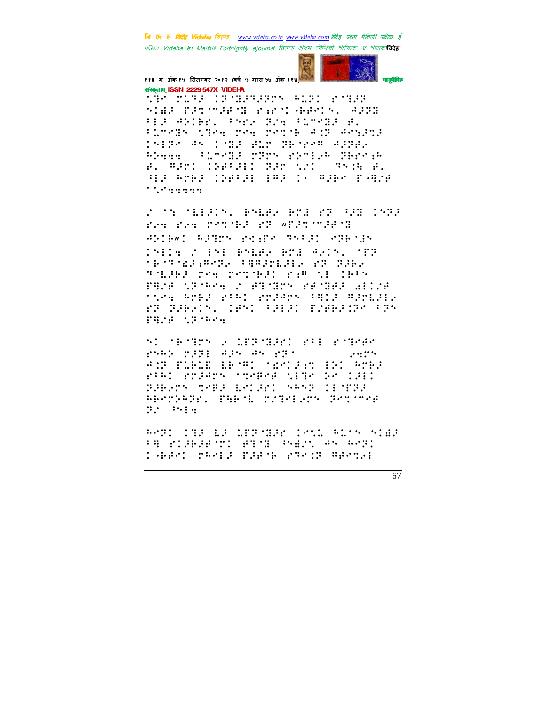> **Council** 筹 ्री म**नुवै**मिह

११४ म अंक १५ सितम्बर २०१२ (वर्ष ५ मास ५७ अंक ११४) संस्कृतम् ISSN 2229-547X VIDEHA

the pina cremaring wire penar SIER PROMIESE KAND AFRON, ARPE HIP ANIER, PARK BOW PLOAGE B. Ployde the cost conce Add Antich 15136 AS 1532 ALM 365658 A2382 Riggs (Ployde provision resolution E. MARI INBURI ZAR NI (TSHER. H.P. Arbe (1985): 183 (1) 8365 F-828 

r na nEiste, Belgy Bri 27 (28 1932 for for Tottle of Wiltonedia

ANIEWI APROV PRAPY PRAPI PRETIN India 2 Bhi Bhigh Bri Alin. (23 **TESTARINGS PREPERDED 28 SPEC** TALABA PAR PATABAL PAR NE IBES FAME SPORTS A PROBOT RECHER WILDE ting Area rial ready (BILA APPLALA PROBASS, SANTOSHIS PRAKTRY FR PROF SPORTS

**SI TEMPS & LEPMERT RAE ROBORS** rnad razi 425 45 rzn  $\ldots$  . . **ANT PLEAD LETT: TRATIST IN: ATES** rte: rriers screer ûnê bêjinî BREACH CHEF ESTRET SASE TESTER REPORTED THE E COTPLOYS TROOPER  $22.3914$ 

ROTE CHA LA LETTER (PAL RETS SIE) FE PIPERPOT PTOR PAROL AN APPI Deed red Plane and Paragon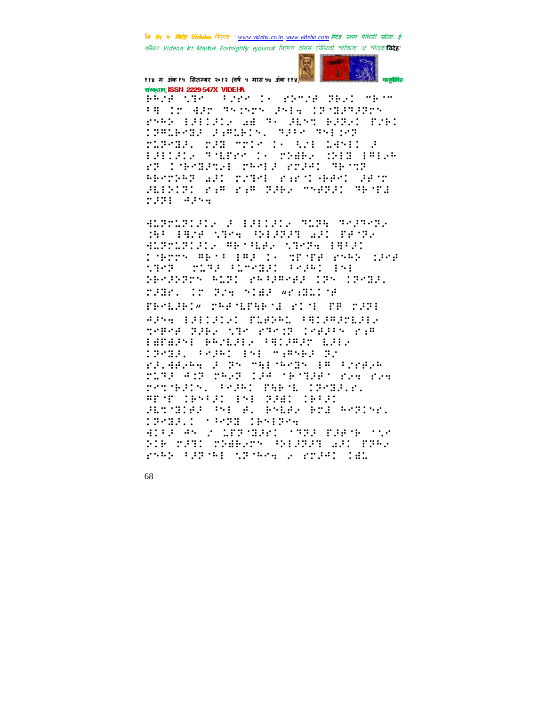

११४ म अंक १५ सितम्बर २०१२ (वर्ष ५ मास ५७ अंक ११४) संस्कृतम् ISSN 2229-547X VIDEHA

BAYA NGA SIYAN IS ANGYA GB21 mBam FRONT REPORTED THE CENTERED ryan fafiain de ma abyr eaghl frei IPROPER FRONT SPEED TO BE PLEASE, PER MODA IN AND LEAD.  $\ddot{\phantom{0}}$ EPECTA TARPY IN THEM INE EMEM FRONT-PRINT PROFILE FRIED TECTS RESTRAT WAS TITED FOR CHEST ARTT ALISIT PAR PAR TANG MANUTI MESTA  $2233 - 4354$ 

RUSTUSIAI (1999) SING SUSA SAASA SHI BEZA NTRA SHIPPPE WEL PANPA HIPPING SECRET SPREAMER inerry Apriliae is nonrelayed the ther wine simened feat is: SPRISHTS ROBI PRISHRED CHR CHRONIC rade, trunca star wride re TEPLIN', THE LINE I SI TO THOTATE APSA IPELELI PLANAL PRIPAPERER SPEED BING AND STRIP LEADER SIN HAPASH BROWNS (MISHED WEEK 1988. (FRA) 151 minus 92 ralgales a promatimede to treale blag ein begannte und aber aber repressed female meets (Pemale) WE'T IESTAL ESE FAWL IETAD Absolute the electronic transformer Statistics (1998) 19512-0 HIPS AN 2 LEPTERI TREP ERPENTIV SIP MAN MYHRAN ANDARI AAN TRAG PARK FREME SEMPHON PRPPI CHL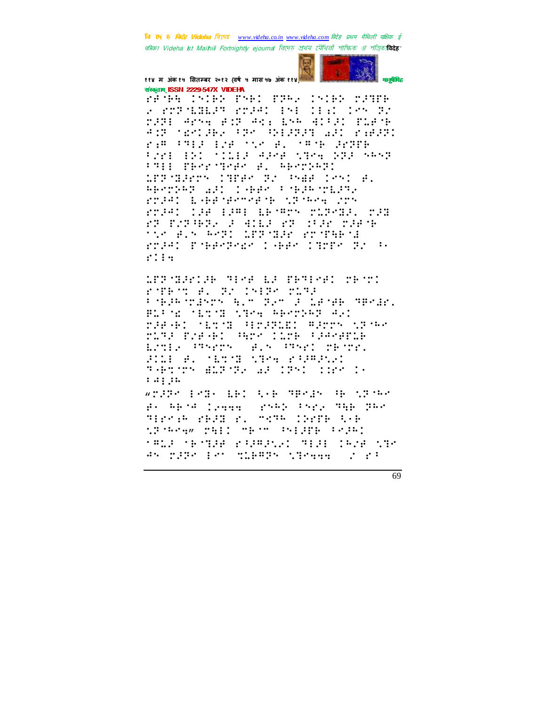**Council** 粤 ११४ म अंक १५ सितम्बर २०१२ (वर्ष ५ मास ५७ अंक ११४) संस्कृतम् ISSN 2229-547X VIDEHA

FROM CHIMA PHP, PPHP CHIMA PATER 202021131290202410191011110120022 MINE Arra BiN Ari Ere Alfil Midir AN YESHA PROGRESIN WORKS rim (1913) 128 (128 B. (1976) 22226 Frei 191 (1113 Ales Stea 201 See **FRIE PERSYNAPS B. PERSYNAS** LEP GLECH (TEEP SK SHEE IPSI E. ABROSAD WELL LABER FORESTER rrad Eggsteregen (redes rr road (af 1981 1878) claded. 230 FF TEFRIE F RILE FF TER THER **MACHINERY STREETS** role: Pobenshin (Sben 1988) St  $: : :$ 

STRAINS THE SACRETISM SEAT romeon al di competitud Portechnology and the control and developed BLETE TETTE STAR REATER AN PAPAI META HEARED BATT SPAR MIRA EVENED (RMM) CIME FARMETIE ESTER PROTH WELL PROT TEST. FILE #. METHERING PRAECH serve antico and the condition  $1.44 \pm .11.$ 

wrage peds in: Concepture drovgowe go bend linner shop that Mag gon Wirth SEB r. 70% INSB 546 traces refl mess celler color **TREP TRIPPE PROPERTY REPEATED TO** AN PERSONAL MIRRY NESSAY (2003)

69

मानुबैमिह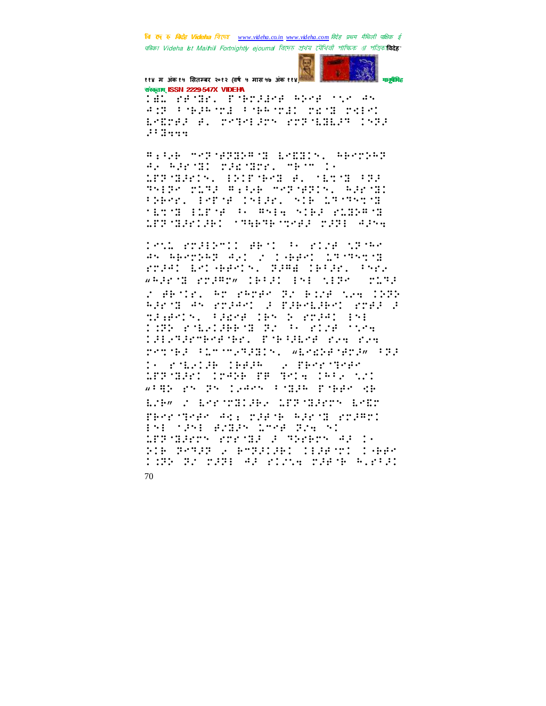

११४ म अंक १५ सितम्बर २०१२ (वर्ष ५ मास ५७ अंक ११४) संस्कृतम् ISSN 2229-547X VIDEHA

THE PROBEL PORTRAGE ANDER THE AN Add (Pelangi (Peangi didi polin EMETHE H. TMTMLETH FTF-EBEET INFE  $3333444$ 

#:50 mm GRIP#3 LMEDS, #PM2P# 42 APPAIL MEDICAL MESMO **WESTERN BRIDGE BUILDING SER** Third with Hills werestime wires PERMIT PRIME INFORMATION ARMINIST ticuling the second side conduct STRANDALL ANDREAL MARIE APS

Tend rollbeit Aboi (Fortig note) AN ABRIGAD AVI 2 LABAT 17575573 staal bergeers, taak inder dat WHEN BY POPPOW (1999) 191 NIPS (2009 r Abstr. An range Broad the Coal Adrin As roland d Pubridge: **Sand State** TRANSVILLENCE IN SCHOOL INE **MARK POLICIER MESSEN PRODUCTION OF CONSUMING** CALARAMENT REVOLUTION CAN SAN PATTER FLOTTEREDS, WEALTHTEN FRE <u> 1908 - Partis Mariano de Carlo (1995) e a contra contra de la contra de la contra de la contra de la contra </u> SPROBED (2006) PROBLEMS (APROVING wide an distribution index proper ab A.S. CARSTELLER ARTICLES ARE PROSTROW ANY THROW APPORTUNITIES PAP SPAR BOOK LOCE TOE ST MPSHRT CTOHE S TRETT AF IN SIR RANGU (AMISIG) 11GAMI (ARA **THR ROOTER AF FICH THE RIFLI**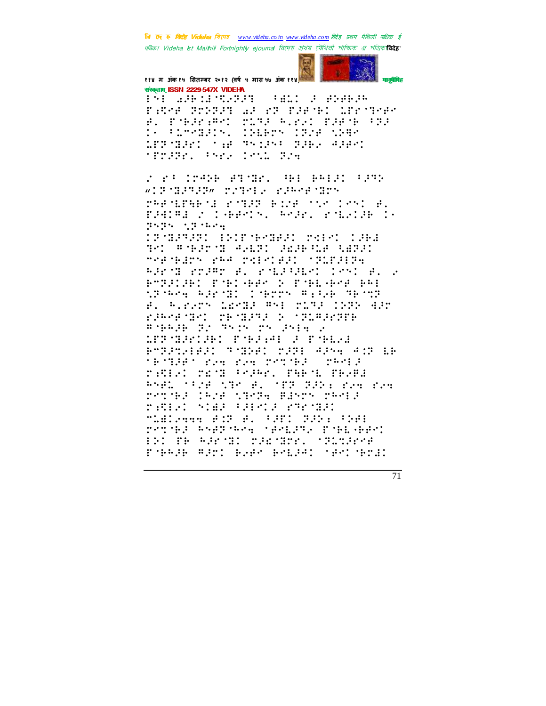

११४ म अंक १५ सितम्बर २०१२ (वर्ष ५ मास ५७ अंक ११४) संस्कृतम् ISSN 2229-547X VIDEHA

**EXECUTE 2019** PARTE POSPER AF 27 PERMEI GERMANN e, rakken som klei fred dr **THET ITS THE**  $\begin{bmatrix} \mathbf{1} & \mathbf{1} & \mathbf{1} & \mathbf{1} & \mathbf{1} & \mathbf{1} & \mathbf{1} & \mathbf{1} & \mathbf{1} & \mathbf{1} & \mathbf{1} & \mathbf{1} & \mathbf{1} & \mathbf{1} & \mathbf{1} & \mathbf{1} & \mathbf{1} & \mathbf{1} & \mathbf{1} & \mathbf{1} & \mathbf{1} & \mathbf{1} & \mathbf{1} & \mathbf{1} & \mathbf{1} & \mathbf{1} & \mathbf{1} & \mathbf{1} & \mathbf{1} & \mathbf{1} & \mathbf{$ WPTHEIT THE TRIPPE THE ANNO **SPORT PRODUCTS** 

r ra crame agogr. And belg: agam **Williams** read *. Same* are refugeens russ engelichte den de PARTNE 2 LABATA, RAAK, PALATAR IS 2525 121659

197899981 ENIPYPREAT TREPT 1963 900 Angeles Adig: degrade tagg: **MARINER PRODUCTS AND ASSESSED** RAPOR POARD A. PORAGARO CONCOR. P PTRINK FOR GEN & FOR GHE PH trues are different allege maint #. A.r.nn 12033 #ni r173 (1936 430 rance det concurre (1918-1918) BORGE BY THIN 25 PHE 2 **APP MERCHED PORTHER FOR PORTH** 87337.0001 TYRAI 7330 ASH AND 68 **TEMPER YOU YOU PATTER COPARE** rativi rajd (sing, furit fives RNAL SPIE NTP AL STRUPPE: Plan Plan retha (Rob Sterm Barry reda) ranal Mar (Shell Permit MINIPHONE ROBERT PRO PRES PRES rether by the complete reading HOT TH REPORT TERMINE, MEDICINE Pobel with base belief office medi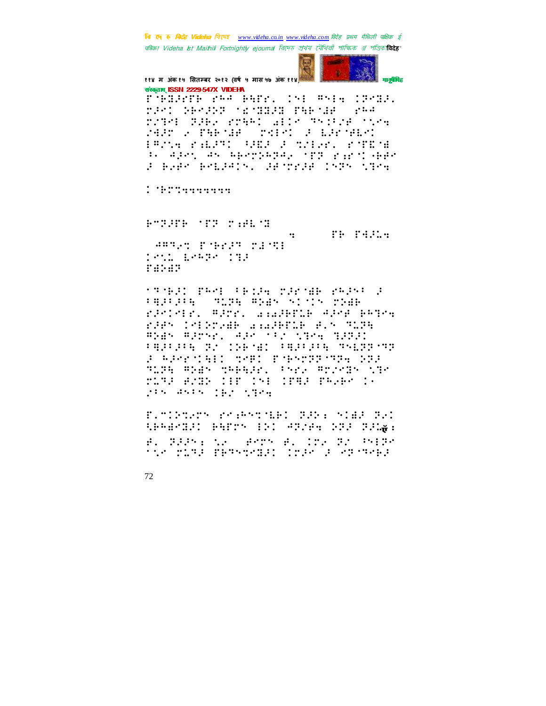**CONTRACTOR** 

**AVON urghe** 筹 ११४ म अंक १५ सितम्बर २०१२ (वर्ष ५ मास ५७ अंक ११४) संस्कृतम् ISSN 2229-547X VIDEHA

PARAMEN PAR BATY, INE ANEW IPPOR. TITME FIRE STRAIN WILM THINE TIME rear a fabrim (rear) a barrear: Programment (PRP Problem Program si aprovan aprobaza, rezonant der F BARK BREAKS, JETTER 1575 STR.

**BURGER (FR) 2008/2009 THE PAPER**  $\ddot{\mathbf{r}}$ **APPART POINT PENDE** Teth Beage (31) ratar

**START PROPERTIES TRANSPORTS** <u> Politik Schoolske Schoolske</u> raning, Aarr, weakfile Aane ekthe raes constant analytic els sign BEEN BROWN ARM SAN NOW SHEET **FRAGGE RESERVED FRAGGE THIRD TR** F APPENDAIL MPRI PAPPRPARA DRP SLEE SPEN SPEERS, Phra Scratch Str MAR BARK THE INE IPRE PROBE IN gis asis jag türe

P. MIRTHY PHIRM NEED REPLY NIER RED APROXIMA PRESS IN STAR NT TIME B. BEAK: NA SERVA B. IVA BY PHIP? TER TERP PRESENTED CTPS I SPIERRE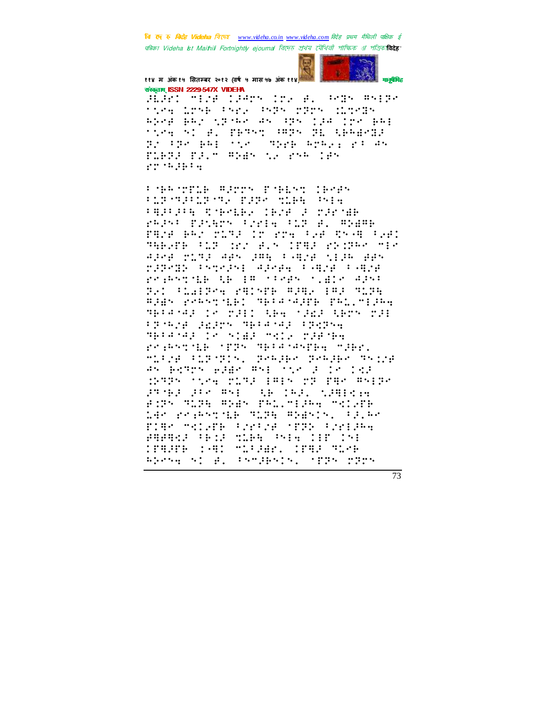११४ म अंक १५ सितम्बर २०१२ (वर्ष ५ मास ५७ अंक ११४) संस्कृतम् ISSN 2229-547X VIDEHA



alên mize carr (r. e. Pros Asirr tion Love they than carry mover 8288 BR2 12598 BS 325 128 128 BB1 tick bild, personage di célecia BY FRY BAILONY CONFEDERATION FLETZ FILM WEEK NE FRA 198 spoken in

Popentia Warry Pobler Chofs **FIRMSHIPMS FSPM MIRE PHER FARRISH CYBREE CB2B 3 COPYNB** PROS TOGET SYNCH SIT B. SYNCH PRIA ARI MISA CM RMA PIA SYNA PIAC MARGER FLO SEN BIN IPBE 2019-0 MER ager ping aps goy capyr tigs gys raded (seeking alege (sare (sare) reaments that a conservation and S. H.HS- FRYTH WHE 193 ST. BREN PORNSMER, METALGRIE PROJECHE MERADAR CO MILL ARA DIRI ARMA MIL tande dears aptoing tagel SPEAKAR TRONGER MAIL SPRESH reaktion and the contractors of the minde firms: Preser Preser Show An Banch Blan And Ste la Ch Cal 19725 (1984 2172 1815 22 236 36126 35363 358 851 (68 163. 13811) FURN MICH WORK PALIMERA, MELSER 140 regneral sign minister (f.n. FIRE MONTH FOOTOF TEEN FOOTUNG PAPAR TELP MIRE PHR INT IN **TEACH THI MIGHT ITE MINE** RESSENT B. PSTERIN, MEBR 2727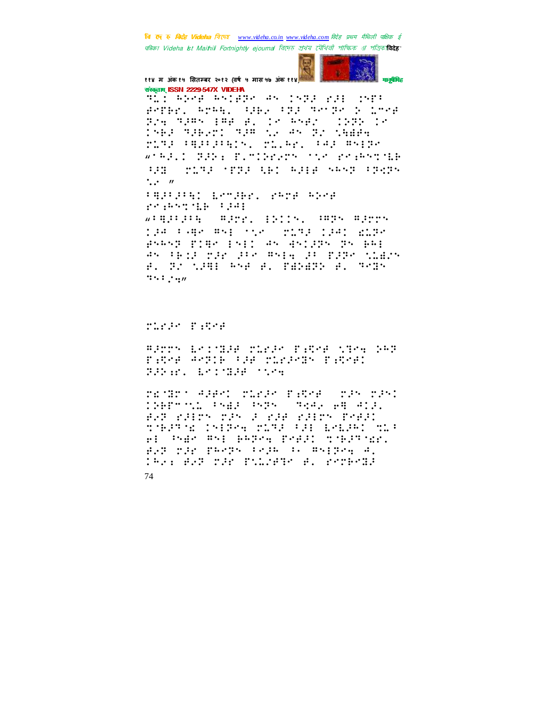

११४ म अंक १५ सितम्बर २०१२ (वर्ष ५ मास ५७ अंक ११४) संस्कृतम् ISSN 2229-547X VIDEHA

all week welken as tsee reformer Brief, Anag, CHE, CRE Shirt & Lord Pres Pamb (1868-81) (2018-942) (1999-120<br>1962: Pamari Pamb Nassen Pro Nedee ring (Belgians, riche, 193 msegg withdia FRD: Funcheren inte enatherik HE TEAK TERPORE WHE SASE PREPS  $\cdot \cdot$   $\cdot$ 

**THILLEY LONGER, PROF REAR** reaments (201 winginging (Agree Except (Agree Agrees 194 F-Br #51 (12) 2173 1941 2175 #5052 FIRE ESEL 45 451225 25 001 AN PENDENTAL DES ANGEL DE PODS MINIS B. T. MARI RSB B. TENETH B. TYTS  $\mathbb{C}^{1}\times\mathbb{C}\underset{\mathbb{C}^{n}}{\otimes}\mathbb{C}^{n}$ 

## risk føre

BRYTH LAITHRE TEACH PERSE NEWS DAY rang agus tan mhann rand. TERRI ESTER TES

rendri Aden, ruben fache (ren ren) TRAPHONI PABR PAPA (PRAR AR ANR. BAR PAIRS TAS A PAR PAIRS PARAI there increased the moment of el Parcelle Barce Poel: therein BAR TAY PROTO POPE PO ROLLEO A. TRANSPORT PROVIDED BY PROPERT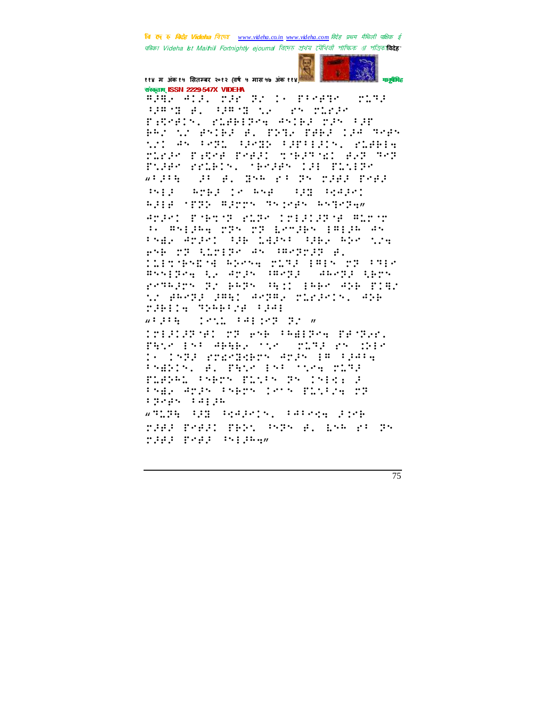

११४ म अंक १५ सितम्बर २०१२ (वर्ष ५ मास ५७ अंक ११४) संस्कृतम् ISSN 2229-547X VIDEHA

#BRA 413. TSP BS 16 PP4PP  $\cdots$ APPEAL APPEAL IN TEAM PARADA, PLABIRAN ANIBR 225 FRP BRY NY BNIBA B. TOTA THEA 134 JAPA tri es cent chem chromos, righte MARK PARKE PRACE STEPHED AVE TRE PUBB ROBIN, MEMBER 18: PUNERY widing of B. Bra picky poper rear supply apply to and supply apaper 8318 (FTP) #3225 751085 8570740 Andel Pobnot Rude Childlere Auror Be Wellbergthe Man Lemans 18126 As **SALE LAPPE ADEL AND SIDE** Prage Apper PSB 27 RL2176 AS (B-2227 B. Click-Report Recent Cliff (PRIS CT PRIS Bright, Q. Andr. (Brys. (Brys. QEnr. remark or BROK Hill IREE AND FIOR tr akers amer were condern with **TABILE TEBRICE FARE**  $\mathbf{u}$ :  $\mathbf{u}$ :  $\mathbf{u}$ THISTER WILLIE WAS SAMING TEMPER. PROCESS ARABY TOO TEAR PS INES 16 1593 rockelskos Angs (A. 1941) PARING B. Pane 198 (now with PLANG, PARTS PLATS BS INTER P Pres Andro Prent Control Elisabeth nd Press Pappe which the teachers tategallers rad reds rept ber and discount pr ridi redi biling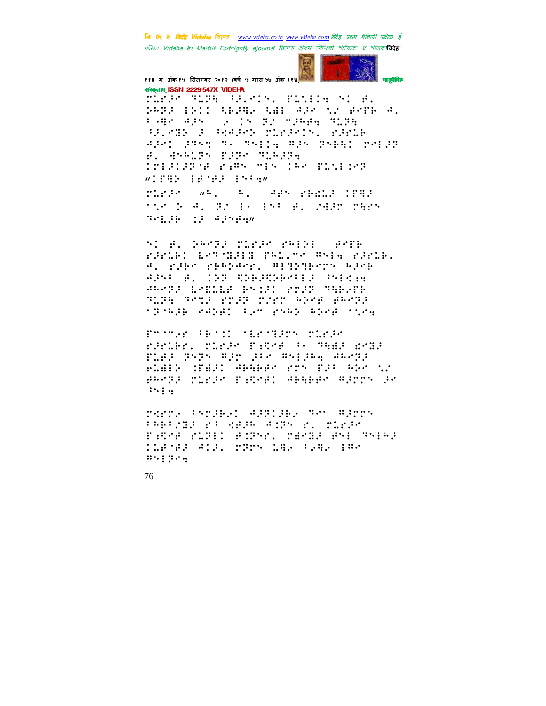

संस्कृतम् ISSN 2229-547X VIDEHA rîfik gira geleta. Bizota at e. SATE ENIX SEPER SEE APRILY ARTE A. FOR 425 2 15 22 MPHF 3128 SPIRE F REPRODUCED FROM APPI PROTOK ROLLA RPS PORT POLPR E. BREEK BEEK TERRE ITERIARNE PARS MES IRS PLUEDSP wiffin is as integr ringe wa, a, aga naing 1992 the Song Brode day A. 24Ar rara Tendi ti disang

SI B. GRYBA MIRAY PRIGI (BYPE) rarde: Lettaals Pedine Welk rarde. A, rubr rbhann, Aldabra Alch APROVE CONTROLLERS CONTROL ARRIE LRICHE BRIJE STIP MARTE TIPE TATE STEP TIST REAR BRAFF rgraph rang: Chr. pran and crire

Poster (Print (16511255) player rander, music futch (6 Seda Gros FLAR PYPY WRP RPP WYERE WARRE FLATE START ARARAM KTM FRA APM NO gary: rungr patre: spager synn gr  $\cdots$  :  $\cdots$ 

rerry thriby: Aldiaby New Albre PARTICLE PROGREM ANDS PLOTERED FARME PLAID ANAMOUR TARE TO THE REAL **CLEMED ATEL 2727 LB: F.H. 186**  $0.1001$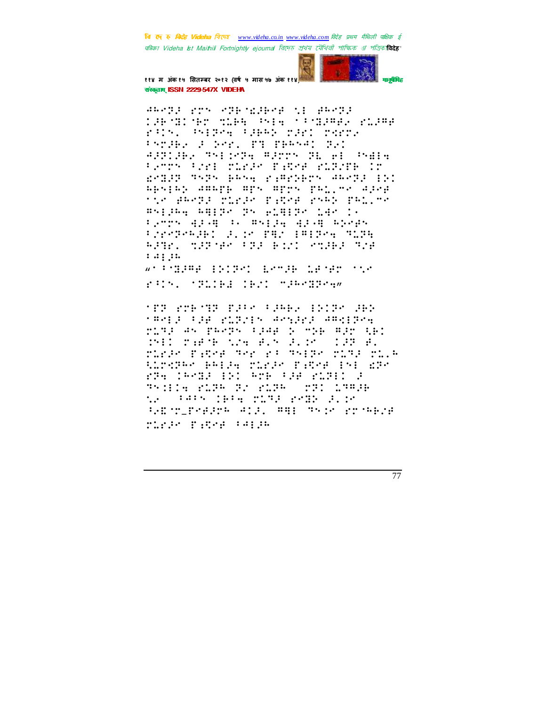

११४ म अंक १५ सितम्बर २०१२ (वर्ष ५ मास ५७ अंक ११४) संस्कृतम् ISSN 2229-547X VIDEHA

ARKSE KON KSENKEREN NE ARKSE 196701765-5166-3514-13709862-21988<br>23151-351984-39662-5921-59252 Professor Show PROPERTATORS APPLERY THEOGRAPHICAL PEACH-CHEEN Penny Perl middy Face Ruser (2 self Tepe Base parriers Waver (f) spersy amapp mps mpps pai, me apep tic PROF TEST FROM 2552 PRESO #51264 68125 25 e18125 145 16 tynns grup ti mspig grup byegs Presented Control Philes Suph APROVERSING FRAUDIC SERRA STR  $1.41, 11.$ 

writer control concerned the FIN, TELLED IEN TERTERA

'TP rre'TP TIER FJAB2 ISIDE IDS **TRADE FRE PORTER RANGER RENDER** ring as parps than 3 mph war thi DEL THER NON BIN BID (198 B) TERRY PARKE THROUGH THEFT TETRO TECH Ulropac Balle close fight informate PRAY (PHORAGE) 101 (PPP) 108 (PLR1)  $\ddot{\cdot}$ **THILL FIRE RI FIRE ( 271 19828)** ta (FAPA (BPA MINE RAIN S.M BETTLEMBETH ALB. ARE THIM PTIMEIN ringe range (sign)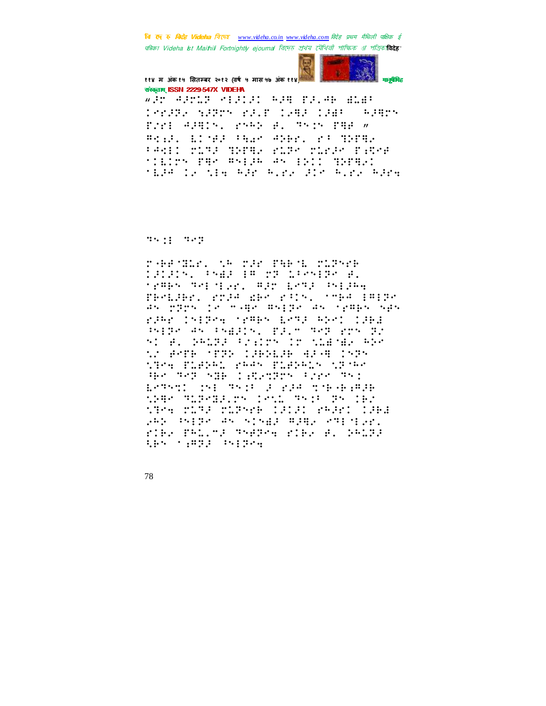

११४ म अंक १५ सितम्बर २०१२ (वर्ष ५ मास ५७ अंक ११४) संस्कृतम् ISSN 2229-547X VIDEHA

war Aarop Pillie: Aag palae Bode 89232 53355 2318 1293 1385 1  $\sim 14 \, \mathrm{mm}$ Fre: APRIN, rubb A. Thin PRP W Real Elma (Age Ayer, 20 Type. PANIL MUSE SPEED PUPP MURPH FARME tiains per magne as goil more.t tile to the electronic limeter elect

## $35.11 - 3.03$

rakenman (18 ran fakam rugank)<br>1919:51 (549-18 ran ruganega) traps and direct age brag (began) Perblek, role der rath, ine improved<br>An open tronge mapproan nemen nen rang infred crops began brei iaba Peperan Peggin, palm Rep ann Ro SI B. GRIBE FRIDY IN MIBMER RGC tr especially capacie also typy tica Click photography tick He was am finerate the war ESTATIONS TAILS FOR THE BERE 1988 MIRMERIES ISL MAIN RS IES vara sona sobrat (Acac'arlac . . . . . . <u>.</u> 2020 15:30 45 5:52: 8:82 57:31 52: FIRE PROCHE THERE FIRE BY SANRE the supplicition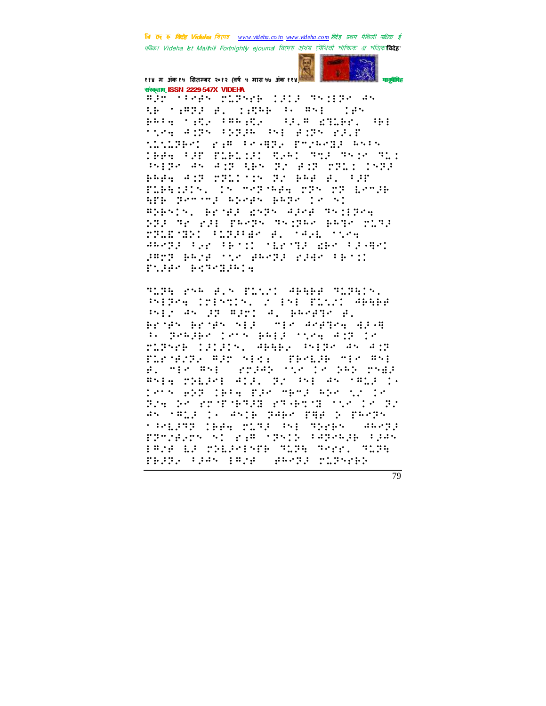

## ११४ म अंक १५ सितम्बर २०१२ (वर्ष ५ मास ५७ अंक ११४) संस्कृतम् ISSN 2229-547X VIDEHA

#20 riggs pipseb 1919 Msjlpr 45 SB 1982-8, 1956 (2001) 195 phig file (#6.2) (2.# 21.#2, 40) tive admission metadorich thinged raw crappy provers were TEPH FUR PLELIUS RUP: 351 3516 311 PHER AN ANT LEN FIN BIR TELL INFE PRES 432 2211125 22 PRE B. 532 PLEASING IN THE THE SPN SP EATH APE Bening apegs pape (e. s) #26515. Briel c575 4256 #511756 533 Nr 233 PR-25 NS-2005 BRT- 21NF rdiment (fidebar al 1924 - 1924)<br>Shedd far ferii (firedd men fdygel ast belg the Benga page fort FLAR RETENCE

TITE PAR RIA TINIT APREF TITELA. PHIRME COINCING 2 INF PICTI ARABA PHIN AN IP BINI A. BRNATH B. Brids Brids SEP (MES ASPES APAR al program prost population and the MIRTH CALAST SHARP STORY AN AND ELEMENTA ART SERI (EPSLAD MEN ASE  $\mathbf{B}$ , who we have arage the Company read Brig MALPH ATE, BY PHONE CRLES 1995 AND TEEN BOR MEMORIAN NO TR Fre bo sports will steer month in Fr An INSEE DE ANDE PARK PAR DE PARPN tengaa dees ruag es anges (Abrag ranyezho ol ele baoik (Adeege (pAO PROF ES MOLSKINFR MUSH MARRI MUSH **WEST-100-1878** SHARP SCRATCH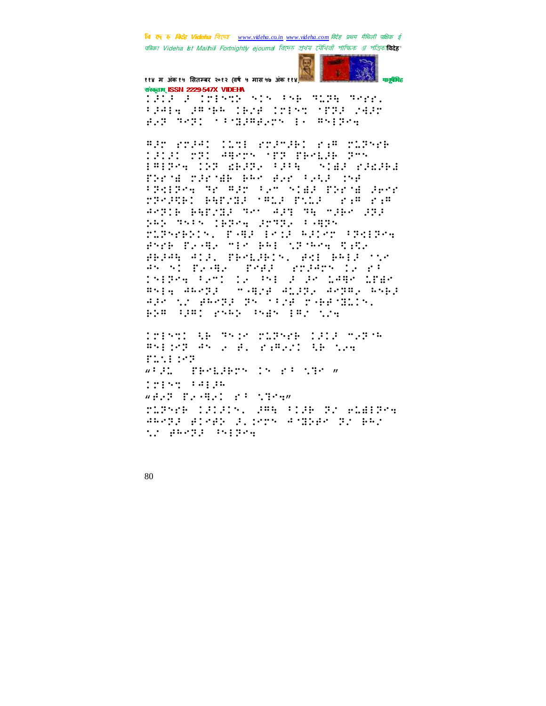

११४ म अंक १५ सितम्बर २०१२ (वर्ष ५ मास ५७ अंक ११४) संस्कृतम् ISSN 2229-547X VIDEHA

1919 F Trings nin the SLPB Shr. PJADA JAMBA (BJB (MDAM MBG) 2430 BOT TET: CONSTRUCTS IN THITES

APP POPAL CLOS POPULAR PAR CLAMP **TRIAL MORE AGAINST TO BEALAN ONS** PAPPA COP BESTA PAPE (STB) KARAWA Denis variab ben avr føld ove PREPARTE PROPERTY SIER PRESENTATION **MPRARE: BARYNA MAGA PVL2 (SiP SiP AMPID DATINE TWO APT TH MIDM PRE 202 TVIN (1220) 22322 F-825** MIPSMENIS, PARE PRINT REPORTERENT Prek from the BRI SPORT CHE BEACH COOK TEMEREDAY BAILERIE MAR AN NI PAGBA (PHA) STARTN IS PA Infanco Pent Ie (Pri a an 1986 inde skie skryp – napisanje, sryk, knep aphisy ambyl gollery# paperblis. 828 (28) 2562 (585 (82) 524

ITEMT AR TRIM TURNER ISID TURNA #51157 #5 2 #1 ra#221 RB New PLAINTE  $\mathbf{w}^{\text{t}}$  . The LPP of the state  $\mathbf{w}$ trish capia well from for the Mines MIRGE CHINE, PRESIDE BY FLATPS ARATE ALAGE ELIATS ASTERN TE BRE the district the page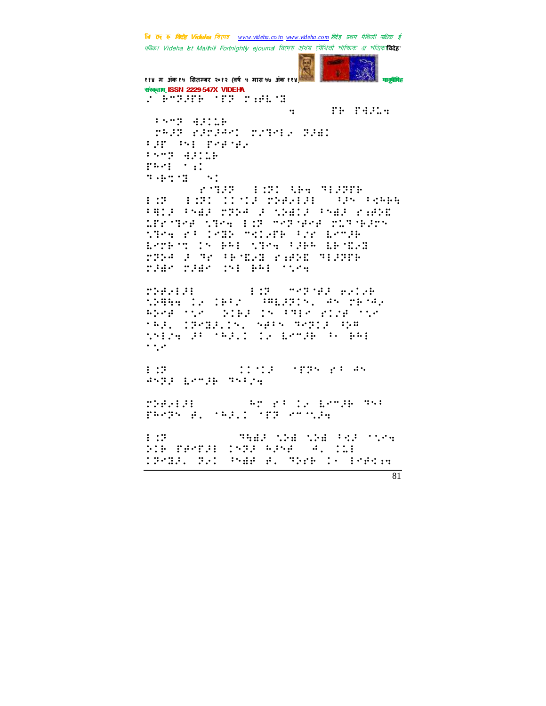**Service** 

११४ म अंक १५ सितम्बर २०१२ (वर्ष ५ मास ५७ अंक ११४) मानुबेमिह संस्कृतम् ISSN 2229-547X VIDEHA **COMMENTS** THE POST OF **Simple State State**  $\ddot{\mathbf{u}}$  $\begin{minipage}{.4\linewidth} \begin{tabular}{l} \multicolumn{2}{c}{\textbf{\textcolor{blue}{\bf{1}}}} & \multicolumn{2}{c}{\textbf{\textcolor{blue}{\bf{2}}}} & \multicolumn{2}{c}{\textbf{\textcolor{blue}{\bf{2}}}} \\ \multicolumn{2}{c}{\textbf{\textcolor{blue}{\bf{2}}}} & \multicolumn{2}{c}{\textbf{\textcolor{blue}{\bf{2}}}} & \multicolumn{2}{c}{\textbf{\textcolor{blue}{\bf{2}}}} & \multicolumn{2}{c}{\textbf{\textcolor{blue}{\bf{2}}}} \\ \multicolumn{2}{c}{\textbf{\textcolor{blue}{\bf{2}}}} &$ **TRIP FINISHED WITH A TIME** tup by person 1572 4211P  $T^{L+1}$   $\cdots$   $\vdots$  $3.442.2$  $\ddots$  $2.1331$ **AND AND AND AND AND ADDRESS THE CONSTRAIN**  $\vdots$  :: **Sim Property** FALE PREP 2324 I MARIE PREP 23228 WERTHAM SHAR ESP TAPTAAR TWETERT STRACY DOBY TRIVER POW BRTAR<br>BROBOT IN BAILSTRACHABH BBOBVE **2324 3 72 10:32 2.000 71:330** rage rage informations rbeletje<br>Spena (2011-tj. - Peljepis, as resale **THEFFI** REAR TO STREET IN FREATURE TO rêşî (pêzgilê) Apra depjî pe.<br>1912a 25 (52.1 li berze 56 pe)  $\cdot$  ... **CONSTRUCTION**  $\mathbb{R}^n$ **ANDS LETTE THISS SAME REPORT OF STREET Minimal** PROPRIA SALL SPROSTORE  $\vdots$  :: THE APE APE FOR TAPE SIR PARTAM 1973 RASA (A. 118 1989. 921 **Ship B. Ship I, Press** 81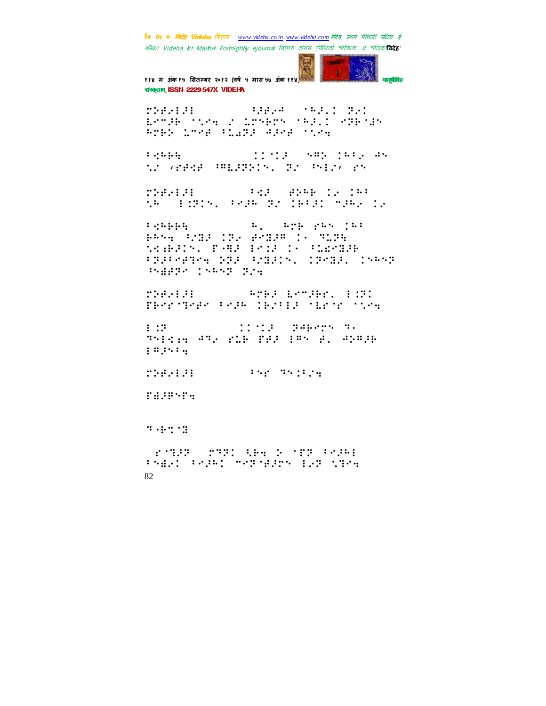

११४ म अंक १५ सितम्बर २०१२ (वर्ष ५ मास ५७ अंक ११४) संस्कृतम् ISSN 2229-547X VIDEHA

**SPEAK SERVICE Minister** ichar (1954) a longen (1932) earlich<br>Aora iner Filma Fare (1954)

 $\begin{array}{ccc} \textcolor{blue}{\textbf{1}} & \textcolor{blue}{\textbf{1}} & \textcolor{blue}{\textbf{1}} & \textcolor{blue}{\textbf{1}} & \textcolor{blue}{\textbf{1}} & \textcolor{blue}{\textbf{1}} & \textcolor{blue}{\textbf{1}} & \textcolor{blue}{\textbf{1}} & \textcolor{blue}{\textbf{1}} & \textcolor{blue}{\textbf{1}} & \textcolor{blue}{\textbf{1}} & \textcolor{blue}{\textbf{1}} & \textcolor{blue}{\textbf{1}} & \textcolor{blue}{\textbf{1}} & \textcolor{blue}{\textbf{1}} & \textcolor{blue}{\textbf{1}} & \textcolor{blue$  $\mathcal{L}$  , where  $\mathcal{L}$ trovered PERPETS, Professors

SA PENTS, PRPH BY IBPAI MPRESS

 $\mathbb{R}_+$  , and  $\mathbb{R}_+$  are  $\mathbb{R}_+$  . **Particle** 8854 RMB CRA 80008 CA MLPB SCHRIM FAR PORT IN MEMBER FRIGHTEN SEE FREEDS (IREEL ISBSE **Shapper Change Big** 

**MARKET SAMAGE LEMPRESS FIRE** PROPORT FOR CROSS CENTRAL COOP

 $1.13 - 1.7$ **Mills Babers T.** Things AT, rie red ins el angue  $1.011111...$ 

THE STATE STATE STATE STATE TO THE STATE OF THE STATE OF THE STATE OF THE STATE OF THE STATE OF THE STATE OF T

racese

 $7.4411$ 

 $\begin{minipage}{.4\linewidth} \begin{tabular}{l} \hline \multicolumn{3}{c}{\textbf{0.1}} \end{tabular} \begin{tabular}{l} \hline \multicolumn{3}{c}{\textbf{0.1}} \end{tabular} \end{minipage} \begin{minipage}{.4\linewidth} \begin{tabular}{l} \multicolumn{3}{c}{\textbf{0.1}} \end{tabular} \end{minipage} \begin{minipage}{.4\linewidth} \begin{tabular}{l} \hline \multicolumn{3}{c}{\textbf{0.1}} \end{tabular} \end{minipage} \begin{minipage}{.4\linewidth} \begin{tabular}{l} \multicolumn{3}{c}{\$ PARAT PASAL SARAHIN PAR STAR 82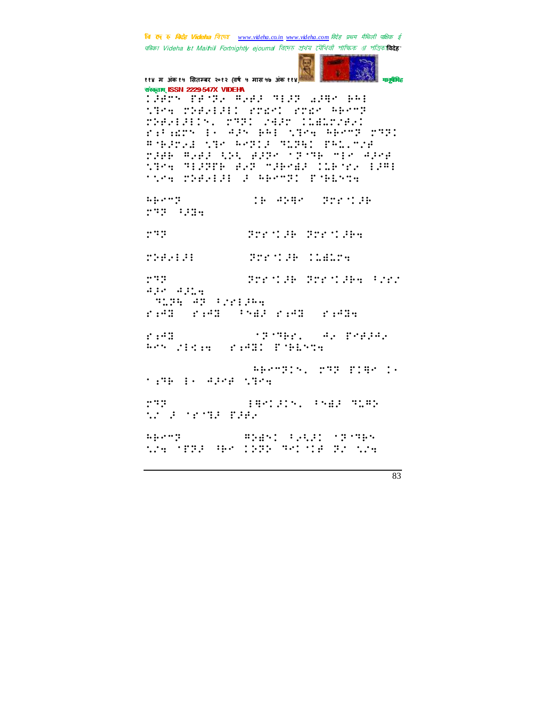११४ म अंक १५ सितम्बर २०१२ (वर्ष ५ मास ५७ अंक ११४)

संस्कृतम् ISSN 2229-547X VIDEHA thes prop. Agap Midd ways pa: the created creed cree about registry, run rasp Channer: Patarry is guy pai the specificant Roberta operacere minat pairmer rage waa wa gare From Ale Gaeg the Michel Act Schedule theory ich **TOPA CORRER PORTHOLD E SENSON** 

 $1.1.111$ th space frright 232 1234

 $222$ The Case The Cabe

**There**: He **The Contractor** 

 $222$ **STETLE STETLER FIEL**  $\mathcal{A}(\mathbb{R}^2) = \mathcal{A}(\mathbb{R}^2), \mathcal{A}(\mathbb{R}^2)$ 3134 43 122134

ri41 ri41 (542 ri41 ri40)

**SPORE AS PORTS**  $\mathbf{r}$  :  $\mathbf{r}$  : Art Sidem (PiAN) Poblach

**ABRYSTY, 273 PIRM IN SAME IN SPECTION** 

 $\mathbf{r}$ **BERLEY: PARE MINE WE SEEMS THE** 

 $\mathbf{a} \in \mathbb{R}^{n \times n}$ **BOBY PACK TRIPS** the SPRE He 1989 Aniste Richard

83

|| म**नुवैमि**ह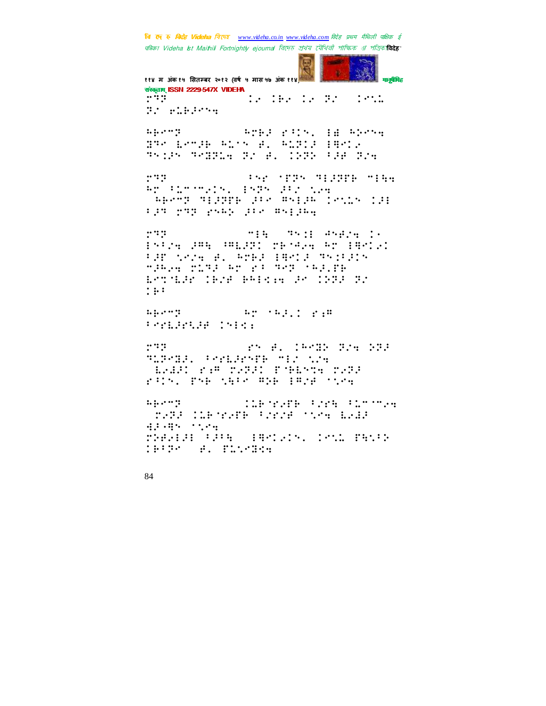**Council** 

**AND HIGHE**  $\mathbf{z}$ ११४ म अंक १५ सितम्बर २०१२ (वर्ष ५ मास ५७ अंक ११४) संस्कृतम् ISSN 2229-547X VIDEHA  $\mathbb{R}^{n}$ is the 19 May 1971 Br electors

 $1.1.111$ **ATES FILM, 18 ADMA** BRA EAMOR RETN B. REDIO IRADE Third Telling In A. (1918 F.H. Ing

 $222$ ster from Sidney Side Ar Chronicle, 1989 Bir New SARPTE MISSER SPROWAGE (PNIN 131 tim gun gang its mailwa

 $\cdots$ **STEP THIS ANALY IN** Entra 285 (8628) renau Ar E85121 FAR NAZA BI ROBA ERAIA SYSTEM makes class be recovered that re-Estile Chromeion es Calcula  $:$ 

 $1.1.111$  $\frac{1}{2}$   $\frac{1}{2}$   $\frac{1}{2}$   $\frac{1}{2}$   $\frac{1}{2}$   $\frac{1}{2}$   $\frac{1}{2}$   $\frac{1}{2}$   $\frac{1}{2}$   $\frac{1}{2}$   $\frac{1}{2}$   $\frac{1}{2}$   $\frac{1}{2}$   $\frac{1}{2}$   $\frac{1}{2}$   $\frac{1}{2}$   $\frac{1}{2}$   $\frac{1}{2}$   $\frac{1}{2}$   $\frac{1}{2}$   $\frac{1}{2}$   $\frac{1}{2}$  Production (Sid)

 $\cdots$ **Profil (PRID ING 200** TERMIN PRESENTE TECHNIC (LAIRD FAR TARR) FORESTA TARR ring for the search with the come

 $\ldots \ldots \ldots$ TERMINE POPE PERMISE TARA CORTAGER POTOR TOTAL BABA  $\begin{aligned} \frac{1}{2} \left( \frac{1}{2} + \frac{1}{2} \right) \mathbf{v} & = \begin{pmatrix} \mathbf{v} & \mathbf{v} \\ \mathbf{v} & \mathbf{v} \end{pmatrix} \mathbf{v} \end{aligned}$ THREE PROFINSION INTERNET **THIRD H. PLACHER**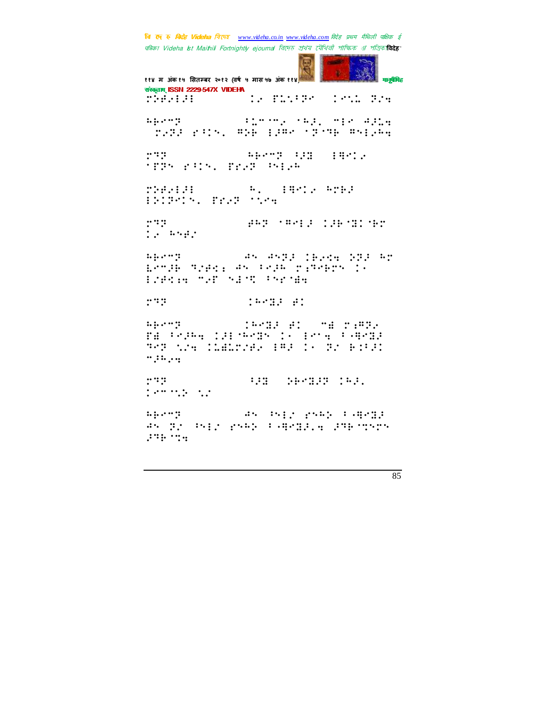**CONTRACTOR**  $\mathbf{a}$ **हर्जी मनुबेगि**ड ११४ म अंक १५ सितम्बर २०१२ (वर्ष ५ मास ५७ अंक ११४) संस्कृतम् ISSN 2229-547X VIDEHA **IS TESTIFY WORLDEN THEFER** ebrog (\* 1500), 1500 kolego (\* 1500)<br>Spaga (r 155), 156 (1500), 1500 kolego (\* 1500)  $1.1.111$  $\mathbb{R}^{n}$ **SEPTI MI MARY** TERN PRINT EDGE PHILE **TERMINE A. WEST-BOOK** ENTRIAL PRAP (SAR)  $\mathbb{R}^{n}$ **ARE TRAIN THE MITTE**  $\mathbb{R}^2$  and an angg (Bede 200 kr  $1.1.111$ ESTAR TERRI AN PAPR PITCHEN IS ESPAIN THE SECRETSFORM  $14411 - 01$  $\mathbb{R}^{n}$  $(14932, 41)$  and  $74974$  $1.1.1.1$ ra (kama japanén) polinsa (kanal **THR NIM CLAIMAGE BRS IN THIS BIRST**  $\ldots$  $222$  $\frac{1}{2}$  ,  $\frac{1}{2}$  ,  $\frac{1}{2}$  ,  $\frac{1}{2}$  ,  $\frac{1}{2}$  ,  $\frac{1}{2}$  $1.1.111$ **SAN PHILARMAN PARAGE** AN TO PNEO PNAD FORMIELA INFORMO  $199.999$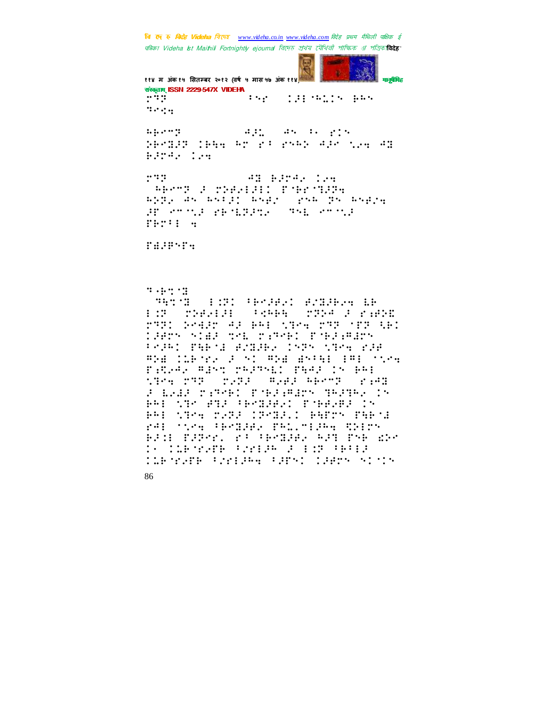**Service** 筹 ११४ म अंक १५ सितम्बर २०१२ (वर्ष ५ मास ५७ अंक ११४) मानुबैमिह संस्कृतम् ISSN 2229-547X VIDEHA  $\cdots$ THE SALES SAM  $\mathbb{R}^{n}$  $\mathbb{R}^n \times \mathbb{R}^n$  $\langle 45, -44 \rangle$  gap  $\langle 5, -44 \rangle$  $1.1.111$  $4.31$ NEPSIE (1844 AT 23 254) 410 524 43 B2242 129  $\cdots$ **AB BATAR CRA APPS 2 SPEED: PAPSER** ayay as asign asay (psa ps asaya an emplacemental components FETTE 4 racesca  $1.4.9.11$  $1341111$ **AND SERVICE STRIKE IN FOR THEFILE**  $\mathcal{L}$  :  $\mathcal{L}$  :  $\mathcal{L}$  :  $\mathcal{L}$ **The Communication** 2921 SA422 A2 BAI (1944 292 (1926 AB)<br>12825 S142 SAL 2394B1 P/B238225 Print Tabol Braine 1979 Streethe **ADE CLEARS FOR ADE ENTER PART (SAM** FARAA ABY PAPYED PAAR IN BAD 1964 292 2122 9122 55092 213 F EVER SYSTEM PORFIBUS TRATAL IN PHI STR RTP (PROBRE) PORRER IN PH STAR MARK IPSEAL PREMA PRPSE PAI TOTH FRONZEL PROJECTS WHICH BJ18 TJP46, KT TB48JB2 BJ3 T5B KD4 IS CORNELL PERSON DOESNESS TIRANE PANIJAN PJEST TJANS STATS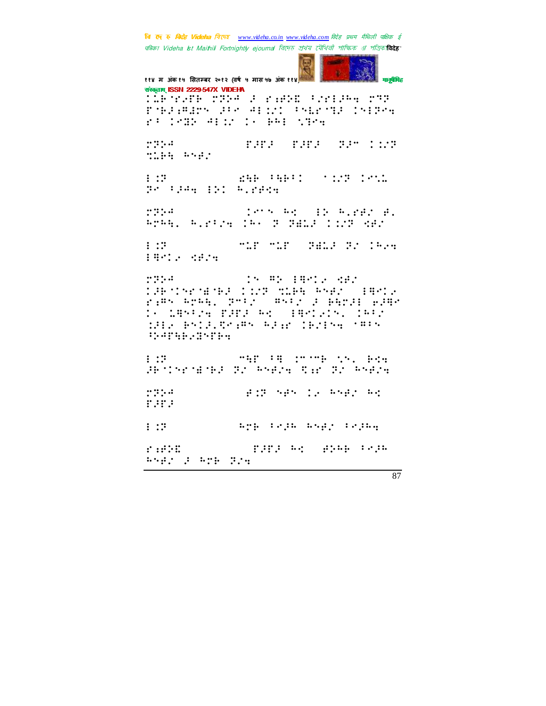**CONTRACTOR** 

筹 ११४ म अंक १५ सितम्बर २०१२ (वर्ष ५ मास ५७ अंक ११४) मानुबैमिह संस्कृतम् ISSN 2229-547X VIDEHA <u>TÎRAYEK 2324 J PARR FZPLAG 233</u> PORTHERN THAN HEIMI PALENTE INTERA ra 1885 Aliz (3) BAL STAR mando de THE THE THE LET the safe  $\vdots$  ::: RAD HALL STORES Br (1944-191) Rigger (1855-54) IP Ringer B. **MAGES** ArAG, A.Ptra TAX 2 2812 ISS2 MAC *<u>ALLES AND ANNUAL TECHNICAL SERIES AND STRUCTURE OF STRUCTURE OF STRUCTURE OF STRUCTURE OF STRUCTURE OF STRUCTURE OF STRUCTURE OF STRUCTURE OF STRUCTURE OF STRUCTURE OF STRUCTURE OF STRUCTURE OF STRUCTURE OF STRUCTURE OF*</u>  $\mathbb{R}^2$ EASTLE SACHE  $111141$ The Michael Helle (1942) 126715274762 1123 SIBA 5582 (19512)<br>2385 SPAL 3512 (8512) 2 BAD21 2285 18 LANGYA PAPA RKO (PROVINCO) DRO 1812 Bridgeream Adam Ibrina (Amir **MONDAY SERVICE MAP ON STATE CALL BOW**  $\vdots$   $\vdots$ **JENTARYENE PO PARZE REN PO PARZE** rnos **SACTO SACTO DE REAL RE FAPA**  $\vdots$  ::: s ben fejn begji fejng THIS WAY SPAN PAIN r Brit **WHAT I WE TAY**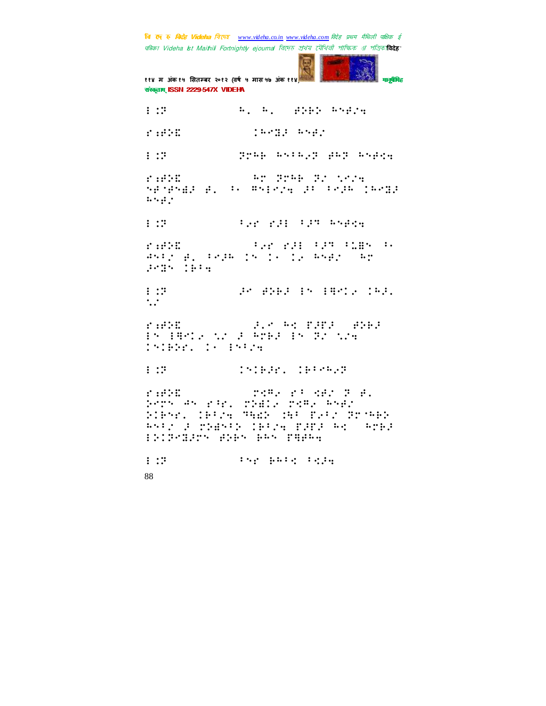**Service** 

मानुबैमिह

११४ म अंक १५ सितम्बर २०१२ (वर्ष ५ मास ५७ अंक ११४) संस्कृतम् ISSN 2229-547X VIDEHA

 $\mathbf{H}$ **A. A. STOR ANDIA**  $15.222 - 5.622$  $\mathcal{L}$  :  $\mathcal{L}$  :  $\mathcal{L}$ grap bething pay bepar  $\mathbb{R}^n$ **AT BEAR BEATER PARTICE** sporting p. t. majera professor parage  $1.342$  $\mathbb{R}^2$ **Sign rid City Angel**  $\pm 2.2$   $\pm 2.1$   $\pm 2.3$   $\pm 1.15$   $\pm 1.1$ r afir andro al Condecimito de la Anadro Ar.<br>Geografia  $\vdots$ SP ANDS IN INVISSING.  $\dddot{\cdot}$ . F.R. Rd PRPF ( PRPF  $\mathcal{C}$  :  $\mathcal{C}$  :  $\mathcal{C}$ 15 Tanis no a Anas (5762 noi Indeperience (Price) **CONTERCIONAL CONSTRUCT**  $\mathbf{1}$   $\mathbf{1}$ THE PROBLEM STATE  $\mathbf{r}$  and  $\mathbf{r}$ Sern An Earl redis real Andr BIRNE, IRINA MARK (AF PAPE BESAR) RSEN F MARSEN CRENA TATA RA CRMAR **MISSING SERVICE PRESS The BRIE Pale**  $\vdots$  :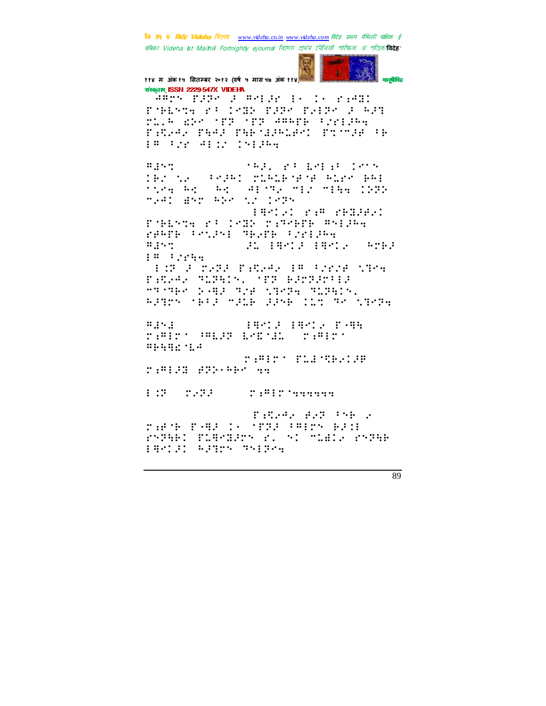

संस्कृतम् ISSN 2229-547X VIDEHA àêns pjpe j gebjp bi 19 rigo PORTOGEN PROVINCIPAL PAPER (PORT TLIR ENT TER TER WHATE FIREIRA THUR THE THREET TYTH IF ps bye digg jupical

 $11.144$ **SAPL PRODUCTS INTO** TEC NA COMPANY PLANE MEMBER AND PAI  $-4$ :  $7$ ,  $-1$ ,  $-1$ ,  $-1$ ,  $-1$ ,  $-1$ ,  $-1$ ,  $-1$ ,  $-1$ ,  $-1$ ,  $-1$ ,  $-1$ ,  $-1$ ,  $-1$ ,  $-1$ ,  $-1$ ,  $-1$ ,  $-1$ ,  $-1$ ,  $-1$ ,  $-1$ ,  $-1$ ,  $-1$ ,  $-1$ ,  $-1$ ,  $-1$ ,  $-1$ ,  $-1$ ,  $-1$ ,  $-1$ ,  $-1$ ,  $-1$ ,  $-1$ ,  $-1$ ,  $-1$ ,  $-1$ , the Resource of the Second State of the most gap and he tend

THOMAS PARTNERS Poblace at lady remark walles FRAME PROPERTY PERMIT POPINS  $11.144$ SL INSTERSITY AND  $10 - 17754$ CENT A TATA PARAGA ER PARAG NIMA

FARAH MIREN, MER BRETRIER eremo page nya shena ningin. samé (Braincip adebition de tres

 $0.15.1$ **SHORE SHORE PARK** rimer mass against rimer **BEARY LAT** 

*Times* **M** *M <i>M M M <i>M M M M* 

rach ran is the care show bid rogae: Placharo r. of clair rogae **EARLEY WEBPS MAIDER**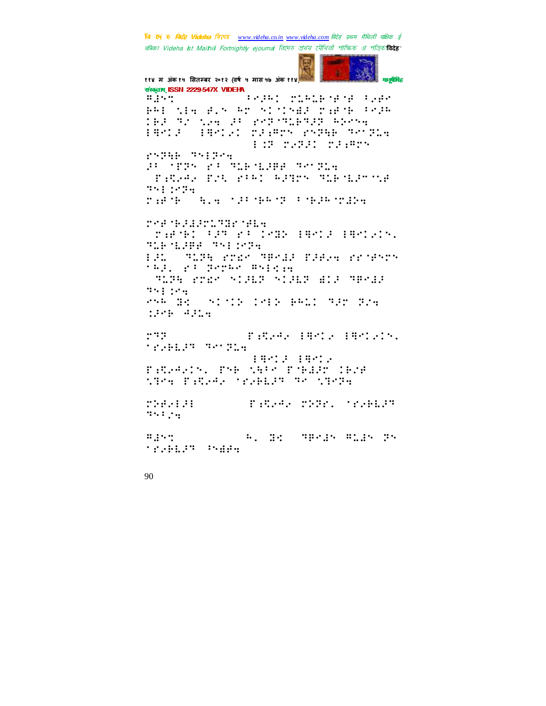**Service** ø ११४ म अंक १५ सितम्बर २०१२ (वर्ष ५ मास ५७ अंक ११४) मानुबैमिह संस्कृतम् ISSN 2229-547X VIDEHA  $1.0111$ **CONSIDERED**  $3.34.2$ PRESSENTING ROOMS IN THE PAPER COMPANY TEA TO NEW AT PORTHLETAR RECOR imis Genardsen rama españoraran **INT TATAL TARTS**  $\begin{minipage}{.4\linewidth} \begin{tabular}{l} \hline \multicolumn{1}{c}{\textbf{0.1}} \multicolumn{1}{c}{\textbf{0.1}} \multicolumn{1}{c}{\textbf{0.1}} \end{tabular} \end{minipage} \begin{minipage}{.4\linewidth} \begin{tabular}{l} \hline \multicolumn{1}{c}{\textbf{0.1}} \multicolumn{1}{c}{\textbf{0.1}} \end{tabular} \end{minipage} \begin{minipage}{.4\linewidth} \begin{tabular}{l} \hline \multicolumn{1}{c}{\textbf{0.1}} \multicolumn{1}{c}{\textbf{0.1}} \end{tabular}$ SI TER PI TABILER TETA THEAT THE PART AFTER TERMINAT  $354.1974$ refuge the state of the state of the state of the state of the state of the state of the state of the state of **PREMISSION SERVICE** CHANNEL PAR 29 1982 IBMLA IBML215. **SLEALINE SERVICE** 1912 - Tilha Shar (Thrair Plaina Saoinnt)<br>1941 - An Drome Amaria **SLEE FORM NIELE NIELE BIJ SPALE**  $\mathcal{V}^{(1)}\leftarrow\mathcal{V}^{(2)}\leftarrow\mathcal{V}^{(3)}\leftarrow\mathcal{V}^{(4)}\leftarrow\mathcal{V}^{(5)}\leftarrow\mathcal{V}^{(6)}\leftarrow\mathcal{V}^{(6)}\leftarrow\mathcal{V}^{(6)}\leftarrow\mathcal{V}^{(6)}\leftarrow\mathcal{V}^{(6)}\leftarrow\mathcal{V}^{(6)}\leftarrow\mathcal{V}^{(6)}\leftarrow\mathcal{V}^{(6)}\leftarrow\mathcal{V}^{(6)}\leftarrow\mathcal{V}^{(6)}\leftarrow\mathcal{V}^{(6)}\leftarrow\mathcal{V}^{(6)}\left$  $254 - 34$ **SAMIS DER BALL THE HIM** 1209 APL:  $\mathbf{r}$ files including the **SEPRED SECTION IRMID IRMID** PALAXING PARTNERS PARRY IROP MPH PALER SPAREN TO MTCPH **THURS TEEL TEALST MARGERS**  $\mathbf{1} \cdot \mathbf{1} \cdot \mathbf{1} \cdot \mathbf{1}$  $0.15.9$ **A. St. TRANS WIRES SEARCH SANA**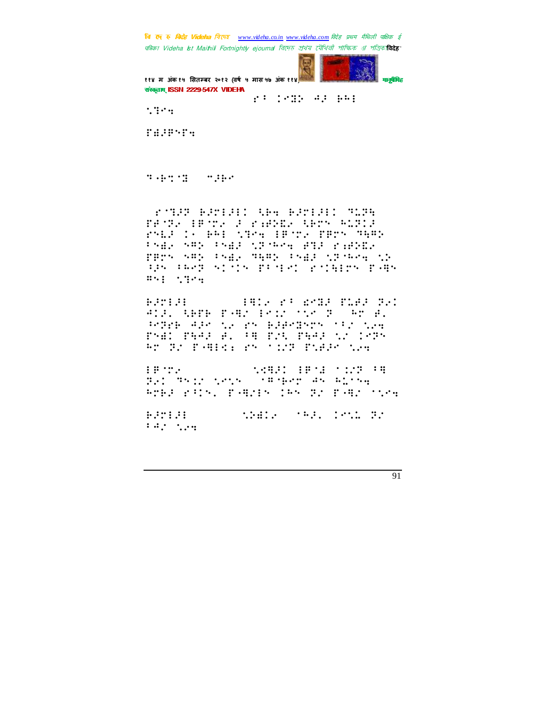ø मनुबैमिह ११४ म अंक १५ सितम्बर २०१२ (वर्ष ५ मास ५७ अंक ११४<mark>, व</mark> संस्कृतम् ISSN 2229-547X VIDEHA F: 18HD AP BAI

**Service** 

racesca

 $\sim 100$  m

**THEM STEP** 

SAMINE BIRITIC ARE BIRITIC MUNH FRONT HEORY FOR HER SERVICED PALE IS BREATEN HEATY FETY THEY Pres res Pres three ens resear FRON SAN PSEL MARY PSER SPORTS SN HPS FREE SIMPS PERFECT PAIRTS PARS  $0.41 - 1.394$ 

**BREEFING** ADEL ARTE PARK EKSK MAK FOORMEL PORTH ARM NE ROLLER BRANCH OF CONTR PART PART ALL PROPERTY TANK 1875 RO PO PARESE PROTICE PORPORAR

 $19.22$ **ANGEL IBAL ANG PR** Bellevin nens (Separate an airle ATES FILM, PHENIM IAM BY PHENIMAN

**START START CONSTRUCTS**  $1.42 - 1.74$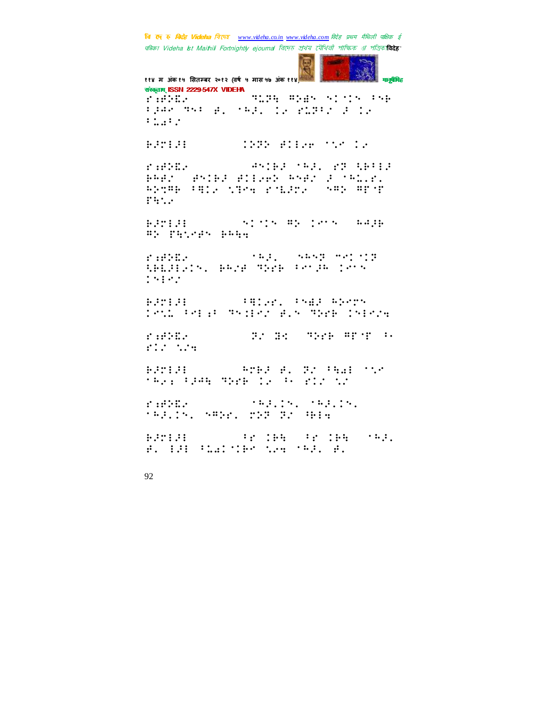**COMPANY** 

**AVAN** <del>ugit</del>is  $\mathcal{L}_1$ ११४ म अंक १५ सितम्बर २०१२ (वर्ष ५ मास ५७ अंक ११४) संस्कृतम् ISSN 2229-547X VIDEHA  $-2.24$  space of the role rander PERSONAL PROPERTY AND PERSONAL CA  $\mathcal{L}^{\text{max}}$ BOSON CONTROL STATES AND THE STATES  $-45144$   $-544$ ,  $-27$   $-44444$  $\mathbf{f}$   $\mathbf{f}$   $\mathbf{f}$   $\mathbf{f}$   $\mathbf{f}$   $\mathbf{f}$   $\mathbf{f}$ PRES CANTRA ATTEMPT PNAS A CANIER. ANTER FELR NIME ROLLER (1982-881) Philar  $\{ \alpha \}$  specially proved and pro-**BUSINE** sy patent page  $\mathbf{f}$  :  $\mathbf{f}$  :  $\mathbf{f}$  $\mathcal{L}^{\mathcal{A}}\left( \mathcal{B},\mathcal{B}\right) =\mathcal{L}^{\mathcal{A}}\left( \mathcal{B},\mathcal{B}\right) =\mathcal{L}^{\mathcal{A}}\left( \mathcal{B},\mathcal{B}\right) =\mathcal{L}^{\mathcal{A}}\left( \mathcal{B},\mathcal{B}\right) =\mathcal{L}^{\mathcal{A}}\left( \mathcal{B},\mathcal{B}\right)$ ARLAND PROF THE POST IS NOT  $1.9492$ **BOYER SERVICE START REPORT** Poul Polar Shalor Rin Shee Inform **The Manufacturer of the State State State** randers and a series and a series and a series and a series of the series of the series of the series of the s star tam **BASTERS SAMARA SERIES SERIES STATE** TRANSPORT THE IN THE BID OF  $\mathcal{L}^{\mathcal{A}}\left(\mathcal{A},\mathcal{B},\mathcal{B},\mathcal{B}\right)=\mathcal{L}^{\mathcal{A}}\left(\mathcal{B},\mathcal{B},\mathcal{B},\mathcal{B}\right)$ fifth. TRAIN, SPAC 200 P. REA BRTERE (1990) PROTECT PROTECTIVE B. 191 Phainier the Seater. B. 92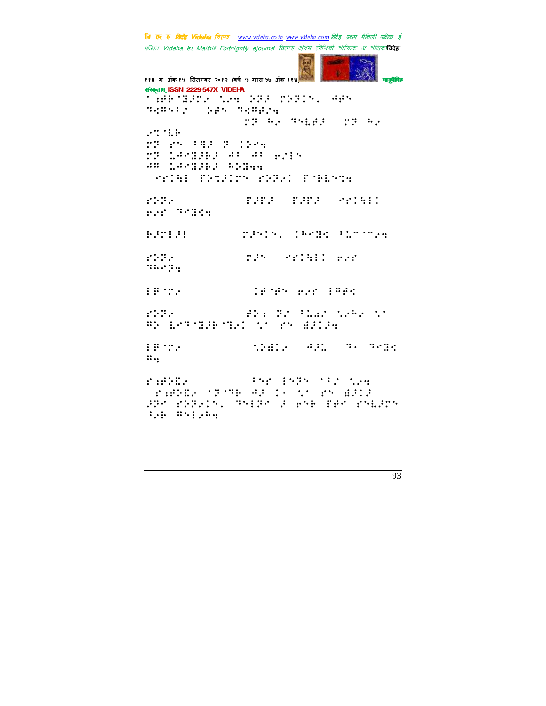मनुबैमिह ११४ म अंक १५ सितम्बर २०१२ (वर्ष ५ मास ५७ अंक ११४) संस्कृतम् ISSN 2229-547X VIDEHA timeshed the SSP 25315. Apr Semily Spr Semple 77 W. THEF (77 W.  $.42.414$ **23 25 382 3 1200** TT LAPHIED AL AL PRIS **WEIGH TREETH FREAD PORCH**  $11.744$ THE THE STORE even Share **TEST CONTROLLER BASTER**  $\mathcal{L}^{\text{L}}\mathcal{L}^{\text{L}}\mathcal{L}^{\text{L}}$ TP STRIPPE  $33.734$ EB the tenes electronic BR: BM PLAY NARA NY  $\mathcal{L}^{\text{L}}\mathcal{L}^{\text{L}}\mathcal{L}^{\text{L}}$ #POLYTOGENIAL ANDERSON **THIS ARE TO TAKE** i Birthe  $\mathbf{a}$ . rafile **Sing Engr Side Com** SPARED SPORT AR IN STORY WRITE FRA PORTOG SOFIED FOR THE POSTER  $1.44 \pm 0.1.44$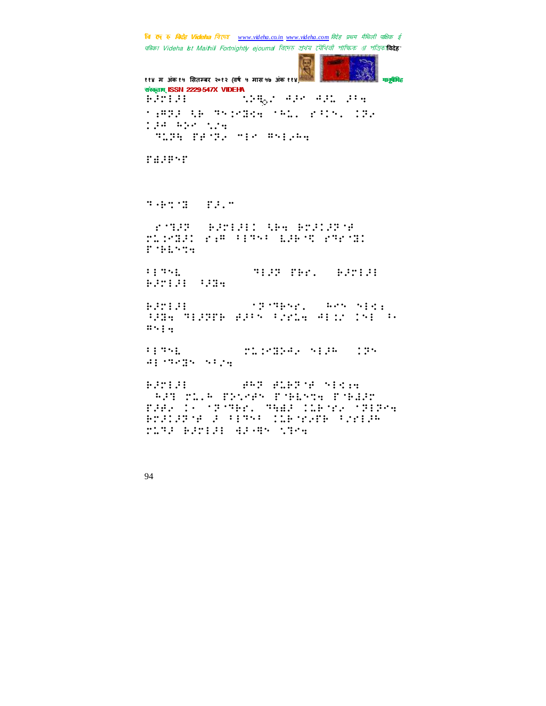**Service** 

 $\mathbf{z}$ मनुबैमिह ११४ म अंक १५ सितम्बर २०१२ (वर्ष ५ मास ५७ अंक ११४) संस्कृतम् ISSN 2229-547X VIDEHA 1948. AP AR PP **BREEFI THREE RESPONSE TELL FRING IRE** para and the **THE PROPERTY WALLER** 

racesc

 $7.4411 - 11.7$ 

BOSSIN ARE ROCCERS  $\mathbb{R}^{n \times n}$ TIPER PRODUCE INFT PROT Portlands

 $\mathbf{1}$  :  $\mathbf{2}$  :  $\mathbf{3}$ **MISS THE BESTIES BATEAN AANG** 

**STORESS, PRODUCT BATEAN** HARRY MILLER HARRY STRING AIRST IN 1991  $\cdots$  :  $\cdots$ 

 $\{1, 2, 4\}$ richtische State (195 aperage sign

BOTH FE **ANY BIDY WATER AST MILL ENGER FRENCH FREST** FJRA 18 (TROPHEL PHAR ILBORA (TRIPOR RODA DAR ORGANIZAR **MIRE BEMIE GEORG (TOG)**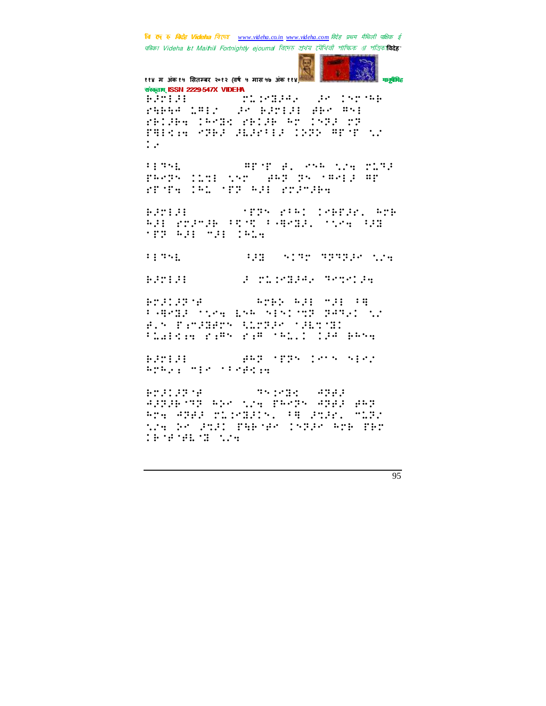**Service** ø ि मनुवैगिह ११४ म अंक १५ सितम्बर २०१२ (वर्ष ५ मास ५७ अंक ११४)

संस्कृतम् ISSN 2229-547X VIDEHA **MISSING AND STAR** PARAGUALE PO REPORT ARCHIVE rkigen (erde rkige er 159g på)<br>Balkin rakg gugrtlø (1991 approxi  $\ddots$ 

 $11341$ **SUPPLY AND NOW MILES** PROPS (1291) 150 (PRP PS (PRO) PP FF-PA IAL (FF-ASI FTS-SPA)

BATEAR (1999) STRY PART CHRIAN, AND RPE POPUL FOST FRANKLY TEACHER **TEP REP TEP 1814** 

 $13341$ **1980 - 2007 1999 - 100** 

**BATEAN SECONDENSIS SECONDENS** 

**Bradan Mar** 5999 591 791 79 PORTER TOTAL ENR. NEND THE BARGE OUT B.S. Personer Alegae (SACTOR Plainer removement. Dim BRS4

**BREATES INTERNATION BASE BASE** Aphar Sir Straigh

**Bradan Mar STRIPS AND** APPERTYPE AND STATE PAPPY APPE BAN Ara ARAA MISMIDS, FR ANAN, MIC the So And: Person 15720 Are Per **THEFT CONTROL**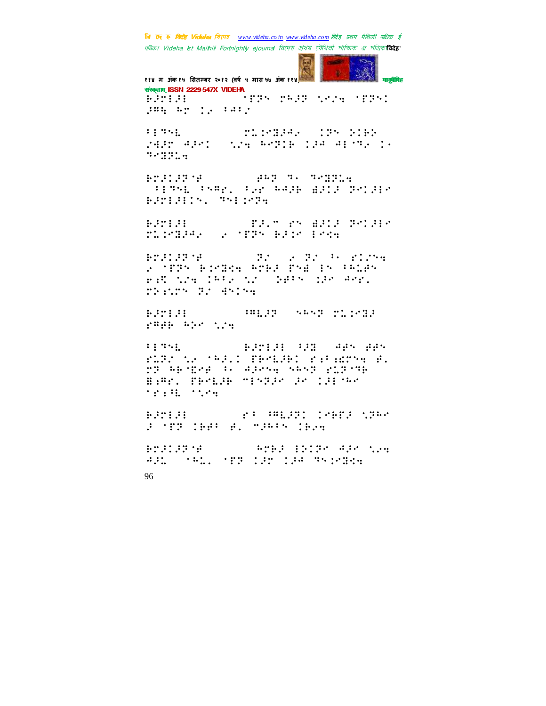**COMPANY ANY** HIGHE  $\mathbf{g}$  . ११४ म अंक १५ सितम्बर २०१२ (वर्ष ५ मास ५७ अंक ११४) संस्कृतम् ISSN 2229-547X VIDEHA **Service State Service State JAR AT 12 FARY**  $\{1,2,5\}$  . **MARKET COMMAND** yade ademokya kepik ida afeblik **Bedister AND THE THING BOSCAPIE** 1919-1-1-august 1-august 2019 persone **EPIPILY, 7511076 TELM PROBECT TRIBE** 892191 Sistema (Allenta Barro Paga **EMPLEMENT** Bralagne (1982) a gu sé plume<br>2 mBg Binghe Arba Bhé Bhí SAlen BAR NYA TARA NY SARRA 198 AMB. rights Broadtom **BATEAN SUBSCRIPTIONS** rage and the  $\mathbf{1}$  :  $\mathbf{2}$  :  $\mathbf{3}$ SIMPLE OR SPACE ruge to their regular random e. rd eksper in grong nend riding BARY, TEMEZE MINDER 28 121 NAM  $\mathcal{L}_{\mathcal{L}}\left(\mathcal{L}_{\mathcal{L}}\right)=\mathcal{L}_{\mathcal{L}}\left(\mathcal{L}_{\mathcal{L}}\right)\mathcal{L}_{\mathcal{L}}\left(\mathcal{L}_{\mathcal{L}}\right)$ 1990 - 1991 - 1992 - 1992 - 1992 - 1992 - 1992 - 1992 - 1992 - 1992 - 1992 - 1992 - 1992 - 1992 - 1992 - 1992 F MT INF R. MINES ING **Bradasher SAMPLE ENTRY APP NUM** ARD TAND THE CAN CAN BRINGEN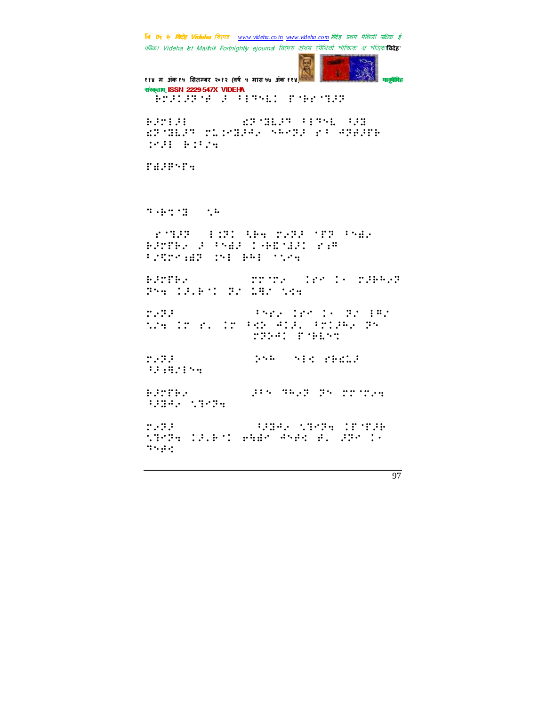मनुबैमिह ११४ म अंक १५ सितम्बर २०१२ (वर्ष ५ मास ५७ अंक ११४) संस्कृतम् ISSN 2229-547X VIDEHA Branarya a gaggan ryeryna **EPSILP HPS 92 BUSINE** EPARIN TERMINA SAMPI PA APPIRE  $14.33 \pm 1.13$ rasevr4  $7.4413 - 14$ **ROBB BON GH MARK OFF PAR** BUTTER OF PARK CHEMIC RIM POSTAGE IN PRESSING rror. Mr 1: rBB.B **BETTER** Pre 13.801 Pr 181 184 Press les la Proder  $7.777$ the Image Image Aid, animal pr **MILLE FALLAT** Ship als shall?  $11.777$ **Address** give days so rrores **BOTTE SERG STORE**  $17.777$ STORE IS.R.C. PRES PARK B. STO IS noger.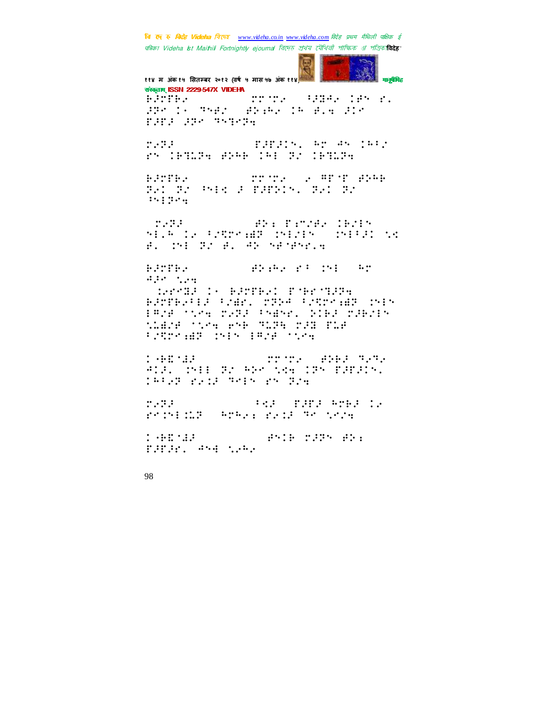**COMPANY AND THERE**  $\mathcal{R}$ ११४ म अंक १५ सितम्बर २०१२ (वर्ष ५ मास ५७ अंक ११४) संस्कृतम् ISSN 2229-547X VIDEHA TTOM WHEN IP TO **BUSSER** FRAME START CONTROL IN BOARDING FREE SPACE-TERRE  $11.3333...$ **THEIR AT AN IAPS PS IPHONE READ IN SECTION TEMPS AND THE SALE BRITER** BAD BY PHACE PERMINE BAD BY  $15.13794$ **WELLINGS CRAIN** - 11 - 11 - 11 - 1 MIRTIN FROM ARTIMITIK TOPPED NO B. THE RICH, AN SENEVICE and the state of the state of the state of the state of the state of the state of the state of the state of the **BUSSER**  $\begin{aligned} \mathcal{L}_{\mathcal{A}}^{\mathcal{A}}\mathcal{L}_{\mathcal{A}}^{\mathcal{A}}&=\mathcal{L}_{\mathcal{A}}^{\mathcal{A}}\mathcal{L}_{\mathcal{A}}^{\mathcal{A}}\mathcal{L}_{\mathcal{A}}^{\mathcal{A}}\end{aligned}$ MARTIN IN BUSIBAL POBROTHER RATEATLA FABILITYS (PACKIB CHI) PRIE TOTA MARA PRENE, DIER MARIN there they were miss for the POSTER IN PROFINSE  $1.441144$ rror. BBC 3.9. ALA, INIT RE ANY NEW IRA PAPAIN. 19522 PAGE 7515 PM 228 **SAME PATA ROBA DA**  $17.777$ POINT MIR SEPERING PROPERTY **WHITE** THE WEL  $1.441141$ ring, and the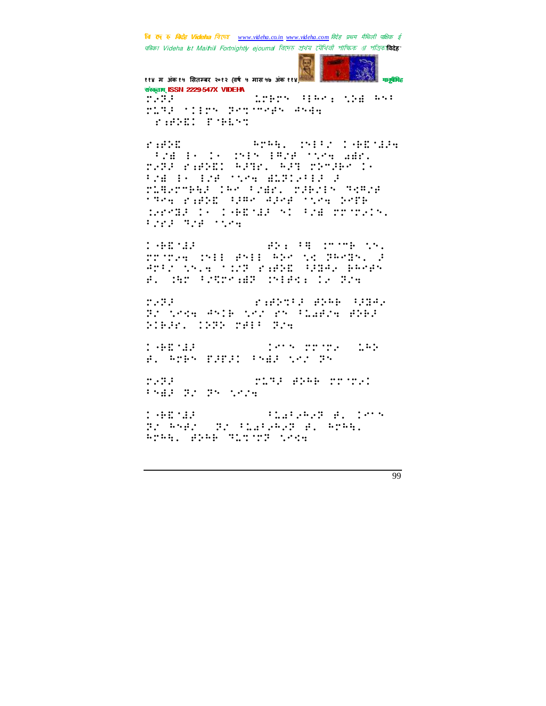ø ११४ म अंक १५ सितम्बर २०१२ (वर्ष ५ मास ५७ अंक ११४) मनुबैमिह संस्कृतम् ISSN 2229-547X VIDEHA LTET HEAT THE EST  $17.777$ 

**Service** 

ring offre Personal Anda **FIRED PORTS** 

 $1.1111$ **ArAG.** INDEX I-BENER Strainer De Steet emperatore add. TARE PARENT RENT, RENT TRYING IN Profession and completed and completed and MIRAMMER CRASHAWEL MARAIN REPAR the range of any strains prop SPPER IS CHEMER SI POR TOTALS. Pred Medical Company

 $1.441.44$ **BELOWED THE TELL** rrore chi shii aye to Tanzh. A APPLY NAVALLY DIRECTORER CONFIDENT #. Show former and inference heading

SWORTH ANNE ANNA  $27.73$ Br tree Anim tri an Fighte Abma **SIBRE ISBN 2818-224** 

 $1.441.44$ tre crow 181 B. ATEN BEBIT PARE NAT BY

 $11.777$ TLES SPAR TT TEST PARK BY BY SPIN

 $1.441.44$ **START START START** Br Rodr (Br PlateReB d. RrAd. Araq, spak Mirror teta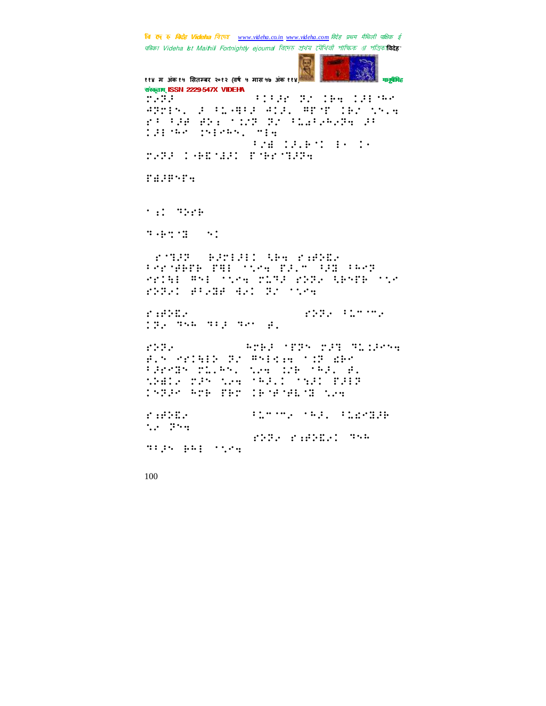**Service** 筹 मनुबैमिह ११४ म अंक १५ सितम्बर २०१२ (वर्ष ५ मास ५७ अंक ११४) संस्कृतम् ISSN 2229-547X VIDEHA **FIRE BY IB: 181758**  $17.777$ APMENT A PIGHTER ADAL ARTE DEN NNGA ri ise ekonomise ibalekek el.<br>1919e history mia **FILE CALENT EXICL MARK AND MARKET STARTED** race-ra  $\mathcal{L}$  : Then  $3.4423 - 51$ **RYBB BUTER: GHT REPORT** Promere PAI (1984-PA) 1982 Pers SPIEL PSI SASA PLEA PRES APSER SAS STORY BRANK HAD TO STAR rander pp. nam. nig new g.  $\mathcal{L}^{\text{L}}\mathcal{L}^{\text{L}}\mathcal{L}^{\text{L}}$ **ATES TERM TER RECEPTS** B.S. MEDBED TA PHERIM TIT WHO PRESENTATIONS ARE COMMITTED BY WEDNESD WAS TRACT TAAL FARE **INTER ATE TET IF SPECIE LAST SEPTE TEL SERIE** rafile the Break **FRUE PARKER 356** mage part street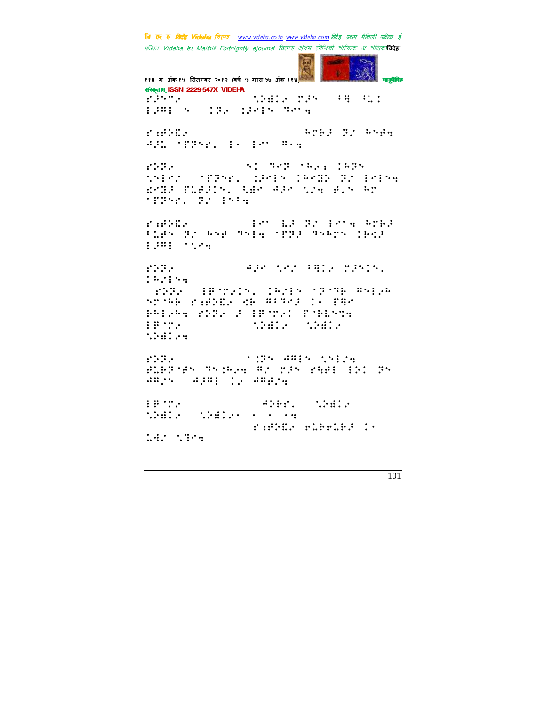**Council**  $\mathbf{g}$ **बर्जी मनुवेमित** ११४ म अंक १५ सितम्बर २०१२ (वर्ष ५ मास ५७ अंक ११४) संस्कृतम् ISSN 2229-547X VIDEHA  $\mathcal{L}^{(1)}$  and  $\mathcal{L}^{(1)}$ 1981 N 192 MPH 3054 STEP 22 Steep rafile **APL STRAY, Excellent Biog START**  $\begin{picture}(130,10) \put(0,0){\vector(1,0){10}} \put(15,0){\vector(1,0){10}} \put(15,0){\vector(1,0){10}} \put(15,0){\vector(1,0){10}} \put(15,0){\vector(1,0){10}} \put(15,0){\vector(1,0){10}} \put(15,0){\vector(1,0){10}} \put(15,0){\vector(1,0){10}} \put(15,0){\vector(1,0){10}} \put(15,0){\vector(1,0){10}} \put(15,0){\vector(1,0){10}} \put(15,0){\vector($ SAPAN (MERAN) (PAPA (PAGE RN PAPA)<br>BAGE PLAEDS, SBA APA SNA ADS PM **SPPARE PROPERTY** rafil. **SEPT LA PASEPHA AMBA** they by whe shieldings sharp liess  $\frac{1}{2}$   $\frac{1}{2}$   $\frac{1}{2}$   $\frac{1}{2}$   $\frac{1}{2}$   $\frac{1}{2}$   $\frac{1}{2}$   $\frac{1}{2}$   $\frac{1}{2}$   $\frac{1}{2}$   $\frac{1}{2}$   $\frac{1}{2}$   $\frac{1}{2}$   $\frac{1}{2}$   $\frac{1}{2}$   $\frac{1}{2}$   $\frac{1}{2}$   $\frac{1}{2}$   $\frac{1}{2}$   $\frac{1}{2}$   $\frac{1}{2}$   $\frac{1}{2}$  **APP NEW PERSONAL**  $f: \mathbb{R}^n$  $14.21941$  $\begin{minipage}{0.9\linewidth} \begin{tabular}{l} \hline \multicolumn{3}{c}{\textbf{0.9\linewidth}} \end{tabular} \begin{tabular}{l} \hline \multicolumn{3}{c}{\textbf{0.9\linewidth}} \end{tabular} \end{minipage} \begin{minipage}{0.9\linewidth} \begin{tabular}{l} \hline \multicolumn{3}{c}{\textbf{0.9\linewidth}} \end{tabular} \end{minipage} \begin{minipage}{0.9\linewidth} \begin{tabular}{l} \hline \multicolumn{3}{c}{\textbf{0.9\linewidth}} \end{tabular} \end{minipage} \begin{minipage}{0.9\linewidth} \end{$ star randisk baser i Me PHINH RND F IPTN: PTBNT4  $E: Y \rightarrow Y$ that that a the Constant  $1.125$   $4015$   $1.5124$ and the control BLETTEN TNIRGH AN MIN PARE END TN  $\frac{1}{2}$   $\frac{1}{2}$   $\frac{1}{2}$   $\frac{1}{2}$   $\frac{1}{2}$   $\frac{1}{2}$   $\frac{1}{2}$   $\frac{1}{2}$   $\frac{1}{2}$   $\frac{1}{2}$   $\frac{1}{2}$   $\frac{1}{2}$   $\frac{1}{2}$   $\frac{1}{2}$   $\frac{1}{2}$   $\frac{1}{2}$   $\frac{1}{2}$   $\frac{1}{2}$   $\frac{1}{2}$   $\frac{1}{2}$   $\frac{1}{2}$   $\frac{1}{2}$   $E = 1.1$ Salar Shale **Mary Mary Communication** Ler Stre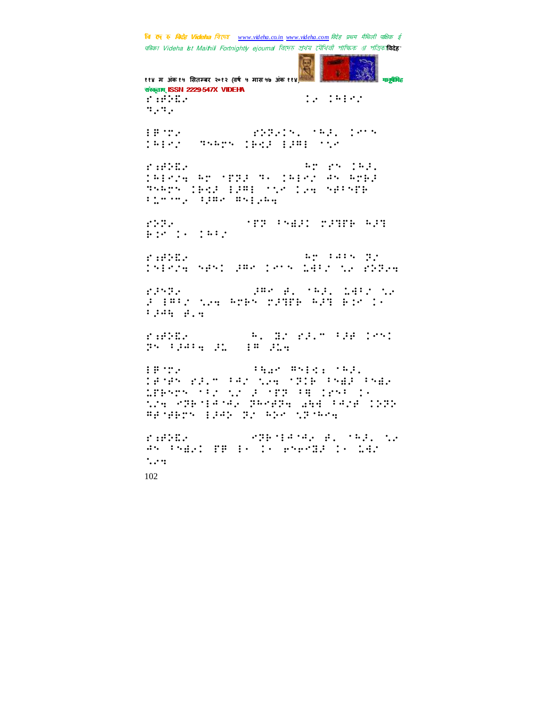**CONTRACTOR** 筹 मनुबैमिह ११४ म अंक १५ सितम्बर २०१२ (वर्ष ५ मास ५७ अंक ११४) संस्कृतम् ISSN 2229-547X VIDEHA  $1.2 - 1.44 + 1.7$ radical c  $\mathbb{R}^n$ .  $E: Y \times Y$ **SERVIAL MARY IMMA** paper (manga pagkipun) sar **Apple 1991** fiffir 161024 Ap (1832-36 16102 As Apé)<br>35625 1632 1281 116 126 545586 firms the might  $\mathcal{O}(\mathbb{R}^n)$  . **100 PAGE 2000 PAGE** Birth Carr  $\langle 5\gamma \rangle$  (1.41%)  $\langle 3\gamma \rangle$ radical r Infrase nend der Lrun defallate abdem  $\mathcal{O}(\mathbb{R}^2 \times \mathbb{R}^2)$  . (388) B. (583) 1852 12 F PAS SA AMA MARA AA PA'S'  $1.344 + 0.91$ (A) Hr ed." (38 1851 fiffir forege<br>35 Flata li (18 lia  $\mathbf{H}^{\text{H}}$ **Sign Shirley Shirl** lanas plum faz qua ngle fsal fsal<br>1865-25 nfl ol d'Argel fa libs lo tra specialne pesepa and tare trop BENBER 1985 BY BEN NBNBNG radio como de provincia de cada la AN INANY PROPERTY ANAMED IN LAY  $\ddots$ 102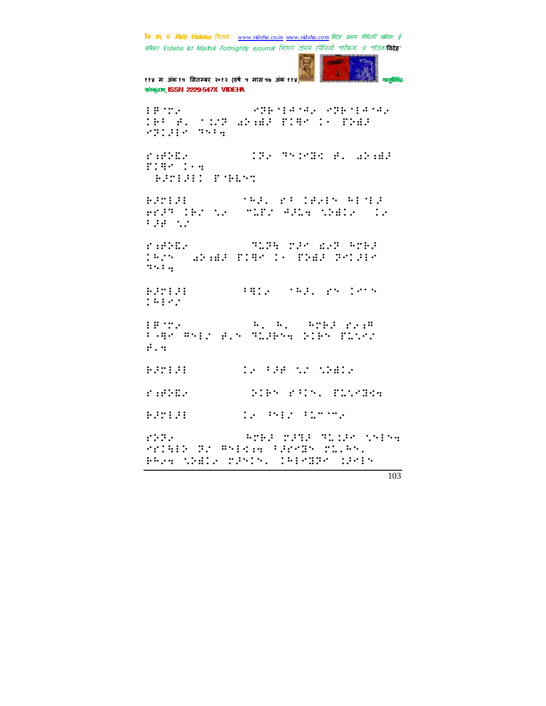११४ म अंक १५ सितम्बर २०१२ (वर्ष ५ मास ५७ अंक ११४) मनुबैमिह संस्कृतम् ISSN 2229-547X VIDEHA

 $19.12.1$ 195 B. SING ARABA PINK IS PRAG<br>POLINS MANA

rander **The Second Program** FIRM 1991 BOYEN PHET

8,823,831 REFUEL NA STARY AREA NEWS CA  $1.34 - 1.1$ 

TIME THE END ROBE rafile **TAYS GREEK TIME TO THE SECTION**  $\mathcal{V}(\cdot, \mathcal{V}_\mathcal{M})$ 

 $\mathcal{L}(\mathcal{U}_1^{\mathcal{A}}) = \mathcal{L}(\mathcal{U}_1^{\mathcal{A}}) = \mathcal{U}_1^{\mathcal{A}} \mathcal{U}_2^{\mathcal{A}} = \mathcal{U}_1^{\mathcal{A}} \mathcal{U}_2^{\mathcal{A}} = \mathcal{U}_2^{\mathcal{A}} \mathcal{U}_3^{\mathcal{A}}$ BOTH FE  $14444$ 

 $\begin{array}{ccccccccc} \mathbf{a}_1 & \mathbf{b}_1 & \mathbf{b}_2 & \mathbf{b}_1 & \mathbf{b}_2 & \mathbf{b}_2 & \mathbf{b}_3 & \mathbf{b}_4 & \mathbf{b}_5 & \mathbf{b}_6 & \mathbf{b}_7 & \mathbf{b}_8 & \mathbf{b}_8 & \mathbf{b}_9 & \mathbf{b}_9 & \mathbf{b}_9 & \mathbf{b}_9 & \mathbf{b}_9 & \mathbf{b}_9 & \mathbf{b}_9 & \mathbf{b}_9 & \mathbf{b}_9 & \mathbf{b}_9 & \mathbf{b}_9 & \mathbf{b}_9 & \mathbf{b}_9 & \mathbf$  $\mathbf{H}^{\text{H}}$ Pap may ay missy pik mike  $\mathbf{r}$ .

**Service Construction Construction BEATER** 

**STER PRINT PLANBAR** randa a

 $\begin{split} \mathcal{L}_{\mathcal{A}}(\mathcal{A}) = \mathcal{L}_{\mathcal{A}}(\mathcal{A}) = \mathcal{L}_{\mathcal{A}}(\mathcal{A}) = \mathcal{L}_{\mathcal{A}}(\mathcal{A}) = \mathcal{L}_{\mathcal{A}}(\mathcal{A}) = \mathcal{L}_{\mathcal{A}}(\mathcal{A}) = \mathcal{L}_{\mathcal{A}}(\mathcal{A}) = \mathcal{L}_{\mathcal{A}}(\mathcal{A}) = \mathcal{L}_{\mathcal{A}}(\mathcal{A}) = \mathcal{L}_{\mathcal{A}}(\mathcal{A}) = \mathcal{L}_{\mathcal{A}}(\mathcal{A}) = \mathcal{L}_{$ **BASEBAR** 

**ATES THE BUILD ANIWE**  $11.7333$ Prints Br #Steam (Breds ricks) PROBLEMENT TENDS, IPESSENS INSEN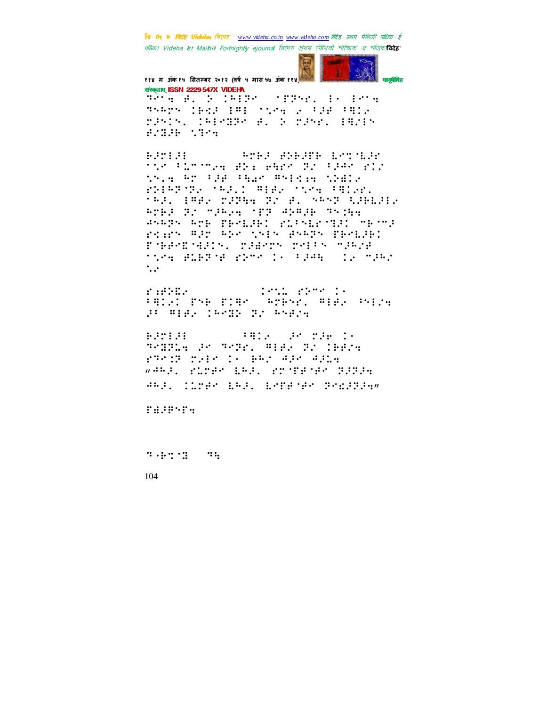

११४ म अंक १५ सितम्बर २०१२ (वर्ष ५ मास ५७ अंक ११४) संस्कृतम् ISSN 2229-547X VIDEHA

séng al d'Imige (nighel in inny 35525 (PMF 181 1556 2 128 1812) MANING IREPERD B. D. MANEL ERMEN **BOILED ANYWE** 

**SAME PREPRESENTED FRIDE** field browse abacamen ar famourr this Ar Fae Charlestin that. PRINTED SAFET WEEK STAR FULLE. \*\*\*: 1882 23955 92 8. 5559 5361312 5263 BY 73524 1PP 42836 95364 ANADN AME BERLIED WICHEMIED MECMI rear War by the Self Progress Conduct Pobentosis, planos onlis mikra tics BlBB B Stre Is FRAG (12 mPR)  $\dddot{\phantom{0}}$ 

rafely (film rend )<br>FALVI PSB PIAK (Freez Alach **SUPERPORTS IN SARIN** 

**SAME AS SERVICE BUSINE THING OF THREE WIRE IN INCH.** PROSE PAIR IN BROOKER ASSES wang, rings ing, rooffings fifty ARE, ILTAR LRI, LRIANAR PRESERW

rasevr4

 $7.4413 - 74$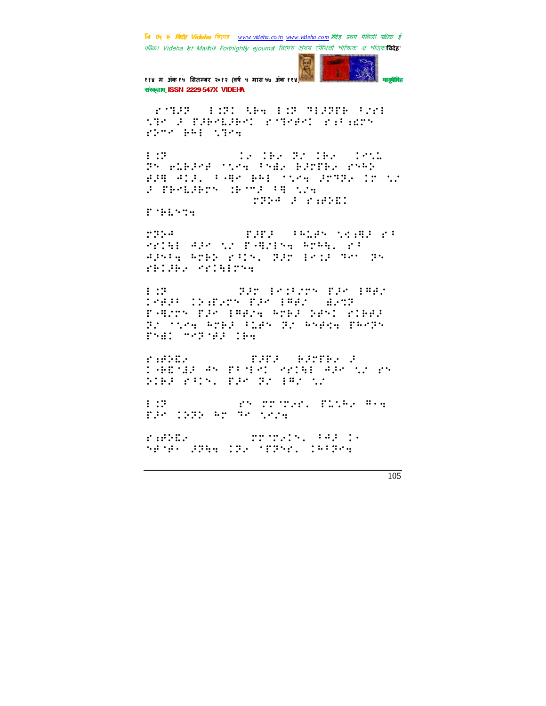

११४ म अंक १५ सितम्बर २०१२ (वर्ष ५ मास ५७ अंक ११४) संस्कृतम् ISSN 2229-547X VIDEHA

**ROBOT BOOK WAS BOOK AND A SERVER AND RESIDENT** MP 2 FJEMENT SMREM SAFARM rtmr BRI 1384

To The Roother Cont  $\vdots$  :: Progledge they they educed pres-838 ADAL FARM BAE SOME STREETS ON F PROBREY (BOOK PROCH TIM F PANIL

First-Te

material and THIS SEARCH SEARCH Prime Ale to Pamora Aram, re-Alberg Ankle Kalo, Tin Beni Ter Th rblib. srlbirne

 $\vdots$  :: SAM PRINTS TAR PART 1988 (Samary Pay 1982) A208 F-ASYS FRS 18824 RMB2 2851 MIBR di siya ama shek di ayaga mamb.<br>Thei shekara iba

radiction CARTES AN PENENT SYTHE APP NO PN NIER BAIN, TRY TV 182 MM

 $\mathbf{H}$ an proper final Road First CODE Art We tring

 $\begin{array}{cccccccccc} \mathbf{0} & \mathbf{0} & \mathbf{0} & \mathbf{0} & \mathbf{0} & \mathbf{0} & \mathbf{0} & \mathbf{0} & \mathbf{0} & \mathbf{0} & \mathbf{0} & \mathbf{0} & \mathbf{0} & \mathbf{0} & \mathbf{0} & \mathbf{0} & \mathbf{0} & \mathbf{0} & \mathbf{0} & \mathbf{0} & \mathbf{0} & \mathbf{0} & \mathbf{0} & \mathbf{0} & \mathbf{0} & \mathbf{0} & \mathbf{0} & \mathbf{0} & \mathbf{0} & \mathbf{0} & \$  $\mathbf{r}$  and  $\mathbf{r}$  and  $\mathbf{r}$ SPORT PRESIDENT PROPERTY INTROD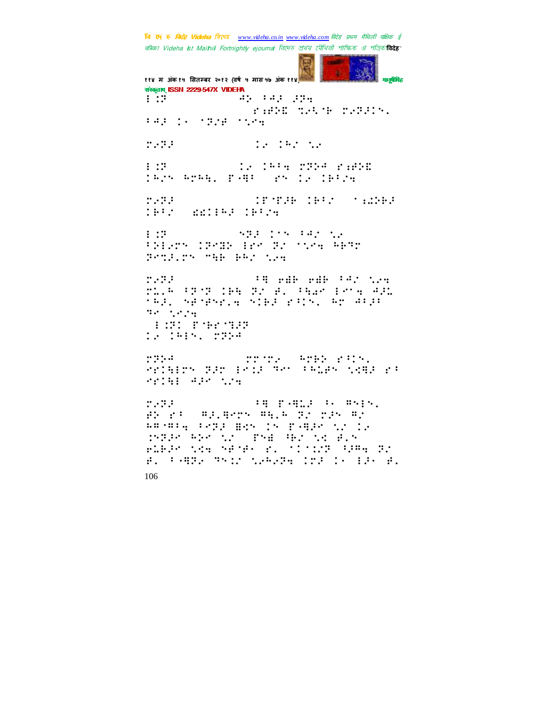**COMPANY** ११४ म अंक १५ सितम्बर २०१२ (वर्ष ५ मास ५७ अंक ११४) मनुबैमिह संस्कृतम् ISSN 2229-547X VIDEHA  $45 - 143 - 134$  $\pm 72$ **RAMARY TANKS TANKS. FAR 16 (1928) 1574**  $11.3333...$  $\mathbb{R}^2$  . The state  $\vdots$  :: to the rich roll. TRIN RORAL PARK (PN 12 IBRING) **CONTACT CONTRACT**  $27.333$ **IBU ANIBE IBUS**  $: 17 - 17$  $\begin{array}{cccccccccc} \mathcal{N}_{1} & \mathcal{N}_{2} & \mathcal{N}_{3} & \mathcal{N}_{4} & \mathcal{N}_{5} & \mathcal{N}_{6} & \mathcal{N}_{7} & \mathcal{N}_{8} & \mathcal{N}_{9} & \mathcal{N}_{10} & \mathcal{N}_{11} & \mathcal{N}_{12} & \mathcal{N}_{13} & \mathcal{N}_{14} & \mathcal{N}_{15} & \mathcal{N}_{16} & \mathcal{N}_{17} & \mathcal{N}_{18} & \mathcal{N}_{19} & \mathcal{N}_{19} & \mathcal{N}_{10} & \mathcal{N}_{10} &$ PRESTY CRYBR EPY RD TONG ABAT Poul.ry me PRI New **19 MH MH 142 WAY**  $7.777 - 1.7$ rola (Proposek di Alcohar Bengold)<br>1921 neoprata niez alini eropetzk  $\mathcal{V}(\mathcal{C}) = \mathcal{V}(\mathcal{C}(\mathcal{C}))$ **ISSUED: THE SEP 1. 1919. 2224**  $11114 - 111$ and the state of the state of the state of the state of the state of the state of the state of the state of the Primer dur frieder (Alex Chief re Prime Ale nin  $22.333$ **SEPT PRESS BOOKS** BE PROVINCE WHEN THE PROPERTY ARTHA POSS BOY IN PARK AN IS make and the special and the state FIRST NORTHWEST CONTINUES TO THE B. PHRESON NEWSBEAT CONSTRUCT.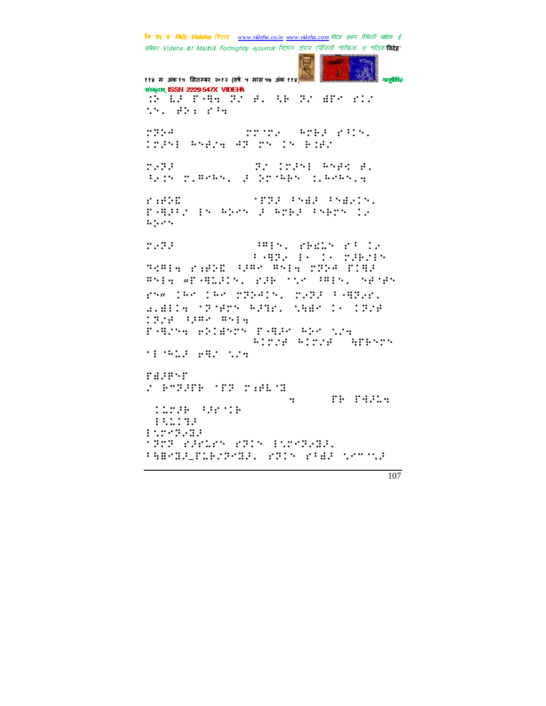**Service** × मनुबैमिह ११४ म अंक १५ सितम्बर २०१२ (वर्ष ५ मास ५७ अंक ११४) संस्कृतम् ISSN 2229-547X VIDEHA SPORT PHALES ALL AR PS APS SIN the first fire  $111141$ TTATE AND PHIL. Tring where an restriction  $17.777$ Br Chine Anders. diges places, in problem places,  $f: f \to f$ **STEP PARE PARTS.** PARRINGEN ANN OF AMERICAN MESS IN  $\mathbb{Z}^n$  ,  $\mathbb{Z}^n$  ,  $\mathbb{Z}^n$ WHO SEEMS FOOT  $11.777$ **BOULDER IN THE POINT OF** SAMIN PARK SHAR SALA PINA PINI Brig WP-BLIST PIR the BRIS, respe remoter ter rheets, rehed beginn. a.Alla (Pjers Agus, 1985 1) 1928 **1328 1388 8514** Pages, primer Pages wie tre **Alrea Alrea Affers MAGAZINE STAR** rase-r **SAMPARE SERVICES** TAMP WENTH  $\frac{1}{2}$  :  $\frac{1}{2}$  :  $\frac{1}{2}$  :  $\frac{1}{2}$  :  $\frac{1}{2}$  :  $\frac{1}{2}$  :  $\frac{1}{2}$  :  $\frac{1}{2}$  :  $\frac{1}{2}$  :  $\frac{1}{2}$  :  $\frac{1}{2}$  :  $\frac{1}{2}$  :  $\frac{1}{2}$  :  $\frac{1}{2}$  :  $\frac{1}{2}$  :  $\frac{1}{2}$  :  $\frac{1}{2}$  :  $\frac{1}{2}$  :  $\frac{1$ 100000000 **STORY SECTION STORY ENTRIGHT. FARMING TERMIT AND STAR SECTION**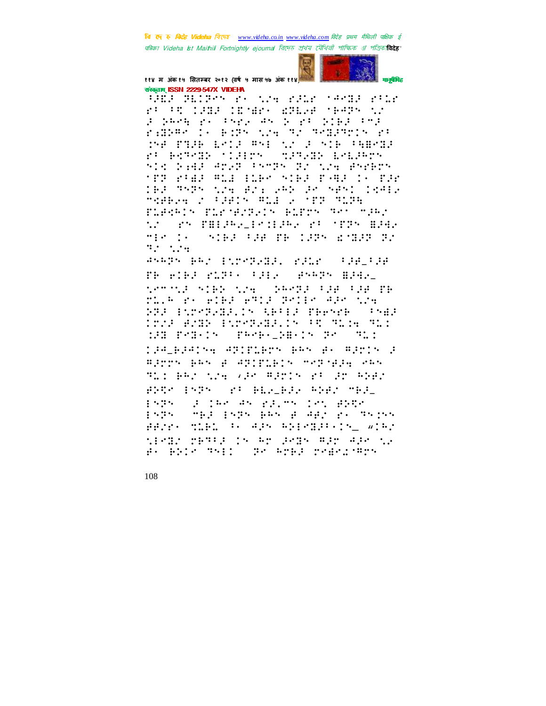

११४ म अंक १५ सितम्बर २०१२ (वर्ष ५ मास ५७ अंक ११४) संस्कृतम् ISSN 2229-547X VIDEHA

the person of the rate campaignte rt (R 1983 1878), ander 19475 to 2 2505 Protezzo Ancier 212182 Pri ranger is kins the St Generis re re file and we are not seemed PROPERDOIBER CHARAGE ESERCY NIK DAGU AMAR PNNRN RI NIG ANGEMN **MPP PREP REE BEEK SIER FRAG IN DIE** IBJ 7575 MMH BIL 252 JP 5851  $1441.$ medical condition will be constructed FLAGGY FLEMENTALY BLETY TON THE tro en PHIPALICIPAL et CPPN HPH MER 19 STEP FOR THE 1975 ESTRE TO  $32.324$ 

ASAGS RAY ESPERADO VALV (PARLEAR TE PIEJ PLT: (131) PRATR HJAV

trong sibbors (PRSP) (BE CHOID film by Pier Prince relige are the STA BURGTATALIS UPFBA TEPSPE (FSHA **TEST ROOM ENERGY IN THE TOWN TO:** 130 Province Perk 10015 Dr. Thi

tia piatrą aptribus pas p. migus į #drrs pas a artrible mershad eas TES PROVINCE VAN FACIN ER AD ROAD PRESIDENT PLAINS REAL MEAL page of the decisions the disch ings provider given produced  $\frac{1}{2}$  in  $\frac{1}{2}$  in  $\frac{1}{2}$ HEATH TIEL IN APR ADENTIFYIN WIRD transferration and agreement and the Be Bole Mail (Be Agal pedermana)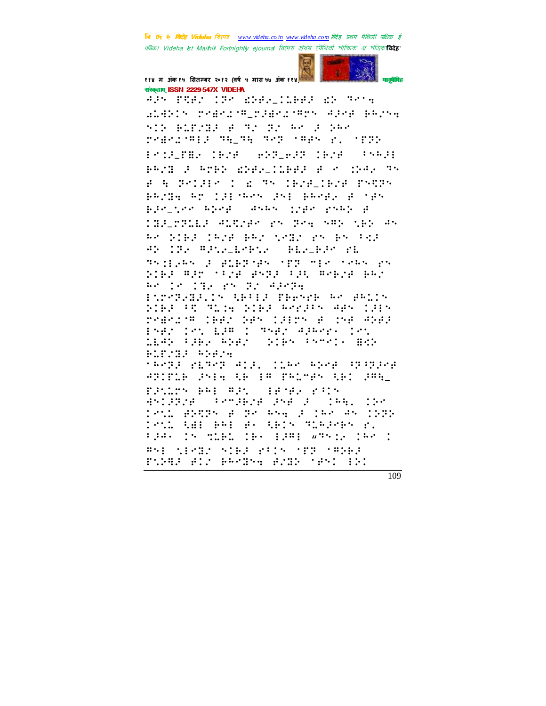११४ म अंक १५ सितम्बर २०१२ (वर्ष ५ मास ५७ अंक ११४) संस्कृतम् ISSN 2229-547X VIDEHA



APS PRES IPS EDERLINER ED POS WIRD IN THE MITTERS AND ASSESSED TO A SIN BIRTHS # MY FY WH # 2004 redezimin munu nep imps y. 1886 Professor (Press. 1992-1993) (Press. 1993) PROB 2 AMPS WIRELINES # 8 MARK 75 # & Priggs : 2 S Th IBS#\_IBS# Propr PRINT RE DIETROS PSI PROP. P TPS plejske blep (daba jjpe pabl p **THISTER ALTER PROPER SAR NED AR** ar pian iang any negi sa as-ana AP IPS APPLEIMENT PESIPPY PE This beam of called her component control and SIER ART TETE BRAZ ERE ARTE BAT Ar in the restrictions ENTERFIELD SEELE TEPSTE AS BALLS PIER PROTEIN PIER PARRON ARNOIREN reaking they bestillers a coal ever PART TRY EPROT THAT APPREN TRY 1142 FREE ANDS (2185 FST-18 BC) **AND AND AND ADDRESS** terna ricer ela, ller eler cronare APITLE 2514 AB 18 PALMES ABI 286 FRIDY BREAK (BRYEN PRIN BRISBIN FRMIEIE PRE FOOTBEL  $\mathbb{R}^n$ Tend argum a de meg a cme de crop TRIL AND BAD AN ABIN MIRRARN B. FRANCIS MIRIGINAL BRED WRITE (PROD BRE MERRY NIER PRIN MER MBRER rugg at prope and the co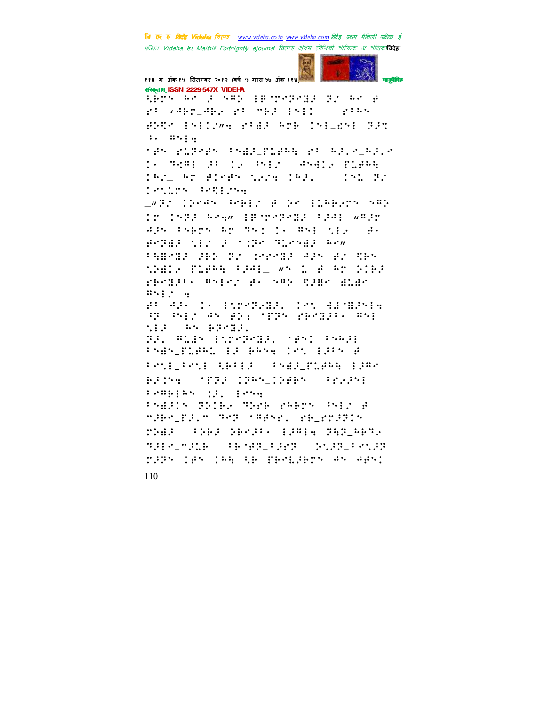

संस्कृतम् ISSN 2229-547X VIDEHA têrê wê ji say qanrezedin zi wê g and subalgeby and medicinear of any BRAY ENELYWA PREB ATA CNELENE BRT  $\ldots$   $\ldots$   $\ldots$ nas plānas (salpalama p) Alvikļu 16 MARI 28 IV PHIL ANGLE PLAN TRAL REVENSED NAME IRAG a di tercenti di stato di un provincia di un provincia di un articolo di un articolo di un articolo di un arti **Tennet Beneated** <u> wir Chran Green a hr einebern nab</u> IS ISBN 8840 IB-SPERIE FINI WHIS #25 P5Bp5 Rp R5: 16 R5E ME2 (#6 POTER NEW POST CONSERVANCE PARABA JEN BY TAPABA AJA AY BEN while fight their whois for pith gregory wsper all smy gone ande  $\cdots$   $\cdots$ BROAD IN PURPLE, IN APPROVE SP SMED AN ADE SPPN PROBES AND **MID WAS BEEN ...** BEL BLEN ENTRIPEEL (PPN) PNAPE PARGELEND IS BRANCIS ISPANE Projector: Cartes Producedual Espa BEDG (THE IPPS INDEX FREE rempine gr. fees PARTY TRIE TRE PAPPY PHILE MARKLEAUM PRP (PRAN) SRLEDARIN rnar (1962–1983), fransk papiern THE CONSENSE ENGINEERS IN STREET CONT gine jas jau in preijugs as apsj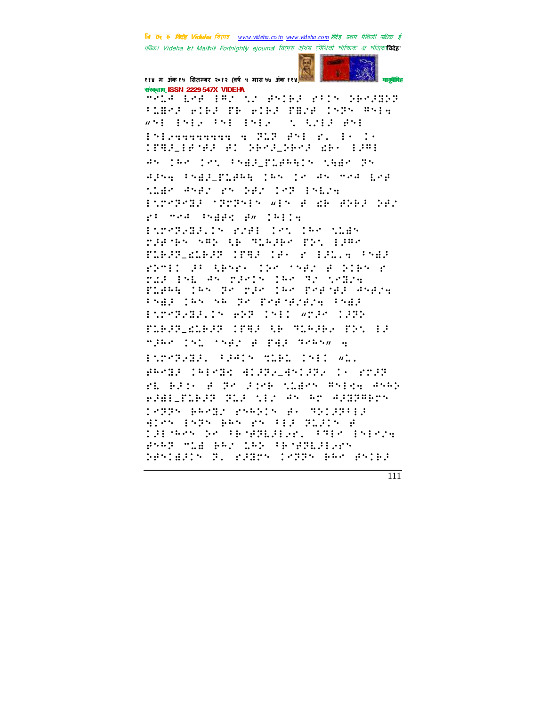११४ म अंक १५ सितम्बर २०१२ (वर्ष ५ मास ५७ अंक ११४) संस्कृतम् ISSN 2229-547X VIDEHA



mělé bre faz nz enter skth derroo PLOYA FIRA TR FIRA TONA (MPM AMIR  $w^2$ :  $i^2$  in  $i^2$  in  $i^2$  in  $i^2$  in  $i^2$  in  $i^2$  in  $i^2$  in  $i^2$  in  $i^2$  in  $i^2$  in  $i^2$  in  $i^2$  in  $i^2$  in  $i^2$  in  $i^2$  in  $i^2$  in  $i^2$  in  $i^2$  in  $i^2$  in  $i^2$  in  $i^2$  in  $i^2$  in  $i^2$  in  $i^2$  i **SECTION AND** Prisesencers a PLP 851 f. 10 10 IPRODUCED AL GENOLOGIS ART 1281 45 JAP LPS PSHILEDHAIN SARP BS ajse (segijniške jas je as nea ieg tide Andr an Gdr 193 Bhira Portrell (Presis with a day aids day g: med (Sdady Aw 1911) PAPERBELIN PARE IPA IPA ALBA raenes sep de glades por daes TORICALES THE THE POINT PAR remain at Abrey (excited) a electric TER PARTNER TRAIN THAT TO SARDA Plane (no progression praces) Analys PABE 198 SA TR PRESENTATION POPPERDIN BREATHING WELLING TIME STATE THE SECTION OF STATE mine (SI ther B Pel Renn, A Hurreal (1815 mill 1911 W. ARMOR CREMOR ACCORDONATION CONTR ri Barca de la arte class delsa debr FRAME TIMES THE SIX AND APPROXIMATION perro paere esants do molería HIGH ENTH BAN PHOTOS TEACHER 13:545 SK (BSBID:01 (SHK 15:55) PRAS TIE PAS ING SPYRINGEN SPAINTS R. P.HES ISBN 948-95163

 $\overline{111}$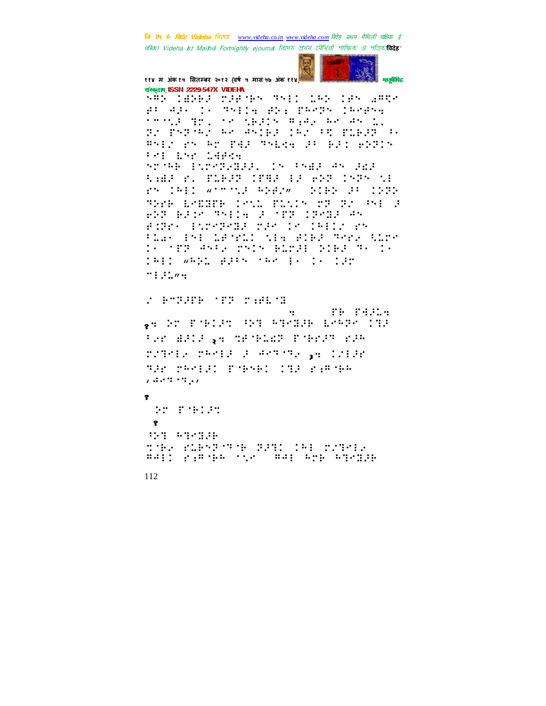```
Service
                                                                 粤
११४ म अंक १५ सितम्बर २०१२ (वर्ष ५ मास ५७ अंक ११४)
                                                                                 मानुबैमिह
```

```
संस्कृतम् ISSN 2229-547X VIDEHA
sêrî barek dikemes Mseb 1er jas geçk
an agus in dhiin an anns anns innan
thought, the degree means are in
ar fyrdir er dylka 142 ag mikað e
Brighter Wolfday Sride at Bailearth
Part Constant Constant Constant Constant
STORE ENTREPRIES, IS SSAR AS PAR
the r. mag uma is extiter ti
ry (All words Aber, Side at 1989
THE LATTE CALL TIME TO THE P
FRA BRID MARIN ROOM IPPER AN
FORM ENTERPORTUNALLY IPEICATS
Flak 151 Lendi Sia Eles Terr Clor
IS TER ANDA PNIN BLEAD DIBA TO IS
THE WHILERS SHOWER IN THE TRI
\cdots : \cdots .
TH PAPLA
                     \dddot{\bullet}. An Pobler Greenwich Leage (Si
for BACA , which are presented
PATER PREP P PETER SA CALAB
SPECTRALIS PORT IS THE PARTNE
\sqrt{372.22}s.
 DE POBLET
\mathbf{P}ster agensa
TORY PLAYESTS RUBBER 181 MINUTE
said risk the said will specific
112
```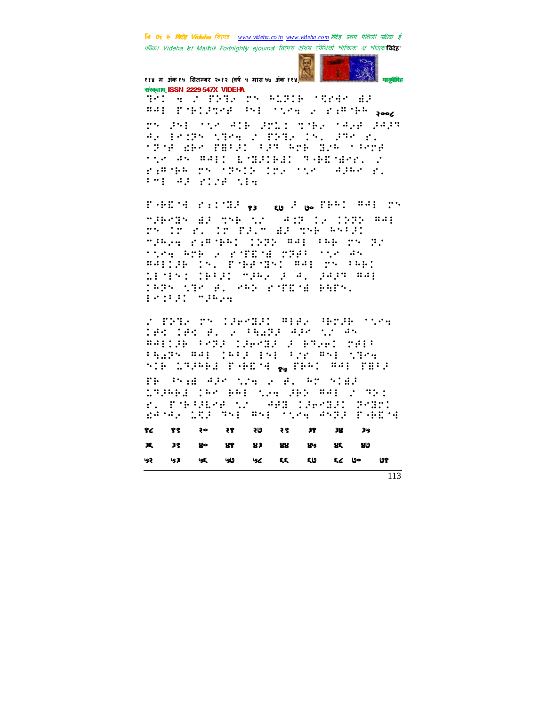**COMPANY**  $\mathbf{g}$ ११४ म अंक १५ सितम्बर २०१२ (वर्ष ५ मास ५७ अंक ११४<mark>, व</mark>

संस्कृतम् ISSN 2229-547X VIDEHA BRI A FIRE THREE STREET BAL PORTROOF PHOTOGRAPH THE ROOM rn and the Alb aris the tags agai ay isang the 2 many 15, 295 m.<br>1236 mes merupi rus ang mua 1959 TO AN PAIL EMBRIED THEMPEL C ramon controls in the same ra FME AP SIZE NEW

F-HEME FILMER 83 EN R NO FHALL HAD TH march da mha na ceid is 1986 Agu ry (Poel (robert ar myeleyir) mange ramsen, 1930 mai (666 mm 32 tica Are 2 portine real tic an ##IDESTYL PARAROTH#1 PV (AP) DESENT TRADE STAR (F. 2008) AND CRPS NEW B. PRESS POTENE BATS.  $1 + 1111 - 111111$ 

r P23, ny laposl Ale. Angel tide CAR TAR AL 2019-BARA APP NO AN #41136 Fros Caerda a Boyel Melf ragge map jury per regulaer eggen **SID LAPPED PARTE & PRAY AND PROP** 

PROPORT APPOINT 2004, AT SIRP 173661 188 BRE 128 362 841 2 721 r. Pobjekt (2009–48 (24-28) (24-28)<br>Raday 191 (24-24) (24-24) and Pobla

|  |  | १८ १९ २० २१ २७ २९ ३१ |                              | - 38 | રૂષ્ટ |    |
|--|--|----------------------|------------------------------|------|-------|----|
|  |  |                      | 35, 38 80 88 83 88 88 80 86  |      | w     |    |
|  |  |                      | 93 93 92 919 96 EE EU E6 190 |      |       | 98 |

 $\overline{113}$ 

मानुबैमिह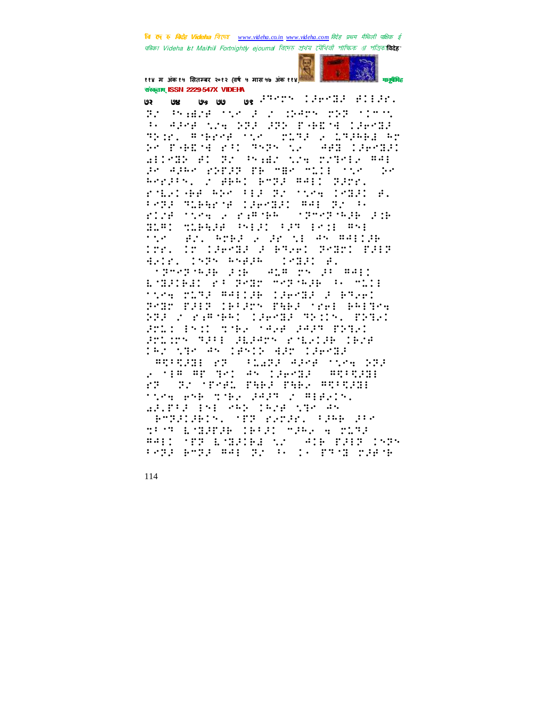

११४ म अंक १५ सितम्बर २०१२ (वर्ष ५ मास ५७ अंक ११४<mark>, व</mark> संस्कृतम् ISSN 2229-547X VIDEHA

 $99 - 98 - 55 + 1.5 + 1.1 + 1.2$ כפו **USK**  $\dddot{ }$ : **SPEAKE TO FIRST DRAME TO STATE A APA NY SO JOS DARY CAPOS** Thir, Pobred the Control Support by skipara fo mmkili agristan Alledd Al Di Swaar tra rigelik A41 Professor Present Enormer State (1980) 198 Repark, 2 ABRI Beak WAIL Same. roller was die rootste release  $\mathbf{r}$  :  $\mathbf{r}$ **PROPOSED CONSTRUCTS** PICE TONE 2 PARTER (TRONG MAR) Ade HIAI MIRAGA PALGI PUR LAJI ASI 155 (Br. Anel 2 dr 51 An Agosp tér, le taphan propinsi Páp 421r. 1595 R583R (1883) 8. strepende die Sanste de Albert EMBIED FROM THREE ROOM the mus wails liede a pred Pros file (Plint PARI trac PAINt **START COMPANY CAPTA TRICH TRIC** and limit the same age frist Fridry Mass Shaary Politic Chie CAZ NGP AS IBSID ABD IBBS08 BUILDE ST TEST BRY TYPE CO g (promp) men as nugement merchan FT TO TEMP THE THE WILLIE the employment and computed APIPER END PRESIDENT STRUCK BMPSISHIN, MPP PATSP. PSPB 3PM

**TEST EMBRIE CHECK TEAR & TETE** ang Tellingia (2008) ng Pilipinas<br>Prinsipalitan ng Pilipina na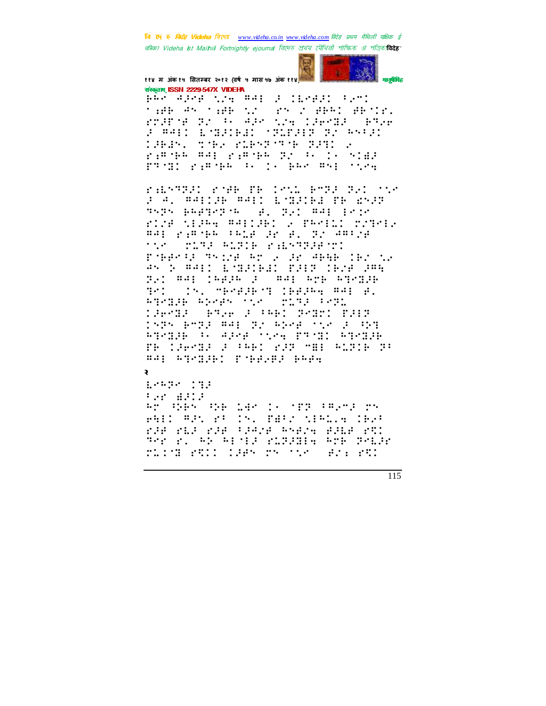

## ११४ म अंक १५ सितम्बर २०१२ (वर्ष ५ मास ५७ अंक ११४) संस्कृतम् ISSN 2229-547X VIDEHA

pêsî Ajra (224 AA) ji lisaji (225) taë shitab ng khira manga ka roffe a si Alafe wa Caesa (Pare F WALL EMERGED (PLEAD BY WALK) **THEN, THE PLENTING THIS .** rande mar rande professor (200 PROBLEM PROTECTS ARE RELEASED

rabyski roek fe industrik soloom<br>204. Aarle Aarl bomaned fe roes sere berieben als bei mei iste : rathe rine sighe mailer a phail ##: ri#j## (ALA 3r #. 22 ##(2# **TERRA REPORT STREETS**  $\mathcal{L}(\mathcal{A})$  . ESBASIA TYDE AD 2 AD ABBE IBZ N2<br>AY 2 AAID ESBADAI EAIR IBZA AAN Set mai (ngjn ) (mai ngj ngedig) WO IN THREE TEEPH PAL E. **Adedia Abere the China Fedd** COMO PARA PART PORT PART 1939 BMSS AGE SY AGYF 1920 S 1931<br>Adedsa (F. Gler 1926 ford 1931) PROCESSED A FARI 222 MBL ALBIR BP sa: Agency Pieces page

19499 193 Part data An Sher She Len In Min (Arriva nr PHIL RPL 23 IN. THAN NIRDLA IRA ran rua ran tagra bonzo Aaun ru The r. Ab Aldia rugging Are Ghuar **SAME STILL LIPS TO SAME** . *. . . . .* . .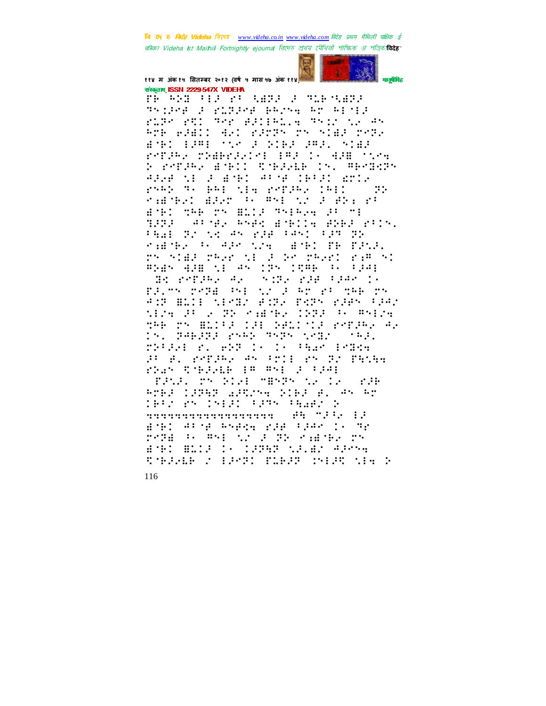

११४ म अंक १५ सितम्बर २०१२ (वर्ष ५ मास ५७ अंक ११४) संस्कृतम् ISSN 2229-547X VIDEHA

rê 650 til en have le noemare Things a rider prove browning rife ru ann agustic ann an ch RTE PABIL ANI PATTS TS SIBA TETR BMP: 1981 MAR S SIRP PRES NIBP repar regenaries (Al 18 Angles 194 S POTARY BORIS TORRER IN TRAINING Adapt the dealership of the dealership rney Wolfer Macrofier Ier. ( rading: days to mma the day of BOBI THE TO BLID TOINAR SPOT 1918 - Alien Angelschile gibt rich. PART TO SEARCHING PART FIR TO PARTNER PORTAGE AND BELLEVILLE rn niez regelski zur horiegi elektrist<br>Angolaze silan irn irak (o WE PATENT AT SAME PHR PEAK IN FRITS PARE THE SIMPLE APPROVABLE PR ANT BLIE NEWSFILM FROM REPAIRING MENT AN IN THE MINOR CORPORATION AND MALLER deblok milia 198 belizia perako 4. In, Person read memorials (1931) TREAD FOOTER IN IN FAIR PRESS FOR STREET AN INIT PN RN PROBE rhan Cheede (# #n: 2 (24) TRUE THERE' THERE WE LESS THE RTES CSPAR WSTERN DIES B. AN AT TRAZ 25 ISBN 3235 35282 F suscenses and the states of the state of the state of the state of the state of the state of the state of the BORT AROB ANBRA 200 ROAM IN TE POR PORT OF FURNITURE PO BMP: BL:2 I- 12383 SP.Br 42054 CHAND Z LPT TIER SHR NE S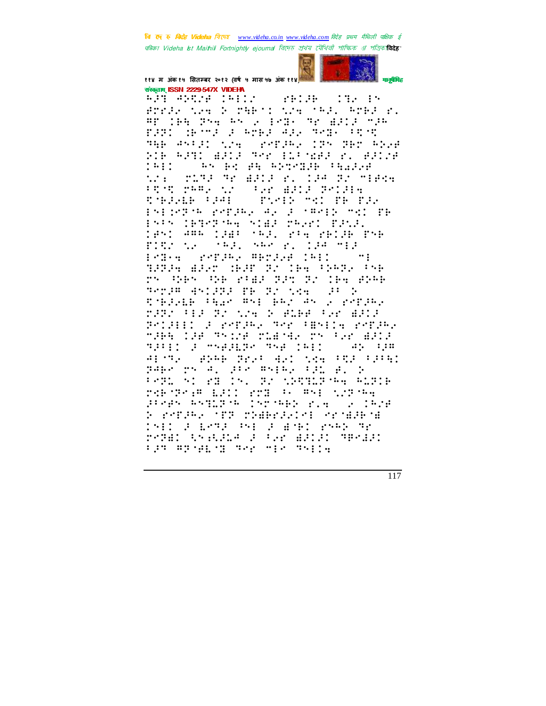११४ म अंक १५ सितम्बर २०१२ (वर्ष ५ मास ५७ अंक ११४) संस्कृतम् ISSN 2229-547X VIDEHA



**WPT WEELS INTIL Robert Communication** Fred the Formburg the Self Arbiel BE THE PARTNALL FABRICAN WELFILM EST SHOP S ANNS AS THE FER THE ANISI NIN SPEED IS THE BELOW DIR RANI WALA TYP NIPYRRA P. RAIDR **Ar Ed PR ADMIRE PREDER**  $:$   $:$   $:$  $\mathcal{L}$  . The set of  $\mathcal{L}$ **MIRE REALLY EL 194 BY MIRM Berghama** Setain rgeg gang th the sense of the sense of **TOMAGE THE STATE** ENERGY PARSES AS SUMMIR MAILIN ENEN CHEMPANH NIER CROSS PRISE. 1951 AMA 1985 (A2. 254 26196 PSB FIER NA STARD SAR PL 194 MIR Prove Product Abriel (All The 12224 AP20 (P2D 22 (P4 F2P2) FSP rn Shen She ridd adr an 184 Aneb Tropa anisas de as navo su portugue<br>Tomskim lavro mni meso en 2000 pri MARY FEATURE NOW IN BILE FOR BACK Pright a repay for (BS) e repay mark off prove midded by the data BRIDGE MARKET BY INDU  $\mathbf{a}$  ,  $\mathbf{a}$  ,  $\mathbf{b}$ Althoughth Real Automaker (Resident BARA 25 A. (Pro BS162 F.E. B.)  $\ddot{\cdot}$ PRES SI PE IS. EN SPEERSHE RU referensie ist erhoberen werden PROPRIAMENTAL CAPARED BLACK CONCR S PARJAS (PR PSEBEZSIA) APARJEAE **THI FAPP PHOFAIR PRP TE** belar sfalls a far agrap medag for my give may well made.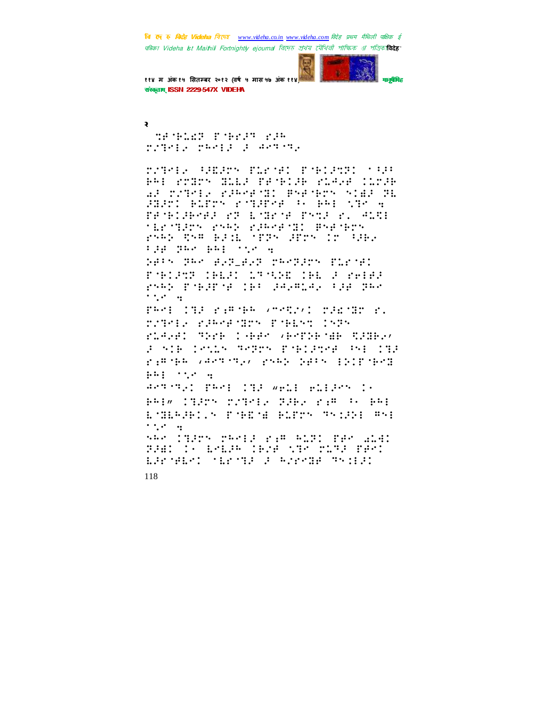

११४ म अंक १५ सितम्बर २०१२ (वर्ष ५ मास ५७ अंक ११४) संस्कृतम् ISSN 2229-547X VIDEHA

₹ tenelar robert era rather research and the

TURNEY REPORTED INFORMED  $\cdots$  : : : : PHI PORCH HAR PROPINS CONSTITUTE af provins riknesof menere staf om SIST BUTT POSSES ROBBERY 4 TANKING AT LORN TYPE A SUPP tiringary ryad raamang: Byenery real tem blog (FTF STTE IT SHD the parties the s SALE BEST AST\_AST TESTATE TIMES PARING THEFT LOADED THE F PRINT rner forande (en aglemal (al de  $\mathcal{L}^{\text{max}}_{\text{max}}$  ,  $\mathcal{L}^{\text{max}}_{\text{max}}$ PRAD THE PARAGE (MARINI PERMIT P. TITEL FIRETTY FIRET 1575 right the component through F SIR DANNY RAPPY PORTIONS SME THE rista e vezial, refiguere di primeri  $1.41 + 1.4 + 1.4$ ARTITLE PRED THE WELL BLEEKS IS PHIW CHATH TURNED HARD FAR AD PHI EMERGET S PARTE RIPS WAIDE WAL  $\mathcal{L}^{\text{max}}_{\text{max}}$  ,  $\mathcal{L}^{\text{max}}_{\text{max}}$ SAR TERM PARES PAR ALPE PAR WIND THE IS EMERGIES OF THE TEST ERMENT MEMBER BANKER SYNED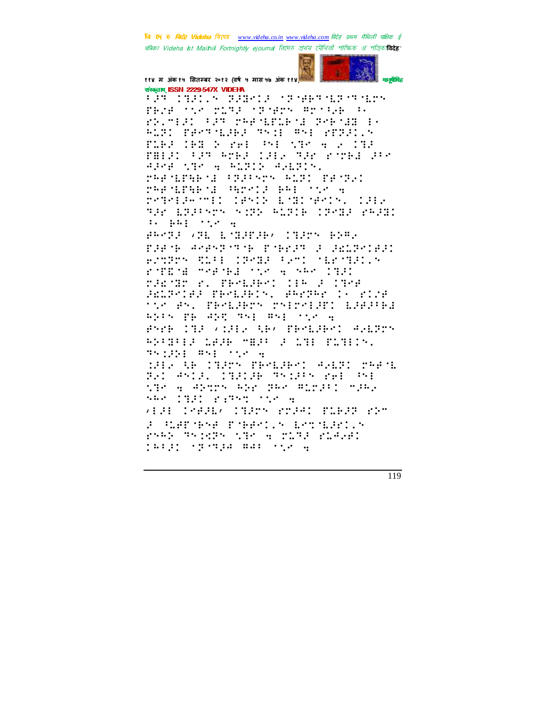

११४ म अंक १५ सितम्बर २०१२ (वर्ष ५ मास ५७ अंक ११४) संस्कृतम् ISSN 2229-547X VIDEHA

tài 1921, Sagara nanet-danner FRIE TOT PLAP TRIMPT APTIGE IN release for repositions for the control RITE TRANSLER MASS MAIL STILLS TLEF (FI ) 201 (51 516 9 2 1 11 D'Aug anes culv gun ronel uar rm: # APRESSED A RITIS ARITIS. reformed freeds end propo PHOLENEOL SERVIE BREAKEN remente en 1981 al margiero (1912 SAM ASASYN SYS PASIE (SPMA PRAI  $\mathbf{1}$  .  $\mathbf{1}$  ,  $\mathbf{1}$  ,  $\mathbf{1}$  ,  $\mathbf{1}$  ,  $\mathbf{1}$  ,  $\mathbf{1}$  ,  $\mathbf{1}$  ,  $\mathbf{1}$  ,  $\mathbf{1}$  ,  $\mathbf{1}$  ,  $\mathbf{1}$  ,  $\mathbf{1}$  ,  $\mathbf{1}$  ,  $\mathbf{1}$  ,  $\mathbf{1}$  ,  $\mathbf{1}$  ,  $\mathbf{1}$  ,  $\mathbf{1}$  ,  $\mathbf{1}$  , **BEATE ATL LATEREA CIPY BYR.** raene angstruce rienau a anneceat BOTHER RIFE CHRIS FORD MEMBERS rowned measured the access that racur r. medawi (16 3)  $19.99$ **JELT-183 TE-LIETS, PRETRE IN SIZE** the BS. PROLARCY CONCORD LARATED **ADIS EE AND THE THE SAME A** Prob (SP) (1912-38) PROLIBOL AVEROR ASSERTS LAND MESS CONTINUES. **THINK FHE TIMES** SHE AR INFORMATION AGENT OFFICE ay: Ania, caacab mnighn 2017 Ad the algebra and partmement will ner (SEC rifts the se **VERE TRAHER THERE POINT TEND ONE** F RAPYRSE PYRROLS ESTALRICS rabb 38.028 (19) 4 ring field parap spenda mar special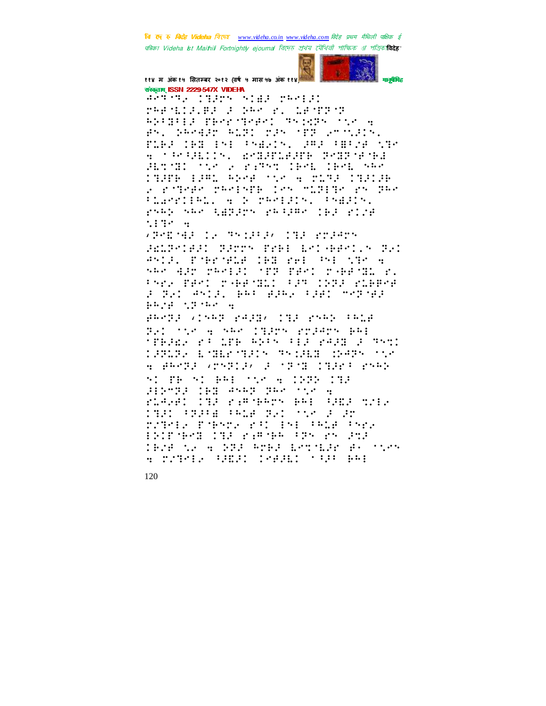

### ११४ म अंक १५ सितम्बर २०१२ (वर्ष ५ मास ५७ अंक ११४) संस्कृतम् ISSN 2229-547X VIDEHA

añser (1955 sig) predic PREMISSION PROVINCING MEMORI ANDERSA PROPORTI TOMORROOM A Pro PREBIUSERI MIRO MER STOLING FLED 193 151 PSB215, 282 PBP28 536 A TRIALING EMERGEER PMEDIFIE Howard the Schooler Cent Cent har THER EPROPERTY A MIRE THILE 272 Marie Terrisie (25 Maii 12 Mai 12 PlanetHRL & P PROBING PREFIN. rney new tangrn requested rice  $\mathbf{1} \times \mathbf{1} \times \mathbf{1} \times \mathbf{1} \times \mathbf{1} \times \mathbf{1} \times \mathbf{1} \times \mathbf{1} \times \mathbf{1} \times \mathbf{1} \times \mathbf{1} \times \mathbf{1} \times \mathbf{1} \times \mathbf{1} \times \mathbf{1} \times \mathbf{1} \times \mathbf{1} \times \mathbf{1} \times \mathbf{1} \times \mathbf{1} \times \mathbf{1} \times \mathbf{1} \times \mathbf{1} \times \mathbf{1} \times \mathbf{1} \times \mathbf{1} \times \mathbf{1} \times \mathbf{$ 

**VPERBIC TRIPLE (TRIPPS)** Sentantes terra frei bataeanta tel ANIA PORTHER INFORM PNE NTP 4 SAR ART TARBED THE HARD TABETHE F. they part robertal tem 1972 classe a din Antal BA: Adal (2011) mediga PROF 12060 4

#8032 (1583 2423) 132 2582 PRIE Bal tie a she films product bhi trede ri dre avis led radi d'ast **TRACK EMBRYTRING THERE CHAPN SAM** A PROFINSORIA D'ORCH ITACK 2582 SI PROST RAIOSCO A CIRI CHA l (1947 – Arthur Carl 1947)<br>Albrew (1947 – Arthur 1947 – Arthur 1947 – Arthur 1947 – Arthur 1947 – Arthur 1947<br>Chandles (1947 – Arthur 1947 – Arthur 1947 – Arthur 1947 – Arthur 1947 – Arthur 1947 – Arthur 1947 – Arthur 1 THE PARTHERS HAI SHER TOLK THE PEPERMENE SERVICE PR rately formed and informational ENCEMBER 192 PARTNE FROM POST TEZA NA A GOGA ROBA EKONGAN AR SNAS a report HHI (SAHI) (HI BA)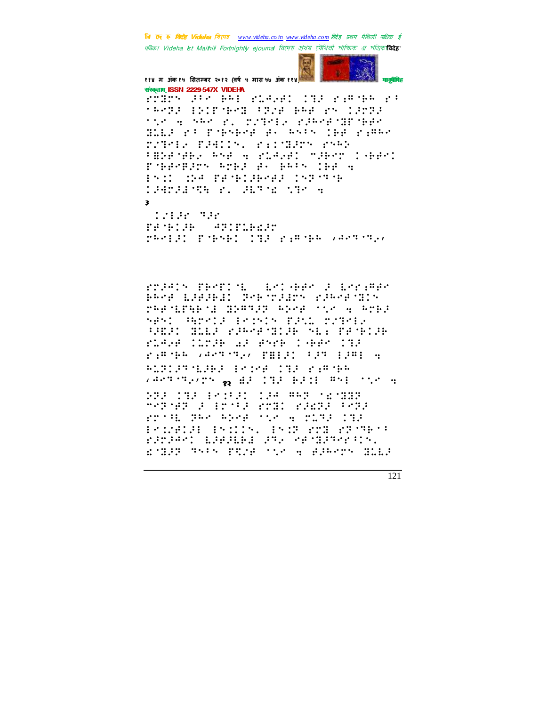

११४ म अंक १५ सितम्बर २०१२ (वर्ष ५ मास ५७ अंक ११४) संस्कृतम् ISSN 2229-547X VIDEHA

rêdên din ba: rigadi (di randa ri SAMPLE ENTERTAINED FRA 1995 INTER the Almen rushing raw-rapher HILE PO PORSESE AS ASIS THE PARAS ratele family, recollery rymp FBSPYRS RSP & PLASHI MJRKM ISBNJ PoberBarn Arba en BATN (Be g PSI OR BENDARA ISPNA *TRATESTER P. BETTERIT E.* 

Tride Mar **PARTIES AND PRODUCTS** rendic fremed did rue ne (4000),

rolets percont and easy a annimal PROF ESPSPEL SOPIONARD CAROBINIO refulleri divezz eski nin a erez SAST GREATE PATSIN PRIN TURNER SPERI BLEA FARMENEIRE SER PROBINE right (1258 af from 1968 198 rimsk (artst, mallich flein) a RUBLER NEED TRIPE INFORMATION vertitelar <sub>8</sub> de 19e bell fri 11e i 533 133 123131 134 863 12133 MARINER ESTER STEL SPATE FATE From The Peer the 4 rite CTP POSSED PROCHE PORTER SPORTS ranaet baadbo and easonering ENDIR THIS PEND TO A BIGGES BLLP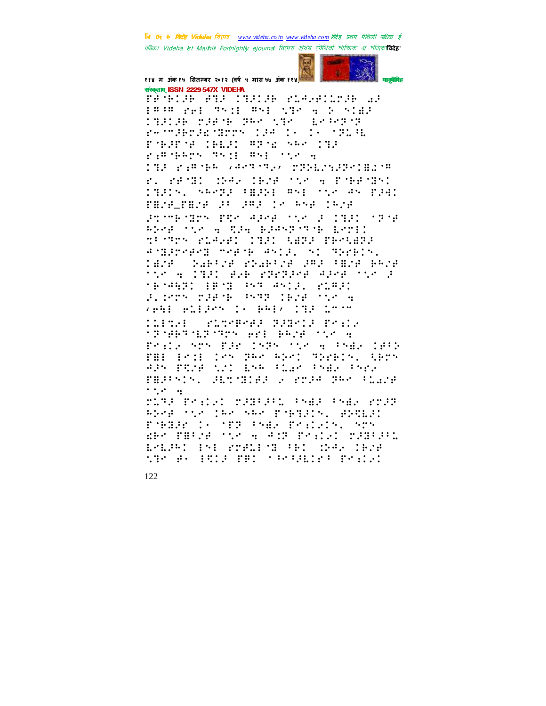

११४ म अंक १५ सितम्बर २०१२ (वर्ष ५ मास ५७ अंक ११४) संस्कृतम् ISSN 2229-547X VIDEHA rèùnia agus cguidh rialachran ad PROB PHI TRIP RRESTRIA & STAR

**COOLEY WORKER TAKE NOW COOLS ARE ST** PATTARIA TERRITORIA (PORTA PORTOR CREAT APOX SAM CHA ristered this second real from a MI rashi yakoda yangi masa yang ka r. Rend (SAR 1928 the e-Phendri **THIN, SEPRETHERS WAS TRACTED** FRIELFRIE PROPHETIK IN ANA TAIR anima non-star adea (1921-a 1931-1914 Aber the 4 Cla Blaster B Leni there and the department ANIPERSITY TERM AND LOND TEEDS. TAZA (SARFZA KSARFZA JAJ FOZA RAZA tic a 1931 AVE PRPPPA APPA tic P renago (Pro Gracano), riado F. STR THEM PRESIDENT TO Vehi ellian () BRI/ (82 lm)m ting: Planeter Baneta Perty SPORTSPORT REPORTS TO Polls are PROTeRs the Author CRPS FHI POIL TON THO ANOT THEIN, ARTS Alb Pris thi bas that they they FEARSTS, ALTERIAL & PTAR TER PLAYE  $\mathcal{C}(\mathcal{C})$  ,  $\mathcal{C}(\mathcal{C})$ rita prili namani (sea (sea ango aper the 1960 say portflis, specific<br>Portflis is the today political spec ERS PHILE TO A 412 PAILL TERRIL EMERG INFORMATION (BIOODR) IB28

the Booghis PRI coolerate Period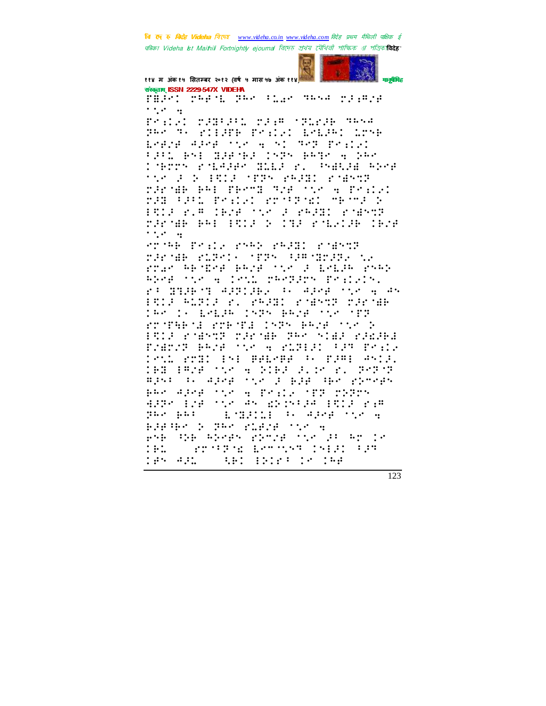

११४ म अंक १५ सितम्बर २०१२ (वर्ष ५ मास ५७ अंक ११४) संस्कृतम् ISSN 2229-547X VIDEHA

fâlk: reformate (and alle security).  $\mathcal{L}$  ,  $\mathcal{L}$  , and the set of  $\mathcal{L}$ 

Probab zamaan zaomi zuram desa.<br>Geriak ridare probab wrweb uzse English Albert Stock and the Stock Provided PROLENE BRENER INFN BATH A GAR Carry Polese Blis P. Pelse Ave tic a b suis the sear status rdromb be: fboom and one a follo ram aans regist grothodi okonik BRIA R.A (Bre the A PAAR) Poder MARTHE PRESENCE & INFORMATION IP/B  $\mathcal{L}(\mathcal{L}^{\text{max}})$  and

STORE PRESS PARE PRESS PORT rache posti cres aggerare te road Record BROB cod 3 EdelBR road REAR TEACH ISLE TRAFFIC PARISING rt dies maarvek te aangevolg as BOIL ALOIS S. SALOI STARTO CAPTAR IRK IK EMEJR INGN BRZE MIK MIG POSTARIA PORTEA 1575 RAZE TIPUS **ITIP PARTY THANGE THANKING PARTH!** Premir BATE that a swrigg for Pasis <u> 1911 2001 191 AALAAA (FIAL ASIA)</u> CAB (PZA 155 A 2002) 2.15 P. PORT #25: Produce the 2 B2B HP shower PRO APORTONO A POSTA TER CARDO 4398 124 125 45 2225134 1913 238  $\mu$ ing para <u> EMILIE BOARD MAR</u> BREAK DONALD STATE STATE PSE THE FINES PICTUR TIM IT FO IN **SEPTEMBER 1989 MARKET PROPERTY**  $: E.$ WED 10183 10 198 1980/491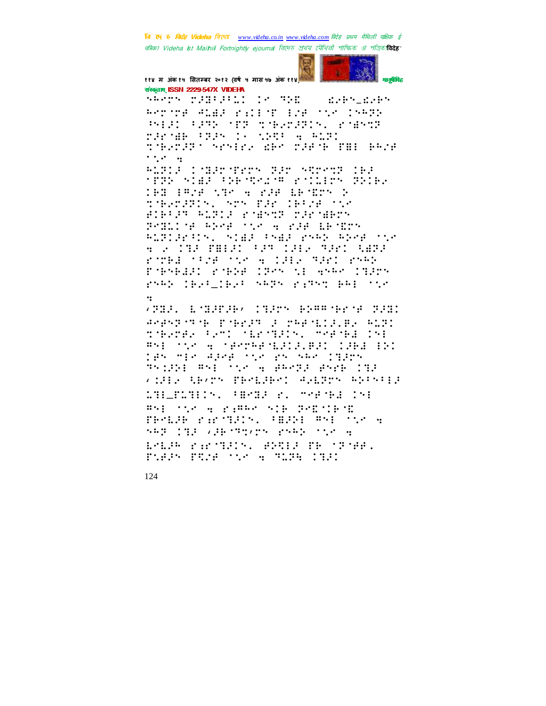

११४ म अंक १५ सितम्बर २०१२ (वर्ष ५ मास ५७ अंक ११४) संस्कृतम् ISSN 2229-547X VIDEHA

 $\mathbb{R}$  :  $\mathbb{R}^{n+1}$  ,  $\mathbb{R}^{n+1}$ Promot ALAR PAIR TO ESP (158) **: 4892** PREST PARK TER STRATEGY (FINST rarnak (SS) (1983) e ALS: tjergen srstra den ræfte fol egne  $\mathcal{F}(\mathcal{F},\mathcal{F})$  , and

RIPLE CONFORMATION SEMICE CRE **TEED SIER FREMENTE POLITY ERIES CONTRACTOR** A CONTROLL CONTROL therBIN, Mr EB IBICE the #IPPP RUSIP PARTS SPRAGHS PARLINE ADAM (12 A 238 LECTUR RIFIERTS, STEP TSEP PSPD RDPE TOP **A 2 MM THEM AND MAY AND SEA** roth: Stafford Allair Sarl root POPSEHO KORRE (PAS SE ASPA (THTS rnad (Brigan Sadn rinne Ballern

**VIII. L'ORIGIA (1925-1928-1927) SAN** Angstruck premier pagemente and there for the manufacture of the con-#5: TV & TRYPRISSING CARD IN 195 min Alego nyeure san 1920s.<br>Jerusa Pelunyo a Gaerri Gera 192 **VIRG REVON PROBRET AGENCY ANDALIS** <u> 1912–1121: Same Bandar (d. 1949)</u> BAL SAR A PARKS SIE DER CESE PROLED FARANCES (FREDE #58 and a **SAP INF WARTSTATE PARK TIP 4** BREAK PAPTEDS, ANGEL TH STYRE. PARK PROF TO A TERR ITE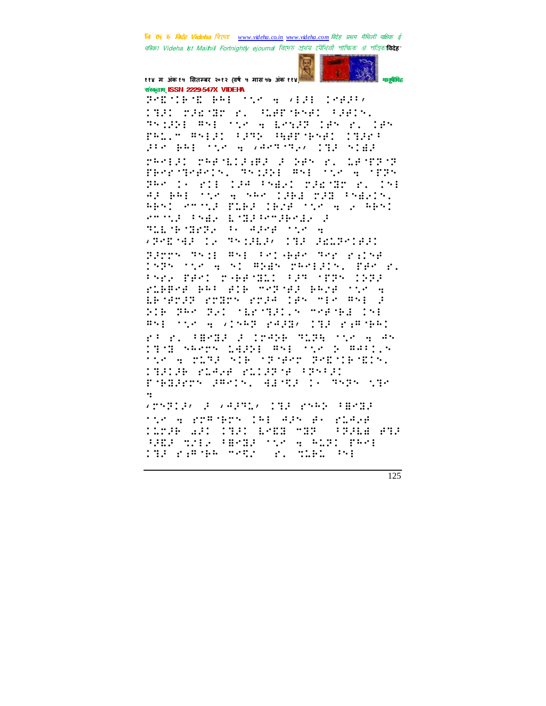

११४ म अंक १५ सितम्बर २०१२ (वर्ष ५ मास ५७ अंक ११४) संस्कृतम् ISSN 2229-547X VIDEHA

PARTENE BREATEN ALLE CARDE, DIRD MARTIM R. SWARTANAD SAADN. Think: The side a brack can be can PALIS RAID: CORP. GARMANI CIDEO are particular caereral dia sian remain reportance a tem ri deorro FRANCISCO SUSPICIOUS CONTROL CONTROL PAR IS RIE 194 PABRI MARTBOR, 198 AP PRESSOR SPOTTAGE TRESPARING RESIGNMYLE PLEASORIER STAR ASSAULT rming (Pres Engagemanista) THE RETURN OF SPECIAL CONTROL **VPEMBERS TRIBUS IN BELPIED** BRTTS MS HE WALL FRIGHT MAY FILSE 2535 Min A SI ADAS MARIJIS. PAR B. they part chaardoo tam resp. 1982 riegen est ale mensag espa fin a LE MOVIE SOCHO SOVIE (SP) MIS 251 V PIP PRO REL CERCATALLY CORCHE INE #51 (101 4 (1563) 2420/ 132 238(96) ra ri amerikan berak awak dina 1989.<br>1979 Serps 1422: Asi dina belasar the a plas wie traep reprietor. BUSE PLANE PLISHER SPACE POBRETO RAMIO GROBE IN TOPO CRO  $\dddot{\mathbf{r}}$ **VINESE PONDER STREET PRODUCTION** tic a rowner in als a rigar

<u> 1198 10 10 10 10 10 10 10 10 10 10 1</u> SPEP TO BE FROM THE A ALTERTARY INF PARTHE TRUTH IN TIME THE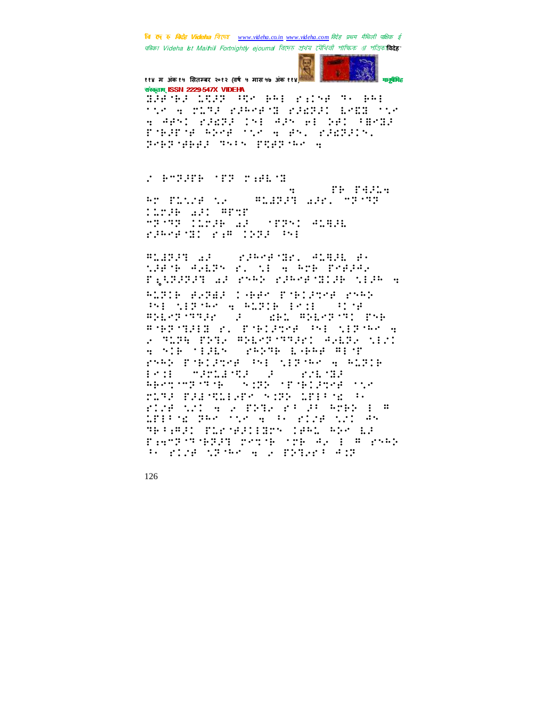

११४ म अंक १५ सितम्बर २०१२ (वर्ष ५ मास ५७ अंक ११४<mark>, व</mark> संस्कृतम् ISSN 2229-547X VIDEHA

džena 1929 grupa politika nu pol tic a rigg public paracteristic 4 APVI KAZER (NE APV 61 DEC FRYZE Police and the side claims. President Sala President

**MARTINE STRATEGIE THE PAPER**  $\ddot{\cdot}$ **WEBSTERS WEBSTER** Ar Plick to **MARK AND BUTER** 7378 COSE 63 **SEPHI MINING RIPARTI (SE 1932 PH)** 

PLARIN AI († 2002) MARIS PLANE (P.<br>SIPORT PIERR 20. SIT AT PORT PREJPI TIMARA WAS PARTYMORE SUPPORT WITCH BATHE CARPY FARIOUS SAND PHONESTAR A PLEIB PRID ON TH BREAK TREE OF SALE BREAK TO PAR # 45 MAIN R. P BIANCE (PE SIF NO 4 **A MINE TONA MOLET MULTI AGENT (1)** a SIR (1915), report laber of the<br>rsep portform (51), 1976, a eldir Profile Sandard College Profiles ABRONOMIC SERVICE CONTROLLER nite particles with information FIZE NATURAL FRIE FOUR OPPROVED WEEK WARD TO A REAL WORLD AN HERBER PLENBRIEDS 1981 ANY LP FHATE SECRET CATCH CAR AND FOR CARD **A STORYTHE REPORT FOR**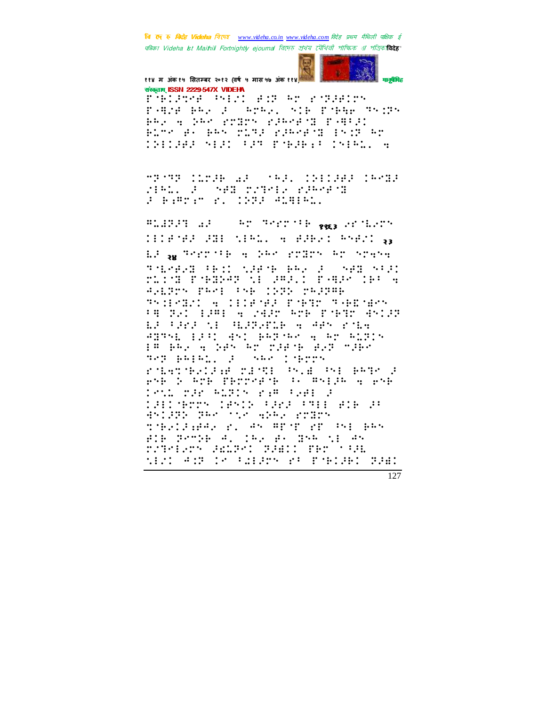

## ११४ म अंक १५ सितम्बर २०१२ (वर्ष ५ मास ५७ अंक ११४) संस्कृतम् ISSN 2229-547X VIDEHA

rjëlashe shtat edh en pjegëtor PARTNERS ASSAMLED TO MAKE THE PASSAGE PRO A SAM STORY SURMAND PARTIC Birg al Ban Ming Paalela 1978 ar 1911383 SIST FOR PYESE:F 151612 A

MESTE COMPROAS (SAR) CRICAGO CAMBO MALL 2 SAN MUNIC PARTNE FRANCY P. WESTHERN

BLEEPE af 1992 Strain van 2008 of Service IPIPAR RH SPAL A PRES PART <sub>33</sub> EP 30 Ferroth a 1968 rollow Ar Spasa THERE IN SHEET WAS SAFE OF THE SAFE rich Fremer St PRAC Pape (B) a Weiner Part (156) 1232 243388 Thirden a license phenological man FA SVI 1981 A 2435 AMA POATM ANISS EP PRESS MARRETE A APS POLA WERNE ERRIGHT BATTERS A AT ALTIN PROPRESS AS DESCRIPTION PRESS MARK THIS BAING, I SAW CHEEN rdendelle name mis me espos ene o are recovere allangua legal Tenn rar Angry rag (2011) 1981-Arry 19512 F962 FABE 816 25 451222 256 Ste AP52 rrdry thellers is an Army or the BAN BIB BAMDE AL ING BA BAN NI AN reteters andred rando fer stan MIND AND CHORALDRY BY PORCHO BABY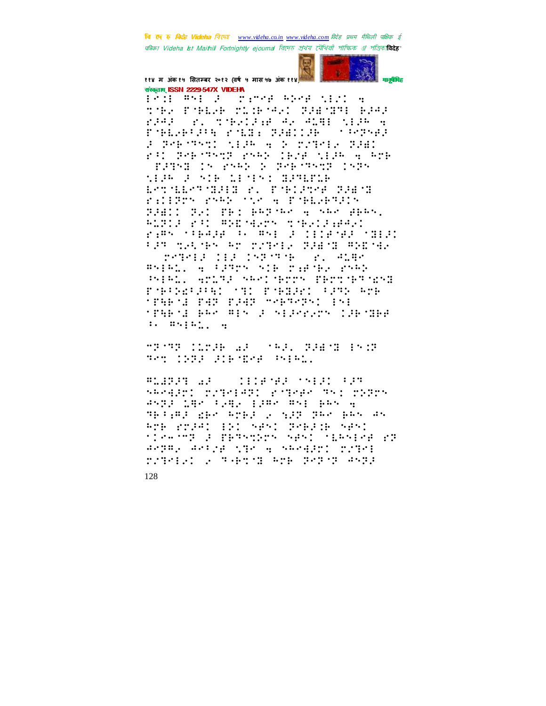

#### ११४ म अंक १५ सितम्बर २०१२ (वर्ष ५ मास ५७ अंक ११४) संस्कृतम् ISSN 2229-547X VIDEHA

Příklasi 2. cinem Aberlyizi  $\dddot{\bullet}$ the Power closed Sardway Ada rago ri santan geografi siamo ruments run concert terms a debroso: Siam A d'ordenie dai: ra Teksand ruk (krejden 4 mr THING IN THE S PARTINT IND MER FAIR MINE BREECH ESTALSTARIE I. PALITE BREA riller real the schedulency BREED BAL PRI PARTNA A NAM ARAN. **ALTER FROM MARKET TERRIBURY** rams steepe to mse a cocerna social Par talen er roman dans marge

reded different in almo syland A Caser Sim range root Prince and the same dense from detects PORTNERFRI OTT PORTRI FRY ATE treta religer befolkt is **TEACH AGO WER JONESDAY CAPTAR**  $\mathbf{1}$ .  $\mathbf{2}$   $\mathbf{3}$ .  $\mathbf{4}$   $\mathbf{5}$ 

**MINISTERS ARE START PROVIDED** Ten 1933 Sibered Pelan.

**MINUTES CONSTRUCTS** SARGED DIREGED PORCH TSI DIPPS #573 186 F282 1386 851 BRS & TESTED ART ROBB & NOT TEM ERN AN RTE PTIAL IN SANT PARISH SAST tirent a product spot theory pr sepa, setja (pro 4 skegar) rinka rateled a terror work perchanger 128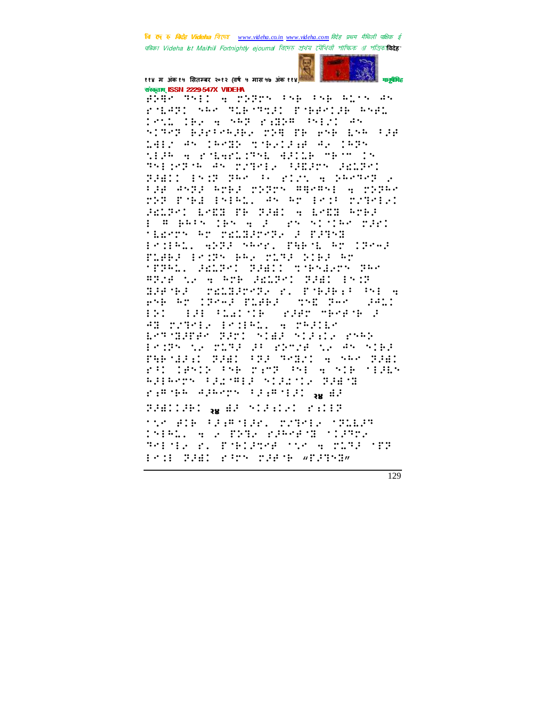

११४ म अंक १५ सितम्बर २०१२ (वर्ष ५ मास ५७ अंक ११४) संस्कृतम् ISSN 2229-547X VIDEHA

alar shi: 4 mham she she kinn an right and minimizi ponenter aani **Conductive APP PERPOSE PRINT AN** SING BARKAGEA TAR TE 656 156 KAR 1912 An CAPOR Scheller Al CAPh MERCH POLHPLITHE HALLE TECT IN 35110236 45 MATHIB (BEEN GELEN) 22811 End2 250 Frontier anderse and<br>Fig (end) Fred radry (member andage) MAR PORE ENERGY AN AM ESSE MUNISIP BENDYN BREE HE HABI A BREE ATES E POBRIN TENOR 200 PNONT TENORIES 'Herry Ar relativity J FJTME Profess ADDE Serry, PARTL er 19848 TLARA BRITS RAY TITA DIRA AT **TEPRO PEOPT PRESS STEPHET BR** #Pressure Are Paire: PPHISTATE **BOST 1997** relatedrate controlled by a Birlin (Bref Poek) (teller (Be BSD 181 PLATTE (2002-2004) P PE TATMEN EMIREL A TRAIN ESTMERES FROM STER STREET PSPE PRIPROGRAMMENT PROVIDENCE AND SIER PARTIEL SPACE FSE SPACE A TART SPAC PROTESTS THE PETER THE HOSTE SEARS RAIRSEN FALSRIA SIALSIS BARSE rimone agacry (pimorgi <sub>am</sub> de

PREDICED <sub>aw</sub> er hireiel reler

MAR AIR PRABMIRE, CONFER MOLERN Drimi, a 2 Drie 226-231 (1272) Teleis r. Poblaser och a ruta off **FOIL PRED SAME MARKED WEIGHT**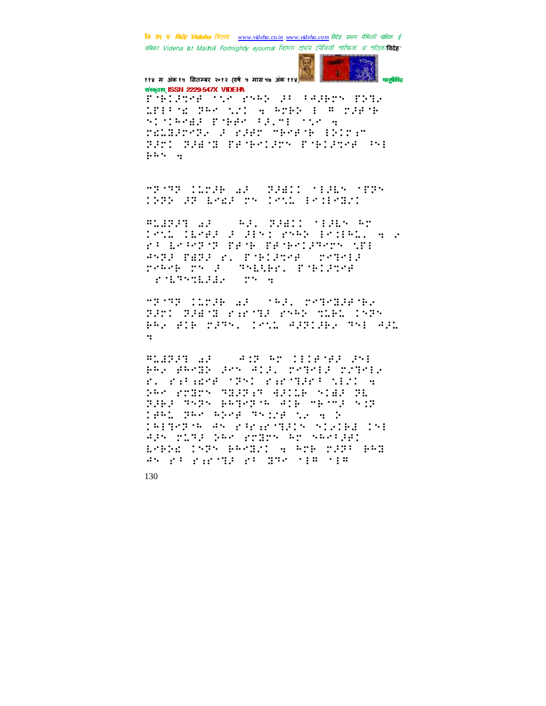> **COMPANY ANAL HIGHE**  $\mathbf{g}$  .

११४ म अंक १५ सितम्बर २०१२ (वर्ष ५ मास ५७ अंक ११४<mark>, व</mark> संस्कृतम् ISSN 2229-547X VIDEHA

PALPed the resourcement par WEEK THAT WILL BEEN I BUTTENB SIMPHE POHP FESTIVAL relatives, a vier menth from m Baro Baand Peneriary Phetares (94) 

STATE COMPROAS (PRECO) (1915)<br>Compositores and concellent BANC MARK MER

 $-92.72411.111414.917$ ISMA (1899) 2 215: 2550 181151, A 2 ra brazis ped redeciavor (pr ANDE PADE BLOTHEIDSMAR (SKIMBE reach In a conduct forage rumental comp

MESTE COMPARING CONFL. MATABERINA BATI BABYE PAPYRA PARK MIRI INBN PROGRESS TRANSLATION ARRIVED AND ARE  $\bullet$ .

BLANKS AF SAN AN INFANCING BRA BRAND GAN ATE, PANALE PANALA r. ratare (1951) randers (1971) 4 SAR PONCH MISSIE ASILE HIS SA SE BREAK THEN BRIDGE WAS RIFLED AND tem par more price to a f **IRENTAL AN PROPIECH NIVIEL INE** APS TERP PRO PTETS AT SACRED Lebbe 1939 BRedet & Rob 233: BRD **AN YE PARTIE PE ITA SIR SIR**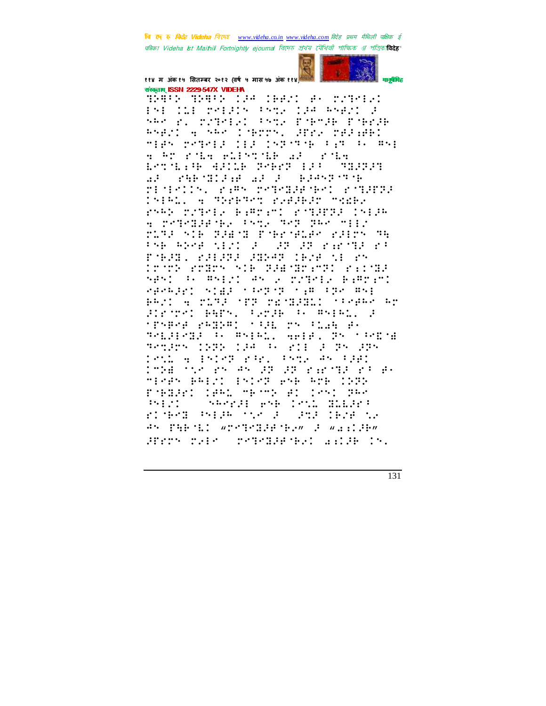

११४ म अंक १५ सितम्बर २०१२ (वर्ष ५ मास ५७ अंक ११४) संस्कृतम् ISSN 2229-547X VIDEHA

BARD BARD CAR CHAIL AS BIBSEI PRESIDE PREPIRENTATION IPA AREAISP SAR P. TZIPLZI PSTA PSPZE PSEZE RNAVI A NRM INBODY, SPEV OFFIRED migs peneig jig jspensk fyn flang a Ar roba ellecole al croba ESTALLA ARILE PSECT 121 (MIRRET ad come didden ad do celestrate METERITY, RAPY MATRIAR NAIL ROTAGER Inder a Thiere radder mane real problements roughts inclu a penempron. Pen. Ten pae offic MIRA SIE PABSE PSEMBLAM WALMS PR PSE RESEARCH 2002 22 23 FEMALE PARE PRIRE REAR INS 11 PM Critic Product Side Bamion Pro . . . . . . . . . . <del>.</del> SASI PORTHIC AS 2 MINIS BARNETI ependet stad coepen can ope ms: akon koristi ora bebagain bayak ar RISTRAL BARN, PARAB (P. ANIAN, 2 SPARE PARAL SAN TA PLAN BY skindi – mari – mart – mar 385255 1232 124 36 311 2 35 25 2 Tend a friez ran, army ar age: Chia non es 4s di di eguerrio es 4. meer each cross eacher lieb FORBAY (PRI MESME BI 1851-186 **SARRI PH IST BLEET**  $39.3221$ ringer syfik nin for for leve in st particular production condition SPETT TALK TRIPHSHOLD WEIGHTS.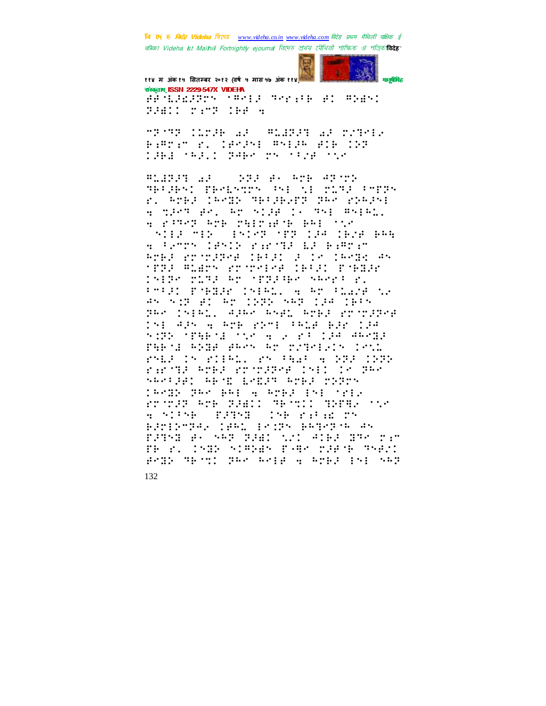

११४ म अंक १५ सितम्बर २०१२ (वर्ष ५ मास ५७ अंक ११४<mark>, व</mark> संस्कृतम् ISSN 2229-547X VIDEHA APSLAZITY SPACE THRIB AT PRAST

MESTE COMBET ART AGGERER ARTIMINE BiPrim r. (Prani Pniah BiB 102 1963 (RP.1 SARK 25 (P.20 )12

**SLIPPY AF** 1993 A. Ark 43.77% BREAKS PROPOSE SERVED TO PASS POPPS r. Anel Cardy Methern Mar Syapsi a maks ar, ar siae is sel sélén. e razz en refreiche ein sch **SILE MIN (ESPECTED COM CENE BAG** 4 Penny (Pyle randa Aa Bagran ROBE POSCEPTE IBRED I IS SACIRATE AN tra mark problem been roman Industrial and thus are sample at Prizi Padan (nimi, 4 mp filaze)<br>An nop el mp 1999 nep 194 (195 PRO INTROL APROVANCE AMBEV PROMPTOR 151 Album Are root (Alle Ble 194 SIRE STARTE STATE 2020 IPA ARMER FAR 11 ANNE (PARK AT TITRISIN IST. rmla (m. riiml. (rm. Falt. a. 2008) (200 randa ema pronagea (Sil le geo SARRIE: ABRE LREIT AMBI MIRTS jargo par pal 4 arbitalis (rel. aroran Ara nagi: Aforil Angglé (19<br>A Sitse (gagsa) (196 palabors) BRTINTER CHAI PROPRIBATOR AS FJT53 #: 547 FJ#1 121 #183 376 rin FROM THE STREET FORM MIRTE THAT Beddy Mesoni dae' arig a areg isi sad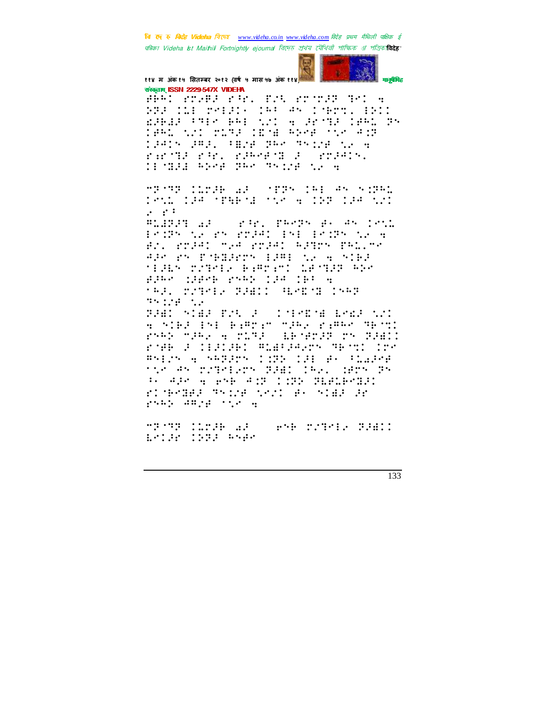

११४ म अंक १५ सितम्बर २०१२ (वर्ष ५ मास ५७ अंक ११४) संस्कृतम् ISSN 2229-547X VIDEHA

**CATABA RANGERS ATTER AREA**  $\ldots$ 533 ILE PHEADA INFORMATION EDIC EPRIN FALK BALLAST ALGEBRA 1841 SPA 1952 tri mang ini Alga (ta'ad parts away (which you wanted the 4 randa ran, rayada a crago. **IFABURY THE THIRD IS A** 

**MISSING CONSTRUCT STORY CALL AND SCORE** Tend (194) reading the Golden Cod net  $\mathcal{L} \in \mathbb{R}^{3}$ 

PLAPAR AA () range proposes an ioni<br>Ecopy na ros road (Ene Ecopy na A Br. 2004: Mag 2004: APROV PAL.MA APP PR PORTERTY 1981 NA A SIRE MERS TATMEN FERTICE LANTAT ANY 8358 MBRE 2552 MBR 183 H **TAR, TITHE THALL HETTE CAAT**  $35.128 - 12$ 

BAD STAR BYL 3 (1980-1981 LANG N.T a SIEP ISI Eagram maes pages me<sup>22</sup>1 rned maer a ring (denarge rn 2001) roff Filling Wallers West In Angles a SAPAne (1886-1886 Angles Standard ste as problem Bar (1921) den de Booker Representative State rinkdad menga seri ay etap dr grade adopt the a

**MINISTER AND ME Service State State** ESTAR TERR WARK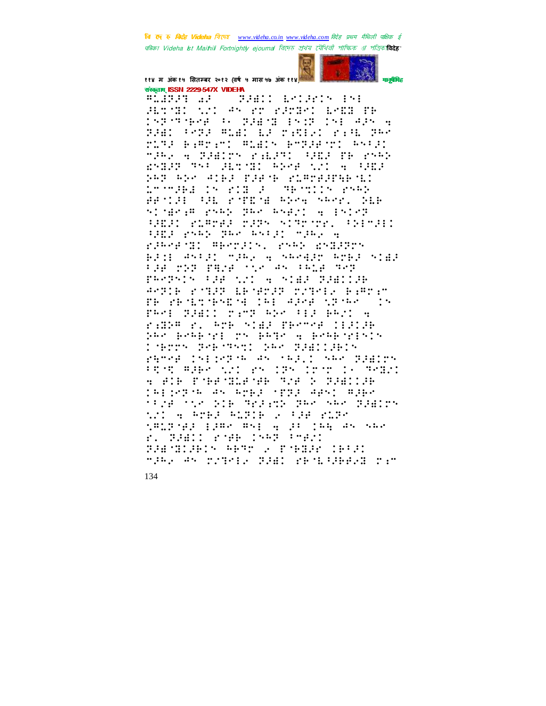

११४ म अंक १५ सितम्बर २०१२ (वर्ष ५ मास ५७ अंक ११४) संस्कृतम् ISSN 2229-547X VIDEHA

**THE BELLET BE** ACTED AND AN OCCUPANT BYEE CH SPORTAGE POSSESSED INTERFERING BAD PARE MID DE MARIAI VIA BA ring parrant width broggery where make a daalom rabani aaba pe rmk 85328 95: 385531 6558 321 9 9302 145 A12 A163 P383 MSS Present **WORRENT STREET SEPTIN PART** HENDED HAD KNIENE ASKA NAMK. SAR SIMBAR PSAN BAK ASBNI 4 15182 BEEN ROBERT SERVICES (PRIMARE SPEED PARTY BRACKWEEPS MIRROR rawers: #Profis, ryPD cyller BRIE ANIRI MIRA A NRHAIM RMBI NIAR tae pas pare the an inge dep PROPRING FOR SILL AGAIN POWER OF APPIE POTER EEOFFRE PATPIE PARPEM TE SEMINAREMENTE APPENDENCE PROF BABILICATE RECOVAL BRIDGE range r. gre side regula (1919) par prapte yn propagro y praptentro **CONTROL REPORTS DEPTHISHED** rance informal enought necognation FROM BEEK NOT EN 185 IBN 1808 IN THEI A FIR PORTUGATE THE NORRISH Information are specificated apsoluted tice the Sie Refers Ben Sen Blairs this worker with a class fire 1812142 1283 851 4 26 16 36 45 56 r. BADI rum 1993 (med FARANCENT WEBSITE FOR THE CHARGE make an problem Sach chocalaean per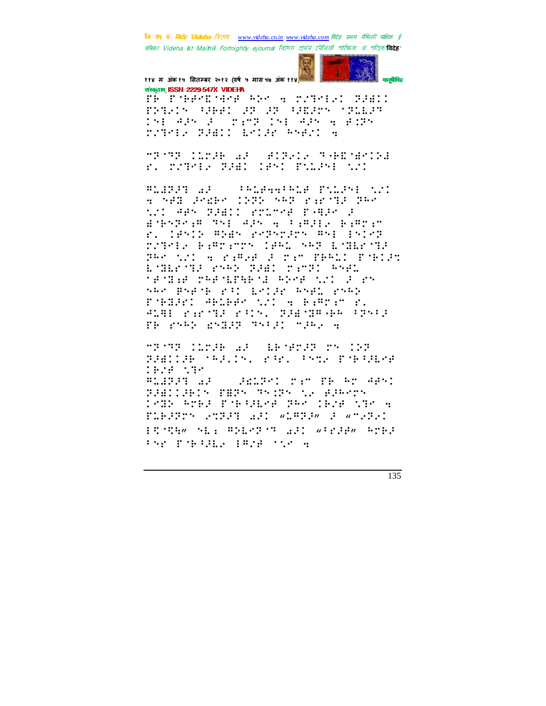

# ११४ म अंक १५ सितम्बर २०१२ (वर्ष ५ मास ५७ अंक ११४) संस्कृतम् ISSN 2229-547X VIDEHA

PŘÚD SPACESACH (PDC) 4. DVSKEVI (SJALI FRING WHAT SPORT WEST CRIEF 151 425 2 (2:55 151 425 4 2:25 rstell slatt betyr belst A

**SECRET SHEMENING** r. TVR: THE IPS TULPE WI

**PLATER AF SERGERED BILES CO** A SPE Poder 1989 Sep rarrible Per WI APS BABIL POLTER EARE FO EMPRES THE 425 A FIRIL BIRDET r. 18512 Weak Province Wol 15180 rately F.Prisons (PAI SAP ESHESSH BRANDO ESTRE POSTERO PROVINCI L'ALPAIR PART BRET CEST ANE **TENDED CREMENENS REPEATS OF ST** SAR BSENE PRI ERIEN ASEL PSAG POBRET ARLEAN NOT A BARYAN C. ALBERTANTE PAIN, PERMINAN APARE TE PART RANDE SALFI STEP 4

**MINT COORD AF ARMEDIA TACTS** BRENCH SPRIES, PRO PSTA PSPRIESE DECA SAM #1829 a2 - 2019/1 rin fB Ar 48%1 FABILARIN FERN TNIRN NA BARATN 1985 Anal Poasing Sar (and the Sar A FORESTY POSSES AS WARRANTS WYSES ECTER SEE REETS AND WEEKS ATEN the Polician companies of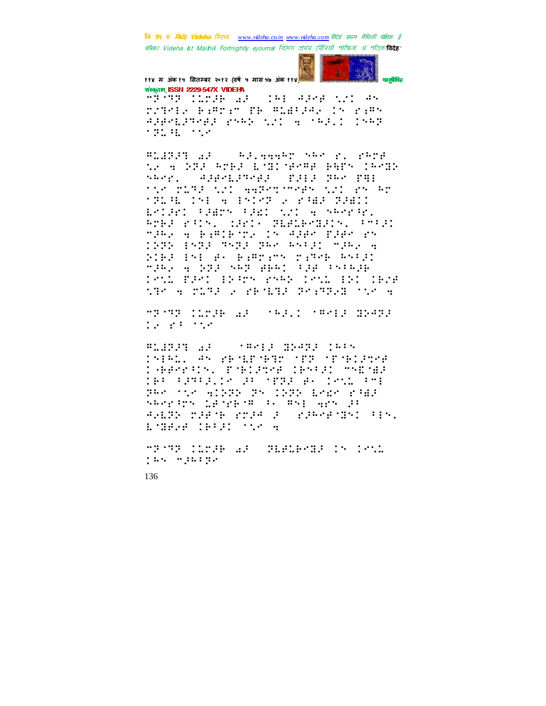

११४ म अंक १५ सितम्बर २०१२ (वर्ष ५ मास ५७ अंक ११४) संस्कृतम् ISSN 2229-547X VIDEHA

må öng (12016 (23) (1918 gippe (22) an rather Figuren th guarage in right APPRESSARE PARK NOT A TARLI INAR  $131.31 - 11.7$ 

BLIRED af 1941-6682 SAM P. PATE trong SBS Area End terms earn cands SARE, ANALISANI TILI TAR THI the pure not adjectively inc. Prime the City of Boler 2 Partner: Estant Padro Padi wil a operar. RTES FRIN, MEDIA TERMENTEN, PHESI MARK A BARIETY IN AGENTIAN PA 1989 1989 Age See Entertains o bleg informacegory pages bhigi sint a bil eng den cide cerede Poul Band (Evern Break Coul Bal Cele the activity of resident respectively.

MESTE COMBETER (SPACE SPACE BRAGE  $\frac{1}{2} \left( \frac{1}{2} \right)^2 \left( \frac{1}{2} \right)^2 \left( \frac{1}{2} \right)^2 \left( \frac{1}{2} \right)^2$ 

**STRATE BRANE CAIN** INEAD, AN YEARTHIR MER METELPHY CHAMPIN, EMPLAYE (BYFA) MYEMBA THE EPPERING PESTINE AN IMAGE PM PRO TOO HISPS PO ISPS ECKO KAWE SPEEDS LESPESH IN HSP APS PR ANITH MAP ROOM A SCAPE NEW FIN. ESHAR CHIC STAR

MESTE CLYSE AS CHARACTER IN INCL pas eparge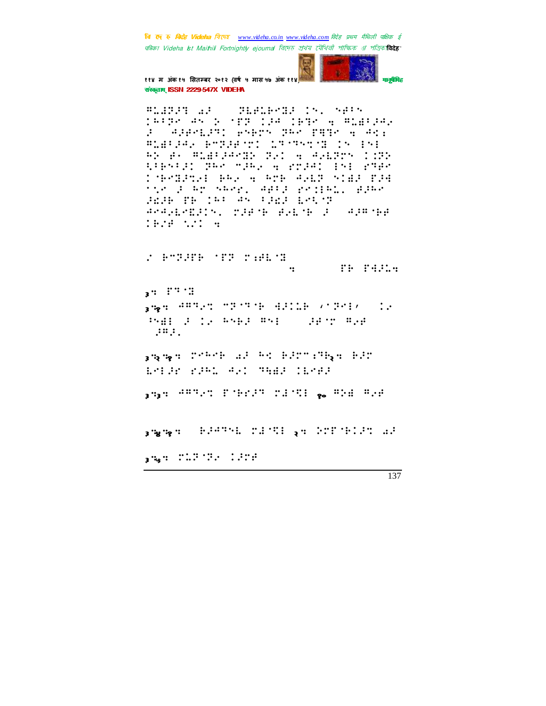

११४ म अंक १५ सितम्बर २०१२ (वर्ष ५ मास ५७ अंक ११४) संस्कृतम् ISSN 2229-547X VIDEHA

**PLANED AF SERVIC IN NATH** 1932-25 2 512 124 1916 4 8181242 ) (approximately provided to the second second second second second second second second second second second Ridger Prisent innersid in 191 RESPONDED PROTECTING ANDERS COPE tibell des sles a role: Priss roes Chromatian Age a graph genom sing pag the Power Sweet Add Perdan (2008) BEB TE THE WAS PEER ERROR. Arayonity, nero excorp agange TRIP WILL BE

```
2 BANGER 197 2 BENG
                                                                             \dddot{\cdot}\frac{1}{2} : \frac{1}{2} : \frac{1}{2} : \frac{1}{2}\frac{1}{3} mg s \frac{1287779}{1277} , with \frac{1}{3} , the second second second second second second second second second second second second second second second second second second second second second second second sec
PAB 2 12 RAE2 RAE - 2875 R28
   \mathbb{R}^{n}
```
saaks come all be blocklass blo EMIST STAL AND THEN CEMES

sas forthe policies and the control of the second second second second second second second second second second second second second second second second second second second second second second second second second seco

smam - Bernhal darke se bornbien ae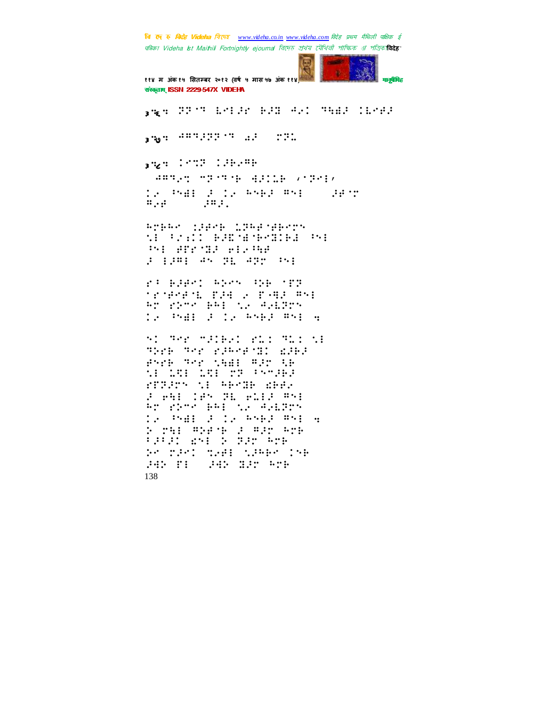**Service** 筹 ११४ म अंक १५ सितम्बर २०१२ (वर्ष ५ मास ५७ अंक ११४) मानुबैमिह संस्कृतम् ISSN 2229-547X VIDEHA Super TT TO LATTER BILL AND THEIR CLARK 300 - FRIST TO AP - 221  $\frac{1}{3}n_Zn$  (1972) 128288 WHERE MESTED GRILL VIEWER De PAB 2 De RAB2 #51 - 2875  $\mathfrak{m}_1$   $\mathfrak{m}_2$   $\mathfrak{m}_3$   $\mathfrak{m}_4$   $\mathfrak{m}_5$   $\mathfrak{m}_6$ Arban (SBNP 1788-98515) ti (Critical Bushelm (Critical Critical Critical Critical Critical Critical Critical Critical Critical Critica PH APPAGE PLATHE 3 1381 45 31 437 551 r: BRP: AND SH MPP **Spread Bid Strape Rep** Progress PPE (12 Pearly) 12 PHI FILE RAPE RNI 4 SI TER MAIRED RELATED ME This Ter ribertil die: Prek Mer (Ad: MPr Ak **A MARINE ME PROPERTY** FIRED AL BEFIN SEEP **F PHI 185 SL PLIP SSI** Program PPE to Addres IS PART FOR BARBARA W 5 29: 85:30 3 832 526 **FORE 251 2 302 528** So width weil wieer loe SUP TI SUP HIT ATH 138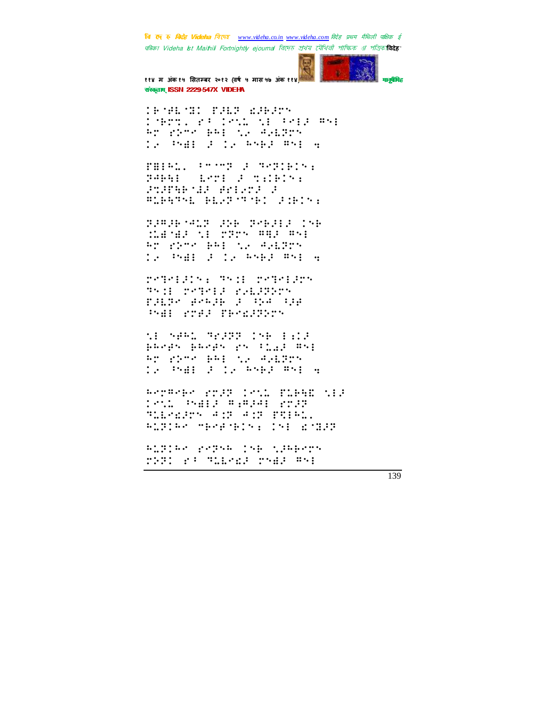

११४ म अंक १५ सितम्बर २०१२ (वर्ष ५ मास ५७ अंक ११४) संस्कृतम् ISSN 2229-547X VIDEHA

 $\begin{minipage}{0.99\textwidth} \begin{tabular}{l} \hline 0.99 & 0.99 & 0.99 & 0.99 & 0.99 & 0.99 & 0.99 & 0.99 & 0.99 & 0.99 & 0.99 & 0.99 & 0.99 & 0.99 & 0.99 & 0.99 & 0.99 & 0.99 & 0.99 & 0.99 & 0.99 & 0.99 & 0.99 & 0.99 & 0.99 & 0.99 & 0.99 & 0.99 & 0.99 & 0.99 & 0.99 & 0.99 & 0$ ISBN 2013-1911-11-1912-851<br>An airso BAI NA AGENCY IS PART FOR BARR WAT A

**THING INTERNATIONAL**  $\mathbf{y}$ Lett Formers **STORES TO SERVE STATE** #184751 BLATTIEL FIRIS:

**THE REAL PROPERTY OF A SECOND CONDUCT MARKET START START START** An stre BAI to Agilbry IS PART FOR BARR WAT A

repersive myss reperson TYIL POPER PALARATY<br>PALPO PORAL A TRACTAR PAN STAR TRANSPORT

**11 5951 92333 158 1113** propo propo yo this way An electricial the AddBne De PABL 2 De RAB2 #51 A

RepResent Print Plans (1) ten sama masan era TARAHIN ANI ANI PIRT SINGLE THAT SINGLINE WIND

anggal pegaa jan ninnera PRES PROTECTIVE PRESS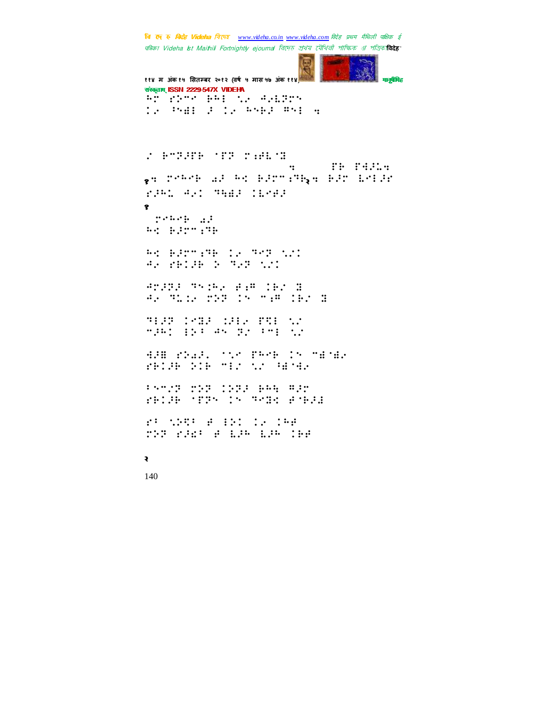```
११४ म अंक १५ सितम्बर २०१२ (वर्ष ५ मास ५७ अंक ११४) मानुसीर मानुसीरे मानुसीरे ह
संस्कृतम् ISSN 2229-547X VIDEHA
140
\frac{1}{2} . The state of the state of the state of the state of the state of the state of the state of the sta
⢴!⢸⣞.!⢼!⢴!⢳⢷⢼!⢻.!⣒!
"!⢷0⢽⢼&⢷!&⢽!⣐⢾⣇⣝!
                         hhbkfoesbAwjefib⣒dpn!&⢷!&⣚⢼⣅⣒!!
१⣒!⢳⢷!⣔⢼.⢳⣊!⢷⢼0⣐⢹⢷२⣒!⢷⢼!⣇.⢼!
⢼⢳⣅!⢺⢴!⢹⣓⣞⢼!⣇⢾⢼!
१
 !⢳⢷!⣔⢼!
\existsing (Bilgar) (200
₩ BERTHE OF THE NO
A. PHISE & T.P N.I
⢺⢼⢽⢼!⢹⣈⢳⢴!⢾⣐⢻!⢷"!⣝!
\#. This ref (5 \# -0 \# (6 \#⢹.⢼⢽!⣝⢼!⣈⢼.⢴!&⣋.!⣁"!
0⢼⢳!.⢵⢸!⢺!⢽"!0.!⣁"!
⣚⢼⣟!⢵⣔⢼>!⣁!&⢳⢷!!0⣞⣞⢴!
⢷⢼⢷!⢵⢷!0."!⣁"!⢸⣞⣚⢴!
0"⢽!⢵⢽!⢵⢽⢼!⢷⢳⣓!⢻⢼!
⢷⢼⢷!&⢽!!⢹⣝⣊!⢾⢷⢼⣜!
!⣁⢵⣋!⢾!.⢵!⢴!⢳⢾!
⢵⢽!⢼⣎!⢾!⣇⢼⢳!⣇⢼⢳!⢷⢾!
२
```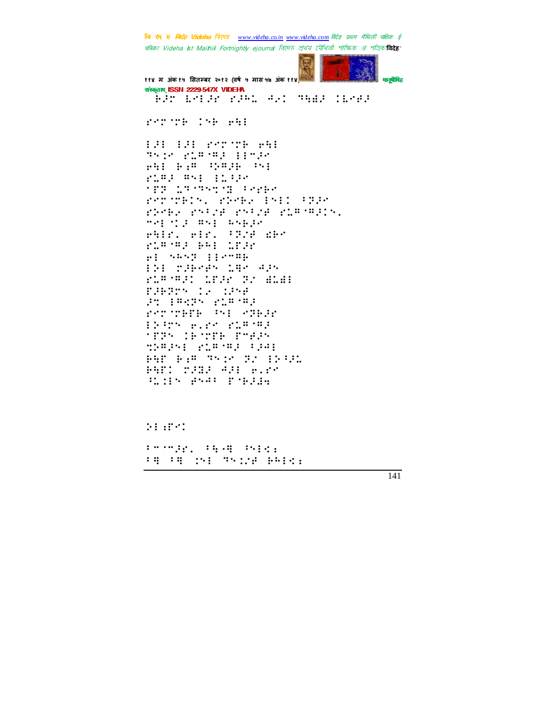粵 मनुबैमिह ११४ म अंक १५ सितम्बर २०१२ (वर्ष ५ मास ५७ अंक ११४) संस्कृतम् ISSN 2229-547X VIDEHA Ger betar rams all management rench Chi emi 121 131 Serer e41 Thir Electric Hole **PHI BIN SPRIN 191** ring mag (1191) **TEP LETERTIE PREPT** FOR TELL SPORT INED STOP renks retracted retractions. mercy marked many rhis, ris, 1928 der rises par inde el sasy fleezh 101 raboan 180 435 FARTY CONTROL 3t 18825 FLB 93 FOR THE SAL STEEP ENDY BIRT PLAYER **TEP INTER PORP TERPE FIRME FEAT HAT FAN THIM 3. 123.11.** PAPI MARA APE P.PT Ships gas: pople  $H$ :  $H$ 

 $1.9992213441344222$ **FURNITY OF START PRICE**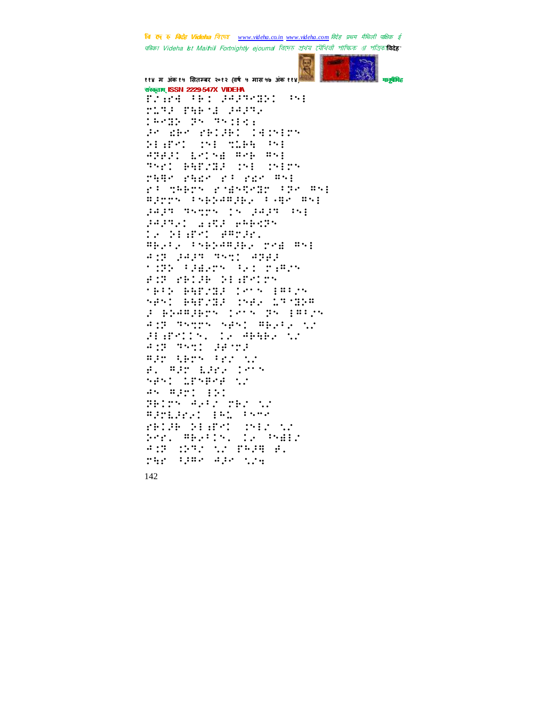

११४ म अंक १५ सितम्बर २०१२ (वर्ष ५ मास ५७ अंक ११४) संस्कृतम् ISSN 2229-547X VIDEHA fine manufacturers ( **MARK PRESS RESERVE INSER EN TRIEL:** Br der Welle: 14cmich HAPPY THE TIME PHE **START LOOKE WORKSHIP** THI BEDIS IN STIP 1996 reach rinner 851<br>rinners reastern 1950-851 Bjers (CappaBjp) (Capr Bs) 3437 Thurs (5 3437 Th) 343921 a353 eRB335 **MARKET STARTER** #p.c. ceptange, red #51 **A:P (A)P Tht: 4900 TIPE FREED TELTIFIC** FOR SELBER SIGNER this barroof provisings SAS: BARYNA (SAS 1978)# F BRAWERTH (PTS PS 18925 ASP PRODUCERS REPORT HATCH IS WHEN W **AIR RANC BENCE** BHP ABON APP NA B. WAR LARE CHOS SASI LESPAR W 45 #221 INT 39:27 42:2 202 12 **WEPERFORM INC. THAT** SENIE DISPO DEL PRI WELGERING IS WELD AND NOTE OF PAPE A. THE GREET WIRTH TIME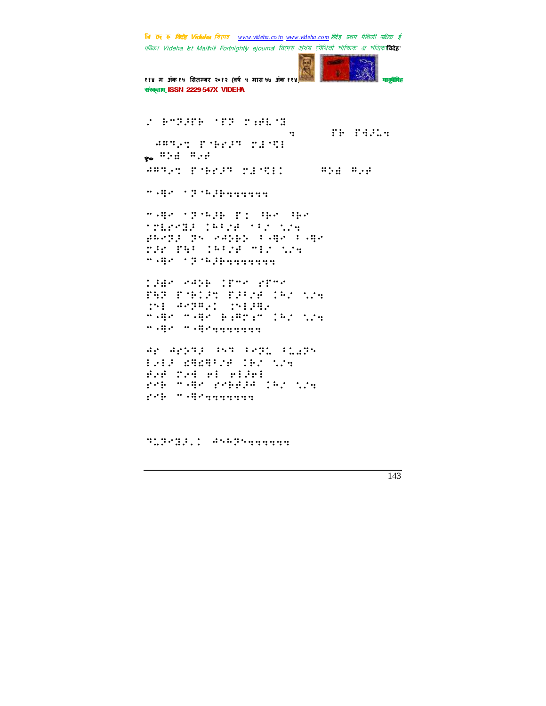

११४ म अंक १५ सितम्बर २०१२ (वर्ष ५ मास ५७ अंक ११४) मानुसार मानुसीमेह संस्कृतम् ISSN 2229-547X VIDEHA

"!⢷0⢽⢼&⢷!&⢽!⣐⢾⣇⣝! hhbkfoesbAwjefib⣒dpn!&⢷!&⣚⢼⣅⣒!!  $\frac{1}{2}$ १० ः ॥ ॥ ॥ ॥ ॥ ॥ ॥ ॥ ॥ ॥ ॥ ॥ ॥ ॥ ॥ ॥  $\ddot{v}$ ⢺⢻⢹⢴⣉!&⢷⢼⢹!⣜⣋.!21!⢻⢵⣞!⢻⢴⢾.! 0-⣛!⢽⢳⢼⢷⣒⣒⣒⣒⣒⣒! 0-⣛!⢽⢳⢼⢷!&⣈!⢸⢷.⢸⢷!

⣇⣝⢼!⢳"⢾!"!⣁"⣒! ⢾⢳⢽⢼!⢽!⢺⢵⢷⢵!-⣛.-⣛!  $T$  . The state of the state of the state of the state of the state of the state of the state of the state of the state of the state of the state of the state of the state of the state of the state of the state of the stat 0-⣛!⢽⢳⢼⢷⣒⣒⣒⣒⣒⣒⣒!

1986 sepk 1856 rB50. &⣓⢽!&⢷⢼⣉!&⢼"⢾!⢳"!⣁"⣒! ⣈.!⢺⢽⢻⢴!⣈.⢼⣛⢴! 0-⣛.0-⣛!⢷⣐⢻⣐0!⢳"!⣁"⣒! 0-⣛.0-⣛⣒⣒⣒⣒⣒⣒⣒!

₩. Webstrauth 1982 1882 .⢴.⢼!⣎⣛⣎⣛"⢾!⢷"!⣁"⣒! ⢾⢴⢾.⢴⣚!⢶.!⢶.⢼⢶.!  $f^{\prime}$  (Fig. 10)  $f^{\prime}$  (Fig. 10)  $f^{\prime}$  (Fig. 10)  $f^{\prime}$ ⢷!0-⣛⣒⣒⣒⣒⣒⣒⣒!

⢹⣅⢽⣝⢼>!⢺⢳⢽⣒⣒⣒⣒⣒⣒!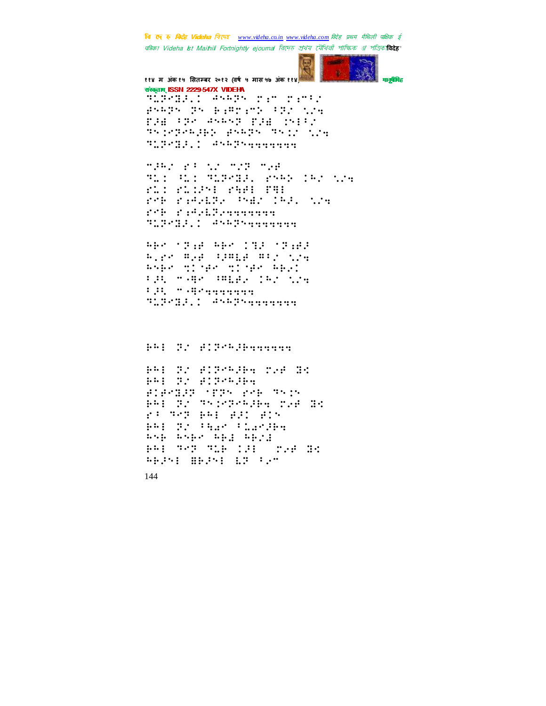

संस्कृतम् ISSN 2229-547X VIDEHA SIPARAL ASARS PER PERT #5025 25 F.Wr.52 (22 120 THE PROGRAM THE INFO Thirdendie drags This 124 WESTERN ASSESSMENT

mathematic form in the model Mar Har Marker, Pres 192 Mar film film film fun reb radioin. Par 1911, the **Print Parties Community W.P.S.L.** WARTHERST

Absolute Absolute (Tip Agreement (2012) After the Robe of de of de Rb21 **P.S. MARK PRESS INT NIN FOR PORTSERING** SLIMBAL SARPANGANGAN

**BA: 22 BIP-63H: 228 BC** PH 22 81255284 BIB-122 STPS PSE TSIN 841 F. W. W. S. P. S. S. S. R. **F: 782 BR: 821 815** Bill St Charlierthy ssp sspr spr sprr **BA: 703 718 131 122 30 ABINE HEIME 12 TEM** 144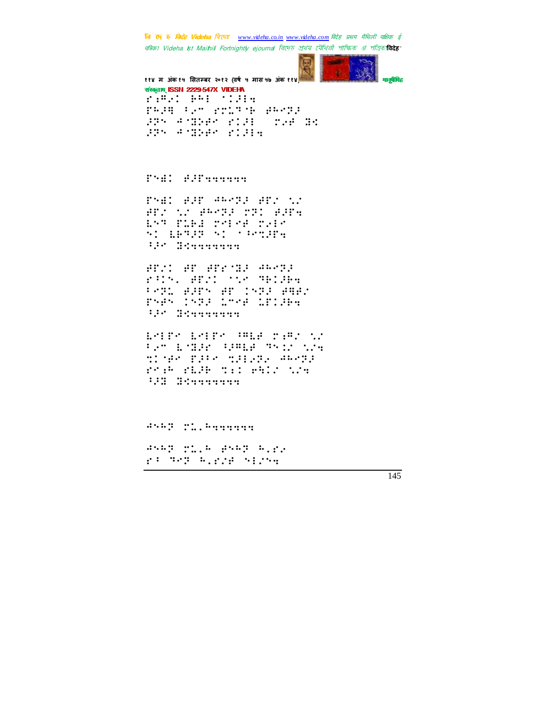बि एक रु क्रिटेड Videha विएक www.videha.co.in www.videha.com विदेह प्रथम मैथिली पाक्षिक ई पत्रिका Videha Ist Maithili Fortnightly ejournal রিদেত প্রথম মৌথিনী পাক্ষিক রা পত্রিকা**বিदेह**'



```
११४ म अंक १५ सितम्बर २०१२ (वर्ष ५ मास ५७ अंक ११४)
संस्कृतम् ISSN 2229-547X VIDEHA
rime: BHI (100)
PASE CAT PRINTS BANCE
arn Aomhan 21am - 22am 93<br>arn Aomhan 21am
```
*Prince diffusions* 

ren aur aberi arr tr HIS AS PROFI CHI RATH EST PLEA PRICE PAIR **MILEMAN MILEMANNS ASSESSMENT** 

HD: HD HD: HA 46-72 FIN HILL TRUTHING legi elet en 1992 eger<br>PSBS 1993 inse inige We Hinneren

EMPP EMPP (MER TIME ST **Bundalows CHALE TRID WA** time fire third abend rosh rash dai ekin the *ARAN ARANGER* 

and communications sang pili pang njel r: 303 A.r.E. Siche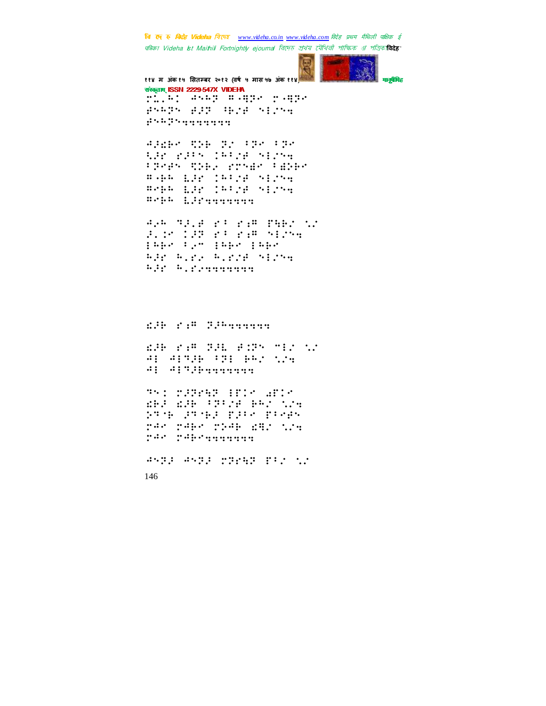वि ए रु क्रिडे Videha विएक www.videha.co.in www.videha.com विदेह प्रथम मैथिली पाक्षिक ई पत्रिका Videha Ist Maithili Fortnightly ejournal রিদেত প্রথম মৌথিনী পাক্ষিক প্র পত্রিকা**বিदेह**'



११४ म अंक १५ सितम्बर २०१२ (वर्ष ५ मास ५७ अंक ११४) संस्कृतम् ISSN 2229-547X VIDEHA <u>yîde: Asep mage page</u> #5625 ### ### 51254

**Bibliography** adgus nyu ny ins ins the rath (Bird Sirne Press The Press Pane

#GPR EJP (RP2# 58254)<br>#GPR EJP (RP2# 58254) seps difference

APA MALE PROPINSION CO 3. 18 (137) 83 (138) 51259 paper by paper pape RAY R.E. R.E.N SIZNE **Wir W.f.ssansen** 

dib cif Cibenenne

ER FRUNK BOY MIT W **#: #:320 :31 002 124** 41 41736444444

Thi MARPHP HELP WEIP del dje (prije emi tij PTH PTHE PPP PPPP TAP TABP TIAB AND 124 par pakenggangan

**ANDER ANDER TERRIT ET SINGER**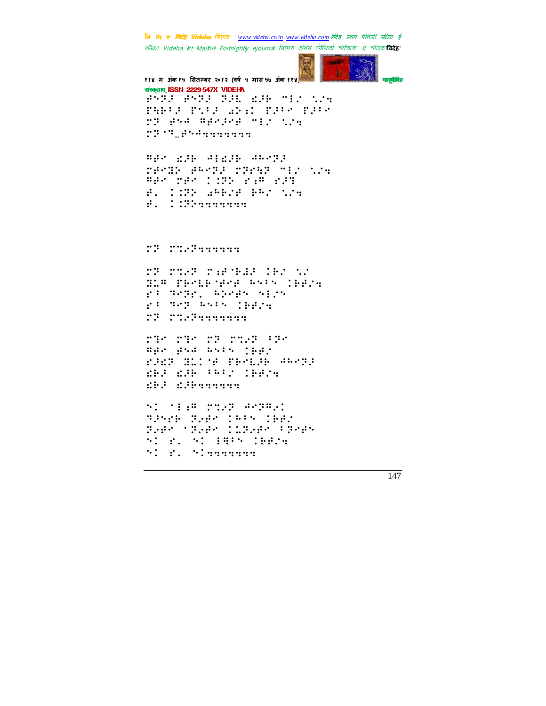वि ए रु क्रिडे Videha विएक www.videha.co.in www.videha.com विदेह प्रथम मैथिली पाक्षिक ई पत्रिका Videha Ist Maithili Fortnightly ejournal রিদেহ প্রথম মৌথিনী পাক্ষিক গ্র পত্রিকা**বিदेह**'

मानुबेमिह ११४ म अंक १५ सितम्बर २०१२ (वर्ष ५ मास ५७ अंक ११४) संस्कृतम् ISSN 2229-547X VIDEHA añs. Ansa sam dan mir tro PHP: POS ARI PRP PRP TT PSA BREAK MIL SIN **2271 Principal** Ber 200 Bizon Bergi TEMIN ERMIS TEMBE MEN NOW **BER 288 1:32 3:8 3:31** B. 1976 afford BRO NOW **27 23.3444444 MI MAR MARGAZ IRI WA** HIW PEPLEMBRE WALK TEBRE ri Tele, Alega alia ga men bete jagga **MI MILLERANDER MP 236 23 2323 336** Ber esa bs:s (Ber rid dita Tengga Aber del die tety ledy. dhi dibuunun **SI MESH TTER APRAIT** SPARE PARK (PIN 1982)<br>Park (Park 119aph 1998) MI P. MI HAPP CHAPE **NI S. NIGGERST**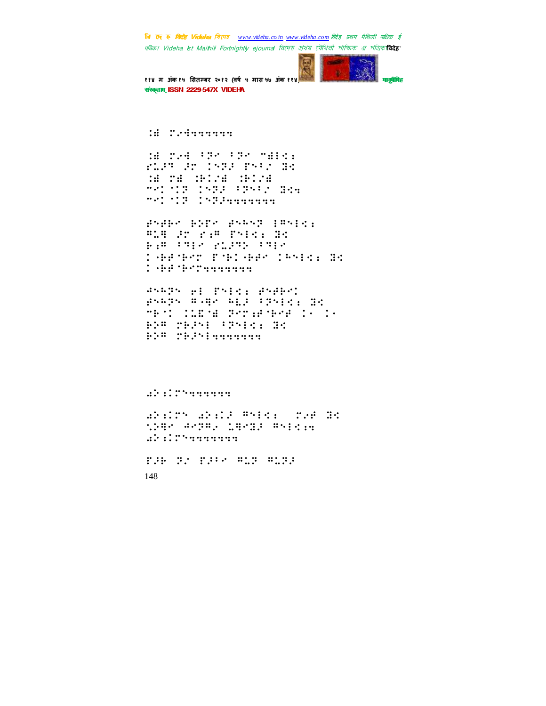बि एक रु क्रिटेड Videha विएक www.videha.co.in www.videha.com विदेह प्रथम मैथिली पाक्षिक ई पत्रिका Videha Ist Maithili Fortnightly ejournal রিদেত প্রথম মৌথিনী পাক্ষিক প্র পত্রিকা**বিदेह**'



११४ म अंक १५ सितम्बर २०१२ (वर्ष ५ मास ५७ अंक ११४) संस्कृतम् ISSN 2229-547X VIDEHA

 $\frac{1}{2}$  ,  $\frac{1}{2}$  ,  $\frac{1}{2}$  ,  $\frac{1}{2}$  ,  $\frac{1}{2}$  ,  $\frac{1}{2}$  ,  $\frac{1}{2}$  ,  $\frac{1}{2}$  ,  $\frac{1}{2}$  ,  $\frac{1}{2}$  ,  $\frac{1}{2}$ 

de red (Pe (Pe maid) russ ar 1933 Petr Br de ne delve delve<br>Aktore 1982 (1992) dka **MARINE CONFIGURER** 

PHPM PREM PHANE (Philips BLE 27 fill Pile: Bi **F:# :31 / :1232 :31 /** Department for the control de 

anagn ei Phisi Phépsi<br>Phagh Alap All (Phisis Bo ment communication and communication PP# 2PPH (PPHK: BK 800 mBC 00000000

ab : : : : : : : : : : : : : : Stirr Shill Write The Bo 1988 ACREA 18813 BRICH ab : Crhannenen **P.O. 9. P.O. B. P.O. P.O.**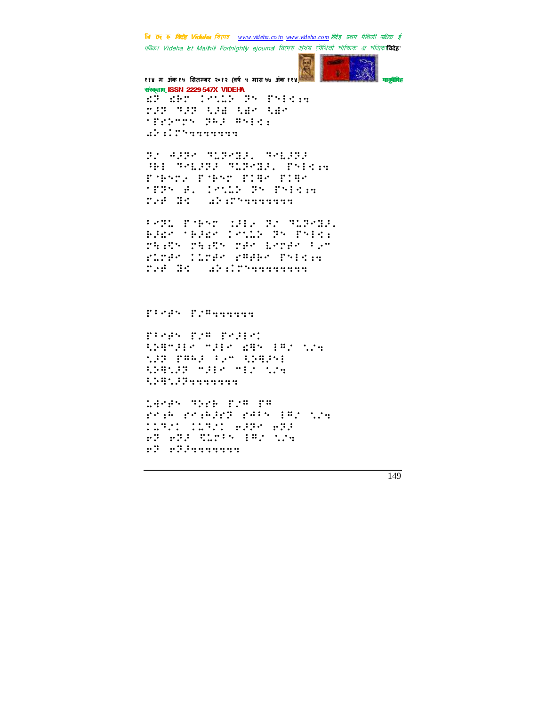वि ए रु क्रिडे Videha विएक www.videha.co.in www.videha.com विदेह प्रथम मैथिली पाक्षिक ई पत्रिका Videha Ist Maithili Fortnightly ejournal রিদেত শ্রথম মৌথিনী পাক্ষিক রা পত্রিকা**বিदेह**'



११४ म अंक १५ सितम्बर २०१२ (वर्ष ५ मास ५७ अंक ११४) संस्कृतम् ISSN 2229-547X VIDEHA al ako letak 25 Prisin **TIP TIP LIE LEA LEA** 'Prime PAP Philips

 $\frac{1}{2}$  ,  $\frac{1}{2}$  ,  $\frac{1}{2}$  ,  $\frac{1}{2}$  ,  $\frac{1}{2}$  ,  $\frac{1}{2}$  ,  $\frac{1}{2}$  ,  $\frac{1}{2}$  ,  $\frac{1}{2}$  ,  $\frac{1}{2}$  ,  $\frac{1}{2}$  ,  $\frac{1}{2}$  ,  $\frac{1}{2}$  ,  $\frac{1}{2}$  ,  $\frac{1}{2}$  ,  $\frac{1}{2}$  ,  $\frac{1}{2}$  ,  $\frac{1}{2}$  ,  $\frac{1$ 

ST AND MIDTH, MALINE BI THERE TERMINE THINGS FORTH PORT EIRS FIRE tras al ledis de relàm ref Br (d):Phaannan

PARL ESPAC (212-32 SLPAR).<br>Para tear (2011-35 PSP): TRATH TRATH TAN LOTAN FOR runge (1009) ragge prices ref Br abilitennesse

Pick P.Waanner

Pregs Programs SPANDER MOER WAS EAST NOW<br>NOT TAAL FOR SPACE 128128 M218 M11 124 1291274444444

Leves Springer pr rode rodedri reth 182 mar TURNE TURNE WEBSITE er ers tirk im We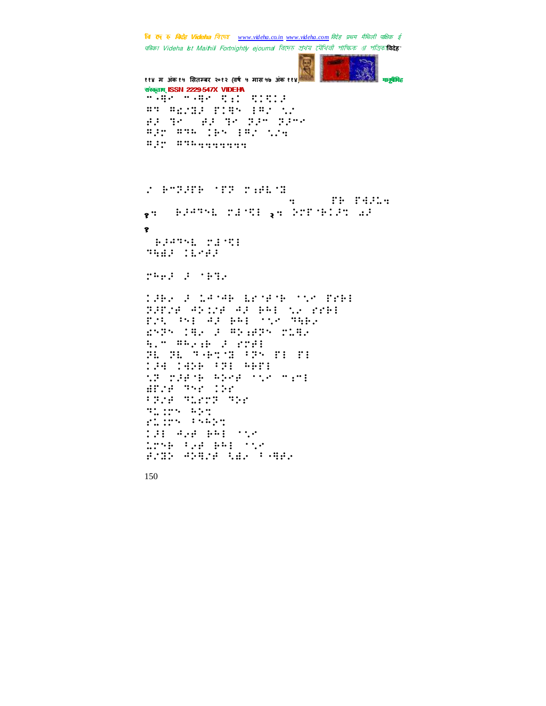वि ए रु क्रिडे Videha विएक www.videha.co.in www.videha.com विदेह प्रथम मैथिली पाक्षिक ई पत्रिका Videha Ist Maithili Fortnightly ejournal রিদেত প্রথম মৌথিনী পাক্ষিক রা পত্রিকা**বিदेह**'

```
मानुबेमिह
११४ म अंक १५ सितम्बर २०१२ (वर्ष ५ मास ५७ अंक ११४)
संस्कृतम् ISSN 2229-547X VIDEHA
\begin{array}{cccccccccc} \mathbf{0} & \mathbf{0} & \mathbf{0} & \mathbf{0} & \mathbf{0} & \mathbf{0} & \mathbf{0} & \mathbf{0} & \mathbf{0} & \mathbf{0} & \mathbf{0} & \mathbf{0} & \mathbf{0} & \mathbf{0} & \mathbf{0} & \mathbf{0} & \mathbf{0} & \mathbf{0} & \mathbf{0} & \mathbf{0} & \mathbf{0} & \mathbf{0} & \mathbf{0} & \mathbf{0} & \mathbf{0} & \mathbf{0} & \mathbf{0} & \mathbf{0} & \mathbf{0} & \mathbf{0} & \## #2213 FIRM 1#2 W2
83 TM 83 TM 735 7350
832 836 195 182 123
Hip Hillanghanna
September 1997
                                    \cdot.
ge (Blashmanninge Schoollelal
\bulletBOSTAN PARTY
THEF CEPER
THE FOSTER
THE FIRTH ENFORM TO PER
BADYA ARYAN AR BAI SA YEBI
的现在分词 的复数人名英格兰
8525 182 2 823825 2182
5.7 #62 # 2 rr#1
H. H. T.Brid (Pr. H. P.
ME PARTH ANGEL TIME MIMI
APSA The COS
1728 TEST TEP
RESPACEDO
richt (Sabt
100 A.A BRI 155
1958 (20 BB) 153
RANK ANDRE LAR PROPER
150
```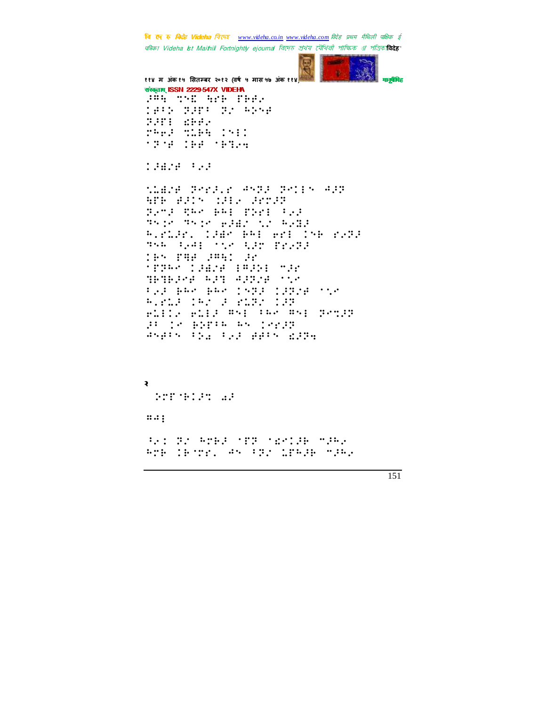वि ए रु क्रिडे Videha विएक www.videha.co.in www.videha.com विदेह प्रथम मैथिली पाक्षिक ई पत्रिका Videha Ist Maithili Fortnightly ejournal রিদেহ প্রথম মৌথিনী পাক্ষিক প্র পত্রিকা**বিदेह**'

मानुबेमिह ११४ म अंक १५ सितम्बर २०१२ (वर्ष ५ मास ५७ अंक ११४ संस्कृतम् ISSN 2229-547X VIDEHA and the are find. 1892 BBP B1 8258 BBB dhir **THE TIME INC. TOM THE TERM** 19828 P.P MARK PORT AND POINTAGE APP BOS CHE BOOD Bend Mar Bal Morl (193 Thir Thir elector Rede Richard Camp Reform Chronica sam gan tir tro Prezi **105 PHP 2001 22** 'TPA' LABYE BADA SAR WHIPPE ASY ASSAM TO typ eko eko 1982 (2824 jiw<br>Riews (Ri 2 ews) (28 FLILE FLIP WAY THE WAY THINK BUTP BRIEF AN IMPR synthetic telesting and all and all of the second second and second and second and second and second and second and second and second and second and second and second and second and second and second and second and second  $\mathbf{R}$ **SAPIRING AP**  $\ldots$ :

Will Browner (1880) Santish States ROB CROOK, AN FRONTRIE MIRE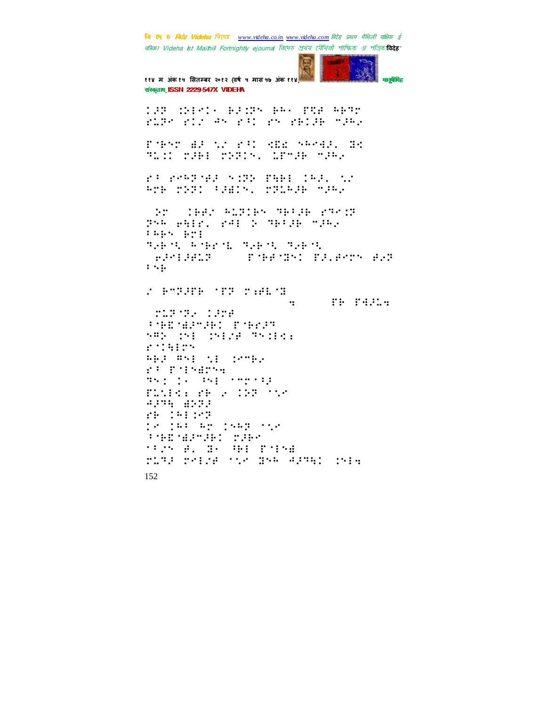बि एक रु क्रिटेड Videha विएक www.videha.co.in www.videha.com विदेह प्रथम मैथिली पाक्षिक ई पत्रिका Videha Ist Maithili Fortnightly ejournal রিদেহ প্রথম মৌথিনী পাক্ষিক প্র পত্রিকা**বিदेह**'

संस्कृतम् ISSN 2229-547X VIDEHA



<u> 10 SIM BISM BAY TO ABY</u> ruge ric an rai rh reige mame Porton Albert Park (MRC Steams) Re TO: THE THIS OFFICE THE ri refine son fee (F.E. S. Ara riza (dairs, rainda mani ST THE SUBJEY THER PTOP PSA PHIR. PHI 2 TRIP TRA these ere THE ROW-PECK THE ROTH R **Additional CONTRACTORS SERVICES**  $: \cdot$  : **TH PARTS**  $\dddot{\bullet}$ **TERMS CREE POSSESSED PORTS SAR MAIL INTER ASSIST**  $f(14174)$ Applese the control r: Prindrhe **SAILER SHIPPING** PLAINT PROFILE THE STA 4,886 8101 PH 1911-77 18 15: 5p 1553 158 **STED SEPTIES** STEP **SPACE IN HEITHE** TERP THINK TON BAR APPEL INER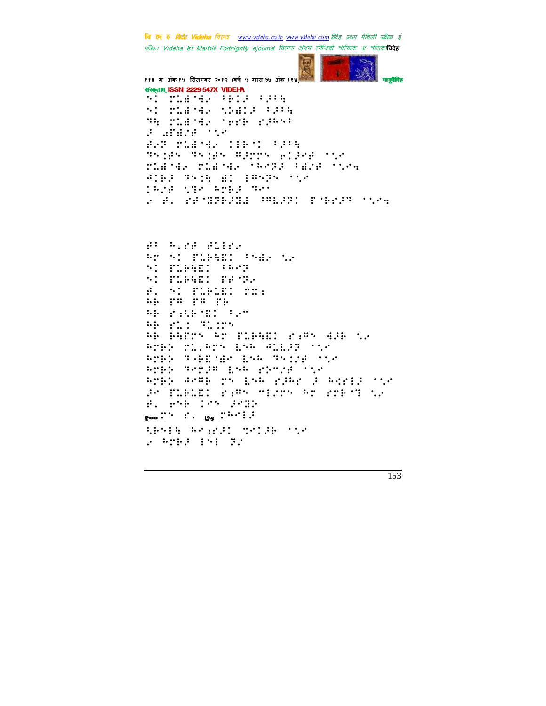वि ए रु क्रिडे Videha विएक www.videha.co.in www.videha.com विदेह प्रथम मैथिली पाक्षिक ई पत्रिका Videha Ist Maithili Fortnightly ejournal রিদেত শ্রথম মৌথিনী পাক্ষিক রা পত্রিকা**বিदेह**'

**Service** 

× मानुबेमिह ११४ म अंक १५ सितम्बर २०१२ (वर्ष ५ मास ५७ अंक ११४) संस्कृतम् ISSN 2229-547X VIDEHA **Michard, Opta Card Michael Managers** Why what die start and any start  $\mathcal{F}$  and  $\mathcal{F}$  and  $\mathcal{F}$ SO THREE HET BRA asjes asjes eleme eleme svr riana, riana, nega faza nina ADD THE BOOK PRESS TO 1928 MBK 9283 MPM 2 B. METHEMA (MESS) PTEMP TOPE

## #.r# #1!r: br ni Mibhii (nd. 12 **SI PLEADED BESTA** <u>.. . . . . . . . .</u> HP PARTIC TAT AP BATTY AT TIBARI (1985-438 t. RTEN TILRIN ENR ALEJE MIT PORT THROWN END THINE OUT Analy Mengah Era Singa Sing ROBE ARRESTS ESP PURP 2 ROBER TOP PO PLELED FARM MEDDY AD FOR THE LA #. enh 10n 2021  $\frac{1}{2}$  :  $\frac{1}{2}$  :  $\frac{1}{2}$  :  $\frac{1}{2}$  :  $\frac{1}{2}$  :  $\frac{1}{2}$  :  $\frac{1}{2}$  :  $\frac{1}{2}$  :  $\frac{1}{2}$  :  $\frac{1}{2}$  :  $\frac{1}{2}$  :  $\frac{1}{2}$  :  $\frac{1}{2}$  :  $\frac{1}{2}$  :  $\frac{1}{2}$  :  $\frac{1}{2}$  :  $\frac{1}{2}$  :  $\frac{1}{2}$  :  $\frac{1$ their bearing melle say 2 5762 151 32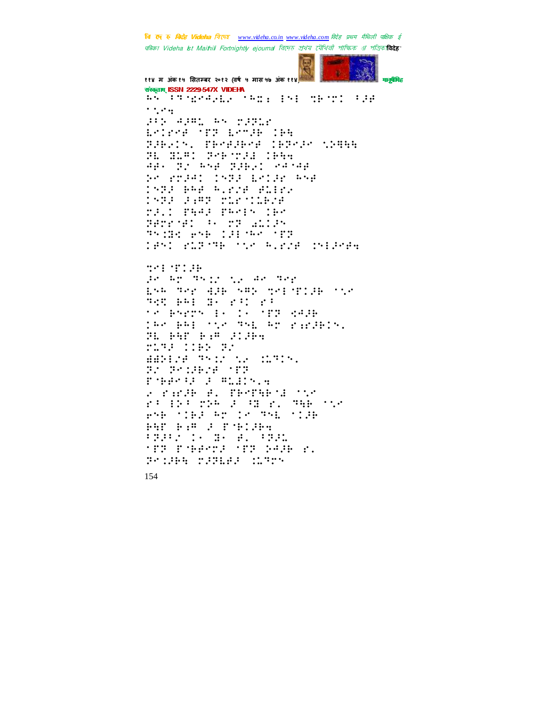बि एक रु मिन्हें Videha विरफर www.videha.co.in www.videha.com विदेह प्रथम मैथिली पाक्षिक ई पत्रिका Videha Ist Maithili Fortnightly ejournal রিদেত শ্রথম মৌথিনী পাক্ষিক রা পত্রিকা**বিदेह**'

**COMPANY** 

 $\mathbf{z}$ ११४ म अंक १५ सितम्बर २०१२ (वर्ष ५ मास ५७ अंक ११४) मानुबैमिह संस्कृतम् ISSN 2229-547X VIDEHA ARCIPERAGES TRIE ENE TRITT FRE  $\cdot$  ,  $\cdot$  . STE ASHL AN TITLE **MOVE THE LOTE CER** FJELIN, PERSONAL IETRIK NIMBE PL BLAT PORTUGE THAT ap. Sz Rng Sjell rang 50 PTPH 1572 ES12P RSP .<br>1993 beg e.g.a alle. 1533 B.W. TERNIER **MILL PAGE PROPR THO** 3822181 (6 23 ALIS 35:22 p56 121:50 122 TENT PLEATH STATELPIE INFORM TOP STORE pe ar delir në de der 1958 (1992) 424 (1912) del diciembre (1993)<br>1991 - Bell de Carlos de tro Brezholek (1800-1830-1842B) partial through an regard. **31 142 1.8 2.300 MARY COMP RD** HERRY TVIN AN INTIV. BE POSSESS OFF PARTIE ROLLER **Product Second to** 

r: 12: 22: 2 3 3 2 3 3 4 5 PRESSIBLE RESIDENT TRESSIBLE

**THE PONGOLE OFF SAME P.** 

**AND AND AND AND AND AND AND ADDRESS** 1992 : 1 8 9. 992

Sense range mars 154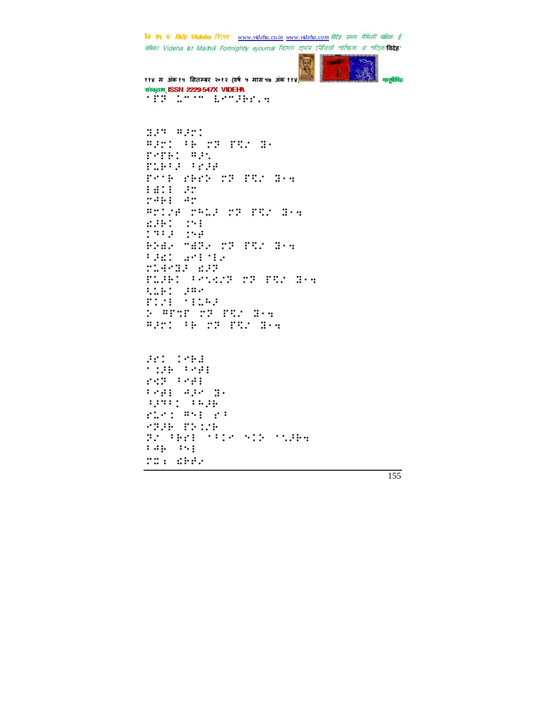चि एक रु *विदेह Videha चिए*न्छ <u>www.videha.co.in www.videha.com</u> विदेह प्रथम मैथिली पाक्षिक ई पत्रिका Videha Ist Maithili Fortnightly ejournal রিদেহ প্রথম মৌথিরী পাক্ষিক প্র পত্রিকা**বিदेह**'



```
संस्कृतम् ISSN 2229-547X VIDEHA
\cdotPP 1000 10011010
```

```
⣝⢼⢹!⢻⢼!
⢻⢼!⢷!⢽!&⣋"!⣝3!
FORE SAL
&⣅⢷⢼!⢼⢾!
F*16 PER 23 FER 3.4
1801: 22
⢺⢷.!⢺!
BMINE WALLER STREET SHE
⣎⢼⢷!⣈.!
⢹⢼!⣈⢾!
⢷⢵⣞⢴.0⣞⢽⢴!⢽!&⣋"!⣝3⣒!
⢼⣎!⣔..⢴!
\overline{111111} \overline{1111} \overline{1111}&⣅⢼⢷!⣁⣊"⢽!⢽!&⣋"!⣝3⣒!
⣃⣅⢷!⢼⢻!
&".!.⣅⢳⢼!
\ddot{3} = 0.000 \ddot{2} = 0.000 \ddot{3} = 0.000 \ddot{3}⢻⢼!⢷!⢽!&⣋"!⣝3⣒!
\text{H} : \text{H}
```

```
⣈⢼⢷!⢾.!
⣊⢽!⢾.!
CONDECT AND SECTION
⢸⢼⢹!⢳⢼⢷!
⣅⣈!⢻.!⢸!
⢽⢼⢷.&⢵⣈"⢷!
E. TEST TIM SIN TURN
THE PRESS
⣍⣐!⣎⢷⢾⢴!
```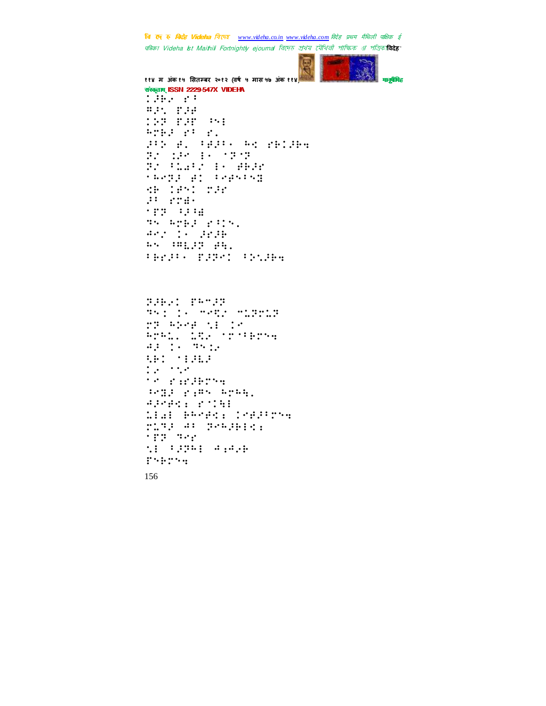चि एक रु *विदेह Videha चिए*न्छ <u>www.videha.co.in www.videha.com</u> विदेह प्रथम मैथिली पाक्षिक ई पत्रिका Videha Ist Maithili Fortnightly ejournal রিদেহ প্রথম মৌথিরী পাক্ষিক প্র পত্রিকা**বিदेह**'



११४ म अंक १५ सितम्बर २०१२ (वर्ष ५ मास ५७ अंक ११४) मानुसारी स्थापित करते हैं। मानुसारित संस्कृतम् ISSN 2229-547X VIDEHA ∷∄E. r: ⢻⢼⣁.&⢼⢾! ⢵⢽!&⢼&!⢸.! **WEEP PROPER** ⢼⢵!⢾>!⢾⢼3!⢳⣊!⢷⢼⢷⣒!  $\mathbb{R}^*$  |  $\mathbb{R}^*$  |  $\mathbb{R}^*$  |  $\mathbb{R}^*$  |  $\mathbb{R}^*$  |  $\mathbb{R}^*$  |  $\mathbb{R}^*$  $\mathbb{R}^*$  (That: 1, 8538)  $\frac{1}{2}$  =  $\frac{1}{2}$  =  $\frac{1}{2}$  =  $\frac{1}{2}$  =  $\frac{1}{2}$  =  $\frac{1}{2}$  =  $\frac{1}{2}$ ⣊⢷!⢾!⢼!  $J^1$  state &⢽!⢸⢼⢸⣞! The Apple Police ∄r: Dr BrBe  $\blacksquare$ ⢷⢼3!&⢼⢽!⢵⣁⢼⢷⣒!

⢽⢼⢷⢴!&⢳0⢼⢽! ⢹⣈!3!0⣋".0⣅⢽⣅⢽! ⢽!⢳⢵⢾!⣁.!! ⢳⢳⣅>!⣅⣋⢴!⢷⣒! ₫₽ 13 TR12 **WEITHING**  $\mathbb{R}^n \times \mathbb{R}^n$ !⣐⢼⢷⣒! General School School ⢺⢼⢾⣊⣐!⣓.! .:.: preproductions ⣅⢹⢼!⢺!⢽⢳⢼⢷.⣊⣐!!  $+$   $p$   $+$   $p$ ⣁.!⢼⢽⢳.!⢺⣐⢺⢴⢷! ESHTS: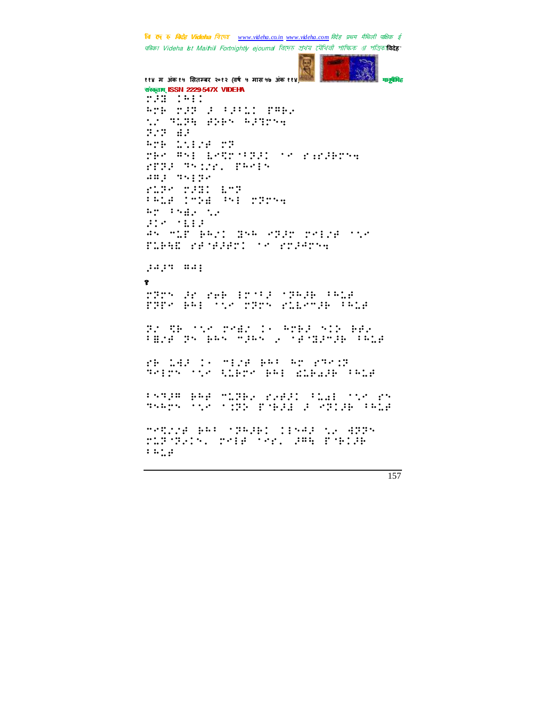ंबि एक रु *बिन्देह Videha विए*म्ब www.videha.co.in www.videha.com विदेह प्रथम मैथिली पाक्षिक ई पत्रिका Videha Ist Maithili Fortnightly ejournal রিদেত শ্রথম মৌথিনী পাক্ষিক রা পত্রিকা**বিदेह**'

**Service** 

```
मानुबेमिह
११४ म अंक १५ सितम्बर २०१२ (वर्ष ५ मास ५७ अंक ११४)
संस्कृतम् ISSN 2229-547X VIDEHA
r28 :48:
HTB THE F FRED THER
tr min spes warre.
323 AP
ATE 10128 TP
res and beneficial to randerna
FTH TELE TEST
ang magga
FLIP 2200 022
CALA TODA CAI PROSA
An Philip Na
H^2 and H^2AN TIP BRID BNA 2005 TELEVISE
TABE MEMBER 18 MEMBER
1411 - 041Q
TRONGER EFFICIENT PROPERTIES
FREM BRE STATERTER PLEMMAR (PRIB
an se con regio de area ela egu.<br>Fonta as essocias y cacorado falg
re 142 (s mire est sports).<br>Thirs over there est missie this
PARPH BRE MITHE PEHRICALLE SAM PA
TARTA TER TIPS FOREST REPORT PROP
medical part (dragged transferred grow
MIRSTERN MATH SAM, JAH PSELIE
13.14
```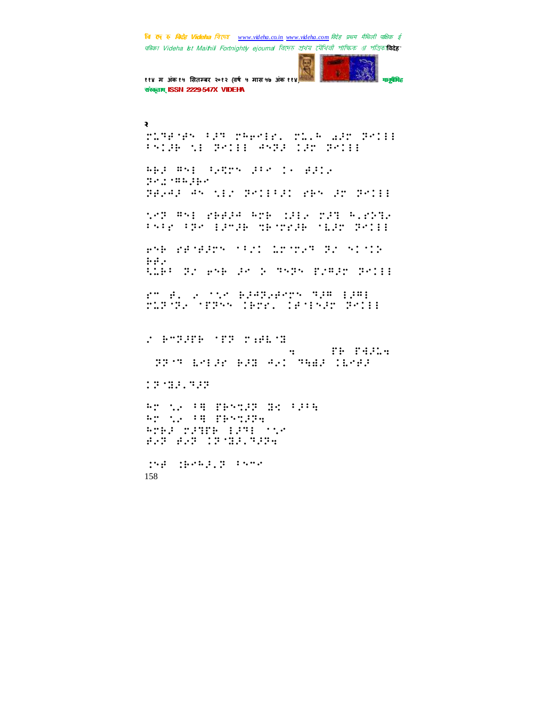वि ए रु क्रिडे Videha विएक www.videha.co.in www.videha.com विदेह प्रथम मैथिली पाक्षिक ई पत्रिका Videha Ist Maithili Fortnightly ejournal রিদেত প্রথম মৌথিনী পাক্ষিক রা পত্রিকা**বিदेह**'



११४ म अंक १५ सितम्बर २०१२ (वर्ष ५ मास ५७ अंक ११४) संस्कृतम् ISSN 2229-547X VIDEHA

₹ PLEASAN FREUGHAMMAN PLAN WROTER PAINE NE PAIEE ANDE LED PAIEE

ABS AND CHRYS SERVICE BOOK permanent Beagn and the Bellings went around

SPP ASE PREPAIRTE SHIP TER AVENUE Priz (Production of the Police Prid

PHP PENERN STAT LENGAL RESEARC  $\mathbf{r}$   $\mathbf{r}$ .

ALBERT BY WHEN IN THE THIRD BANKER

rm B. A Min Blackern Sla 1981 MIRTH TERM IBM: IPTEMPT PAIE

**S ROBBER 199 SERIES TH PARK: SPORTER FROM THE CEPE** 12:12.322 Prote SE PRYSE BE SPR **BY 12 FR SENSIN** Breed rather date the 822 822 823 823 829

 $\begin{array}{ccc} \left(\begin{array}{cc} 1 & 1 & 1 \\ 1 & 1 & 1 \end{array}\right) & \left(\begin{array}{cc} 1 & 1 & 1 \\ 1 & 1 & 1 \end{array}\right) & \left(\begin{array}{cc} 1 & 1 & 1 \\ 1 & 1 & 1 \end{array}\right) & \left(\begin{array}{cc} 1 & 1 & 1 \\ 1 & 1 & 1 \end{array}\right) & \left(\begin{array}{cc} 1 & 1 & 1 \\ 1 & 1 & 1 \end{array}\right) & \left(\begin{array}{cc} 1 & 1 & 1 \\ 1 & 1 & 1 \end{array}\right) & \left(\begin{array}{cc}$ 158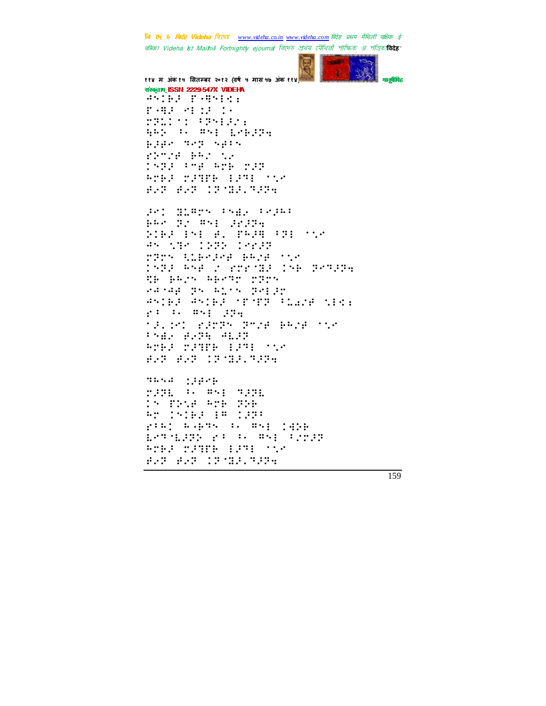वि ए रु क्रिडे Videha विएक www.videha.co.in www.videha.com विदेह प्रथम मैथिली पाक्षिक ई पत्रिका Videha Ist Maithili Fortnightly ejournal রিদেত শ্রথম মৌথিনী পাক্ষিক রা পত্রিকা**বিदेह**'



११४ म अंक १५ सितम्बर २०१२ (वर्ष ५ मास ५७ अंक ११४) संस्कृतम् ISSN 2229-547X VIDEHA anger paperne P-83 PE13 I-**221211 1251211** 442 : #4: 126.224 pipe deposits rings BRO to 1532 PMP 526 233 **ATES TSTED 1371 112** 8.7 8.7 12 3. 3. 3. 3.

ST HIPPY PARK PAPER **PRACE: BRECHT** 2183 151 #. TR38 331 556 45 STR 1989 18828 TTTS RIPSPE PRIP TO 1572 ASE 2 PTP NR 158 PP7274 th bags abene cleas agag puluri palp.<br>Anter Anter Sport (Clare Nice  $f: H$  and  $f: H$ MAGANI KATAN BUNG BANG MUS **Pris B.Th 41.13 ATES TSTED 1371 (12)** 8. ST 8. ST 8. ST 8. ST 8. ST 8.

TESH MERCH **PRED : #41 7221 Southern Art Star Br (818: 18 (22)** giaj aspecta sej jągp ESTALLED PROFILE WAR THERE ATES TSTEE 1371 'ST **E.C. E.C. INTERNATION**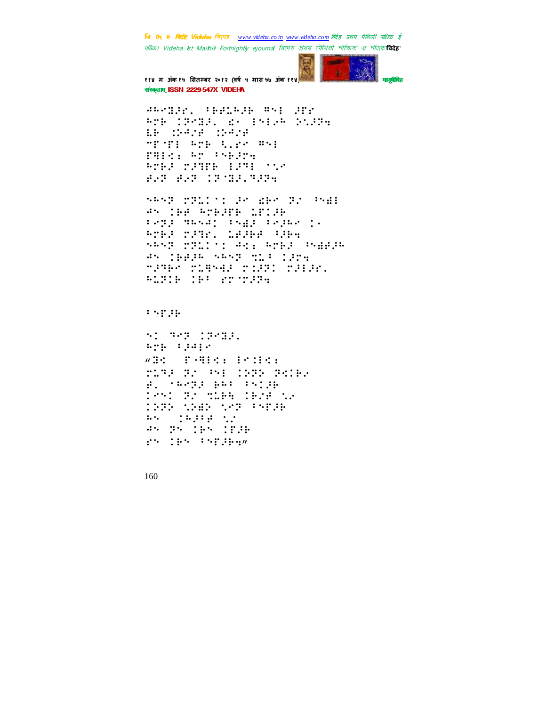वि ए रु क्रिडे Videha विएक www.videha.co.in www.videha.com विदेह प्रथम मैथिली पाक्षिक ई पत्रिका Videha Ist Maithili Fortnightly ejournal রিদেত প্রথম মৌথিনী পাক্ষিক প্র পত্রিকা**বিदेह**'



११४ म अंक १५ सितम्बर २०१२ (वर्ष ५ मास ५७ अंक ११४) संस्कृतम् ISSN 2229-547X VIDEHA

ARRIER (BALAGA ARE GER PTB IPSB1 A+ INIGH DUPP ER CHOR CHOR "FIRE ATE LIFE WAY PHIC: AP PARTY 8763 7398 1391 137 **AND AND AND AND AND ARRESTS** 

SASE PROTO PO ERS RO PSEE #6 IBB ATESTE LITTE Pepp dasar (Pegp Pepae r) PORT TIME, LETHE STRE 5652 221111 40: 6263 958836 st (BRID this will live MARRA MARGARET MARITERIA **BOOK OF STATISTICS** 

 $1.41211$ 

SI RED IRER.  $\mathbf{a} \mathbf{y} \mathbf{p} = \mathbf{f} \mathbf{y} \mathbf{a} \mathbf{y} \mathbf{y}$ wir für: Pries TIME WAS THE COOPER WITH THE WAY OF THE WAY OF THE WAY TO THE THE WAY OF THE WAY OF THE THE WAY OF THE THE THI #. \*\*\*\*\* #\*\* \*\*:# 1951 di dae 1626 tr **1932 MAR 193 PERP**  $100 - 10000 + 10000$ **45 TS 185 1818** ry in Synthes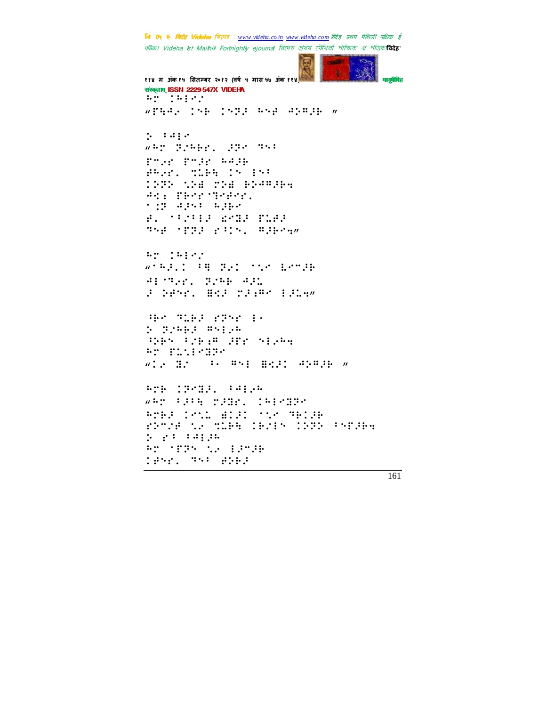वि ए रु क्रिडे Videha विएक www.videha.co.in www.videha.com विदेह प्रथम मैथिली पाक्षिक ई पत्रिका Videha Ist Maithili Fortnightly ejournal রিদেত প্রথম মৌথিনী পাক্ষিক রা পত্রিকা**বিदेह**'

```
मानुबेमिह
११४ म अंक १५ सितम्बर २०१२ (वर्ष ५ मास ५७ अंक ११४
संस्कृतम् ISSN 2229-547X VIDEHA
\frac{1}{2} \frac{1}{2} \frac{1}{2} \frac{1}{2} \frac{1}{2} \frac{1}{2} \frac{1}{2} \frac{1}{2}where the this real space \pi\mathbb{R}^{n+1} and \mathbb{R}^{n}war Brahr, SBP 35:
Pres Pres Week
Phys. The Index
TANK WAS TANKED AND STARTED AT
Add Thereforder.
\cdot : and \cdot and \cdotS. MARIN SANA PARA
The SPRE FRING WHENEW
47.1447with the first side that the state
Alther Schedule
3 SAME BAS TAGHT FALAW
He Mill SPY D
CONSTRUCTION
SPR PORT SECTION
Profiled Park
\frac{1}{N} , \frac{1}{N} , \frac{1}{N} , \frac{1}{N} , \frac{1}{N} , \frac{1}{N} , \frac{1}{N} , \frac{1}{N} , \frac{1}{N} , \frac{1}{N}Arb (Sems, (441.44)
war tite rike, Calekwa
PORT CAND BITE AND TRIPE
rence to miss legis (eds samples
\begin{aligned} \begin{bmatrix} \mathbf{1} & \mathbf{1} & \mathbf{1} & \mathbf{1} & \mathbf{1} & \mathbf{1} & \mathbf{1} & \mathbf{1} \\ \mathbf{1} & \mathbf{1} & \mathbf{1} & \mathbf{1} & \mathbf{1} & \mathbf{1} & \mathbf{1} & \mathbf{1} \\ \mathbf{1} & \mathbf{1} & \mathbf{1} & \mathbf{1} & \mathbf{1} & \mathbf{1} & \mathbf{1} & \mathbf{1} & \mathbf{1} \end{bmatrix} \end{aligned}Ar (PPS 12 BPB
1952. TSP 9083
```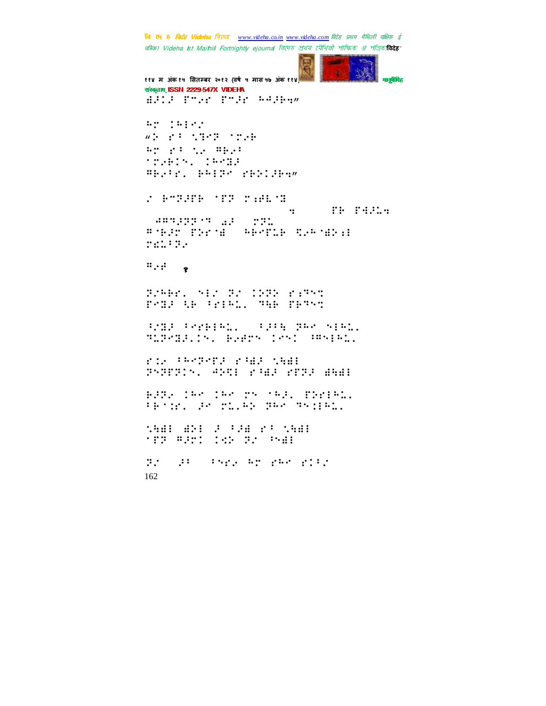बि एक रु क्रिटेड Videha विएक www.videha.co.in www.videha.com विदेह प्रथम मैथिली पाक्षिक ई पत्रिका Videha Ist Maithili Fortnightly ejournal রিদেহ প্রথম মৌথিনী পাক্ষিক প্র পত্রিকা**বিदेह**'

मानुबेगिह ११४ म अंक १५ सितम्बर २०१२ (वर्ष ५ मास ५७ अंक ११४) संस्कृतम् ISSN 2229-547X VIDEHA AND THE TYPE WARREN  $\mathcal{H}_{\mathcal{D}}^{\text{in}}=\left\{ \mathcal{H}_{\mathcal{D}}^{\text{in}}\right\} \mathcal{H}_{\mathcal{D}}^{\text{in}}.$ where the the tree  $\mathbb{H}^1_{\mathbb{C}}\cap\mathbb{C}^{(1)}\subset\mathbb{C}_{\mathbb{C}}\subset\mathbb{H}^1_{\mathbb{C}}\subset\mathbb{H}$ **TEREDO CHAND** Whete, hairs shilling  $\begin{minipage}{.4\linewidth} \begin{tabular}{l} \multicolumn{1}{c}{\textbf{\emph{1}}}\\ \multicolumn{1}{c}{\textbf{\emph{2}}}\\ \multicolumn{1}{c}{\textbf{\emph{3}}}\\ \multicolumn{1}{c}{\textbf{\emph{4}}}\\ \multicolumn{1}{c}{\textbf{\emph{5}}}\\ \multicolumn{1}{c}{\textbf{\emph{6}}}\\ \multicolumn{1}{c}{\textbf{\emph{6}}}\\ \multicolumn{1}{c}{\textbf{\emph{7}}} \end{tabular} \end{minipage} \begin{minipage}{.4\linewidth} \begin{tabular}{l} \multicolumn{1}{c}{\textbf{\emph{$ 48922279 42 221 # SEP PRESE (APPEL ROWSER) mana Para  $\ddot{H}$ .  $\dddot{H}$   $\dddot{H}$ Brahn, Mir Br (2008 ring) POSE OF PERMIT THE PETTY RMB Perking (PRR BRE Sing) SUPPRESS HOPPY (PS) SPRING. ris (Personal radio Sad: **SYNCH, 4901 2102 2002 0001** BERG CAR CAR TH SAFE PRESSEN FROM SPONDAR PROGRESS WHEN APPEAR AND MAIL **THE RENT INS RECENT** Brook Campbell and Park Pitch 162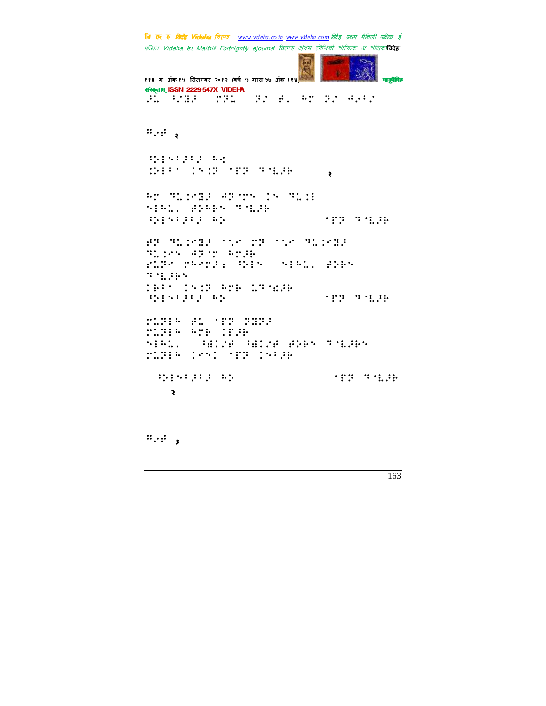बि एक रु मिन्हें Videha विएक www.videha.co.in www.videha.com विदेह प्रथम मैथिली पाक्षिक ई पत्रिका Videha Ist Maithili Fortnightly ejournal রিদেহ প্রথম মৌথিনী পাক্ষিক প্র পত্রিকা**বিदेह**'

```
â
                                                                 Council
                                                                    \mathbf{z}।<br>बाह्यमिह
११४ म अंक १५ सितम्बर २०१२ (वर्ष ५ मास ५७ अंक ११४)
संस्कृतम् ISSN 2229-547X VIDEHA
                     \mathbb{R}^nSTART AS TO APPLY
\mathcal{X} = \{X, Y, Z\}\mathbb{R}.: \mathbb{R}PERFECT RE
SHIP INSTALLER
                                                         \overline{\mathbf{z}}Ar Wilsons Areno in Wils
SING, BRAKE TALE
2010/02/13 00:
                                                                TEP POLIS
BE TANCE THAT THAT TANKER
TLIKS AT TO RTAR<br>SLIK SPATAS (PSIS) SIRL, SPRS
1.1441998 15:2 929 17:229
\begin{split} \mathbb{E}[\mathbf{y}]\mathbf{y} &\in \mathbb{E}[\mathbf{y}]\mathbf{y} \mathbf{y} \mathbf{y} \mathbf{y} \mathbf{y} \mathbf{y} \mathbf{y} \mathbf{y} \mathbf{y} \mathbf{y} \mathbf{y} \mathbf{y} \mathbf{y} \mathbf{y} \mathbf{y} \mathbf{y} \mathbf{y} \mathbf{y} \mathbf{y} \mathbf{y} \mathbf{y} \mathbf{y} \mathbf{y} \mathbf{y} \mathbf{y} \mathbf{y} \mathbf{y} \mathbf{y} \mathbf{y} \mathbf{y} \math1177 - 1117\begin{array}{ll} 21.714 & 41.717 & 7377 \\ 21.714 & 476 & 1774 \\ \end{array}SIAN. HERE HERE BYES TANDA
TERRA COST STRAIGHT
   -111 - 311111\mathbf{R}
```
 $\mathbf{a} \cdot \mathbf{b}$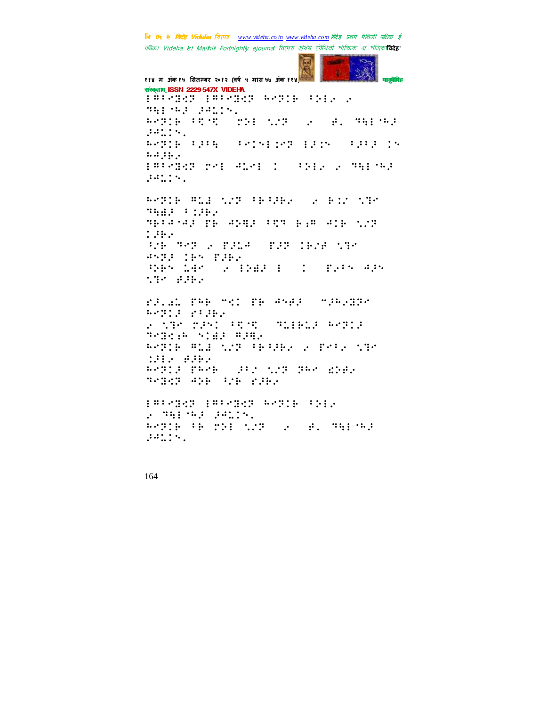वि ए रु क्रिडे Videha विएक www.videha.co.in www.videha.com विदेह प्रथम मैथिली पाक्षिक ई पत्रिका Videha Ist Maithili Fortnightly ejournal রিদেহ প্রথম মৌথিনী পাক্ষিক প্র পত্রিকা**বিदेह**'

**Second** 

萝 मनुबैमिह ११४ म अंक १५ सितम्बर २०१२ (वर्ष ५ मास ५७ अंक ११४) संस्कृतम् ISSN 2229-547X VIDEHA f<sup>mi</sup>nder faceder anrik (21. s **THE SECOND CONSTRUCTION APPER FROM THE NEW SECTION PRESS**  $341134.$ Repik (Para Contrated Park Copie tr  $1.4111...$ PROMINE THE ALMEST CONFERENCE  $341.141$ APPIE WIE WIT SERIER OR BIN WIP THAT FIRE mprasar pp ayap rem pia ayp sye **THE** the media parameter care the WHITE TENTIFIES and the Virginian companions the same ravan neb men ne asea (maegner) **WORLD PIPER** a të përi ngje jedheta kreta<br>Prekim nima fafik Replacement that the property the Wile Bur Replacement and the preceder 34342 426 326 2262 parener parener went this 80218 (B 221 122 ) 2008 2010 202  $141141$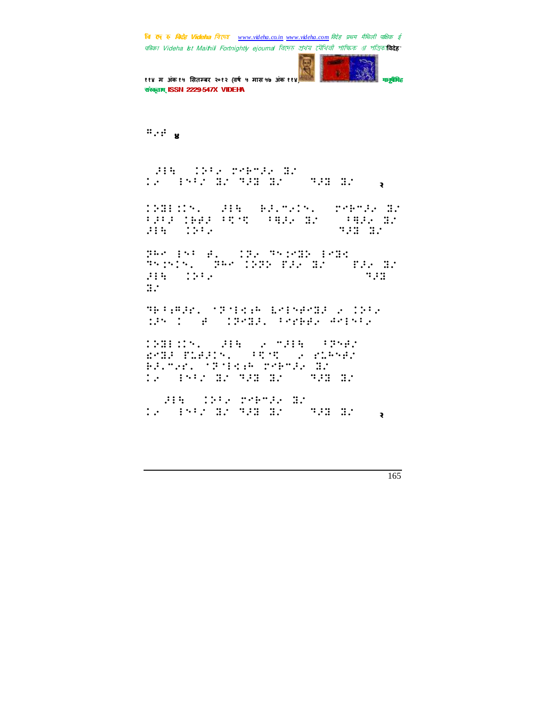वि एक से विर्देह Videha विएक www.videha.co.in www.videha.com विदेह प्रथम मैथिली पाक्षिक ई पत्रिका Videha Ist Maithili Fortnightly ejournal রিদেহ শ্রথম মৌথিনী পাক্ষিক প্র পত্রিকা**বিदेह**'

मानुबेगिह

११४ म अंक १५ सितम्बर २०१२ (वर्ष ५ मास ५७ अंक ११४ संस्कृतम् ISSN 2229-547X VIDEHA

 $\mathbf{a} \cdot \mathbf{b}$ 

, 214 - 1050 probree de .<br>10 - 1550 de 1520 de . 1520 de . . . .

INHIMA WHE BRITES TOPTH H PREP 1992 PER CORP. BE  $\frac{1}{2}$  :  $\frac{1}{2}$  :  $\frac{1}{2}$  :  $\frac{1}{2}$  : **215 1252**  $733.37$ 

1968 (1970) B. (1972) Thomas (1938)<br>Thomas (1968) 1989 (1982) B. (1988) B. (1988)  $\mathbb{R}^n$  $314 - 1144$  $::$ .

TERESCO TRIED ENEMATE 2019. MARI BULGARIA PAPER AMERIK

INBEDIAL SHEETS MADE (FRAME EPRIMERINA PRODUCER Balmar, Samirage Greenal Br 12 FREE BETHE BETH THE BE

SHR (1982) reader Br to describe and more and mo  $\mathbf{z}$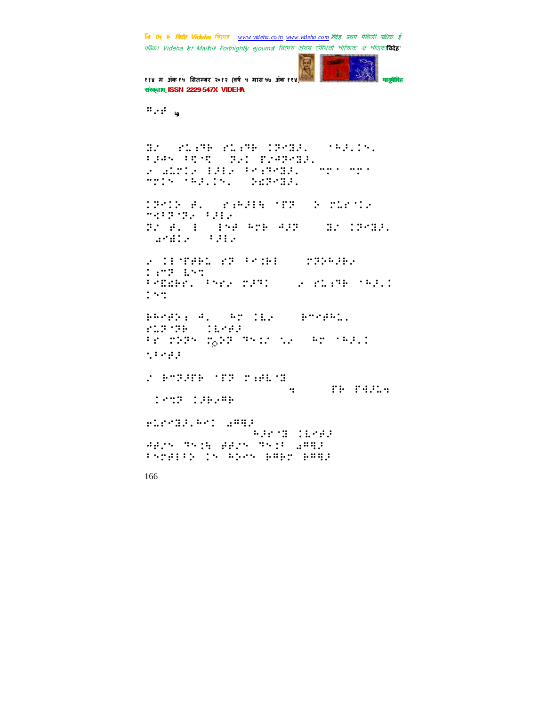वि एक से विर्देह Videha विएक www.videha.co.in www.videha.com विदेह प्रथम मैथिली पाक्षिक ई पत्रिका Videha Ist Maithili Fortnightly ejournal রিদেহ প্রথম মৌথিনী পাক্ষিক প্র পত্রিকা**বিदेह**'

११४ म अंक १५ सितम्बर २०१२ (वर्ष ५ मास ५७ अंक ११४) संस्कृतम् ISSN 2229-547X VIDEHA



 $\cdots$   $\cdots$ 

BY PERMIT PLATE IPPER. TRACING FRANCISCO PRI PREPERT F ANTIFICATE PRINTING **THE REAL PROPERTY** 

IPSIN B. SEARCH STP SECTION 1912-22-1111 Bright E (Englished Add ) Bright Condition and: William

**A DESTREA PROPRIATO CONSERVA** 1:77 LYT Penner, Personally School (1980)  $\mathbb{R}^{n}$ 

PROPERTY AT ME SERVICE. **FOR THE SECTION** From PRESS MORE THAN THE CONFIDENT  $\mathcal{L}^{\text{in}}$  , and  $\mathcal{L}^{\text{in}}$ 

**A POSSE ME MARITY**  $1.997 - 1.0040$ 

**PLENTILE LATER Additional Clarge ABIN THIS BEIN THIS WARE** Persity is most pape page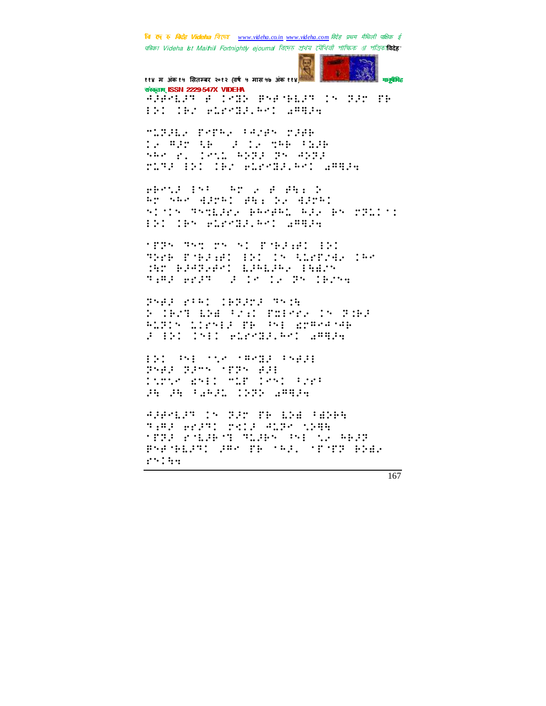वि ए रु क्रिडे Videha विएक www.videha.co.in www.videha.com विदेह प्रथम मैथिली पाक्षिक ई पत्रिका Videha Ist Maithili Fortnightly ejournal রিদেহ প্রথম মৌথিনী পাক্ষিক প্র পত্রিক**বিदेह**'



११४ म अंक १५ सितम्बर २०१२ (वर्ष ५ मास ५७ अंक ११४) संस्कृतम् ISSN 2229-547X VIDEHA

aldrugs a crop praceuts tr par oe **IN THE BIRTH WAY ARRIVE** 

**MISSING PRESS PROPERTY** 12 892 58 58 12 396 5586 Abe P. Tenn brit in Aris ring in the mirright swage

HEMIS INFORM 2 BOBBIOS Ap SAR APPAI ARE NO APPAI SIMING REMARKS BREAK REPORT ON TRAINING HIS OFF FIRTH WAY AREA

**TERM THE PHONE EMBRING INC** The Publish (D. 18 Sleeper 198 SE BRAZING LAGARE BERS THE BEFORE IN THE THE TECHNI

THE PIRE INTER THIN B (B/T EME F/A) PREMA (M F.B. RLEIN LIPNER TROCHE EPROPHA F BOOKS THE WORLD WARD

EDI PHILMAN MPHER PARRE PARE REMAINTENT REP Turne and the Cent Chro 34 34 F.A.S. 1989 20034

ANALUM (N. 232 CR 134 1436 THE BEFORE THIS SERVICER. **TER PARKS SERVICE OF SPRES** President and the sale strip bids  $\mathcal{C}^{n+1}$  in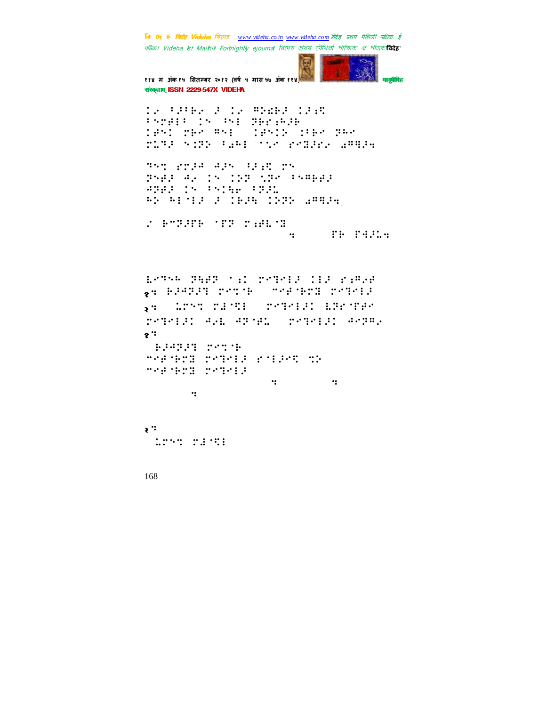चि एक रु *विदेह Videha चिए*न्छ <u>www.videha.co.in www.videha.com</u> विदेह प्रथम मैथिली पाक्षिक ई पत्रिका Videha Ist Maithili Fortnightly ejournal রিদেহ প্রথম মৌথিরী পাক্ষিক প্র পত্রিকা**বিदेह**'



⢴!⢼⢷⢴!⢼!⢴!⢻⢵⣎⢷⢼!⢼⣐⣋! ⢾.!!⢸.!⢽⢷⣐⢳⢼⢷!  $\left(\frac{1}{2} + \frac{1}{2}\right)^2 + \frac{1}{2} + \frac{1}{2} + \frac{1}{2} + \frac{1}{2} + \frac{1}{2} + \frac{1}{2} + \frac{1}{2} + \frac{1}{2} + \frac{1}{2} + \frac{1}{2} + \frac{1}{2} + \frac{1}{2} + \frac{1}{2} + \frac{1}{2} + \frac{1}{2} + \frac{1}{2} + \frac{1}{2} + \frac{1}{2} + \frac{1}{2} + \frac{1}{2} + \frac{1}{2} + \frac{1}{2} + \frac{1}{2} + \frac{1}{2} + \frac{1}{2} +$ ⣅⢹⢼!⣈⢽⢵!⣔⢳.!⣁!⣝⢼⢴!⣔⢻⣛⢼⣒!

संस्कृतम् ISSN 2229-547X VIDEHA

SAN PART PART PART PRO ⢽⢾⢼!⢺⢴!!⢵⢽!⣁⢽!⢻⢷⢾⢼! ⢺⢽⢾⢼!!⣓⢶!⢽⢼⣅!! ⢳⢵!⢳..⢼!⢼!⢷⢼⣓!⢵⢽⢵!⣔⢻⣛⢼⣒!

"!⢷0⢽⢼&⢷!&⢽!⣐⢾⣇⣝! hhbkfoesbAwjefib⣒dpn!&⢷!&⣚⢼⣅⣒!!

LATAR PHER 'S PATALE ILE PARAE १⣒!⢷⢼⢺⢽⢼⣙!⣉⢷!)0⢾⢷⣝!⣙.⢼\*!  $\overline{\mathbf{z}}$ s (1955–1919) is the state of the state of the state of the state of the state of the state of the state of the state of the state of the state of the state of the state of the state of the state of the state of  $T^*$ .  $\ddot{\mathbf{S}}$  : ! 0⢾⢷⣝!⣙.⢼!.⢼⣋!⣉⢵! 0⢾⢷⣝!⣙.⢼!  $\mathbf{u}$ iuqt;00tjuft $\mathbf{u}$ jefib.dpn0wjefib.qbjoujoht.com

२ "  $\frac{1}{2}$  . The set of the set of the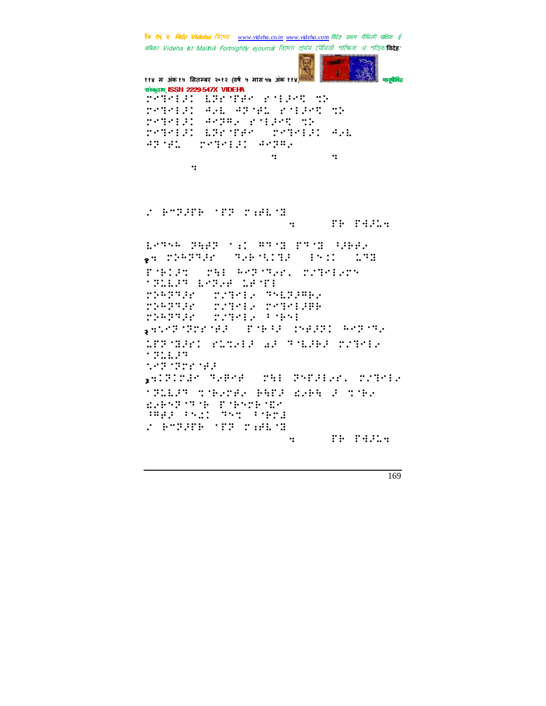चि एक रु *विदेह Videha चिए*न्छ <u>www.videha.co.in www.videha.com</u> विदेह प्रथम मैथिली पाक्षिक ई पत्रिका Videha Ist Maithili Fortnightly ejournal রিদেহ প্রথম মৌথিরী পাক্ষিক প্র পত্রিকা**বিदेह**'

११४ म अंक १५ सितम्बर २०१२ (वर्ष ५ मास ५७ अंक ११४) मानुसार मानुसीमेह संस्कृतम् ISSN 2229-547X VIDEHA  $T$ ⣙.⢼!⢺⢴⣇.⢺⢽⢾⣅!.⢼⣋!⣉⢵!  $T$ .  $T$ . ⢺⢽⢾⣅0!⣙.⢼!⢺⢽⢻⢴!! )iuuqt;00tjuftigta dhpphmfdpn0b0w jefib.dpn0wjefib.qbjoujoht.com "!⢷0⢽⢼&⢷!&⢽!⣐⢾⣇⣝! hhbkfoesbAwjefib⣒dpn!&⢷!&⣚⢼⣅⣒!! ⣇⢹⢳!⢽⣓⢾⢽!⣐!⢻⢹⣝.&⢹⣝!⢸⢼⢷⢾⢴! १⣒!⢵⢳⢽⢹⢼!)⢹⢴⢷⣃⣙⢼\*;.⣈;!⣅⢹⣝! &⢷⢼⣉!)⣓.!⢳⢽⢹⢴>!"⣙.⢴! <sup>i</sup>giligi 122.<br>Samang - Samang Sa ⢵⢳⢽⢹⢼!)"⣙.⢴.⢹⣇⢽⢼⢻⢷⢴\*! ⢵⢳⢽⢹⢼!)"⣙.⢴.⣙.⢼⢿⢷\*! ⢵⢳⢽⢹⢼!)"⣙.⢴.⢷.\*! २⣒⣁⢽⢽⢾⢼.!&⢷⢸⢼!⣈⢾⢼⢽!⢳⢽⢹⢴! ⣅&⢽⣝⢼!⣅⣉⢴.⢼!⣔⢼!⢹⣇⢼⢷⢼!"⣙.⢴!  $^{\circ}$  . The set of  $^{\circ}$ ⣁⢽⢽⢾⢼!  ${3^{\circ}}$  : The state of the state of the state of the state of the state of the state of the state of the state of the state of the state of the state of the state of the state of the state of the state of the state of the ⢽⣅⣇⢼⢹!⣉⢷⢴⢾⢴!⢷⣓&⢼!⣎⢴⢷⣓!⢼!⣉⢷⢴! ⣎⢴⢷⢽⢹⢷!&⢷⢷⣏\*! ⢸⢻⢾⢼!⣌!⢹⣉.⢸⢷⣜!! "!⢷0⢽⢼&⢷!&⢽!⣐⢾⣇⣝! hhbkfoesbAwjefib⣒dpn!&⢷!&⣚⢼⣅⣒!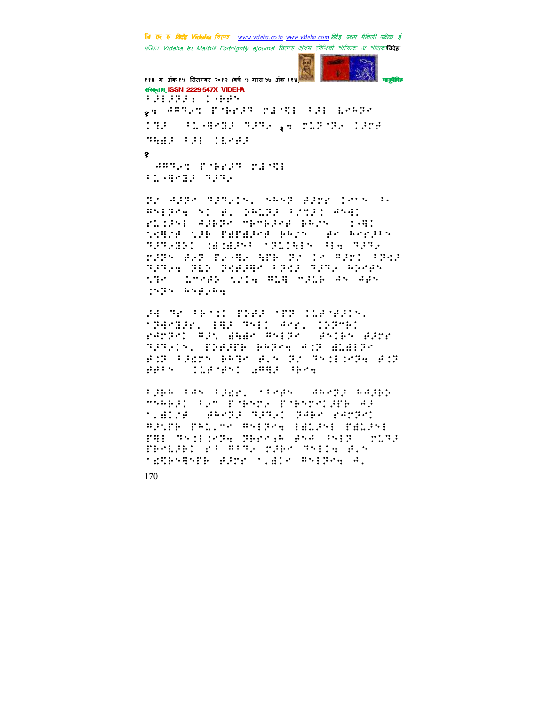वि एक रु क्रिटेड Videha विएम्ब www.videha.co.in www.videha.com विदेह प्रथम मैथिली पाक्षिक ई पत्रिका Videha Ist Maithili Fortnightly ejournal রিদেত শ্রথম মৌথিনী পাক্ষিক রা পত্রিকা**বিदेह**'



११४ म अंक १५ सितम्बर २०१२ (वर्ष ५ मास ५७ अंक ११४) संस्कृतम् ISSN 2229-547X VIDEHA **FRINGE : 1989** <sub>e</sub>g ARSAN ESBELS PESTI FAL ESPES THE PLARED BASE , STOLE THE TATE **THE CONSTRUCTION** ŝ. **ARRAN PIECER CAME! PERMIT STAR** 

Brigger British, Sask British (St. 1) super at al being being and riche adept teteler eags (1981 SMRYA SJE PAPAJNA BRYST AN RHYJES SPORT MARS PRINTS HA SPO 1975 AVR EVALVAER RI LA ARTÍ (PAR<br>1976 REV RAPARA (PAR 1976 AVARS) the trees the wind while an ago popolaridade

H TE BENI DAR MUSICANIS. <sup>2</sup>P40BPL 192 9511 402. 1229B1 range: Alt dade Anige (Anige Altr TUTELY, TIMUTE BATES ANT MINITE FOR PRESS BRACK FOR THE STREET APIS (LESPS) APRIL BRS

fjan fas fjer, steps (anegi najar maked for Pobaro Pobaroldre 43 tiding (abroid momed open ranch) BRIE TELTY BYLEMA HELPI TELPI FAI THINTE TERRIB AND DIT TELT PROBLEM FOR WORK TARGETY RIN 'STRYBYDE BRYK 'LEDY BYDRYN'A.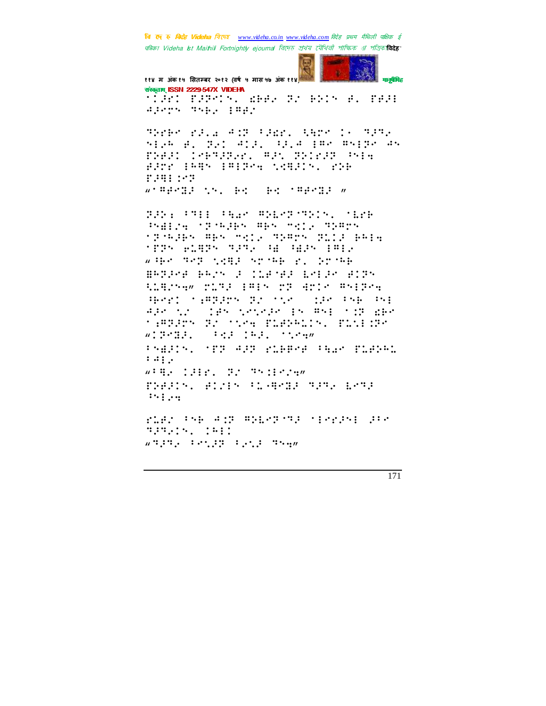वि ए रु क्रिडे Videha विएक www.videha.co.in www.videha.com विदेह प्रथम मैथिली पाक्षिक ई पत्रिका Videha Ist Maithili Fortnightly ejournal রিদেহ প্রথম মৌথিনী পাক্ষিক প্র পত্রিকা**বিदेह**'



११४ म अंक १५ सितम्बर २०१२ (वर्ष ५ मास ५७ अंक ११४) संस्कृतम् ISSN 2229-547X VIDEHA tién paran, mes as extre, pea

Alers Sake (Ser

Sheek rila Add Clar. Chro is Side.  $\mathcal{N}$  (see Fig. 2. ) and  $\mathcal{N}$  are seen in the second section of  $\mathcal{N}$ THEI IMPRESS WE THINK WIN BINK IPHS IPINS SCHIIN, MNB **PARE 202**  $\pi$ '##^HE (>, H< H< H< '##^HE  $\pi$ 

SINGLE CHARLES STORES TO THE STATE OF THE STATE OF THE STATE OF THE STATE OF THE STATE OF THE STATE OF THE STA PABING STORIES WES MAIN MINUT speaker mar well memory plie away tras elers many op open pers wine fer went we have the started BROWN RROW O CLAMA LMORT ACON KLBINAW TLPD (BRIN TP GTIM BN)Pra HERRI SAPPIDE PLOTS ON DROPER PE THE SPORT IS WELL TO WHO  $\mathcal{L}(\mathbb{R}^2) = \mathcal{L}(\mathbb{R}^2)$ **TARRET RESTACH PLANNING PINETRY**  $\mathbf{W}$ ,  $\mathbf{W}$  and  $\mathbf{W}$  are  $\mathbf{W}$  and  $\mathbf{W}$  are  $\mathbf{W}$  and  $\mathbf{W}$  are  $\mathbf{W}$ **PRESING MEDIALES FOREMA PROPERTY.**  $\ldots$ wide life. If Thirday PRESS, BIRD SIMPLE MEMA LANE  $\cdots$  :  $\cdots$ FLAT PSE ATT PRESTURE SPECIE DR **SPECIAL CRED** 

which could confident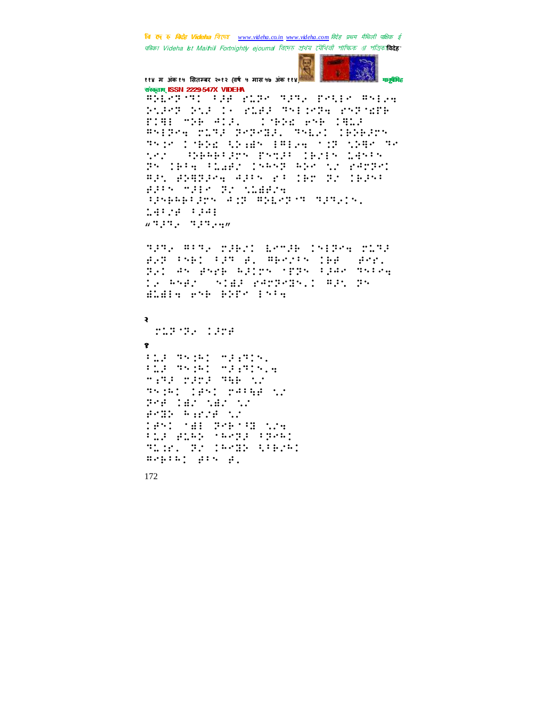बि एक रु मिन्हें Videha विरफर www.videha.co.in www.videha.com विदेह प्रथम मैथिली पाक्षिक ई पत्रिका Videha Ist Maithili Fortnightly ejournal রিদেত শ্রথম মৌথিনী পাক্ষিক রা পত্রিকা**বিदेह**'



संस्कृतम् ISSN 2229-547X VIDEHA WARRENT CORPORATOR PROPERTY PLEAR PLE IN PLEA THEIRTH PHT WIR FINE THE AIR, I TEEM FAR I  $191.3$ #51204 TLTF POPORT, TSL.I IBDBJTS Third Infrastructure (FRIDA in 12 1246 Th tri (Peesser Pris leis Assa 35 IBER FLARY ISBN3 BOW NY PROGRO Ban angalog Alis el Chr Br Chast alis niko zo ulakoa.<br>Jisekelino ant kilanton ningiso. 14828 8241  $\mathbf{w}$  :  $\mathbf{w}$  :  $\mathbf{w}$  :  $\mathbf{w}$  :  $\mathbf{w}$  :  $\mathbf{w}$  :  $\mathbf{w}$  :  $\mathbf{w}$  :  $\mathbf{w}$  :  $\mathbf{w}$  :  $\mathbf{w}$  :  $\mathbf{w}$  :  $\mathbf{w}$  :  $\mathbf{w}$  :  $\mathbf{w}$  :  $\mathbf{w}$  :  $\mathbf{w}$  :  $\mathbf{w}$  :  $\mathbf{w}$  :  $\mathbf{w}$  :

SPR WERE MARIE LONAR INTROVERED BAR PART FAR B. PROTH THE SPOT Bal de Berk Allre (FBe Clade Betra *is brest thing earners. I may no* didle rob bird lote

₹ miners, the Ŷ. **FLE TRING TESTIN.** tik svid elisiola **MARK SAMA MARK NO** 75:51 1851 28988 SP Pre tar tar tr PAGE PARTE ST DANI MARUPARANG NGA The St Pers Cert mentar given,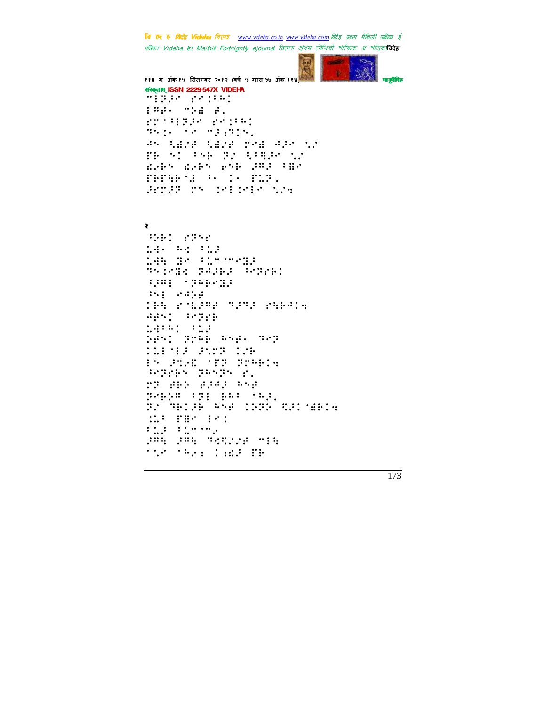वि ए रु क्रिडे Videha विएक www.videha.co.in www.videha.com विदेह प्रथम मैथिली पाक्षिक ई पत्रिका Videha Ist Maithili Fortnightly ejournal রিদেত শ্রথম মৌথিনী পাক্ষিক রা পত্রিকা**বিदेह**'



११४ म अंक १५ सितम्बर २०१२ (वर्ष ५ मास ५७ अंक ११४) संस्कृतम् ISSN 2229-547X VIDEHA midde redakt : "# : "># #. fri: : : : : / / / / / : : 4 sk tind tind red specific He will be did within the diff diff shi 282 (Br BriB ry riche th

₹

SHI SPAT 14: 54: 513 144 10 11 200 21 Third: PAPER WEEK  $\{v_i\} = v_i \{v_i\}$ **199 21200 7272 299419**  $\mathcal{A}\oplus\mathcal{B}\oplus\mathcal{B}=\mathcal{B}\oplus\mathcal{B}\oplus\mathcal{B}.$ 1955-112<br>1951 Pres españolog **111113 2127 122** BY POSE TER PERPIR seppe paspe p. **23 AP: 8242 What** P-62# (PH 64) (83) BY MAILE AND COOP SOCKEDS mas part in: **200 200 000000 010** the three land Th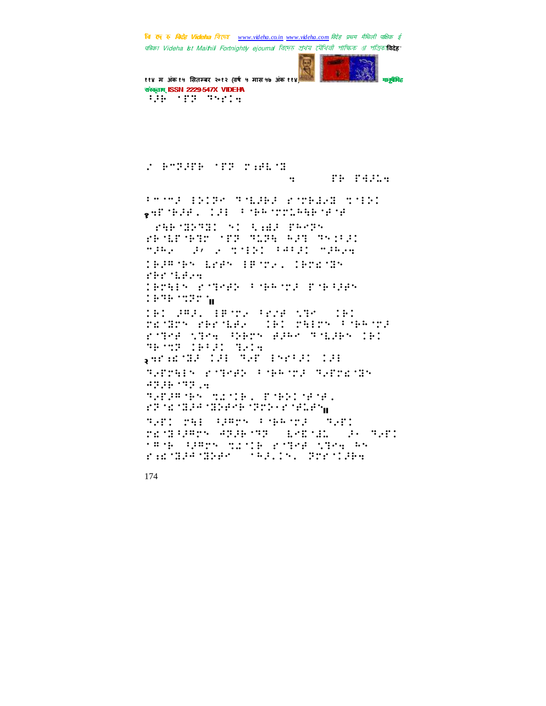**बि एक रु** *बिर्दह Videha विए***नर** www.videha.co.in www.videha.com विदेह प्रथम मैथिली पाक्षिक ई पत्रिका Videha Ist Maithili Fortnightly ejournal রিদেত শ্রথম মৌথিনী পাক্ষিক রা পত্রিকা**বিदेह**'



११४ म अंक १५ सितम्बर २०१२ (वर्ष ५ मास ५७ अंक ११४) संस्कृतम् ISSN 2229-547X VIDEHA the try serie

**FRANK WEIGHT TH PARTS**  $\dddot{\mathbf{z}}$ Proma daige solaba portava poda gernede (1980) homonomenene **SAPING MANUSCRIPS** FROM THE THREE REPORTS make as a model ford make **CEPPEN LEPN IPTEL CETENTS** richt für eine IPPHIN KOTORY FORMOS EORIGEN  $1979.2221$ IN PRISTRY ROBOTH rajary skritek (161 fétry Phairig right the Sirr Alms film (18) **TECH CONSTRUCTS** serior WE THE MARK ENERGY THE SPEED FORGET CHAINS SPEED 4928.09.4 THURSDAY TO MEAN POINT OF SAL PETER BARTEN PROVINCENT SAPI PAI SPRESS FORROTI SAPI rendigares and the benefit of the nang apart minig roman tang at<br>romongangkan (1992)ty, diricides 174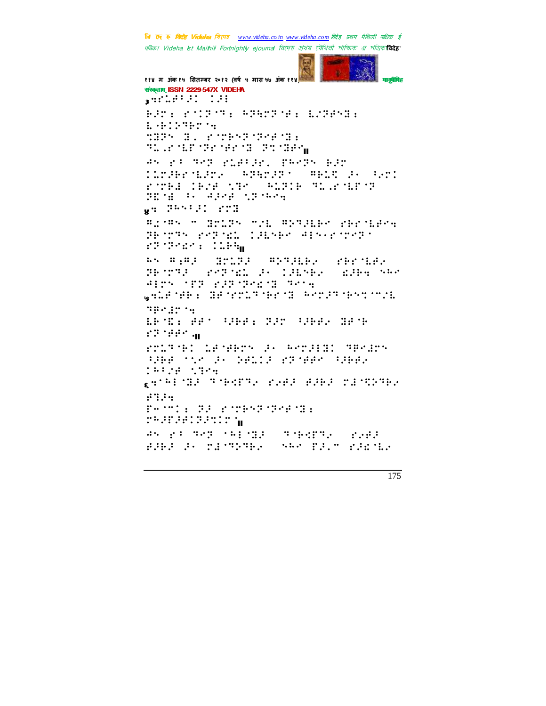**बि एक रु** *बिर्दह Videha विए***नर** www.videha.co.in www.videha.com विदेह प्रथम मैथिली पाक्षिक ई पत्रिका Videha Ist Maithili Fortnightly ejournal রিদেত শ্রথম মৌথিনী পাক্ষিক রা পত্রিকা**বিदेह**'

११४ म अंक १५ सितम्बर २०१२ (वर्ष ५ मास ५७ अंक ११ मानुबैमिह संस्कृतम् ISSN 2229-547X VIDEHA  $3$  and  $344$   $344$   $344$   $344$ BET : STIPPE APATPRE ENPRAIS LONDON: THE H. PTP-PTP-PT **TERMINE THE SERVE AND SERVE AND SERVE AND SERVE AND SERVE AND SERVE AND SERVE AND SERVE AND SERVE AND SERVE A** as you hap gigorigy, packs agg **COMPRESSOR STREET SPACE AS ANY** rocks december walker wilkomster TIME POSSESS NEWS  $u: 25513177772$ Riches of Brigs officePresides reroides de vice sed anos delega altes vices. rd deres (1185m) sk mind (drift) mindled (derived PROTRE PROTRE POSSERVER EPHONE APPS TER PARTNERS RETAIL galenek i dengan bendapan benyak nekar (4) Brosser Werelth Werelth **PERMIT CONTROL** POLTANI LEANERS IN PARING TEARS SPER TO PACTESS PROPERTY SPEED  $14424 - 1344$ perminde present avec ecos del partonez  $44.44$ Permia da sindependenta **2530381232127m** 45 PR REPORT (RESERVATOR) PRES BREAK AND MEMBERS OF NAME PAYMENTALS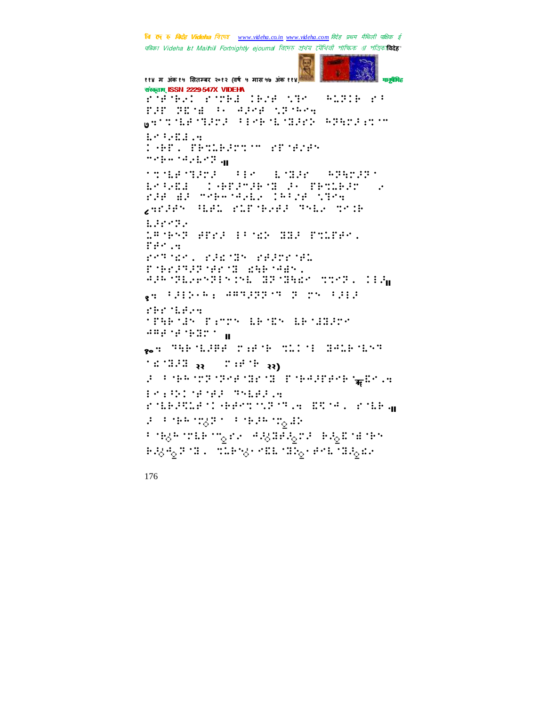वि एक रु क्रिटेड Videha विएम्ब www.videha.co.in www.videha.com विदेह प्रथम मैथिली पाक्षिक ई पत्रिका Videha Ist Maithili Fortnightly ejournal রিদেহ প্রথম মৌথিনী পাক্ষিক প্র পত্রিকা**বিदेह**'  $\mathbf{g}$ ११४ म अंक १५ सितम्बर २०१२ (वर्ष ५ मास ५७ अंक ११४) मानुबेमिह संस्कृतम् ISSN 2229-547X VIDEHA rifies roma dese var  $\frac{1}{2}$  .  $\frac{1}{2}$  .  $\frac{1}{2}$  .  $\frac{1}{2}$  .  $\frac{1}{2}$  .  $\frac{1}{2}$  .  $\frac{1}{2}$ TH HME W 4PH SPN-0 **WORKSHOUTHERN FOR STATE AND STATE** ESPECIAL **THE HEADERS STREET** media ravierd an **STARTED HR ENGIN APAREN** L'ALL CHREAD D'ETLET rde de mobeleggio charde chos yender Alel rifsboed Srip mode adentis. LANDARY BRIDGE BALL PRINCIP First La FOR THE STATE SECTION OF THE SECTION runcia de a contrar APP TERRITS IN SPIER STYL SIG  $e^{\frac{1}{2}(1+1)^2(1+1)^2}$  . And  $e^{\frac{1}{2}(1+1)^2(1+1)^2}$  . The set of  $e^{\frac{1}{2}(1+1)^2(1+1)^2}$ 

**MERCIN FINING LENDY LENISIPY** 

**Resource the Second Second Constitution Constitution** 

2008 de obzidenti de de la presente de Selfon

POLESTINE OF HEROTOGENE RESEARCHER W

Finede museum and all advance search new BR/SP/BUSINES/STEENES/STEENES

```
176
```
PHP March

 $489.993227$ 

Principal States

 $\mathcal{F} \stackrel{\text{def}}{=} \mathcal{F} \oplus \mathcal{F} \oplus \mathcal{F} \oplus \mathcal{F} \oplus \mathcal{F} \oplus \mathcal{F} \oplus \mathcal{F} \oplus \mathcal{F} \oplus \mathcal{F} \oplus \mathcal{F} \oplus \mathcal{F} \oplus \mathcal{F} \oplus \mathcal{F} \oplus \mathcal{F} \oplus \mathcal{F} \oplus \mathcal{F} \oplus \mathcal{F} \oplus \mathcal{F} \oplus \mathcal{F} \oplus \mathcal{F} \oplus \mathcal{F} \oplus \mathcal{F} \oplus \mathcal{F}$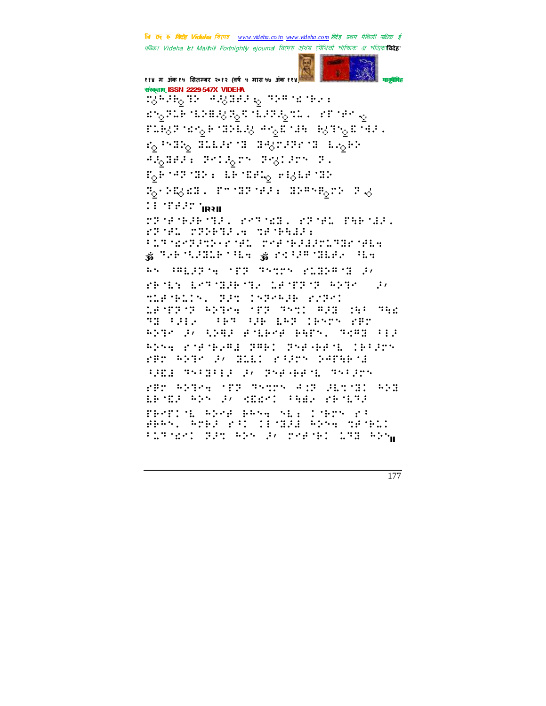वि एक रु क्रिटेड Videha विएम्ब www.videha.co.in www.videha.com विदेह प्रथम मैथिली पाक्षिक ई पत्रिका Videha Ist Maithili Fortnightly ejournal রিদেত শ্রথম মৌথিনী পাক্ষিক রা পত্রিকা**বিदेह**'

११४ म अंक १५ सितम्बर २०१२ (वर्ष ५ मास ५७ अंक ११४) मानुबैमिह संस्कृतम् ISSN 2229-547X VIDEHA  $\mathbb{P}^{1}_{0}\mathbb{P}^{1}_{0}\mathbb{P}^{1}_{0}\mathbb{P}^{1}_{0}\mathbb{P}^{1}_{0}\mathbb{P}^{1}_{0}\mathbb{P}^{1}_{0}\mathbb{P}^{1}_{0}\mathbb{P}^{1}_{0}\mathbb{P}^{1}_{0}\mathbb{P}^{1}_{0}\mathbb{P}^{1}_{0}\mathbb{P}^{1}_{0}\mathbb{P}^{1}_{0}\mathbb{P}^{1}_{0}\mathbb{P}^{1}_{0}\mathbb{P}^{1}_{0}\mathbb{P}^{1}_{0}\mathbb{P}^{1}_{0}\mathbb{P}^{1}_{0}\mathbb{P}^{1}_{0}\mathbb{P}^{1}_{0$ ang Publishing Dg Churchg that an interag FLEJP MAGE MENERY ANGEMENTEN EN TAGEMENT rothero substitute segmentics broad HAGBER POLACY POLETY P.  $\Gamma_0$ P 197 130 : LP 1591 $_0$  eigheist RockBad. Production demonstrate  $\mathbb{R}^n$  :  $\mathbb{R}^n$  :  $\mathbb{R}^n$  in a set TROPORTER POTORE PROFESSIONERS FINE TIPELA MENHALL **FOR MONEYARY MEDICINES AND MEDICINE SHELL** % THE SUBDIVIEW % POSSESSING (HR BS HERRS STRUCKTES PLEART A PROBLEMS WHEN IN THOSE RATE (A) the Shirt, Pat infrase rife: LA TER TRANSPORT TER TRACK RAB (1988) TAL THE FILE OF FRAME IN THE TRACK SHOW RNTH W MIRR PALENT PART (1) Absolute Guard SARI Sspeeding 19725 FAR ANDER SA HILL FANDER NATHERN HALL TEELER IN THE GET THIRT FBT ANGEL TER SATES AND JETTED AND ERMIN ADM (3) MEEMI (AHER YRMEAR PROPINE REOR RANG NEW CORPORAT HARRY AMERICAN CENERAL ADRESSENT FLAMENT BET ANN IN THEMED LAB ANN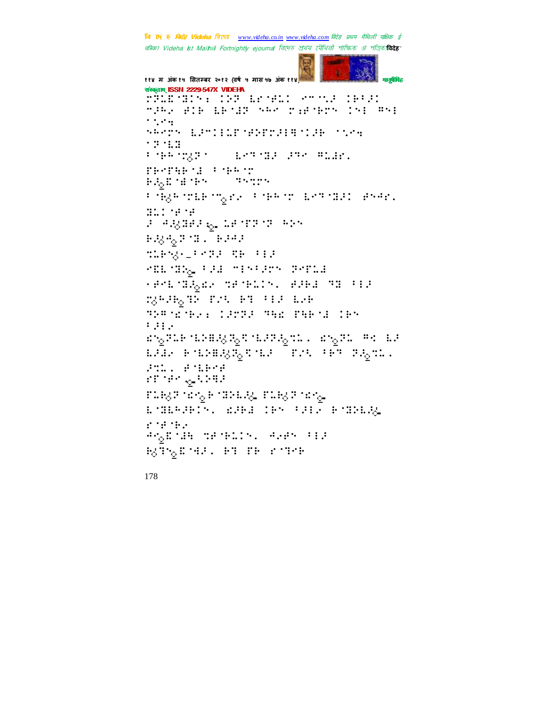वि एक रु क्रिटेड Videha विएम्ब www.videha.co.in www.videha.com विदेह प्रथम मैथिली पाक्षिक ई पत्रिका Videha Ist Maithili Fortnightly ejournal রিদেত শ্রথম মৌথিনী পাক্ষিক রা পত্রিকা**বিदेह**'

```
११४ म अंक १५ सितम्बर २०१२ (वर्ष ५ मास ५७ अंक ११४)
                                           मानुबैमिह
संस्कृतम् ISSN 2229-547X VIDEHA
rRGB-815: 158 Briggs (minut 1892)
MARY BIB LENGT SAM MARCHON ISE ASE
\gamma , \gamma ,
SPATS LATILE MARTINER MINE STAN
12112Portentgan (C) beandly law able.
THATABAL PARKAT
EASEMENT STATES
Finegalmene model i statem i bezindet i lengev
HLI 7878
FORWARD WE WANTED TO BEST
中服物270, 中共社
TEPS-ISTE THATE
PERMISSIONAL MENTION (PRELA
Herbodages decembris eard do Fia
MARE THAT HE LA
SPEARTER: 1928-396 PHETE 185
: : : \cdotалын айварда айны алып эмге ай
EPER POLPERSTOLE (FREDER PROTE)
Full Fuller
\mathcal{C} \mathcal{D} \mathcal{D} \mathcal{D} \subset \mathbb{Q}^{1,1,2,3,1,2}FLEJF 1475 E 1924 JJL FLEJF 1475.
EMBRARIN, EARD IRN FALK ROBERS
\mathcal{C}^{(1)}\mathcal{C}^{(1)} . Then
Angrich decentry, Avenued
ROTNOR MELL AT THE POTPE
```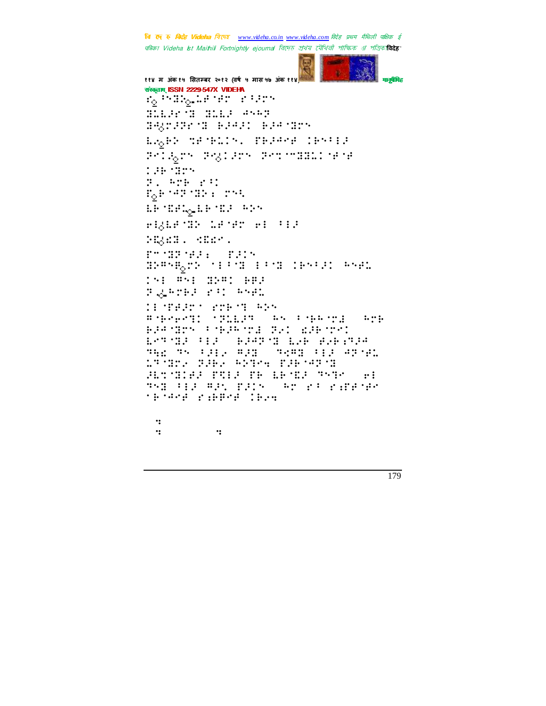चि एक रु *विदेह Videha चिए*न्छ <u>www.videha.co.in www.videha.com</u> विदेह प्रथम मैथिली पाक्षिक ई पत्रिका Videha Ist Maithili Fortnightly ejournal রিদেহ প্রথম মৌথিরী পাক্ষিক প্র পত্রিকা**বিदेह**'

११४ म अंक १५ सितम्बर २०१२ (वर्ष ५ मास ५७ अंक ११४) मानुसी मानुसीमह संस्कृतम् ISSN 2229-547X VIDEHA  $\mathbb{E}_{\underline{\mathsf{Q}}} \triangleq \mathbb{E} \mathbb{E}_{\underline{\mathsf{Q}}} \mathbb{E}_{\underline{\mathsf{Q}}} \mathbb{E}_{\underline{\mathsf{Q}}} \mathbb{E}_{\underline{\mathsf{Q}}} \mathbb{E}_{\underline{\mathsf{Q}}} \mathbb{E}_{\underline{\mathsf{Q}}} \mathbb{E}_{\underline{\mathsf{Q}}} \mathbb{E}_{\underline{\mathsf{Q}}}$ ⣝⣅⣇⢼⣝.⣝⣅⣇⢼!⢺⢳⢽! ⣝⢺◌॑⢼⢽⣝.⢷⢼⢺⢼!⢷⢼⢺⣝! ⣇⢴◌॒⢷⢵.⣉⢾⢷⣅>!&⢷⢼⢺⢾!⢷.⢼! ⢽⢼◌॒.⢽◌॑⢼.⢽⣉0⣝⣝⣅⢾⢾! ⢼⢷⣝! ⢽⣀.⢳⢷!⢸! &◌॒⢷⢺⢽⣝⢵⣐.⣃! ⣇⢷⣏⢾⣅◌॒-⣇⢷⣏⢼!⢳⢵! ₽!¿L# NP L# NP P! P!? CH2C.  $\mathbb{R}^n$  (10  $\mathbb{R}^n$ ) (10  $\mathbb{R}^n$ ) (10  $\mathbb{R}^n$ ) (10  $\mathbb{R}^n$ ) BRPHENGRR PIPE IPH IPHILIPHE .!⢻.!⣝⢵⢻!⢷⢿⢼! ⢽⣀◌॑-⢳⢷⢼!⢸!⢳⢾⣅! .&⢾⢼.⢷⣙!⢳⢵! ⢻⢷⢶⣙!⢽⣅⣇⢼⢹.!⢳!⢷⢳⣜-!⢳⢷! BAR (Br) | CHAR (BR) | CHAR (BR) | CHAR (BR) | CHAR (BR) | CHAR (BR) | CHAR (BR) | CHAR (BR) | CHAR (BR) | CHA ⣇⢹⣝⢼!.⢼-!⢷⢼⢺⢽⣝.⣇⢴⢷-⢾⢴⢷⣐⢹⢼⢺-! ⢹⣓⣎!⢹!⢼.⢴!⢻⢼⣝-!⢹⣊⢻⣝!.⢼!⢺⢽⢾⣅-! ⣅⢹⣝⢴!⢽⢼⢷⢴!⢳⢵⣙⣒!&⢼⢷⢺⢽⣝! ⢼⣇⣉⣝⢾⢼!&⣋.⢼!&⢷!⣇⢷⣏⢼!⢹⣙-!⢶.! ⢹⣝!.⢼!⢻⢼⣁!&⢼-!⢳!⢸!⣐&⢾⢾! ⢷⢺⢾0⣐⢷⢿⢾!⢷⢴⣒! 9. WJEFIBIBI GEOGRAFIE 9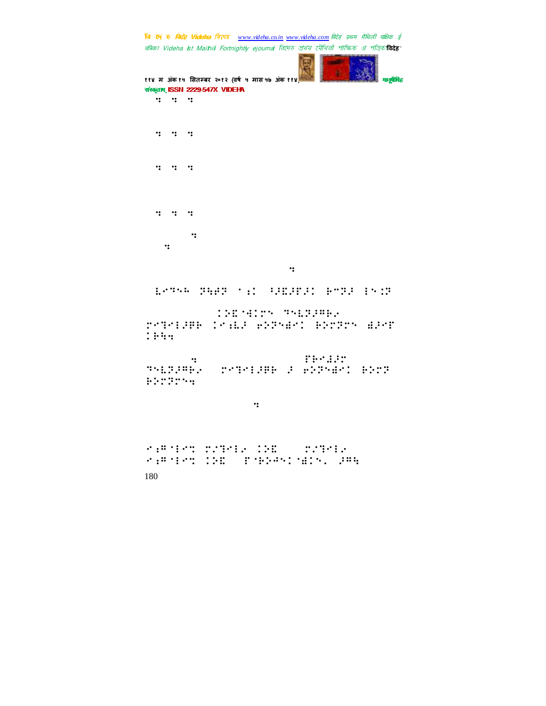चि एक रु *विदेह Videha चिए*न्छ <u>www.videha.co.in www.videha.com</u> विदेह प्रथम मैथिली पाक्षिक ई पत्रिका Videha Ist Maithili Fortnightly ejournal রিদেহ প্রথম মৌথিরী পাক্ষিক প্র পত্রিকা**বিदेह**' ११४ म अंक १५ सितम्बर २०१२ (वर्ष ५ मास ५७ अंक ११४) मानुसारी स्थापित करते हैं। अनुसीरीह संस्कृतम् ISSN 2229-547X VIDEHA 180 9⣒2⣒2⣒Uif!Dpnfu!!!.HBKFOESB!  $9:2:2:2$  $9:2:2:2$  $9:2:2:2$ cz! Esperant w Political Political Political Political Political Political Political Political Political Political Political Political Political Political Political Political Political Political Political Political Politic  $\mathbf{E}$ hhbkfoesbAwjefib⣒dpn!!! !⣇⢹⢳!⢽⣓⢾⢽!⣐!⢸⢼⣏⢼&⢼!⢷0⢽⢼..⣈⢽!!! Joqvu;!)⢵⣏⣚!⢹⣇⢽⢼⢻⢷⢴-! ⣙.⢼⢿⢷!⣐⣇⢼!⢶⢵⢽⣞.⢷⢵⢽!⣞⢼&! ⢷⣓⣒!Joqvu!jo!Efwbobhbsj-!  $\mathbf{S}=\mathbf{S}=\mathbf{S}=\mathbf{S}=\mathbf{S}=\mathbf{S}=\mathbf{S}=\mathbf{S}=\mathbf{S}=\mathbf{S}=\mathbf{S}=\mathbf{S}=\mathbf{S}=\mathbf{S}=\mathbf{S}=\mathbf{S}=\mathbf{S}=\mathbf{S}=\mathbf{S}=\mathbf{S}=\mathbf{S}=\mathbf{S}=\mathbf{S}=\mathbf{S}=\mathbf{S}=\mathbf{S}=\mathbf{S}=\mathbf{S}=\mathbf{S}=\mathbf{S}=\mathbf{S}=\mathbf{S}=\mathbf{S}=\mathbf{S}=\mathbf{S}=\mathbf{S}=\mathbf{$ ⢹⣇⢽⢼⢻⢷⢴-!⣙.⢼⢿⢷!⢼!⢶⢵⢽⣞.⢷⢵⢽0! ⢷⢵⢽⣒!Sftvmu!jo!Efwbobhbsj-! Spield (Spield Spield Spield)  $^{\circ}$  . The control of the control of the control of the control of the control of the control of the control of the control of the control of the control of the control of the control of the control of the control of the ⣐⢻.⣉.⢵⣏!!&⢷⢵⢺⣞>!⢼⢻⣓!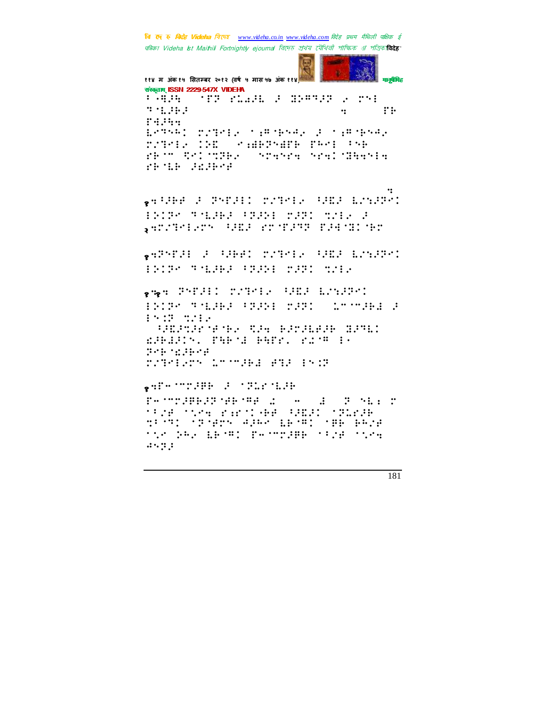११४ म अंक १५ सितम्बर २०१२ (वर्ष ५ मास ५७ अंक ११४) मानुसारी से अधिकारी मानुसारित संस्कृतम् ISSN 2229-547X VIDEHA -⣛⢼⣓-!&⢽!⣅⣔⢼⣇!⢼!⣝⢵⢻⢹⢼⢽!⢴..! ⢹⣇⢼⢷⢼!hhbkfoesbAwjefib⣒dpn!&⢷! &⣚⢼⣓⣒! ⣇⢹⢳!"⣙.⢴.⣐⢻⢷⢺⢴!⢼!⣐⢻⢷⢺⢴! "<br>"Control (1980) Shakes (1981)<br>"Shakes (1982) Shakes (1981) ⢷0.⣋⣉⢽⢷⢴\*!⣒⣒!⣒⣝⣓⣒.⣒! ⢷⣇⢷!⢼⣎⢼⢷⢾!.Cbtfe!po!nt.trm! Fohmjti.Nbjuijmj!Ejdujpobsz⣒!  $_{\rm 9}$ qʻ?#e 3 Brili brili distr $_{\rm 1}$ .⢵⢽!⢹⣇⢼⢷⢼!⢽⢼⢵.!⢼⢽!⣉".⢴!⢼! २⣒"⣙.⢴!⢸⢼⣏⢼!&⢼⢹⢽!&⢼⣚⣝⢷! १⣒⢽&⢼.!⢼!⢸⢼⢷⢾!"⣙.⢴!⢸⢼⣏⢼.⣇"⣑⢼⢽! .⢵⢽!⢹⣇⢼⢷⢼!⢽⢼⢵.!⢼⢽!⣉".⢴! १⣒१⣒!⢽&⢼.!"⣙.⢴!⢸⢼⣏⢼!⣇"⣑⢼⢽! .⢵⢽!⢹⣇⢼⢷⢼!⢽⢼⢵.!⢼⢽!!⣅00⢼⢷⣜!⢼! .⣈⢽!⣉".⢴! )⢸⢼⣏⢼⣉⢼⢾⢷⢴!⣋⢼⣒!⢷⢼⢼⣇⢾⢼⢷!⣝⢼⢹⣇! ⣎⢼⢷⣜⢼>!&⣓⢷⣜!⢷⣓&>!⣌⢻!.3! ⢽⢷⣎⢼⢷⢾\*!!  $T$ . The control of the control of the control of the control of the control of the control of the control of the control of the control of the control of the control of the control of the control of the control of the con १⣒&⢲0⢼⢿⢷!⢼!⢽⣅⣇⢼⢷;!  $T^{\mu}$  . The sequence of the sequence of the sequence of the sequence of the sequence of the sequence of the sequence of the sequence of the sequence of the sequence of the sequence of the sequence of the sequence of the ", The state of the state of the state of the state of the state of the state of the state of the state of the SING TARA ANG ALAWAY ANG AASA

 $^{\prime}$   $^{\prime}$   $^{\prime}$   $^{\prime}$   $^{\prime}$   $^{\prime}$   $^{\prime}$   $^{\prime}$   $^{\prime}$   $^{\prime}$   $^{\prime}$   $^{\prime}$   $^{\prime}$   $^{\prime}$   $^{\prime}$   $^{\prime}$   $^{\prime}$   $^{\prime}$   $^{\prime}$   $^{\prime}$   $^{\prime}$   $^{\prime}$   $^{\prime}$   $^{\prime}$   $^{\prime}$   $^{\prime}$   $^{\prime}$   $^{\prime}$   $^{\prime}$   $^{\prime}$   $^{\prime}$   $^{\prime}$ 

 $\mathbf{a} \cdot \mathbf{y}$ .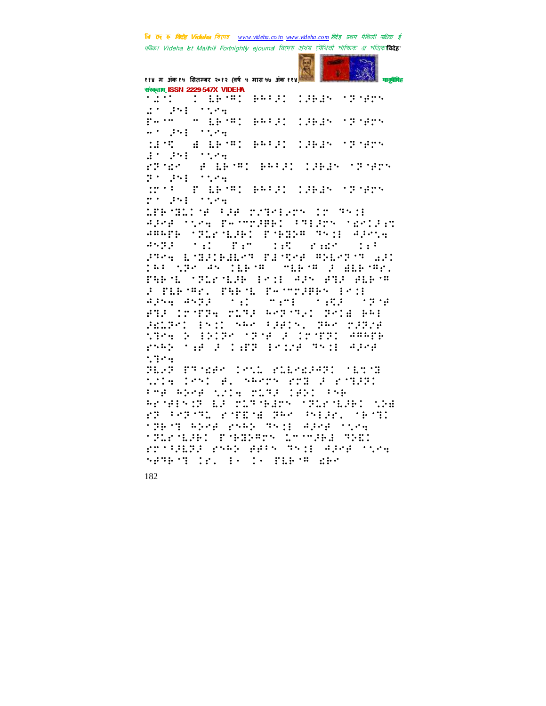> **COMPANY**  $\mathbf{g}$ मानुप्रेमिह

११४ म अंक १५ सितम्बर २०१२ (वर्ष ५ मास ५७ अंक ११४<mark>, व</mark> संस्कृतम् ISSN 2229-547X VIDEHA **SACRO INC. AND PROPER TERM STREET**  $\begin{aligned} \mathcal{L}^{(2)} &\equiv \mathcal{L}^{(1)}\mathcal{L}^{(1)}\mathcal{L}^{(2)}\mathcal{L}^{(1)}\mathcal{L}^{(2)}\mathcal{L}^{(1)}\mathcal{L}^{(2)}\mathcal{L}^{(1)}\mathcal{L}^{(2)}\mathcal{L}^{(1)}\mathcal{L}^{(2)}\mathcal{L}^{(1)}\mathcal{L}^{(2)}\mathcal{L}^{(1)}\mathcal{L}^{(1)}\mathcal{L}^{(1)}\mathcal{L}^{(1)}\mathcal{L}^{(1)}\mathcal{L}^{(1)}\mathcal{L}^{(1)}\math$ <sup>1</sup>e îbêm: Prizo Czban (2192n  $\cdots$  $\alpha \leq 154$  ,  $\beta \leq \alpha_0$ MARK WEIGHT BRIDGE CORDS STARS  $B = 354 + 1254$ range (# 1678) BR(3) Cable (anger  $3.5 - 3.64 = 0.1864$  $\mathbb{R}^{n+1}$ **TEACH BRIDGE CONSTRUCT**  $\mathcal{D}^{(1)}=\{D_{1}\}$  . If  $\mathcal{D}_{1}$  and  $\mathcal{D}_{2}$ MPP MALL ME PORT CONFIDENT (POINT APPA TOPA PHOTOPHED PREPORT TERRET ARREA MOLEMENT EMPORTANT APMIA 4592 (11) Time  $\mathbb{R}^2$  :  $\mathbb{R}^2$  $\mathbf{r}$  and  $\mathbf{r}$  $\mathbf{1}$ : ang buadhon nayan nusan wa IRE SPORT IN THE TOUR TEETH OF BEETING FARME MELFORDER ER IN 1975 BEEP BLEMB **A TEE MAY THE E TH MOVEER LAST**  $\mathcal{L}$  :  $\mathcal{L}$ **STATE STATE STATE** agsa aspr BO CONTRA CORPORATION DOCK BAL PELPEL ENCLOSED FREDRICHED MARCH the 2 Brit ship 2 Croppi Amery PARK THE FOILER ESTATE RAIL ARME  $1.314$ BUS PREAK INCLUDENTI MENS tria (smi e. mesom pro 2 pongo; Pre apre this mine cept Pre-Remaining all contracts included that PROPERTY POTECH RAC PHIRE OF TH the mosque and most week them **MARKER PERFEK ATTER THE** rright, response to the specific SPRESS IN 18 IS TERM WHO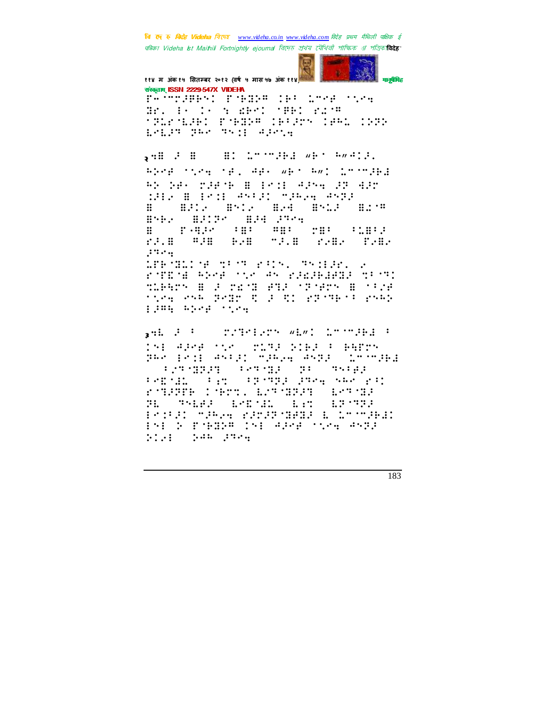

११४ म अंक १५ सितम्बर २०१२ (वर्ष ५ मास ५७ अंक ११४<mark>, व</mark> संस्कृतम् ISSN 2229-547X VIDEHA

Pêsmodhesi poezika (e) 1mme sing Hr. E. D. S. HET THE RITH **MARKET PROPERTIES CONTROLLER** ESEPT PRO TEMP SPORT

<sub>≯</sub>HB 2 B = BI 155529261 we'll#well. REMB STREETED ABROWER RAD LOOMBER AS SAY TARYE BOIRTH AANN AR AAT MER B ERME WATER MENGE WATER  $B^1$   $B^2$   $B^2$   $B^2$   $B^2$   $B^2$ 800 - 800 - 800 - 800 - 800 - 800 - 800 - 800 - 800 - 800 - 800 - 800 - 800 - 800 - 800 - 800 - 800 - 800 - 80 ii a 8962 BRIPY BREATER FREE MEN MEN PER PLEEP  $\mathbf{H}$ ر المعلم المعلم المعلم المعلم المعلم المعلم المعلم المعلم المعلم المعلم المعلم المعلم المعلم المعلم المعلم الم<br>المعلم المعلم المعلم المعلم المعلم المعلم المعلم المعلم المعلم المعلم المعلم المعلم المعلم المعلم المعلم المعل  $1.24\,m_{\odot}$ MPP THAT OF THE THE PASSED FOR THE CONTROL OF roffor above the as radialism store MIRROR BOS CAMBORIES MENSOR TEST tion of Policy Card Company of State 1,000 0000 1000

gab 2 For Stringer wew: 1878-282 F THE APPENDIX SINGLE POINT A BATTLE jak péndukun Siaya Géra (1969) **SEPTED BETTER TO THE** Provad (Part (Provad Great Ser)201 FURNIE CORT. ESPORIE ESPOR BL SMLAR LMDML LID LEMSER Professor Personal Commentation of the March of the Commentation of the Commentation 151 2 FORDA 151 APME STM, ASTA 2121 246 2504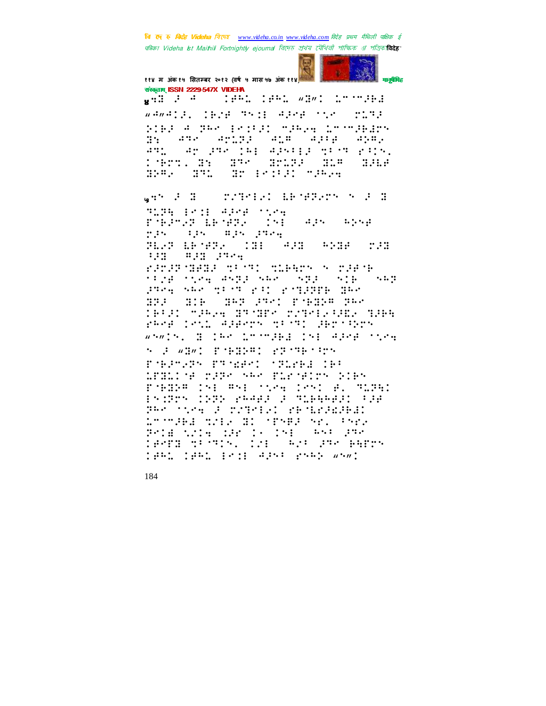

संस्कृतम् ISSN 2229-547X VIDEHA  $\frac{1}{2}$  =  $\frac{1}{2}$  =  $\frac{1}{2}$  =  $\frac{1}{2}$  =  $\frac{1}{2}$  =  $\frac{1}{2}$  =  $\frac{1}{2}$ **1990 1990 WINE 2000 PM**  $\sqrt{2}$   $\frac{1}{2}$   $\frac{1}{2}$   $\frac{1}{2}$   $\frac{1}{2}$   $\frac{1}{2}$   $\frac{1}{2}$   $\frac{1}{2}$   $\frac{1}{2}$   $\frac{1}{2}$   $\frac{1}{2}$   $\frac{1}{2}$   $\frac{1}{2}$   $\frac{1}{2}$   $\frac{1}{2}$   $\frac{1}{2}$   $\frac{1}{2}$   $\frac{1}{2}$   $\frac{1}{2}$   $\frac{1}{2}$   $\frac{1}{2}$   $\frac{1}{2}$   $\frac$ BIES A TAK EKIES MSAGH 1M MSB2MA de and arbeit are also apart 491 (45 PR) 141 425112 5179 FILM **THEST OR OUR CONSUMER SERVICE** HTL HE POSSES TREE  $\mathbb{R}^{n}$ 

**STORY CONSTRUCTS AND STATE**  $\mathbf{u}^{(1)}$  ,  $\mathbf{u}^{(2)}$  ,  $\mathbf{u}^{(3)}$ 

SLPH ESSE APSE STOR PORTS ENGIN (SE and and a  $\mathbb{R}^{n \times n}$ **Signey Bird (Mary**  $-0.0001$   $-0.0001$  $3.3\%$ PARAPHEER SPING SLEEPS SOCKETE 1328 1514 4522 541 - 523 - 516  $\ddots$  : green specification of the condition dres HAT PRI FIRE PAR **222 2020** IPER TRANS BROBE TITELERER TRA rene lett agency discussed the whath, Bolke Loomship (ni Aden over **SEATTLE SHOPS SECTION** 

POBRESTS PROBECT OFLIGHT CBP LEBLICH SUPPLY-RAN ELECTRISM DIEN PORTH INT WAT STAY ISN'T BE WINNE 15:205-1222 35582 2 7455581 328 368 Stew Bornsteig, Skolarding LTOTARE TREATED STARR SELTENCE Pola this day is the who pay TARTE SPORTS, INFORMATION BATTS TERN TERN ERTE APRE PRAD WRAT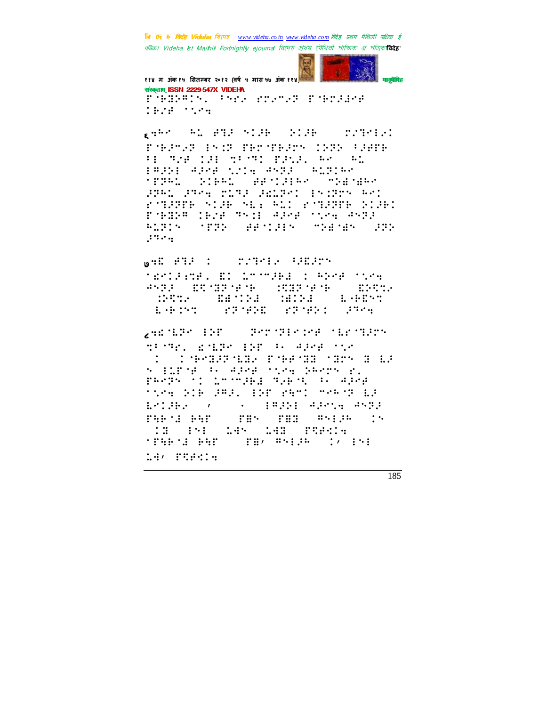

११४ म अंक १५ सितम्बर २०१२ (वर्ष ५ मास ५७ अंक ११४<mark>, व</mark> संस्कृतम् ISSN 2229-547X VIDEHA POBRATO COMA PRATAR POBRARCA

TEMP STOR

pake an and stab (113) ( winter

FORFOR INCE TROTHEON (1911-1981) HE THE INE TEST FROM THE TEL PROSE ADAPTICIE ANDER ALDIAN SIPAL PROPERT THROUGHT  $\cdot$  : : : :  $\cdot$ FRANCISCHE MIRIGENIEN (1872) ART FMERTH SIDE SEE AND FMERTH SIDE: PARPE DESERVE APARTMENTS ALSIN PRES BROWN THROUGH  $\mathcal{G}^{(1)}$  and  $\mathcal{G}^{(2)}$ 

**WELLER'S CONSTRUCTION** 

**MACCERS ED LOOPEE DEPRESSED AND AND AND AND AND AND AND AND AND ADDITIONAL PROPERTY. 4532 BIMB02 CENTRE SERVICE ARTICLE RESERVE SEPTIERS STORY STAR** ESPIRE

gad 1698 (EDP) - (982-1988-1998) f.an 1992-TESTEL ESERGIBE EN APGESTER S ELEMENT SUSPENSIVE PROPERTY perk in there have the company tice bie del spr earl robte de  $\ddot{\phantom{a}}$  (FRIS) also  $\ddot{\phantom{a}}$  and  $\ddot{\phantom{a}}$  $\mathbf{h}^{1}$  ,  $\mathbf{h}^{2}$  ,  $\mathbf{h}^{2}$  ,  $\mathbf{h}^{3}$  ,  $\mathbf{h}^{4}$ **THE THE SELL IS** THE 12 PHT (1876) 145 148 Presia **TERMINE 1992 TH**, **H**+1,24 (, 151 Le, PRACTe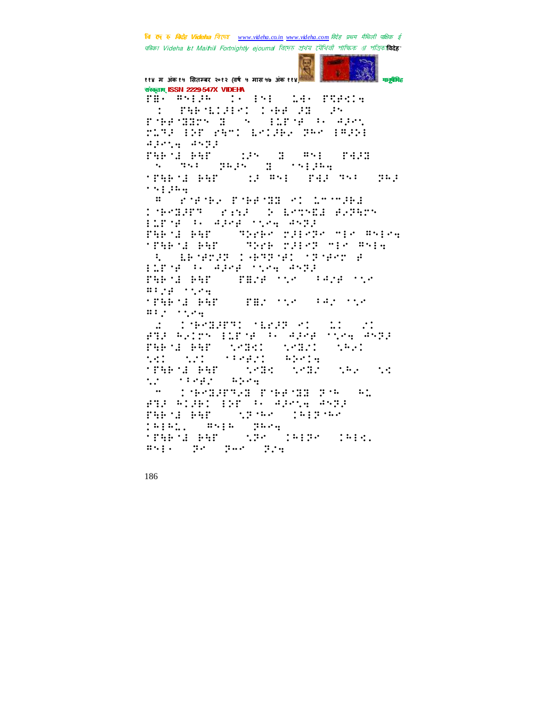**COMPANY**  $\mathbf{g}$  . ११४ म अंक १५ सितम्बर २०१२ (वर्ष ५ मास ५७ अंक ११४<mark>, व</mark> मानुबैमिह संस्कृतम् ISSN 2229-547X VIDEHA PERSONALLY 18 191 LEF PRESIN  $\pm$  THE SECRET CHECK CONT PORTHER BUSY HIPM PORTH high The Sant Lotake Gas 1922  $\mathcal{A}(\mathcal{I},\mathcal{C}^{\ast}_{\mathcal{A}},\mathcal{C}^{\ast}_{\mathcal{A}}) = \mathcal{A}^{\ast}\mathcal{C}(\mathcal{I},\mathcal{C}^{\ast}_{\mathcal{A}})$ **THE SERVICE**  $\mathbb{R}^2$  :  $\mathbb{R}^2$  and  $\mathbb{R}^2$  and  $\mathbb{R}^2$  and  $\mathbb{R}^2$  and  $\mathbb{R}^2$  $\cdots$ **F PORTH PREMIE STARTHER** D'ESBAPT (PANA) D'ESTREA PAPERS iard PAC (1966-2012)<br>Special PAC (1966-2012) – 1980-1980<br>Special PAC (1966-1999-20 **A LENTH LATTE MINER** HIPSE AN APPE Side And P **THE LE BAT THIS YES SAME TO**  $\mathbf{u}$  is given that  $\mathbf{u}$  is given that  $\mathbf{u}$ **TERRIBE TENTS FAN THE**  $\mathfrak{m}$  is a set of the set of  $\mathfrak{m}$ CA CONFIGURATION ARE AN ARREST AND ASIMA BIROK AN ADMA SYSA ANDD PHP GUERE (SPORT)<br>SRI (SSPORT) (SPPRI)  $1.4321$  $\mathcal{L}$  :  $\mathcal{L}$  $\mathbb{R}^n$  . In the set of the set of the set of the set of the set of the set of the set of the set of the set of the set of the set of the set of the set of the set of the set of the set of the set of the set of the set **THERE WE WANTED**  $\mathcal{L} = \mathcal{L} \mathcal{L} \mathcal{L} \mathcal{L} = \mathcal{L} \mathcal{L} \mathcal{L} \mathcal{L}$ un stephologie lin (confederate posecula post au FIR WITH THE WORLD WATER  $\frac{1}{2}$  ,  $\frac{1}{2}$  ,  $\frac{1}{2}$  ,  $\frac{1}{2}$  ,  $\frac{1}{2}$  $\frac{1}{2}$  is interesting the state of  $\frac{1}{2}$ **THE SECRET THE SECTION SECTION** SPARTA PAP<sup>TO</sup> STRATEGIO DEL CONSTANT Berge pe par pre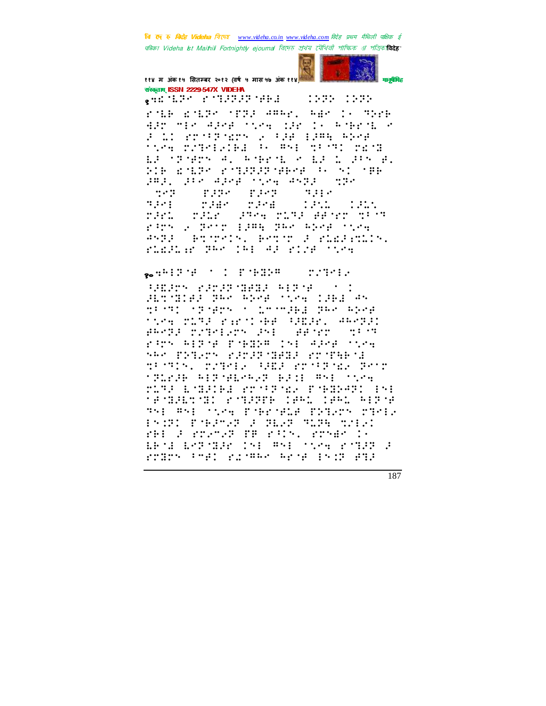

११४ म अंक १५ सितम्बर २०१२ (वर्ष ५ मास ५७ अंक ११४) संस्कृतम् ISSN 2229-547X VIDEHA

end 192 of the control of the second series of 1222 1222 rik rizh (PP) Amerikan (Propr 435 MER APRESSING IP IS ROBERT R 2 11 rodanes (1980-1986 ASAA) ting provising as many parol prod na Papare al America da Colabela. **NIE KOLZY FOLIZIERSENE BENDETER** ama, atrodadra nira Anda (110  $\mathcal{L}^{\text{max}}$ ESPO EPOP  $\cdots$  $22.44$ rde rod  $\ddots$ nder. **TALE APPARTLE BETT TEST** rans a Bern field Bee where they ands (Bronzin, Broom Schwassmith)<br>Plaster der 1918 as Pick (Sra

- サンコイミン

BERTH PROGRAMMENT AND MO Howard He week the Charles thing of why of thoughd the need ting play rardige gaze, gener ARKSE MITHERMA (ME) ARMIM (ME)T rans album rumman isl adem Siem SAR PERSON FRONT MARK FOOTBELL the the control of the control determines of the control of the control of the control of the control of the c **TRACH REPORTER BEST RAILTY.** MURA EMBIDE PROPENE POBBERT IN termanischer Technischer The Rhe stree Polescelle Present Street ENGEL EMPERIE FURNE SUPENDIEL FREQUENTE PROPERTY COMPUTE BROB RESERVING AND STEP PORT rodos (est rismas are pero aqu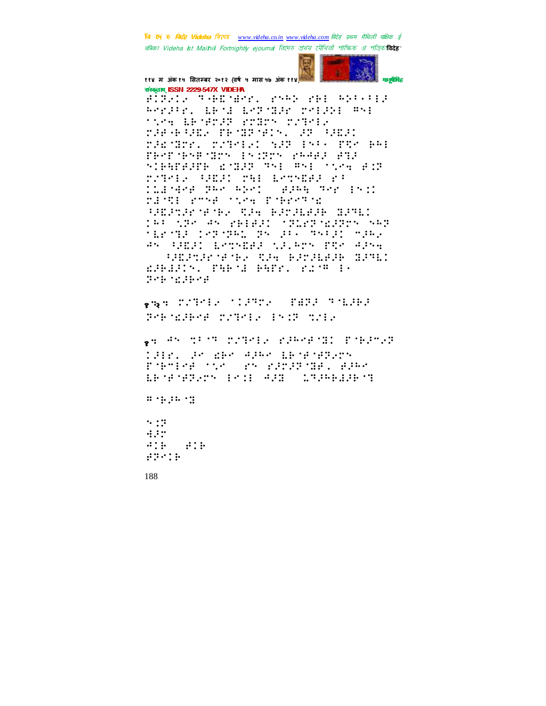

११४ म अंक १५ सितम्बर २०१२ (वर्ष ५ मास ५७ अंक ११४) संस्कृतम् ISSN 2229-547X VIDEHA

BÎSIL TARYAY. PYRY PRI RYEFIR POSTES ARME LOTMER COLENE POL **TOR BENEVE STIPE PATEL MARKET BINDEN STREET** racurr. repose as sweeper and FRAFARABANYA (PANTA PRABA BAR **SIMPLED COOP TSE TSE TIME TO BOY** TATMER WERE THE EMTHER AN three paraprol **Said Section** MARI ETH MORE PORTS SPEPTED TRIAL SPACE REDUCED SETTLE TAR STAR AN VEIBEI STORITSLETT NAT TERMIN CREMENT BY JPS SPACE MINE AN PREPLAINING SPIER TRY APNE

<u> Ministrate Ca Bardiad Mont</u> EPERING THE GUESSING PLANE IS Portage of

par Coler (1982) PARP Stages Schoolers provincies by this

<sub>e</sub>g as distributivily playerd: prelated 1918. Proden Adam denengskri Portical tic (an additional almo BENENHAM PORT AND CONFERENT

 $\frac{1}{2}$  :  $\frac{1}{2}$  :  $\frac{1}{2}$  :  $\frac{1}{2}$ 

 $\ddots$  : :: HAMMI  $4:4$  $\mathbf{r}$  :  $\mathbf{r}$ **BOOK**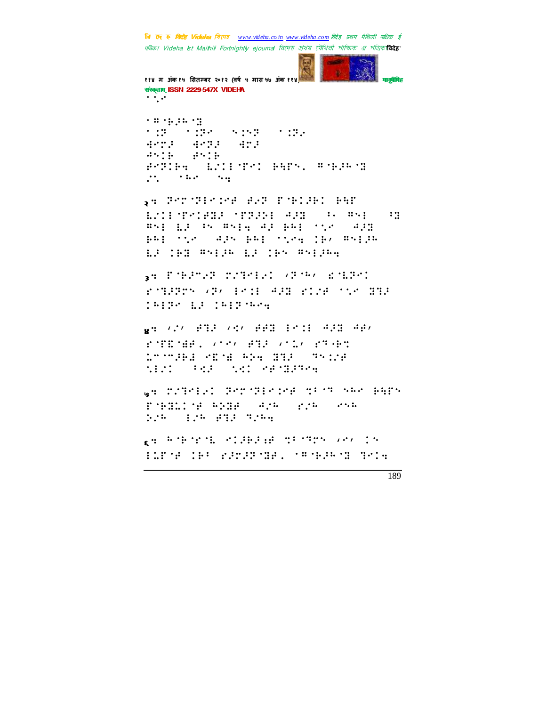११४ म अंक १५ सितम्बर २०१२ (वर्ष ५ मास ५७ अंक ११४) मानुबैमिह संस्कृतम् ISSN 2229-547X VIDEHA  $\cdot$  . .  $19.1431117$  $\begin{minipage}{.4\linewidth} \begin{tabular}{l} \hline \textbf{1} & \textbf{2} & \textbf{3} & \textbf{1} & \textbf{2} & \textbf{3} & \textbf{3} & \textbf{1} & \textbf{1} & \textbf{1} & \textbf{1} & \textbf{1} & \textbf{1} & \textbf{1} & \textbf{1} & \textbf{1} & \textbf{1} & \textbf{1} & \textbf{1} & \textbf{1} & \textbf{1} & \textbf{1} & \textbf{1} & \textbf{1} & \textbf{1} & \textbf{1} & \textbf{1} & \textbf{1} & \$  $\sim 13.5$ 4823 4833 423  $d\mathcal{H}(\mathbb{R}) = d\mathcal{H}(\mathbb{R})$ BOTIM EMIST MATH. WHACK  $\mathcal{D}_\text{c} = \mathcal{D}_\text{c}$  and  $\mathcal{D}_\text{c} = \mathcal{D}_\text{c}$ 

, Service As Pulle: 60 EMINIMALE MERIDI ARE (A) AN ENE (A)  $\mathbb{R}^{n}$  ( )  $\mathbb{R}^{n}$  and  $\mathbb{R}^{n}$  ( )  $\mathbb{R}^{n}$  ( )  $\mathbb{R}^{n}$  ( ) and ( ) and ( ) and ( ) and ( ) and ( ) and ( ) and ( ) and ( ) and ( ) and ( ) and ( ) and ( ) and ( ) and ( ) and ( ) and ( ) and ( ) and (  $\ldots$  : : : 983 (158 - 435 983 1589 1970 98338 **10 100 85100 10 105 85100** 

SA PORPOR TOROLO VEORA ESERCI FOREST CRASHED ARE FIRE TO SER *faile* as faireas.

gh (2) PR (3) PPR End P2R PP) roman construction reserved Loomaal PEOR ADA BRA  $\mathbb{R}^n$  . The state  $\mathbb{R}^n$ tici (ser tel estadouniden

ga dideest Prover we at a ser ears POSIC SPACE AND STRONG 525 | 125 | 232 | 325 |

같이 뒤가운 상대요. 어디곤든은 남은 1만 1명1개 (SMV) 조개 ELEMENTE VANARINE, MEMBARINENTE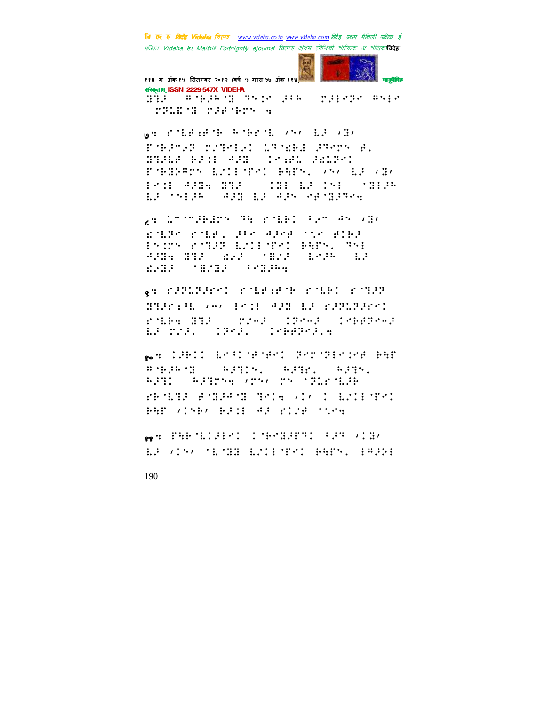

११४ म अंक १५ सितम्बर २०१२ (वर्ष ५ मास ५७ अंक ११४) संस्कृतम् ISSN 2229-547X VIDEHA dîl september di di parti

an riment both when you are valued PORTS MITHS INTER STORY B. **COMMAND SECTION** POHENNO ESTECTION PHENO (M) ES (B) **POST APRA REF. (2008) APPENDIX CONTRACT** EF SAIFE (AFR EF APS SPORTS)

29 GhindBarn Recorded Fencancial ENDY FAR. PROGRESS FREE Promo Bonar Estronoment, 751 888 888 888 888 888 88 R. R. P. P. R. P. R. R. P. P. R. R. P. R. R. P. R. R. P. R. R. P. R. R. R. R. R.

**WE MANUFACT POWER TO POSSE POINT** HHERIA (6) POI AND LE CONDING **STORY CREWS CENTRAL** rime Sid LP TORE (1983) (1968982.4)

post (2001) Lead of the Control Party State (1903)  $\mathbf{H}^{1}$  ,  $\mathbf{H}^{1}$  ,  $\mathbf{H}^{1}$  ,  $\mathbf{H}^{2}$  ,  $\mathbf{H}^{2}$  ,  $\mathbf{H}^{2}$ **SAMILY, AND AND AND AND ALL APPEN APPRASHIPS SERVICE** FROM PORT TO SAID LOCATION PRESSING PROFILE PICE STORY

**Q** : PHP NOVERTO O NECERTIO FREQUES EP (15) SESERE EMPERIENCE PRESE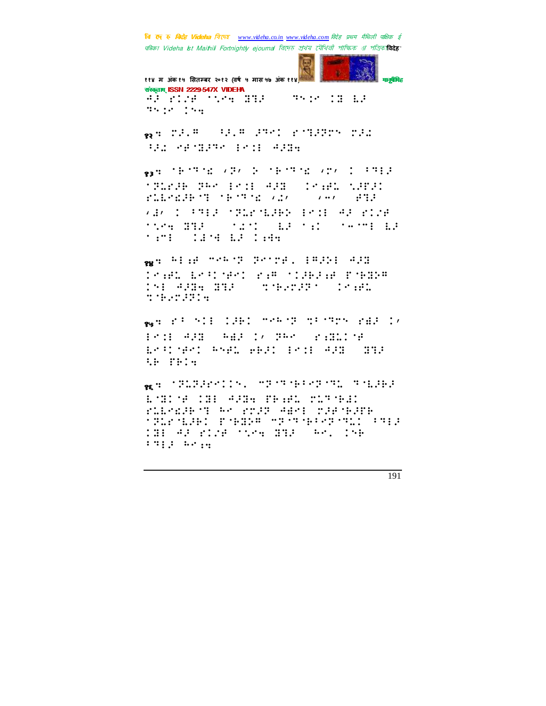ø मनुबैमिह ११४ म अंक १५ सितम्बर २०१२ (वर्ष ५ मास ५७ अंक ११४<mark>, व</mark> संस्कृतम् ISSN 2229-547X VIDEHA AF PICE TONE BUF ( Third IB LF

03: 23.5 (33.5 358) ringers 232 **MARK PERSONAL MARK** 

**There** India

east the third is not be the third is contact in the c **MINISH THAN EAST AND STAND NUTTI** FLEETH TETTE VIA  $\mathbf{u}$ . . . . . . **VALUE PREPARED BADE ARRIVE**  $\begin{minipage}{.4\linewidth} \begin{tabular}{l} \hline \textbf{1} & \textbf{2} & \textbf{3} & \textbf{4} & \textbf{5} & \textbf{6} & \textbf{7} & \textbf{8} & \textbf{9} \\ \textbf{1} & \textbf{2} & \textbf{3} & \textbf{1} & \textbf{1} & \textbf{1} & \textbf{1} & \textbf{1} \\ \textbf{2} & \textbf{3} & \textbf{1} & \textbf{1} & \textbf{1} & \textbf{1} & \textbf{1} & \textbf{1} \\ \textbf{3} & \textbf{1} & \textbf{1} & \$  $11.74 \pm 0.0001$ **TEMP CONTROLLER** 

we Him means Sendel Emper App Translated news ranged provided in the present INE APORTO IN THE TEACHER TO DATE **TOP-PERIT** 

put of SIE LEE making naching edge is iri 431 Aga (2004) and the ESPIRATORSAL PROTOCOLOGIC STO the Phine

es (FRIERSIN, SPORTERS POLER BOOK ON WHIP PRESS MOTHER rling:Pri Pr rr:P ABni r:Presip **MINTED PERMITTENT SUPPLY** 138 AP PICE TOPE 338 APV 158  $1.313 \pm 0.0014$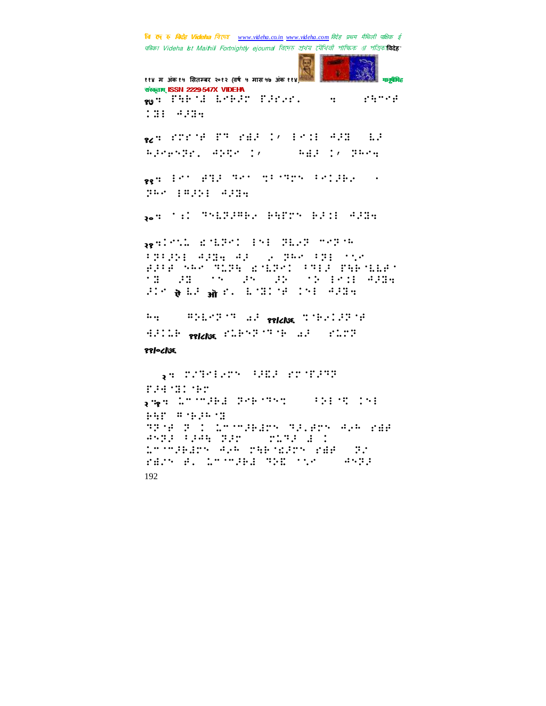**A** STREAM HEARTHING F.94 (B) (92 <sub>a</sub>m<sub>e</sub>s Loomded Beecher (1991) (1991) par separa 3236 2 1 LoomsBarn 33,805 AVA 246 West Plan Black where it Loomabars Ale reporters rdd (RC racy al documen man the  $3.44(1)$ 192

## 28106125

**PERMIT AP SENDE THANKER**  $\ldots$ HALLE SALMAR CLEAR OF THE WAR SCLUB

<sub>20</sub>91/012 ESEPC PHP PEAR SAPPOR 39928 A2B6 A2 (2008) 200 A2B Min BREAGAN SLEE ROLES CONFIDENTIALS <sup>1</sup>B 2B 35 25 25 35 36 150 200 PER WER WERE EVERY THE PRES-

pos (d) Thereway Parry Plil Alma

sen ist and her normal betake a **PART : RESERVE RESIDE** 

gg from PP ref is followed the REPAREL ROBERTS (1988) REF 17 BREA

संस्कृतम् ISSN 2229-547X VIDEHA <sub>89</sub>9 PHP 12 ESPRIT PROVIS (1991) - PRTSP **THE SPHS** 

११४ म अंक १५ सितम्बर २०१२ (वर्ष ५ मास ५७ अंक ११४) मानुबैमिह

वि ए रु क्रिडे Videha विएक www.videha.co.in www.videha.com विदेह प्रथम मैथिली पाक्षिक ई पत्रिका Videha Ist Maithili Fortnightly ejournal রিদেহ প্রথম মৌথিনী পাক্ষিক প্র পত্রিকা**বিदेह**'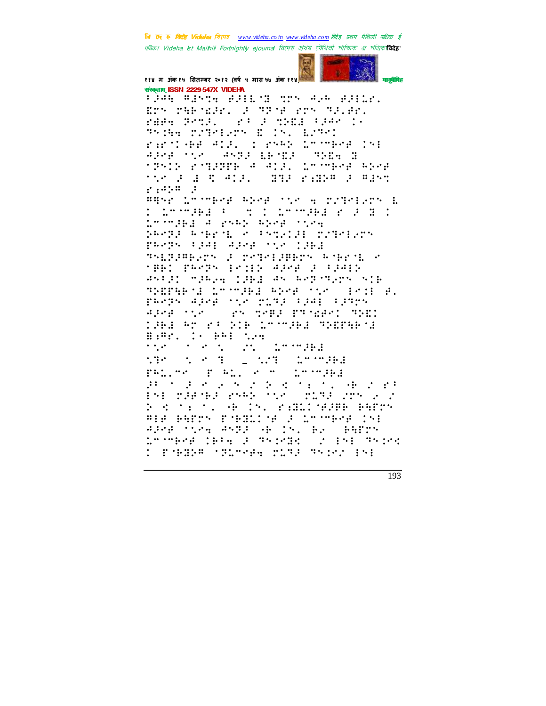

११४ म अंक १५ सितम्बर २०१२ (वर्ष ५ मास ५७ अंक ११४) संस्कृतम् ISSN 2229-547X VIDEHA

tàng mason daibha ors nam daile. ETS THEOLIS, JUSTICE PTS STATES. rake Prof. (r) 2 ober 1948 16 With criticist E IN. Liter rander All, remarks there in: APPROVIS AND LETER THE B tric (Square A Aca, Looped Ave the F B R Add. ( BBF PABR F Adva  $2.14347 + 1.001$ BRAN LOOPERFURNAR SCRUB DIRECTOR E **DESCRIPTION CONSTRUCTION** tronged a grap apertoner. PROTE ROBEON OF POSSIBL COTOLSCO pack that and the 1962 THIRPBATH F THTHIPBIN ROBERT C the response agency come #5121 miRea 12Bd #5 Reporters 51B SPEERBYE LOOMERE REMBOULD (BRIEGE) paras aled the bind dual dubbs APPE TO THE THE TREE PROBAT RED 1961 Ar 23 Sib 1878.B. TSERBYE B:Pr. 1: PHI 529 **Service Street Construction**  $\mathcal{L}(\mathcal{A})$ Administration of the AMD Commercial<br>ERAL Monography of the Monography an in a shi yi bila ya mashi ya mata.<br>Thi wanda web she swana zwe yi z S K title A IS, rumlyRPB BATTY FIR PRIM FORESCH 2 LOOPPER IN Alex ties Andl Sector Brookers Loopers IRPA 2 Prince (2019) Princ I POBBE CRICKE TIBE BYIS 151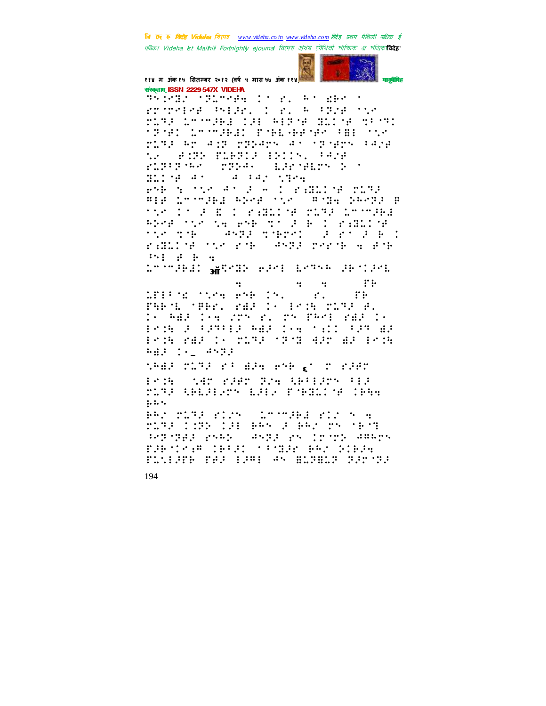

११४ म अंक १५ सितम्बर २०१२ (वर्ष ५ मास ५७ अंक ११४) संस्कृतम् ISSN 2229-547X VIDEHA

TRIMES STUPPER IS BY RESOURCEMENT rounded PHREE Car R (PRE the nisa indhaa dal Alboa midoa dios <u> 1998 lo capal poblar as ab co</u> ring ar and regionary as servers care NA PERR PLERIA ERICAL PANE russise rike infrastruktio alling an 2004 (agostea)<br>ane nonce an 2006 (camaling pict) Ale inverse when the Catch parel a rik India a kama mata mwaka REAR TO THE PHE TO F ROLL FERRITR. nie sy Poleneg sierkol (2 270 p.e.)<br>Baglore nie bank (459) representate

15 Museus <sub>an</sub>geda (eles 1259) en la vian

∵:∙  $\dddot{\cdot}$  $\mathbf{u}$  . The set of  $\mathbf{u}$ LPIP MESSAGE EMPLOYER (2003) ∵⊪ PARTE TERRI PART IN FRINCIPAL R. In RAP Ins 200 r. 20 PROF PAR IN Problem Performance and South Perman Problema (Figure 1919 Aarles Prob 

thes with all each and go woulder

Problem with the Second Professional ring thistery iste fyhillig (Phy  $\ldots$ .

BRO MIRA BIONA (IMAMABE BIONA) H hima The Tap pay a part ny mpin Provincia and the control of the control design FARATAGE TEART A POBRE ERA DIERE FLAIRE FRI 1991 45 BLPBLP FRYTH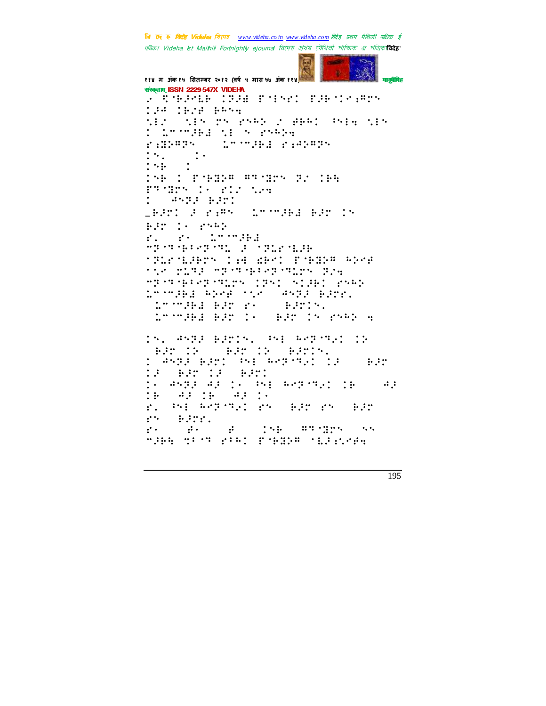6 **COMPANY**  $\mathbf{g}$  . ११४ म अंक १५ सितम्बर २०१२ (वर्ष ५ मास ५७ अंक ११४<mark>, व</mark> मानुबैमिह संस्कृतम् ISSN 2229-547X VIDEHA a<sup>n</sup>gyeree 1998 pyryn paesnapy DA CHIA BASA MESS NEW THOTAGE SOMEWHAT THE NEW The what we're ready **PASSES COMMISSION**  $\begin{array}{ll} 1.81 & \textcolor{red}{\textbf{1.5}} \\ 1.94 & \textcolor{red}{\textbf{1.5}} \end{array}$ 196 : Preme Annon av 166 Primer : film the : 4522 B221 \_BATI A right (1800-182 BAT) In Bar is rubb ari (1986) (1979)<br>Standard Monte (1979) (1986) **MILEMARY CHEMPS FARRE RYAN THE PLAY MEMAGEMENT COMPANY** adarīgies atoms (1941—4196) (246)<br>Lovozbi aperture (1949—620) LTOWARD BAY PHOTO BAYIN. Contrata tar (3) that in retros In Angl Estin, by Angles: 15  $\mathbb{R}^n$  is a set of  $\mathbb{R}^n$ **MARK COMMENT** 19 ANDER AF 19 AND APPROVING THE SAFE  $\mathbb{R}^2$  :  $\mathbb{R}^2$  . The set of  $\mathbb{R}^2$  $:$  : r. Pilerand, ry Bar ry Bar **Bilty**  $\mathbf{r}$  $\frac{1}{2}$  ,  $\frac{1}{2}$  ,  $\frac{1}{2}$  ,  $\frac{1}{2}$  ,  $\frac{1}{2}$  ,  $\frac{1}{2}$  ,  $\frac{1}{2}$  ,  $\frac{1}{2}$  ,  $\frac{1}{2}$  ,  $\frac{1}{2}$  ,  $\frac{1}{2}$  $\mathbf{r}$ .  $\mathbf{r}$   $\mathbf{r}$   $\mathbf{r}$  $\mathbf{r}$ elph er er erne fenne elleren.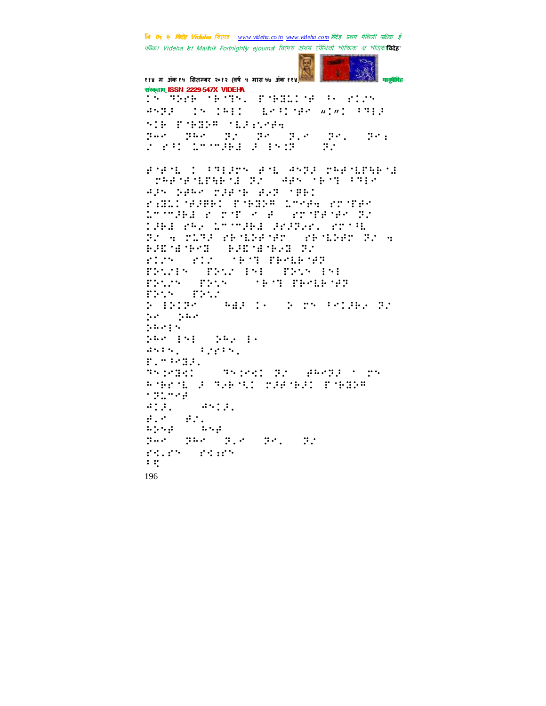

संस्कृतम् ISSN 2229-547X VIDEHA 15 THE SECTOR PORTION OF PICS  $\begin{array}{ccccccccc} \mathbf{1} & \mathbf{1} & \mathbf{1} & \mathbf{1} & \mathbf{1} & \mathbf{1} & \mathbf{1} & \mathbf{1} & \mathbf{1} & \mathbf{1} & \mathbf{1} & \mathbf{1} & \mathbf{1} & \mathbf{1} & \mathbf{1} & \mathbf{1} & \mathbf{1} & \mathbf{1} & \mathbf{1} & \mathbf{1} & \mathbf{1} & \mathbf{1} & \mathbf{1} & \mathbf{1} & \mathbf{1} & \mathbf{1} & \mathbf{1} & \mathbf{1} & \mathbf{1} & \mathbf{1} & \$  $\frac{1}{2}$  ,  $\frac{1}{2}$  ,  $\frac{1}{2}$  ,  $\frac{1}{2}$  ,  $\frac{1}{2}$  ,  $\frac{1}{2}$  ,  $\frac{1}{2}$  ,  $\frac{1}{2}$  ,  $\frac{1}{2}$  ,  $\frac{1}{2}$  ,  $\frac{1}{2}$  ,  $\frac{1}{2}$  ,  $\frac{1}{2}$  ,  $\frac{1}{2}$  ,  $\frac{1}{2}$  ,  $\frac{1}{2}$  ,  $\frac{1}{2}$  ,  $\frac{1}{2}$  ,  $\frac{1$ SIE POEDE OLICZEK gar gar gi ge gir gri gri gri.<br>2 raj trongka 2 frid - di

FOR NOT CONSIDER AND AND COMPOSITIONS CORPORATED A SALE APPLICATION 435 SARA MIRTH AST TARI FACIONAL PACH LONG POTE 1979aed a Grêcia Cariebiana (p.<br>1964 pro 1979aed 9699ac, april Br a ring redicement redicer Br a agonanako agosananako di.<br>Vizik vizik hamarada PROFESSIONAL PHOTOGRAPH FRAME FRAME THAT FRAME THE FROM TRUE 5 ENIPS ( REP 1) 2 TH PRIBE TO  $10^{\circ}$  ,  $10^{\circ}$  $\{1,2,3,4,5\}$  ,  $\{1,2,3,4\}$  ,  $\{1,3,4,5\}$  ,  $\{1,4,5,6\}$  ,  $\{1,4,5,6\}$  ,  $\{1,4,5,6\}$  ,  $\{1,4,5,6\}$  ,  $\{1,4,5,6\}$  ,  $\{1,4,5,6\}$  ,  $\{1,4,5,6\}$  ,  $\{1,4,5,6\}$  ,  $\{1,4,5,6\}$  ,  $\{1,4,5,6\}$  ,  $\{1,4,5,6\$ 548 PH 545 P  $\mathcal{A}\mathcal{H}\mathcal{H}\mathcal{H}_{\mathcal{A}}\mathcal{H}_{\mathcal{A}}\mathcal{H}_{\mathcal{A}}\mathcal{H}_{\mathcal{A}}\mathcal{H}_{\mathcal{A}}\mathcal{H}_{\mathcal{A}}\mathcal{H}_{\mathcal{A}}$ rimens.  $\begin{minipage}{.4\linewidth} \begin{tabular}{l} \hline \multicolumn{3}{c}{\textbf{0.1}} \multicolumn{3}{c}{\textbf{0.1}} \multicolumn{3}{c}{\textbf{0.1}} \end{tabular} \end{minipage} \begin{minipage}{.4\linewidth} \begin{tabular}{l} \hline \multicolumn{3}{c}{\textbf{0.1}} \multicolumn{3}{c}{\textbf{0.1}} \end{tabular} \end{minipage} \begin{minipage}{.4\linewidth} \begin{tabular}{l} \hline \multicolumn{3}{c}{\textbf{0.1}} \multicolumn{3}{c}{\textbf{0.1}} \end{tabular}$ **THEFERE** ROBEON S MARCHE TARONES PORTA **SIGNAL**  $41.31$  $\mathbf{a} \cdot \mathbf{b}$  $\vec{r},\vec{r}=\vec{r}$  :  $\mathbb{E}\left\{ \mathcal{P}_{\mathcal{D}}\right\} =\left\{ \mathcal{P}_{\mathcal{D}}\right\} =\left\{ \mathcal{P}_{\mathcal{D}}\right\} ,$  $\mathfrak{g}_{\mathfrak{m}}\omega=\mathfrak{g}_{\mathfrak{m}}\omega=\mathfrak{g}_{\mathfrak{g}}\omega$  $39.7 \pm 3.2$ rach rain  $\vdots$   $\vdots$ 196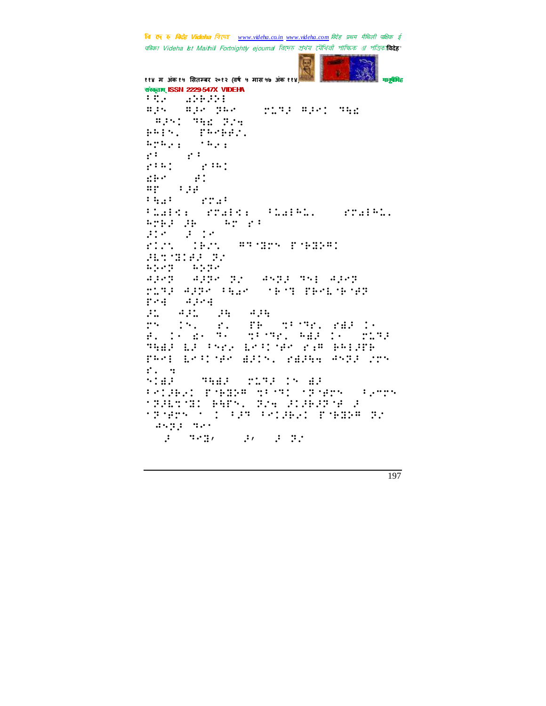**Service** 

मानुबेमिह ११४ म अंक १५ सितम्बर २०१२ (वर्ष ५ मास ५७ अंक ११४) संस्कृतम् ISSN 2229-547X VIDEHA  $\mathbf{r} \in \mathbb{R}$  $\ldots$  :  $\ldots$  :  $\mathbb{Z}$ : anger gaer come age: "An **SPACE THE FIRE** phin, Sheppi, deployed a substantial policy  $\mathbf{r}$ :  $\mathbb{R}^{n+1}$  $\mathbb{R}^n$  :  $\mathbb{R}^n$  :  $\mathbf{r}$ :  $\mathbf{r}$  $\mathbb{R}^{n \times n}$  $\mathbf{H}$ :  $\frac{1}{2}$  :  $\frac{1}{2}$  $: 4.21$  $\mathbf{r}$ Plater realer Platel, cordiel. **Andel Sie (Andeles Andel**  $\mathbb{R}^{2n} \times \mathbb{R}^{2n}$ FILE THIS WATCHER PORTH! **ALTERNATION**  $\mathbb{E}\left\{ \mathcal{P}(\mathcal{Y})\right\} = \mathbb{E}\left\{ \mathcal{Y}(\mathcal{Y})\right\}$  $\mathcal{L}(\mathcal{I},\mathcal{C})$  .  $-422<sup>2</sup>$  (2)  $-4522<sup>2</sup>$  (2)  $-4222<sup>2</sup>$ ning agnésiakan salén panisangan<br>Prasi agna  $\mathcal{H}_\text{L} = \mathcal{H}_\text{L} + \mathcal{H}_\text{R} = \mathcal{H}_\text{R} + \mathcal{H}_\text{R}$ 25 (151 př. 184 – 1978) ale 15<br>Britská (161 – 1978) ale 15 – 2192 THE ES PARK ESTING RATIFIED PROF ESSUAR BRIS, PERRY ASTRONOM  $\mathcal{C}$  . <br> <br> . <br> <br> <br> <br> <br> <br> <br> <br><br><br><br> STAR (THAR STORE IN AR Pridge: Predig tring reges (Party tağında eynü alan algegene allı.<br>Tanen 1 1 Fam Felgezi poema az  $\left(3522, 329\right)$  $\mathbb{R}^2 = \mathbb{R}^2 \mathbb{R}^2, \qquad \mathbb{R}^2 = \mathbb{R}^2 \mathbb{R}^2.$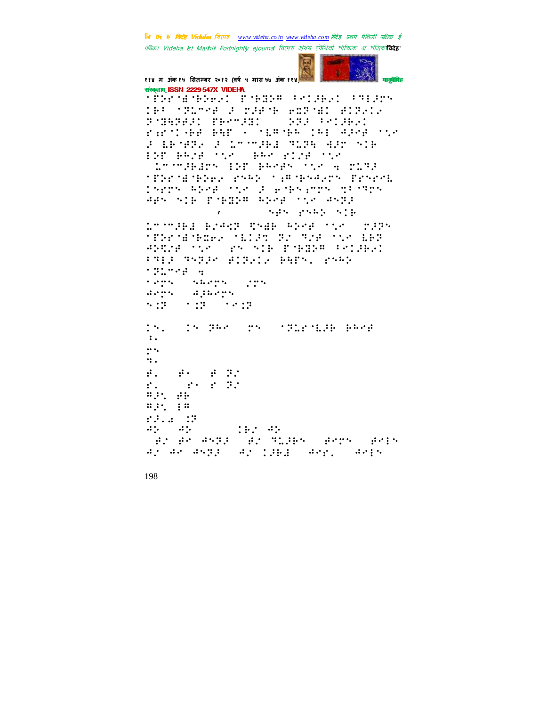

संस्कृतम् ISSN 2229-547X VIDEHA **TERPATERIAL TORGETALIER** (FREEM IP: 'PLTYE F MIRTH FORTHI BIR.'. RYBARAJI PAPPARI (1983-1913A)<br>Kariliak BAR (1968-1961-1961-1998-199 F ERMARY F CHOMPAE MORE APP NIR INF BROB TOOK BRO FINE TOO Chinabary (SP BRARY the B 2073) **TERMINERS PRAY THRANGER EPAPE** parts and the company refere ags sig regio bise sis asia **SAME PART SIR**  $\mathbf{r}$ LTOTHE EMPLE THE PROFILED COPPY **TERPHINAL TELPS EN THE TOP ERP** ANDRE STAR (25 SIE POBBER FRIEND FREE RARES BIRELS BARN, SNAD 121215-0 tags shaps and deps djibers.  $5.17 - 1.17 - 1.17$ In the BRA (1980) MBLE BACK BRAN  $\mathbf{L}$  $\cdots$  $\dddot{\mathbf{u}}$ .  $\mathbf{r}$ .  $\mathbb{R}^2 \times \mathbb{R}^2 \times \mathbb{R}^2$  $\mathbf{f}$ .  $E(t)$   $E(t)$  $\mathbb{R}^n$  :  $\mathbb{R}^n$ :3.a :3 192042  $\mathbb{R}^n_1, \ldots, \mathbb{R}^n_{n-1}$ **ART ART AND PART OF BUILDING AND ARTIST** 42 48 4592 42 1961 4881 4895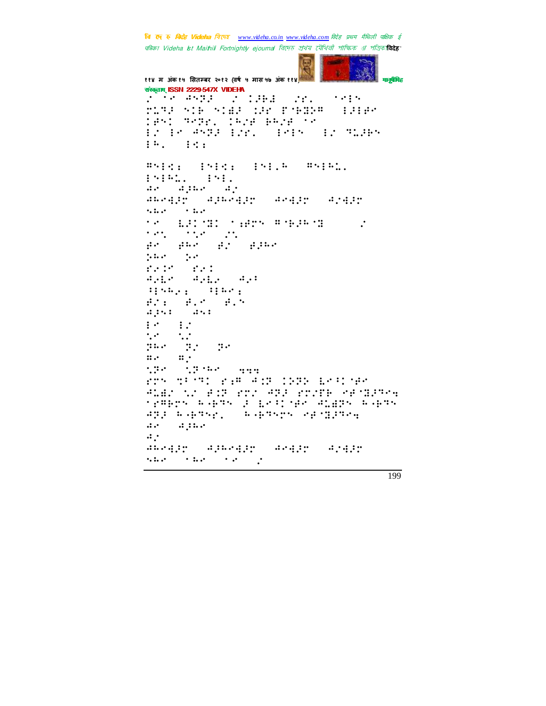**COMPANY** 

```
0
                                                                             AND THE THE
                                                                      \mathbf{g} .
११४ म अंक १५ सितम्बर २०१२ (वर्ष ५ मास ५७ अंक ११४)
संस्कृतम् ISSN 2229-547X VIDEHA
r<sup>ij</sup>e Anggo romana (rr. 1985
MAR SIE SIED MA PARDA (1918)
1951 Repr. 1928 BR28 Sec
EZ EK ANTE EZEL (EKEN) EZ TUEBN
14.141#510: 1510: 151.8 #5181.
1.4441...\cdots\mathbf{a} \mathbf{a} = \mathbf{a} \mathbf{a} \mathbf{a} + \mathbf{a} \mathbf{a}anegy aphegy aegy ajgy
where \mathcal{O} \rightarrow 0.0te altra: cars mobiles 2
nes (1580-25)<br>Bell Beel Birl Bire
           \mathbb{R}^2\mathcal{C} \geq \mathcal{C} \leq \mathcal{C}\mathcal{L} \subset \mathcal{L}\begin{minipage}{.4\linewidth} \begin{tabular}{l} \bf{0.4\linewidth} \end{tabular} \end{minipage} \begin{minipage}{.4\linewidth} \begin{tabular}{l} \bf{0.4\linewidth} \end{tabular} \end{minipage} \begin{minipage}{.4\linewidth} \begin{tabular}{l} \bf{0.4\linewidth} \end{tabular} \end{minipage} \begin{minipage}{.4\linewidth} \begin{tabular}{l} \bf{0.4\linewidth} \end{tabular} \end{minipage} \begin{minipage}{.4\linewidth} \end{minipage} \begin{minipage}{.4\linewidth} \begin{tabular}{l} \bf{0.4\linewidth} \end{tab\label{eq:2} \vec{\theta} \vec{\omega} := \left[ \vec{\theta} \vec{\omega} \vec{\omega} \right]\mathbb{R}^n . The final set of \mathbb{R}^n\mathcal{L}_1(\mathcal{H}) = \mathcal{L}_2(\mathcal{H})\mathbb{R}^2 \times \mathbb{R}^2\cdot \cdot\ddots268 27 28
\mathbf{a}.
         \mathbb{R}^n138 13168 999
rns dist. ram Aum 1976 beliefe
ALEX NO BOT PTO ATA POSTE PERTITA
srepro electo popularo angro electo
applications, industry of different
\mathbf{a} \cdot \mathbf{a} and \mathbf{a} \cdot \mathbf{a}\ddot{a}.
Abegje Ajbegje Aegje Ajgje
where \mathcal{L}=\mathcal{L} is the contract of \mathcal{L}\cdot.
```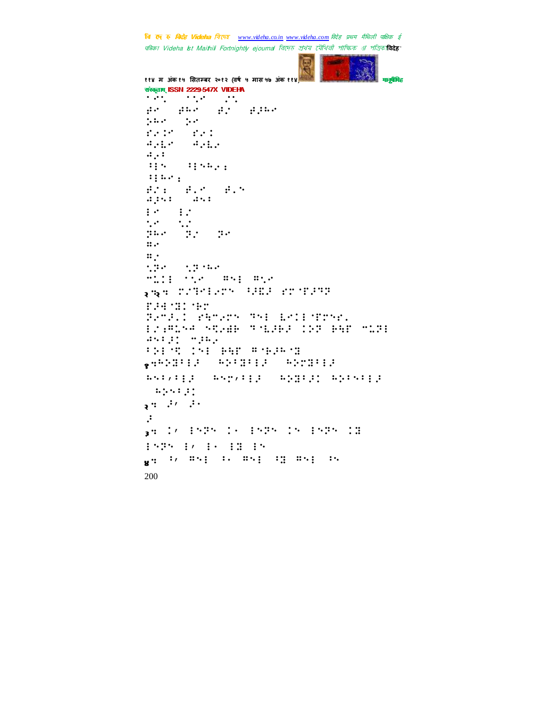```
Ō
                                                              COMPANY
११४ म अंक १५ सितम्बर २०१२ (वर्ष ५ मास ५७ अंक ११४) मानुसारी स्थापित करते हैं। मानुसारित
```

```
संस्कृतम् ISSN 2229-547X VIDEHA
200
\ddot{\mathbf{u}} \ddot{\mathbf{v}} \ddot{\mathbf{v}} \ddot{\mathbf{v}} \ddot{\mathbf{v}}⢾0!⢾⢳0!⢾"0!⢾⢼⢳!
⢵⢳0!⢵!
⢴⣈0!⢴⣈!
⢺⢴⣇0!⢺⢴⣇⢴0!!
\ddot{a} .
H.0 Single
\cdot : \cdot :
f(f) = f(f) - f(f)dgebi debi
\mathbf{P}^{\prime\prime}=\mathbf{P}^{\prime\prime}\mathcal{M}^{\text{max}}_{\text{max}}⢽⢳0!⢽"0!⢽!
\cdots::.
⣁⢽0!⣁⢽⢳!
0.11 0.0 00 001 002
२⣒२⣒!"⣙.⢴!⢸⢼⣏⢼!&⢼⢹⢽!
&⢼⣚⣝⢷!!
⢽⢴0⢼>!⣓0⢴!⢹.!⣇.&>!
."⣐⢻⣅⢺!⣋⢴⣞⢷!⢹⣇⢼⢷⢼!⢵⢽!⢷⣓&!0⣅⢽.!
⢺⢼!0⢼⢳⢴;!
⢵.⣋!.!⢷⣓&!⢻⢷⢼⢳⣝;!!!
१⣒⢳⢵⣝.⢼0!⢳⢵⣝.⢼0!⢳⢵⣝.⢼0!
\frac{1}{2}.
 0.599131२: २० अ
\mathbf{.}^{\mathbf{:}}३⣒!'!.⢽03!.⢽0!.⢽0⣝!
.⢽0.'0.30.⣝0.!!
४⣒!⢸'!⢻.0⢸3!⢻.0⢸⣝!⢻.0⢸!
```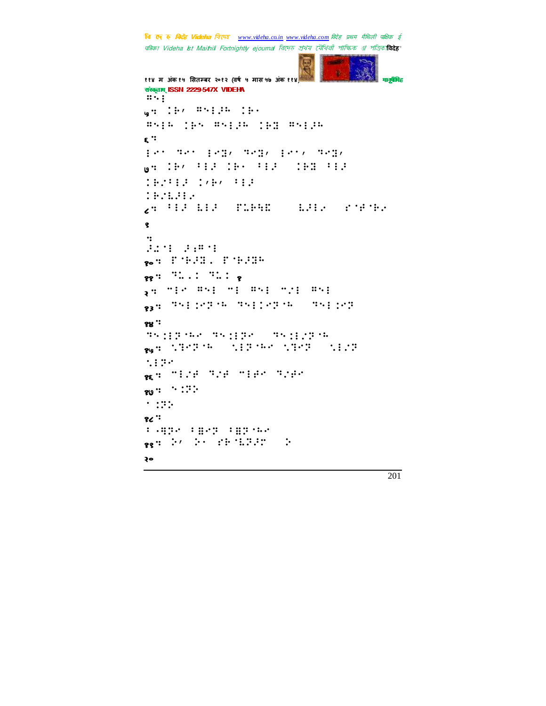```
११४ म अंक १५ सितम्बर २०१२ (वर्ष ५ मास ५७ अंक ११४) मानुसार मानुसीमेह
संस्कृतम् ISSN 2229-547X VIDEHA
\cdots७: : : / <sup>8</sup>'!
⢻.⢳0⢷!⢻.⢼⢳0⢷⣝!⢻.⢼⢳!!
६⣒!
1 - 0 - 1 - 0 - 1 - 1 - 1 - 1 - 1 - 1 - 1 - 1 - 1 - 1 - 1 - 1 - 1 - 1 - 1 - 1 - 1 - 1 - 1 - 1 - 1 - 1 - 1 - 1 - 1 - 1 - 1 - 1 - 1 - 1 - 1 - 1 - 1 -
७⣒!⢷'!.⢼0⢷3!.⢼0!⢷⣝!.⢼!
⢷".⢼0'⢷'!.⢼!0!
⢷"⣇⢼.⢴!!
८⣒!.⢼!⣇.⢼!)&⣅⢷⣓⣏*-!⣇⢼.⢴!)⢾⢷⢴*!
९
\dddot{\bullet}⢼⣌.!⢼⣐⢻.!!
8. PRESS : PRESS
११⣒!⢹⣅⣀⣈!⢹⣅⣈!१
२⣒!0.!⢻.!0.!⢻.00".!⢻.!!
१३⣒!⢹.⣈⢽⢳!⢹.⢽⢳-!⢹.⣈⢽!!
१४ :
⢹⣈.⢽⢳!⢹⣈.⢽0!⢹⣈."⢽⢳!!
१५⣒!⣁⣙⢽⢳0!⣁.⢽⢳!⣁⣙⢽0!⣁."⢽0!
\ddot{\mathbf{u}}<sub>१६</sub>० "ISB 750 "IBA 750€
\mathbf{R}^{\mathbf{g}} : \mathbf{R}^{\mathbf{g}} : \mathbf{R}^{\mathbf{g}} : \mathbf{R}^{\mathbf{g}}\bar{\gamma}१८ :
- Agree For Former<br>... 2005 - Personal Parties
१९९९ के अन्तर समितिहरू
२०
```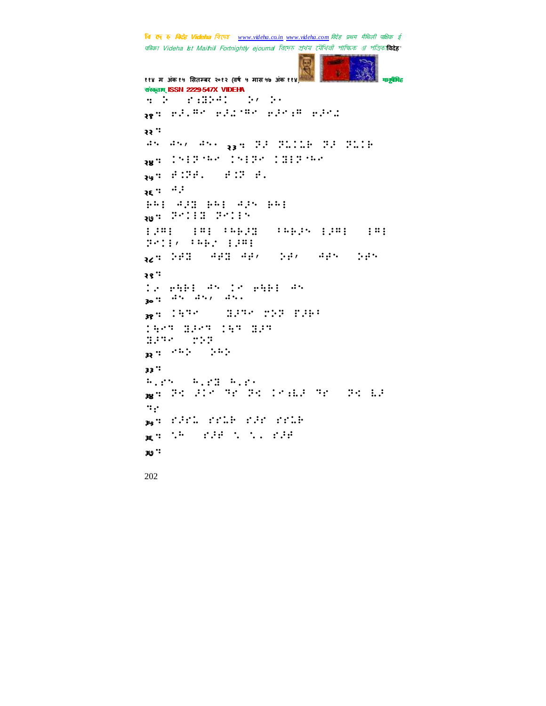```
११४ म अंक १५ सितम्बर २०१२ (वर्ष ५ मास ५७ अंक ११४) मानुसार मानुसीमेह
संस्कृतम् ISSN 2229-547X VIDEHA
\vdots \vdots \vdots \vdots \vdots \vdots२१⣒!⢶⢼>⢻0⢶⢼⣌⢻!⢶⢼⣐⢻0⢶⢼⣌!!
२२ <sup>::</sup>
GR 05. 25. 000 S.
28º: 1593556 15936 139356
२७: FCP, FCP #.
2\epsilon : \frac{1}{2}⢷⢳.0⢺⢼⣝!⢷⢳.0⢺⢼!⢷⢳.!!
२७: २०: ३०: २०: २०
.⢼⢻.0!.⢻.!⢳⢷⢼⣝0!⢳⢷⢼!.⢼⢻.0!.⢻.!
⢽.'0⢳⢷"!.⢼⢻.!!
२८⣒!⢵⢾⣝0!⢺⢾⣝!⢺⢾'0!⢵⢾'0!⢺⢾0!⢵⢾!!
२९ :⢴!⢶⣓⢷.!⢺!!⢶⣓⢷.!⢺!!
30 \frac{3}{2} \frac{3}{2} \frac{3}{2} \frac{3}{2} \frac{3}{2} \frac{3}{2} \frac{3}{2} \frac{3}{2} \frac{3}{2} \frac{3}{2} \frac{3}{2} \frac{3}{2} \frac{3}{2} \frac{3}{2} \frac{3}{2} \frac{3}{2} \frac{3}{2} \frac{3}{2} \frac{3}{2} \frac{3}{2} \frac{3}{2} \frac{3}{३१⣒!⣓⢹!0!⣝⢼⢹)⢵⢽!&⢼⢷*!
1999 1999 1999 1999 1999<br>DJPP = 202
⣝⢼⢹!)⢵⢽*!!
३२<sup>० | अ</sup>ति | अति |
33 "B 2020 B 2020 B 2021
३४⣒!⢽⣊!⢼!⢹0⢽⣊!⣐⣇⢼!⢹0!⢽⣊!⣇⢼!
\ddots<sub>3७</sub>: :2011 :1118 :201 :1118
≥।<br>इ.स. <sup>१६</sup> - अप्रैली अधिकारी अधिकारी
३७ :
```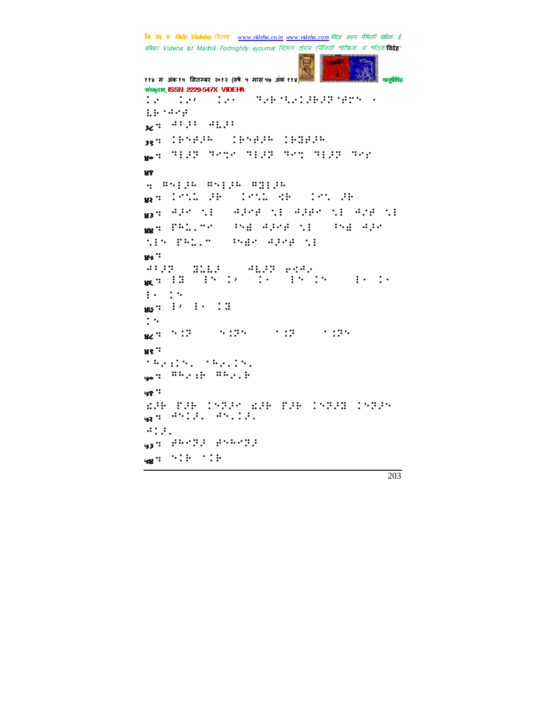```
११४ म अंक १५ सितम्बर २०१२ (वर्ष ५ मास ५७ अंक ११४) मानुषी मानुषी मानुषी मिट
संस्कृतम् ISSN 2229-547X VIDEHA
12 ) 12 ) 12 ) 12 , 13 , 13 , 13 , 13 , 13 , 13 , 13 , 13⣇⢷⢺⢾*!!
36 \frac{36}{100} \frac{1}{100} \frac{1}{100} \frac{1}{100} \frac{1}{100}३९⣒!⢷⢾⢼⢳0!⢷⢾⢼⢳!⢷⣝⢾⢼⢳!!
४०⣒!⢹.⢼⢽!⢹⣉!⢹.⢼⢽!⢹⣉0⢹.⢼⢽!⢹!!
४१
⣒!⢻.⢼⢳!⢻.⢼⢳0⢻⣝.⢼⢳!!
<sub>93</sub>२ (२८० मध्या) अस्ति यस अधिकारी सम्
४३⣒!⢺⢼!⣁.0!⢺⢼⢾!⣁.!⢺⢼⢾!⣁.0⢺"⢾!⣁.!!
४४⣒!&⢳⣅>00!⢸⣞!⢺⢼⢾!⣁.0!⢸⣞!⢺⢼!
\mathbf{C} : \mathbf{C} \mathbf{D} \mathbf{D} \mathbf{D} \mathbf{D} \mathbf{D} \mathbf{D} \mathbf{D} \mathbf{D} \mathbf{D} \mathbf{D} \mathbf{D} \mathbf{D} \mathbf{D} \mathbf{D} \mathbf{D} \mathbf{D} \mathbf{D} \mathbf{D} \mathbf{D} \mathbf{D} \mathbf{D} \mathbf{D} \mathbf४५⣒!!
⢺⢼⢽!)⣝⣅⣇⢼*0!⢺⣇⢼⢽)⢶⣊⢺⢴*!!
<sub>अ६</sub>० : B = 15 : 27 = 15 : 15 : 35 = 16 : 15 = 1
3! \cdot 1!४७⣒!.'0.3!⣝0!
\frac{1}{8c^2} \frac{1}{16} \approx 1.3४८⣒!⣈⢽!0!⣈⢽!0!⣈⢽!0!⣈⢽!!
४९⣒!!
⢳⢴⣐>!⢳⢴>>!!
५०⣒!⢻⢳⢴⣐⢷!⢻⢳⢴>⢷!!
५१ "
⣎⢼⢷!&⢼⢷!⢽⢼!⣎⢼⢷!&⢼⢷!⢽⢼⣝0⢽⢼!!
.<br>الخا: ال<sup>عاد</sup> الخا<sup>95</sup>: العهد
\therefore५३⣒!⢾⢳⢽⢼!⢾⢳⢽⢼!!
\mathbf{g} \mathbf{g} : \mathbf{h} \in \mathbb{R} : \mathbf{h} \in \mathbb{R}
```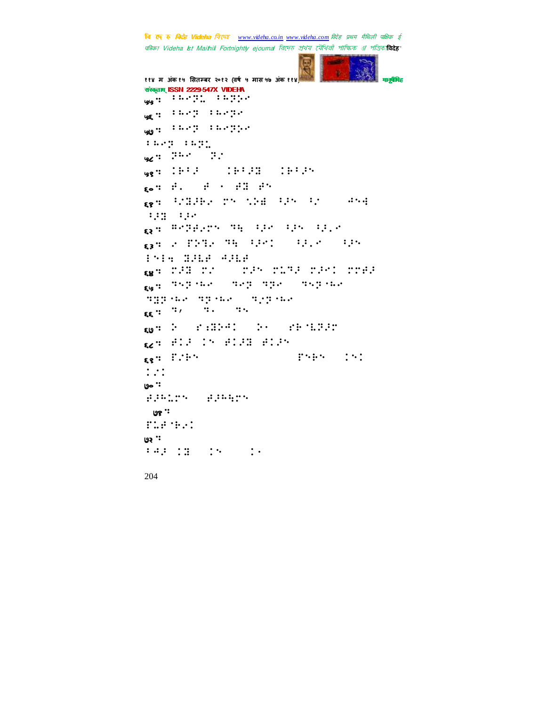११४ म अंक १५ सितम्बर २०१२ (वर्ष ५ मास ५७ अंक ११४) मानुसार मानुसीमेह संस्कृतम् ISSN 2229-547X VIDEHA  $\mathbf{g}_{\mathbf{g}}$ :  $\mathbf{H} \mathbf{h}$   $\mathbf{H} \mathbf{h}$   $\mathbf{H} \mathbf{h}$ ५६⣒!⢳⢽!⢳⢽!! ५७⣒!⢳⢽.⢳⢽⢵! ⢳⢽.⢳⢽⣅!! ५८⣒!⢽⢳0!⢽"!! ५९⣒!⢷⢼!0!⢷⢼⣝0!⢷⢼!! ६०⣒!⢾>0!⢾!3!⢾⣝0⢾!! ६१⣒!⢸"⣝⢼⢷⢴!!⣁⢵⣞.⢸⢼0⢸"0-!⢺⣚. ⢸⢼⣝0⢸⢼-!! ६२⣒!⢻⢽⢾⢴!⢹⣓!⢸⢼0⢸⢼0⢸⢼>!!! ६३⣒!⢴!&⢵⣙⢴!⢹⣓!⢸⢼0!⢸⢼>0!⢸⢼0! ..⣒!⣝⢼⣇⢾!⢺⢼⣇⢾!! 60 EN 2010 P.C. P.P. P.P. P.P. P.P. P.P. ६५⣒!⢹⢽⢳0!⢹⢽!⢹⢽0!⢹⢽⢳0! ⢹⣝⢽⢳!⢹⢽⢳0!⢹"⢽⢳!! ६६ <sup>च</sup>े <sup>य</sup>े अ ६७⣒!⢵!)⣐⣝⢵⢺\*!⢵3!)⢷⣇⢽⢼\*!! ६८⣒!⢾⢼!!⢾⢼⣝!⢾⢼!! ६९९ में अपने कारण करता है। अपने कारण करता है कि इस किसी के बाद करता है। अपने कारण करता है कि इस किसी के बाद क  $\mathbf{::}$  : ७०⣒! ⢾⢼⢳⣅0!⢾⢼⢳⣓!! '' १७ ELF (B): '' ୨ ⢺⢼!⣝0!!0!3!!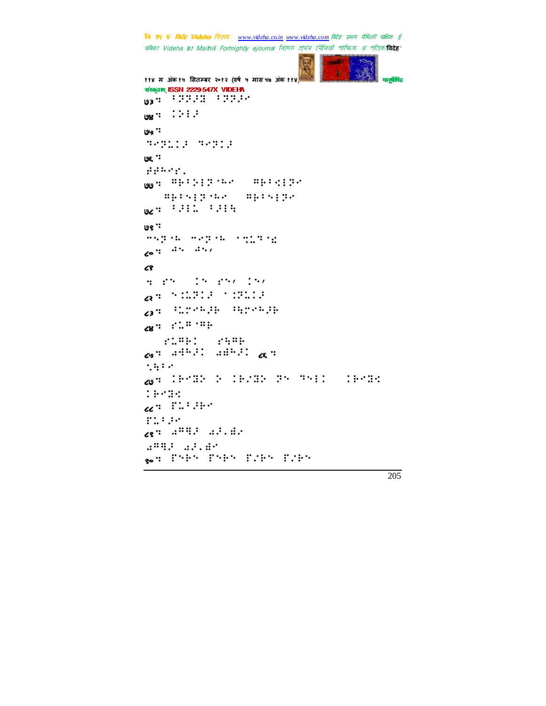```
११४ म अंक १५ सितम्बर २०१२ (वर्ष ५ मास ५७ अंक ११४) मानुसीरी मानुसीरीहरू
संस्कृतम् ISSN 2229-547X VIDEHA
03: 1999: 1999:
\mathbf{g}u: \mathbf{f}: \mathbf{f}: وس
SANCE SHOW
७६⣒!
⢾⢾⢳>!!
৩७: ⊞PIDIP 162 - ⊞PIDIP
    !!⢻⢷.⢽⢳0!⢻⢷.⢽!!
७८⣒!⢼.⣅!⢼.⣓!!
'' १७
0⢽⢳!0⢽⢳)⣉⣅⢹⣎*!!
\mathcal{L}^{\circ} \mathcal{L}^{\circ} \mathcal{L}^{\circ} \mathcal{L}^{\circ} \mathcal{L}^{\circ} \mathcal{L}^{\circ}८१
H. 25 (15 25) 25)
a \rightarrow \ldots \ldots \rightarrow \ldots \ldots८३⣒!⢸⣅⢳⢼⢷!⢸⣓⢳⢼⢷!!
\alpha : \ddot{\alpha} : \ddot{\alpha}0!⣅⢻⢷0!⣓⢻⢷!!
८५⣒!⣔⣚⢳⢼!⣔⣞⢳⢼!८६⣒!
\gamma is in the \gamma८७⣒!⢷⣝⢵0⢵!⢷"⣝⢵!⢽!⢹.!0⢷⣝⣊.
⢷⣝⣊!!
\alpha: \mathbb{R}^{\mathbb{Z} \times \mathbb{R} \times \mathbb{R} \times \mathbb{R}}T^*.
८९⣒!⣔⢻⣛⢼.⣔⢼>⣞⢴!
⣔⢻⣛⢼.⣔⢼>⣞!!
९०⣒!&⢷.&⢷!&"⢷.&"⢷!
```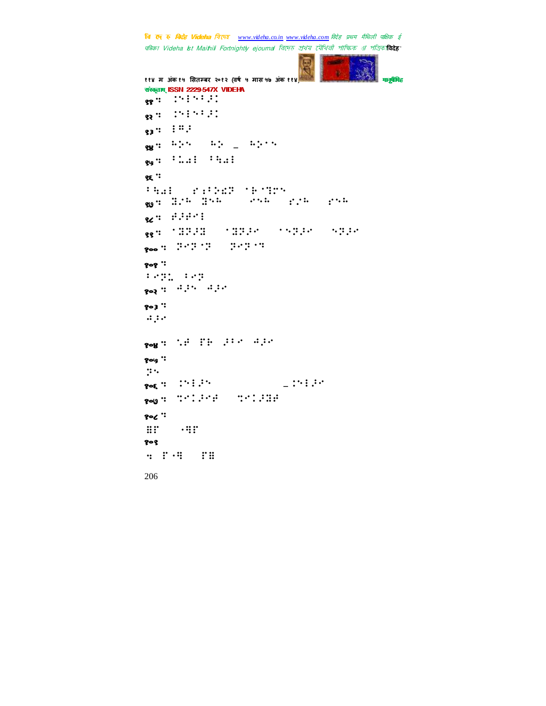```
११४ म अंक १५ सितम्बर २०१२ (वर्ष ५ मास ५७ अंक ११४) मानुसी मानुसी मानुसी के
संस्कृतम् ISSN 2229-547X VIDEHA
206
_{88} : ::::::::\mathbf{R} : \mathbf{R} : \mathbf{R}\frac{1}{33} : \frac{1}{3} : \frac{1}{3}<sub>९४</sub> में स्टेल को प्राप्त करें। य
\mathbf{e}_{9}: \mathbf{e}_{1}...: \mathbf{e}_{2}...:
९६ \cdot⣓⣔.!)⣐⢵⣎⢽!⢷⣙*!!
९७⣒!⣝"⢳!⣝⢳!0!⢳0!"⢳0!⢳!!
\mathbf{g}_{\mathcal{L}}: \mathbf{H}. \mathbf{H}: \mathbf{H}९९⣒!⣝⢽⢼⣝.!⣝⢽⢼0!⢽⢼0!⢽⢼!!
<sub>१००</sub>०: २०३०: २०००: २०३०:
१०१ \cdot⢽⣅!⢽!!
१०२\mathbb{P}^1ं\mathbb{P}^2ं\mathbb{P}^2ं\mathbb{P}^2ं\mathbb{P}^2१०३ :
\mathcal{A}jo:ejstonfou tfotfolio tfotfolio tfotfolio tfotfolio tfotfolio tfotfolio tfotfolio tfotfolio tfotfolio
१०४⣒!⣁⢾!&⢷!⢼!⢺⢼!!
१०७ :
\mathbf{P}१०६⣒!⣈.⢼!)qmbz*!–⣈.⢼!!
२०७: 'ः'.'':' ':'.'
१०८\cdot :
\mathbf{u}१०९
⣒!&-⣛.!&⣟!!
```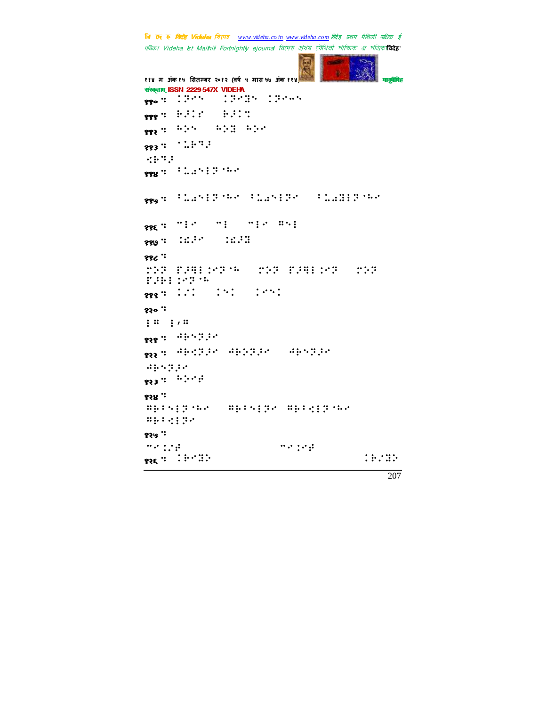```
११४ म अंक १५ सितम्बर २०१२ (वर्ष ५ मास ५७ अंक ११४) मानुसार मानुसीमेह
संस्कृतम् ISSN 2229-547X VIDEHA<br>१९० : २००१: २००१: २००१:
                  ११०⣒!⢽0!⢽⣝!⢽⢲!!
१९९ : 2211 : 2211
१९२ में लिया है। अपने पा
\frac{883}{10} : \frac{11}{10}⣊⢷⢹⢼!!
११४ º <sup>:</sup> '...'<sup>.</sup>!?'
१९७३ - अप्रति संस्थान संस्थान संस्थान संस्थान संस्थान संस्थान संस्थान संस्थान संस्थान संस्थान संस्थान संस्थान<br>संस्थान
११६ º 10.00 º 10.00 º 10.00 º 10.100 º 10.100 º 10.100 º 10.100 º 10.100 º 10.10<br>|-
880 : 10.14 10.11११८ :^{\prime} . The control of ^{\prime} . The control of ^{\prime}&⢼⢷.⣈⢽⢳!!
११९⣒!".!.!!!
१२० ".⢻!.'⢻!!!
१२१ ला लेख होते.
१२२⣒!⢺⢷⣊⢽⢼!⢺⢷⢵⢽⢼.!⢺⢷⢽⢼0!
⢺⢷⢽⢼!!
१२३ : लिंग्लि
१२४⣒!
⢻⢷.⢽⢳0!⢻⢷.⢽!⢻⢷⣊.⢽⢳0!
⢻⢷⣊.⢽!!
१२५ "
0⣈"⢾.!)up!uftu*0⣈⢾!!
\mathbf{R}
```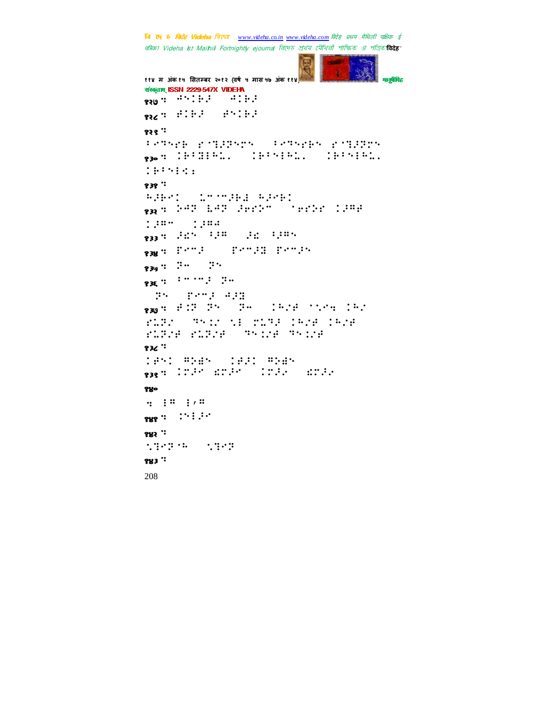```
११४ म अंक १५ सितम्बर २०१२ (वर्ष ५ मास ५७ अंक ११४) मानुसार मानुसीमह
संस्कृतम् ISSN 2229-547X VIDEHA
208
१२७ : न्यू अप्रेलिया : न्यू अप्रेलिया : न्यू अप्रेलिया : न्यू अप्रेलिया : न्यू अप्रेलिया : न्यू अप्रेलिया : न्
१२८ : निर्वित करने कर
१२९⣒!!
⢹⢷!⣙⢼⢽0!⢹⢷!⣙⢼⢽!!
१३०⣒!⢷⣝.⢳⣅>0!⢷.⢳⣅>0!⢷.⢳⣅>!
: FINE
१३१ :
F.900 : 000 : 000 : 000 : 000 : 000 : 000 : 000 : 000 : 000 : 000 : 000 : 000 : 000 : 000 : 000 : 000 : 000 : 000 : 000 : 000 : 000 : 000 : 000 : 000 : 000 : 000 : 000 : 000 : 000 : 000 : 000 : 000 : 000 : 000 : 000 : 00
१३२⣒!⢵⢺⢽!⣇⢺⢽!⢼⢶⢵00!⢶⢵!⢼⢻⢾0!
\frac{1}{2} \frac{1}{2} \frac{1}{2} \frac{1}{2} \frac{1}{2} \frac{1}{2} \frac{1}{2} \frac{1}{2} \frac{1}{2} \frac{1}{2} \frac{1}{2} \frac{1}{2} \frac{1}{2} \frac{1}{2} \frac{1}{2} \frac{1}{2} \frac{1}{2} \frac{1}{2} \frac{1}{2} \frac{1}{2} \frac{1}{2} \frac{1}{2} १३३⣒!⢼⣎!⢸⢼⢻0!⢼⣎.⢸⢼⢻!!
१३४ <sup>: 19</sup>99 - 1999 - 1999 : 1999 - 1999 - 1999 - 1999 - 1999 - 1999 - 1999 - 1999 - 1999 - 1999 - 1999 - 1999 -
\mathbf{B}\mathbf{B}\mathbf{B} \mathbf{B} \mathbf{B} \mathbf{B} \mathbf{B} \mathbf{B} \mathbf{C} \mathbf{D} \mathbf{D} \mathbf{D} \mathbf{D} \mathbf{D} \mathbf{D} \mathbf{D} \mathbf{D} \mathbf{D} \mathbf{D} \mathbf{D} \mathbf{D} \mathbf{D} \mathbf{D} \mathbf{D} \mathbf{D}\frac{1}{3} \frac{1}{3} \frac{1}{3} \frac{1}{3} \frac{1}{3} \frac{1}{3} \frac{1}{3} \frac{1}{3} \frac{1}{3} \frac{1}{3} \frac{1}{3} \frac{1}{3} \frac{1}{3} \frac{1}{3} \frac{1}{3} \frac{1}{3} \frac{1}{3} \frac{1}{3} \frac{1}{3} \frac{1}{3} \frac{1}{3} \frac{1}{3} )⢽*!&0⢼!⢺⢼⣝!!
१३७⣒!⢾⣈⢽!⢽!)⢽⢲*!⢳"⢾!⣁⣒!⢳"0!
 ⣅⢽"0!⢹⣈"!⣁.!⣅⢹⢼!⢳"⢾.⢳"⢾0!
⣅⢽"⢾.⣅⢽"⢾0!⢹⣈"⢾.⢹⣈"⢾!
१३८ :
 ⢾!⢻⢵⣞0!⢾⢼!⢻⢵⣞!!
<sub>२३९</sub>० : २२% वर्तन के अपने कार्य
१४०
⣒!.⢻!.'⢻!!
_{\text{388}} : \cdots : : : : \cdots१४२ ः
 ⣁⣙⢽⢳0!⣁⣙⢽!!
१४३ "
```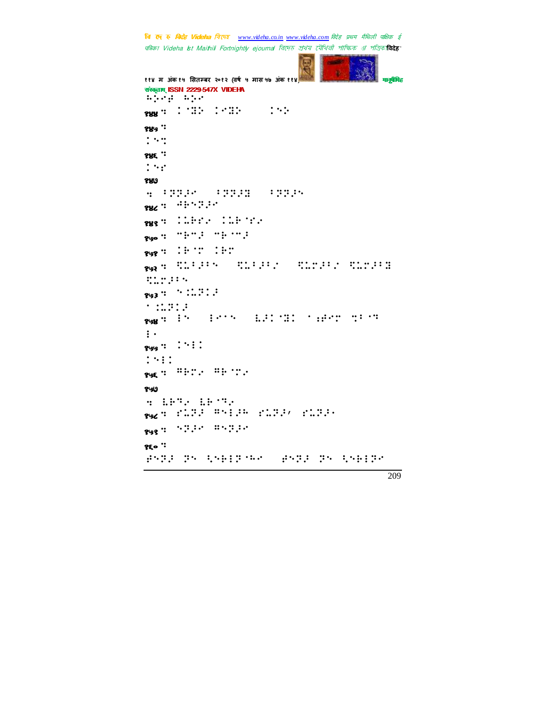```
११४ म अंक १५ सितम्बर २०१२ (वर्ष ५ मास ५७ अंक ११४) मानुसार मानुसीमह
संस्कृतम् ISSN 2229-547X VIDEHA
\mathbf{a}_1, \mathbf{b}_2, \mathbf{c}_3, \mathbf{c}_4, \mathbf{c}_5, \mathbf{c}_6१४४ : २४% : २४% : २४% : २४%
१४५ :
 : \cdot :
१४६ :
\vdots :
१४७
 ⣒!⢽⢽⢼0!⢽⢽⢼⣝0!⢽⢽⢼!!
\mathbf{R} \mathbf{B} \mathbf{C} : \mathbf{B} \mathbf{B} \mathbf{C} : \mathbf{B} \mathbf{B} \mathbf{C}१४९ मध्य अस्ति । अस्ति अस्ति । अस्ति अस्ति । अस्ति अस्ति । अस्ति अस्ति । अस्ति अस्ति । अस्ति । अस्ति । अस्ति ।<br>अस्ति । अस्ति । अस्ति । अस्ति । अस्ति । अस्ति । अस्ति । अस्ति । अस्ति । अस्ति । अस्ति । अस्ति । अस्ति । अस्ति
\frac{1}{200} o \frac{1}{20} \frac{1}{20} \frac{1}{20} \frac{1}{20} \frac{1}{20} \frac{1}{20} \frac{1}{20} \frac{1}{20} \frac{1}{20} \frac{1}{20} \frac{1}{20}\frac{1}{298} : \frac{1}{2} : \frac{1}{2} : \frac{1}{2} : \frac{1}{2} : \frac{1}{2}१५२⣒!⣋⣅⢼0!⣋⣅⢼"0!⣋⣅⢼"!⣋⣅⢼⣝0!
 ⣋⣅⢼!!
\frac{843}{10} : \frac{1}{2} : ::::::
 ⣈⣅⢽⢼!!
१७४ : 10 : 1015 : 12191 : 1207 : 1017
 \vdotsg_{bgg}: \therefore:
 : \cdot : :\gamma_{95} : \overset{11}{\sim} \overset{11}{\sim} \overset{11}{\sim} \overset{11}{\sim} \overset{11}{\sim} \overset{11}{\sim} \overset{11}{\sim} \overset{11}{\sim}१५७
 ⣒!⣇⢷⢹⢴!⣇⢷⢹⢴!!
१५८⣒!⣅⢽⢼!⢻.⢼⢳!⣅⢽⢼'0⣅⢽⢼3!!
१७९९ : २२०० : २२०० : १९७९
१६० "⢾⢽⢼!⢽!⣃⢷.⢽⢳0!⢾⢽⢼!⢽!⣃⢷.⢽!!
```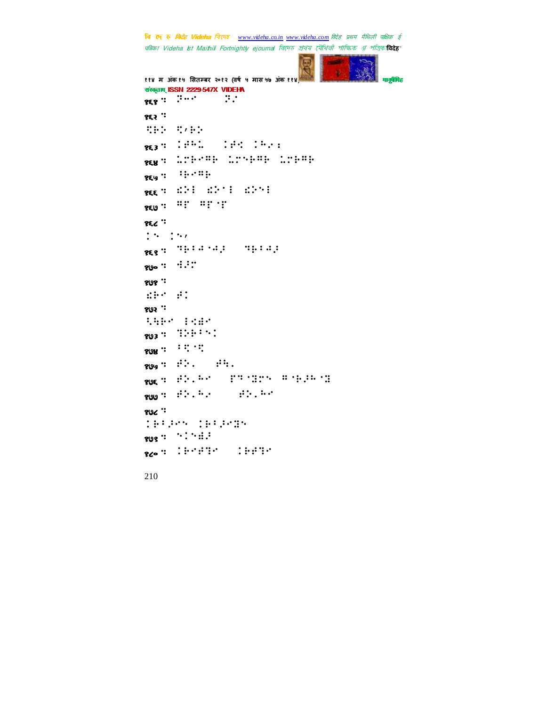```
११४ म अंक १५ सितम्बर २०१२ (वर्ष ५ मास ५७ अंक ११४) मानुसीर मानुसीरे मानुसीरे ह
संस्कृतम् ISSN 2229-547X VIDEHA
210
R8 : "..."१६२ :
SHE SHE
1961 : 2010 : 2010 : 2010 : 2010 : 2010 : 2010 : 2010 : 2010 : 2010 : 2010 : 2010 : 2010 : 2010 : 2010 : 2010
१६४⣒!⣅⢷⢻⢷.⣅⢷⢻⢷!⣅⢷⢻⢷!!
R_{\mathfrak{g}} : \cdots :
१९६९ मध्ये समिति होती.
\mathbf{R} \mathbf{B} \mathbf{B} \mathbf{C} \mathbf{C} \mathbf{D} \mathbf{C} \mathbf{D} \mathbf{D} \mathbf{D} \mathbf{D} \mathbf{D} \mathbf{D} \mathbf{D} \mathbf{D} \mathbf{D} \mathbf{D} \mathbf{D} \mathbf{D} \mathbf{D} \mathbf{D} \mathbf{D} \mathbf{D} \mathbf{D} \mathbf{१६८ "\begin{aligned} &\mathbf{1}^{\prime}\mathbf{1}^{\prime\prime}-\mathbf{1}^{\prime\prime}\mathbf{1}^{\prime\prime}^{\prime\prime} \end{aligned}१६९⣒!⢹⢷⢺⢺⢼0!⢹⢷⢺⢼!!
\gamma१७१ \cdotdist #1
१७२ :SHEP EXER
803 : 1.41 : .1998 :: "\frac{1}{209}: \therefore \therefore \therefore१७६⣒!⢾⢵>⢳)!&⢹⣝!⢻⢷⢼⢳⣝*!!
१७७ : २००९ : २००९ : २००९ : २००९ : २००९ : २००९ : २००९ : २००९ : २००९ : २००९ : २००९ : २००९ : २००९ : २००९ : २००९ : 
१७८⣒!
⢷⢼!⢷⢼⣝!!
१७९⣒!⣞⢼!!
१८० : २००० : २०० : २००१
```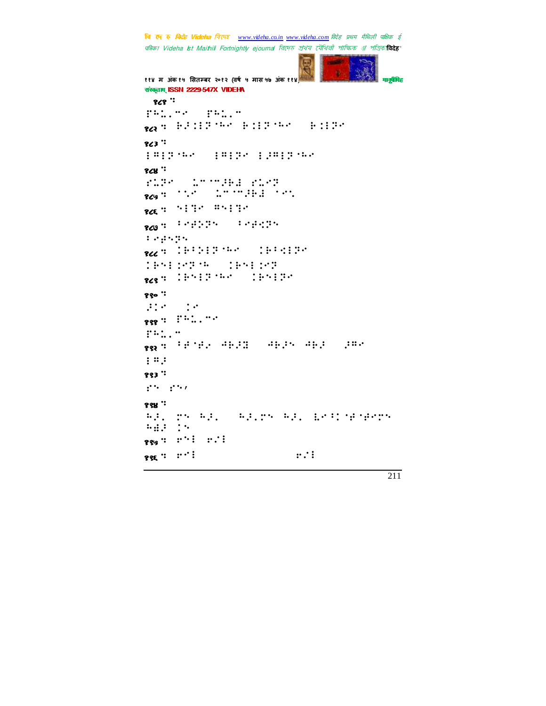```
११४ म अंक १५ सितम्बर २०१२ (वर्ष ५ मास ५७ अंक ११४) मानुसार मानुसीमेह
संस्कृतम् ISSN 2229-547X VIDEHA
 १८१ \cdot&⢳⣅>00!&⢳⣅>0!!
१८२⣒!⢷⢼⣈.⢽⢳!⢷⣈.⢽⢳0!⢷⣈.⢽!!
१८३ :
.⢻.⢽⢳0!.⢻.⢽!.⢼⢻.⢽⢳!!
१८४ \cdotfile (100 line 1911 start)
१८५ : २००० : २००० : २००० : २००० : २००० : २००० : २००० : २००० : २००० : २००० : २००० : २००० : २००० : २००० : २००० :
१८६ : २००१ : १९९१ : १९९१ : १९९१ : १९९१ : १९९१ : १९९१ : १९९१ : १९९१ : १९९१ : १९९१ : १९९१ : १९९१ : १९९
१८७ : २००० : २००० : २०००
⢾⢽!!
१८८⣒!⢷⢵.⢽⢳0!⢷⣊.⢽0!
⢷.⣈⢽⢳0!⢷.⣈⢽!!
१८९९ : PriPress (PriPr
१९०⣒!!
BO 019
888 : \therefore \therefore \therefore&⢳⣅>0!!
१९२⣒!⢾⢾⢴!⢺⢷⢼⣝0!⢺⢷⢼!⢺⢷⢼!)⢼⢻!
\vdots \vdots१९३⣒!!
\mathbf{r}^{\prime\prime} : \mathbf{r}^{\prime\prime} ,
१९४ :
⢳⢼>!!⢳⢼>!)⢳⢼>!⢳⢼>!⣇⢸⢾⢾!
WHIP 19
899: "! "! "\mathbf{R}९६\mathbf{R}: \mathbf{R}.)tobat \mathbf{R}
```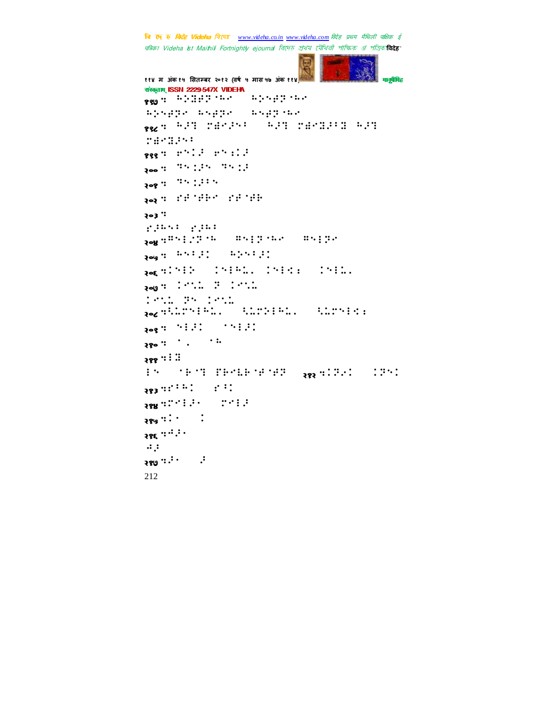```
११४ म अंक १५ सितम्बर २०१२ (वर्ष ५ मास ५७ अंक ११४) मानुसीर मानुसीरे मानुसीरे ह
संस्कृतम् ISSN 2229-547X VIDEHA
212
१९७ : महासारण महत्त्वप्रधान
⢳⢵⢾⢽0⢳⢾⢽0!⢳⢾⢽⢳!!
१९८⣒!⢳⢼⣙!⣞⢼0!⢳⢼⣙!⣞⣝⢼⣝0⢳⢼⣙!
rd-1201
१९९⣒!⢶⢼!⢶⣐⢼!!
२०० ॥ २००९ ॥ २००९ ॥ २००९ ॥ २००९ ॥ २००९ ॥ २००९ ॥ २००९ ॥ २००९ ॥ २००९ ॥ २००९ ॥ २००९ ॥ २००९ ॥ २००९ ॥ २००९ ॥ २००९ ॥ 
208 : 10 \cdot 10 \cdot 10२०२⣒!⢾⢾⢷!⢾⢾⢷!!
२०३ "⢼⢳!⢼⢳!!
२०४⣒⢻."⢽⢳0!⢻.⢽⢳0!⢻.⢽!!
२०५ : <sup>1,41</sup> : 1,11 : 1,111 : 1,011 : 1,111
२०६ सा २००९ - २००१ मध्ये प्राप्त का अनुसार के साथ स्थान के साथ स्थान के साथ स्थान के साथ स्थान के साथ स्थान के
२०७ : २०७ : २०७ : २०७
1911.199.1911.२०८⣒⣃⣅.⢳⣅>0!⣃⣅⢵.⢳⣅>0!⣃⣅.⣊⣐!!
२०९⣒!.⢼0!.⢼!!
280 \therefore \therefore288 : : : :
.!)⢷⣙.&⢷⣇⢷⢾⢾⢽*!२१२⣒⢽⢴0!⢽!!
283 223 233 243२१४⣒.⢼30!.⢼!!
284 : \cdot :
२१६ ः ः ः
\ddot{a} :
२१७ <sup>: :</sup> १९७
```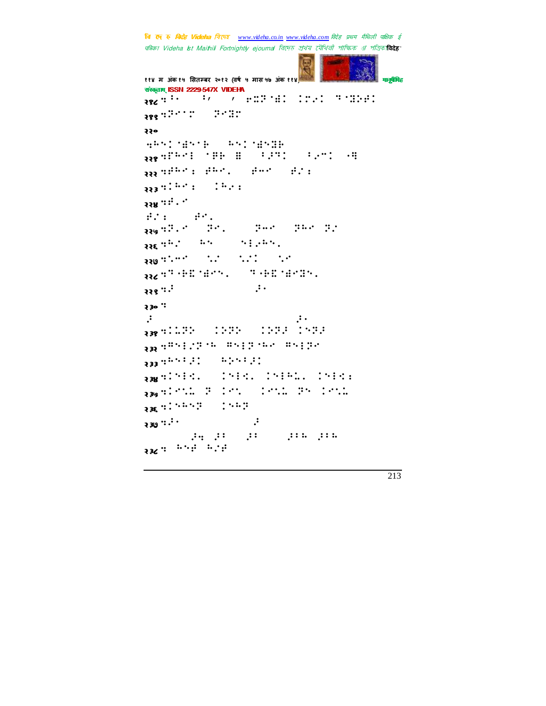```
११४ म अंक १५ सितम्बर २०१२ (वर्ष ५ मास ५७ अंक ११४) मानुसार मानुसीमेह
संस्कृतम् ISSN 2229-547X VIDEHA
२१८⣒⢸3!0⢸'!)'!⢶⣍⢽⣞!⢴!⢹⣝⢵⢾*!!
२१९ मध्ये २००१ मध्ये २००१ मध्ये २
२२०
⣒⢳⣞⢷0!⢳⣞⣝⢷!!
२२१⣒&⢳.!⢿⢷!⣟0!⢼⢹0!⢴0!-⣛!!
२२२ परिवार करने के साथ परिवा
२२३ : २००९ : २००९ : २००९ : २००९ : २००९ : २००९ : २००९ : २००९ : २००९ : २००९ : २००९ : २००९ : २००९ : २००९ : २००९ : 
२२४ :: : : : :
f(f): f(f)२२५ घटना अस्ति । अस्ति अस्ति अस्ति अस्ति अस्ति अस्ति अस्ति अस्ति अस्ति अस्ति अस्ति अस्ति अस्ति अस्ति अस्ति अस्
२२६ पुले होता है। यह पुले पुले हैं है।<br>जब पुले पुले के साथ से पुले पुले हैं है।
२२७ <sup>-</sup> : २००९ - २००९ - २००९ - २००९ - २००९ - २००९ - २००९ - २००९ - २००९ - २००९ - २००९ - २००९ - २००९ - २००९ - २००९ - २००९ - २००९ - २००९ - २००९ - २००९ - २००९ - २००९ - २००९ - २००९ - २००९ - २००९ - २००९ - २००९ - २००९ - २००९ - २
२२८⣒⢹-⢷⣏⣞>0!⢹-⢷⣏⣞⣝>!!
228 \therefore dependent \therefore२३० "\mathcal{F} ) denote the contribution of \mathcal{F} . We also also the contribution of \mathcal{F}<sub>२३१</sub> साइटाल - 1999 - 1999 - 1999 -
२३२⣒⢻."⢽⢳.⢻.⢽⢳.⢻.⢽!
\frac{233}{100} \frac{1000}{100} \frac{1000}{100} \frac{1000}{100}२३४ मध्ये २००९ - २००१ - २००१ - २००१ - २००१ - २००१ - २००१ - २००१ - २००१ - २००१ - २००१ - २००१ - २००१ - २००१ - २०
२३५⣒⣁⣅!⢽!⣁.!⣁⣅!⢽!⣁⣅!
२३६ <sup>(</sup> ) <sup>194</sup>7 ( 1947 )
\mathbf{a} ) denote the contract \mathbf{a} is the contract of \mathbf{a} is the contract of \mathbf{a}boe*0⢼⣒!⢼(.⢼(!0⢼⢳.⢼⢳!
२३८ \mathbb{R}^{n+1} : \mathbb{R}^{n+1} : \mathbb{R}^{n+1}
```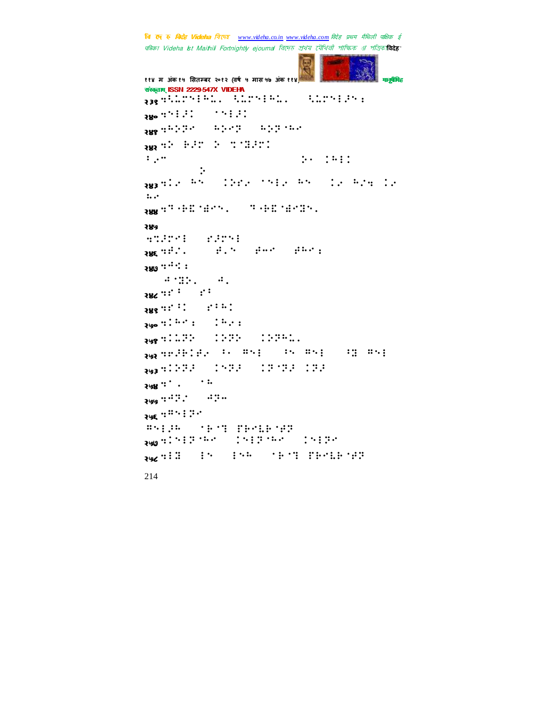```
११४ म अंक १५ सितम्बर २०१२ (वर्ष ५ मास ५७ अंक ११४) मानुसार मानुसीमेह
संस्कृतम् ISSN 2229-547X VIDEHA
214
२३९⣒⣃⣅.⢳⣅>.⣃⣅.⢳⣅>.!⣃⣅.⢼⣐!
२४० <sup>.</sup><br>२४० <sup>.</sup>
२४१⣒⢳⢵⢽.!⢳⢵⢽0!⢳⢵⢽⢳0!
२४२⣒⢵.⢷⢼!⢵!⣉⣝⢼!
⢴0)dpokvodujpo*-!⢵3!⢳.!)if!
tbje*0⢵!
२४३ था देखा होती है। इस साथ प्राप्त करता है। अन्य साथ प्राप्त करता है। अन्य साथ प्राप्त करता है। अन्य साथ प्रा<br>जनसङ्ख्या
\ddot{\cdot}.
२४४⣒⢹-⢷⣏⣞>0!⢹-⢷⣏⣞⣝>!
२४५
⣒⣉⢼.0!⢼.!!
२४६ °C अप्रैल अप्रैल अपर अस्ति ।
२४७ <sup>ः ∴</sup>∶ः
    \frac{1}{2} \frac{1}{2} \frac{1}{2} \frac{1}{2} \frac{1}{2} \frac{1}{2} \frac{1}{2} \frac{1}{2}२४८⣒⢸0!!
२४९ <sup>0</sup>: <sup>21</sup> 10 000
२५० : <sup>11.</sup>290 : 11.291
२५९ अ. २०११ - २१०१० - २१११
२७२ प्राप्त संस्था जिल्ला हो। यह संस्कृतिक संस्कृतिक संस्कृतिक संस्कृतिक संस्कृतिक संस्कृतिक संस्कृतिक संस्कृत
२५३⣒⢵⢽⢼0!⢽⢼0!⢽⢽⢼0⢽⢼!
२५४ : २५४ : २०१९
्<br>२५५ : <sup>19</sup>: <sup>19</sup>: १९: २५
२७६ <sup>....</sup>...
⢻.⢼⢳!)⢷⣙!&⢷⣇⢷⢾⢽*!!
२५७ ± 10! Press (1992) 19:00 to 19:00
२५८⣒.⣝0!.0!.⢳!)⢷⣙!&⢷⣇⢷⢾⢽*!
```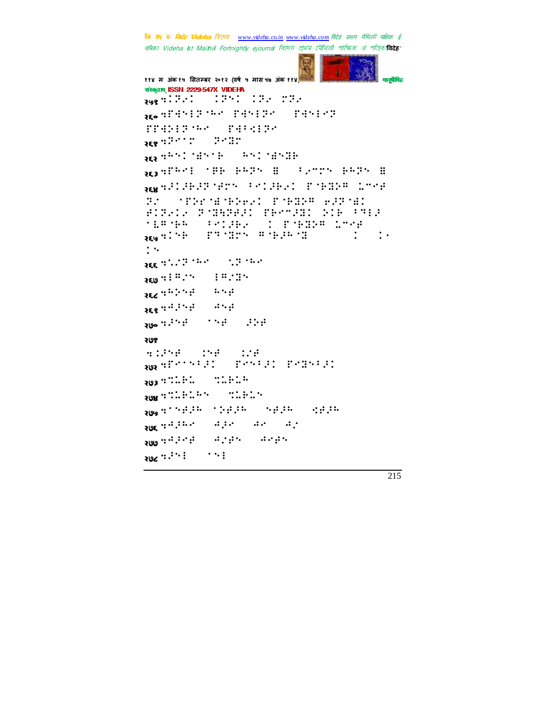```
११४ म अंक १५ सितम्बर २०१२ (वर्ष ५ मास ५७ अंक ११४) मानुसी मानुसीमह
संस्कृतम् ISSN 2229-547X VIDEHA
<sub>રૂષ્ક</sub>ે: 9:1 - 19:1 - 19: - 19:
२६०⣒&⣚.⢽⢳!&⣚.⢽0!&⣚.⢽0!
&&⣚⢵.⢽⢳0!&⣚⣊.⢽0!
२६१ प्रतिप्राप्त (CP-00)
२६२ प<sup>00</sup>ो जिल्ला हो। जिल्हा प्रक्रियान
२६३⣒&⢳.!⢿⢷!⢷⢳⢽!⣟0!⢴0!⢷⢳⢽!⣟!
२६४⣒⢼⢼⢷⢼⢽⢾!⢼⢷⢴!&⢷⣝⢵⢻!⣅0⢾!
⢽"0!&⢵⣞⢷⢵⢶⢴!&⢷⣝⢵⢻!⢶⢼⢽⣞!
⢾⢽⢴⢴!⢽⣝⣓⢽⢾⢼!&⢷0⢼⣝!⢵⢷!⢹.⢼!
\frac{1}{2} ) \frac{1}{2} ( \frac{1}{2} ) \frac{1}{2} ( \frac{1}{2} ) \frac{1}{2} ( \frac{1}{2} ) \frac{1}{2} ( \frac{1}{2} ) \frac{1}{2} ( \frac{1}{2} ) \frac{1}{2} ( \frac{1}{2} ) \frac{1}{2} ( \frac{1}{2} ) \frac{1}{2} ( \frac{1}{2} ) \frac{1}{2} ( \frac{1}{२६५ º PERS PROPERTY OF STREET
\mathbf{\cdot} \cdot२६६ प्रदेशियात प्राप्त करें।
२६७ : : ".' : ' : ".' : ''
२६८ <sup>०: २०</sup>०० को अपने
२६९ पर्यालील करने परिच
२७०⣒⢼⢾0!⢾0!⢼⢵⢾!
२७१
⣒⣈⢼⢾0!⣈⢾0!⣈"⢾!!
२७२⣒&⢼0!&⢼0&⣝⢼!!
२७३⣒⣉⣅⢷⣅0!⣉⣅⢷⣅⢳!
२७४⣒⣉⣅⢷⣅⢳0!⣉⣅⢷⣅!
२७५⣒⢾⢼⢳0⢵⢾⢼⢳0!⢾⢼⢳0!⣊⢾⢼⢳!
२७६ पर्वतिष्ठात चाहित्या चाहित्या चाहित्या चाहित्या चाहित्या चाहित्या चाहित्या
२७७ भारतीय संगीत करने संगीत करने संगीत करने संगीत करने संगीत करने संगीत करने संगीत करने संगीत करने संगीत करने <br>जनसङ्ख्या
२७८ <sup>: .:</sup> .:
```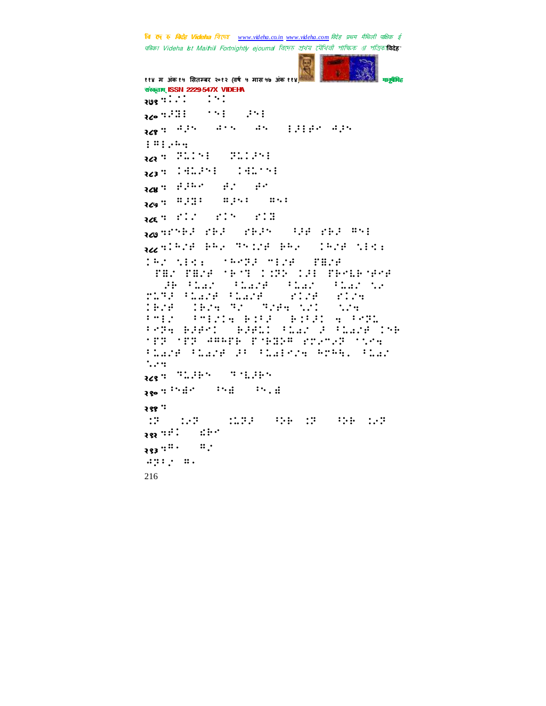```
११४ म अंक १५ सितम्बर २०१२ (वर्ष ५ मास ५७ अंक ११४) मानुसार मानुसीमेह
संस्कृतम् ISSN 2229-547X VIDEHA
216
208 :::: ::26 0.701. 0.011. 0.011.
२८१ प्राचीन चार्ना पर अपना करण
.⢻.⢴⢳⣒*!
२८२ : २००१ : २००१ : २००१ : २००१ : २००१ : २००१ : २००१ : २००१ : २००१ : २००१ : २००१ : २००१ : २००१ : २००१ : २००१ :
२८३ : २००० : २००१ : २००१ : २००१ : २००१ : २००१ : २००१ : २००१ : २००१ : २००१ : २००१ : २००१ : २००१ : २००१ : २००१ :
२८४ <sup>: इ.क</sup>े हो हो
२८५ : "..." "..." "...
२८६ में प्रदेश करें थे विकास करते हैं ।
२८७⣒⢷⢼0⢷⢼0!⢷⢼!)⢸⢼⢾!⢷⢼!⢻.*!
२८८⣒⢳"⢾!⢷⢳⢴0⢹⣈"⢾!⢷⢳⢴0!⢳"⢾!⣁.⣊⣐0!
^{\circ} . Note that the set of the set of the set of the set of the set of the set of the set of the set of the set of the set of the set of the set of the set of the set of the set of the set of the set of the set of the s
 )&⣟".&⣟"⢾!⢷⣙!⣈⢽⢵!⢼.!&⢷⣇⢷⢾⢾*!
    .!⢼⢷!⣅⣔"0!⣅⣔"⢾!)⣅⣔"0!⣅⣔"!⣁⢴-!
^{\prime\prime} . The state of the
leze (br. 92 - 92ek N21 - N2k<br>Phir (Philik BiP2) BiP21 k P
          0."0!0."⣒!⢷⣈⢼0!⢷⣈⢼!⣒!⢽⣅0!
Here are the second the second second terms of the second second terms of the second terms of the second second
&⢽.&⢽!⢺⢻⢳&⢷!&⢷⣝⢵⢻!⢴0⢴⢽!⣁⣒!
^+ Late (Late 10) ^+ Late 10) ^+ Late 10
\ddots२८९ : निर्वाचन - निर्वाचन
२७० : परिक्षं का अधिकारिक के अधिकारिक के अधिकारिक के अधिकारिक के अधिकारिक के अधिकारिक के अधिकारिक के अधिकारिक 
२९१ :
10 UP 12.0<br><sub>383.</sub> del des
२९२ <sup>::::</sup>
283 : 83 \cdot⢺⢽"!⢻3*!
```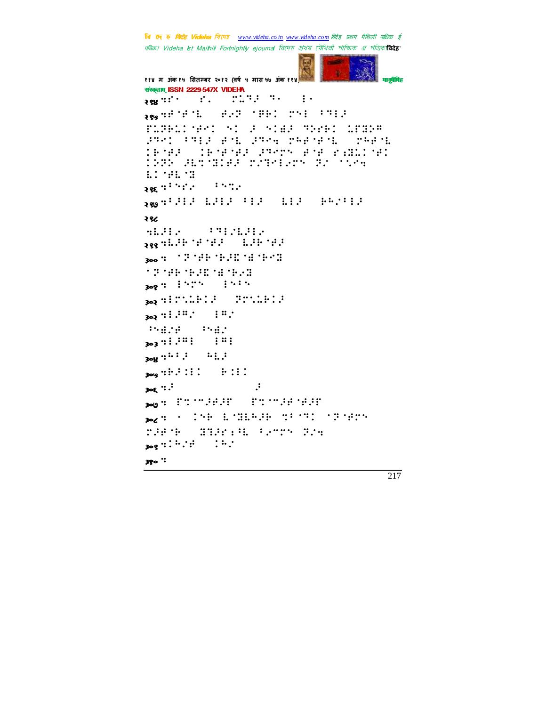```
११४ म अंक १५ सितम्बर २०१२ (वर्ष ५ मास ५७ अंक ११४) मानुसार मानुसीमेह
संस्कृतम् ISSN 2229-547X VIDEHA
\frac{1}{388} and \frac{1}{38} . The set of \frac{1}{38} and \frac{1}{38} . The set of \frac{1}{38} . Set of \frac{1}{38} .
२९५⣒⢾⢾⣇-)⢾⢴⢽!⢿⢷!.!⢹.⢼!
EQUEST NO CONSTRUCTS
⢼⢹!⢹.⢼!⢾⣇!⢼⢹⣒!⢳⢾⢾⣇0!⢳⢾⣇0!
^{\prime} ^{\prime} ^{\prime} ^{\prime} ^{\prime} ^{\prime} ^{\prime} ^{\prime} ^{\prime} ^{\prime} ^{\prime} ^{\prime} ^{\prime} ^{\prime} ^{\prime} ^{\prime} ^{\prime} ^{\prime} ^{\prime} ^{\prime} ^{\prime} ^{\prime} ^{\prime} ^{\prime} ^{\prime} ^{\prime} ^{\prime} ^{\prime} ^{\prime} ^{\prime} ^{\prime} ^{\prime}⢵⢽⢵!⢼⣇⣉⣝⢾⢼!"⣙.⢴!⢽"!⣁⣒!
L. H : H२९६ : २००९ : २००९ : २००९ : २००९ : २००९ : २००९ : २००९ : २००९ : २००९ : २००९ : २००९ : २००९ : २००९ : २००९ : २००९ :
२९७⣒⢼.⢼0⣇⢼.⢼!.⢼0!⣇.⢼!)⢷⢳".⢼*!
२९८
⣒⣇⢼.⢴0!)⢹."⣇⢼.⢴*!!
२९९⣒⣇⢼⢷⢾⢾⢼0!⣇⢼⢷⢾⢼!
३००⣒!⢽⢾⢷⢷⢼⣏⣞⢷⣝0!
⢽⢾⢷⢷⢼⣏⣞⢷⢴⣝!
308 : 1575 . 1515३०२⣒.⣁⣅⢷⢼-!⢽⣁⣅⢷⢼!
३०२⣒.⢼⢻"0!.⢻"!)!
⢸⣞"⢾0!⢸⣞"*!!
303 :: \frac{101}{101} : ::
308 :: :: :: :: ::३०५⣒⢷⢼⣈.0!⢷⣈.!
306 \ddots<sub></sub> الجواليون (1990) - 200 أورال الموضوع (1990) - 200 أوروبو
३०८⣒!3!⢷!⣇⣝⣇⢳⢼⢷!⣉⢹!⢽⢾!
⢼⢾⢷-!⣝⣙⢼⣐⢸⣇!⢴0!⢽"⣒!
308 \frac{15}{10} \frac{15}{10} \frac{15}{10}३१०⣒!
```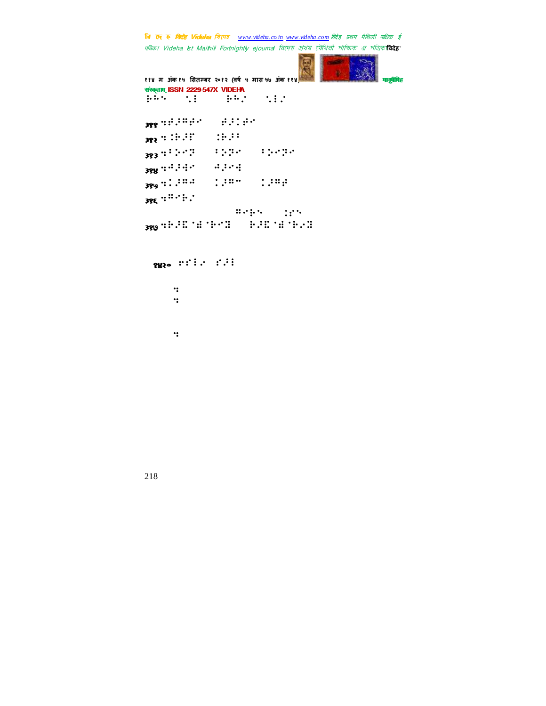**The Communication** 

|                                                                          | ११४ म अंक १५ सितम्बर २०१२ (वर्ष ५ मास ५७ अंक ११४) कर                                                                                                                                                                                                                                                                |  | मानुषेभिह |
|--------------------------------------------------------------------------|---------------------------------------------------------------------------------------------------------------------------------------------------------------------------------------------------------------------------------------------------------------------------------------------------------------------|--|-----------|
|                                                                          | संस्कृतम् ISSN 2229-547X VIDEHA                                                                                                                                                                                                                                                                                     |  |           |
|                                                                          | $\frac{1}{2}$ $\frac{1}{2}$ $\frac{1}{2}$ $\frac{1}{2}$ $\frac{1}{2}$ $\frac{1}{2}$ $\frac{1}{2}$ $\frac{1}{2}$ $\frac{1}{2}$ $\frac{1}{2}$ $\frac{1}{2}$ $\frac{1}{2}$ $\frac{1}{2}$ $\frac{1}{2}$ $\frac{1}{2}$ $\frac{1}{2}$ $\frac{1}{2}$ $\frac{1}{2}$ $\frac{1}{2}$ $\frac{1}{2}$ $\frac{1}{2}$ $\frac{1}{2}$ |  |           |
|                                                                          | $\frac{1}{388}$ will have the set of $\frac{1}{2}$ in the set of $\frac{1}{2}$ in the set of $\frac{1}{2}$                                                                                                                                                                                                          |  |           |
| $_{332}$ : $\mathbb{H} \cdot \mathbb{H}$ = $\mathbb{H} \cdot \mathbb{H}$ |                                                                                                                                                                                                                                                                                                                     |  |           |
|                                                                          | 383.212972.22292.22292.22972.                                                                                                                                                                                                                                                                                       |  |           |
| $338$ $\cdots$ $\cdots$ $\cdots$ $\cdots$ $\cdots$ $\cdots$              |                                                                                                                                                                                                                                                                                                                     |  |           |
|                                                                          | 38 <sup>8</sup> a:1989 - 1986 - 1986                                                                                                                                                                                                                                                                                |  |           |
| $3355$ $\cdot$ $\cdot$ $\cdot$ $\cdot$ $\cdot$ $\cdot$                   |                                                                                                                                                                                                                                                                                                                     |  |           |
|                                                                          |                                                                                                                                                                                                                                                                                                                     |  |           |
|                                                                          | 390 HEAD OF THE SEAL OF A CHAIR                                                                                                                                                                                                                                                                                     |  |           |
|                                                                          |                                                                                                                                                                                                                                                                                                                     |  |           |
|                                                                          |                                                                                                                                                                                                                                                                                                                     |  |           |

१४२० ⢶.⢴!⢼.\*!!

Opwer 3123. 36- 2012 12:37-12:37-22:37-22:37-23:37-23:37-23:37-23:37-23:37-23:37-23:37-23:37-23:37-23:37-23:37  $\mathbf{P}_{\mathbf{3}}$  $G_{\rm 3}$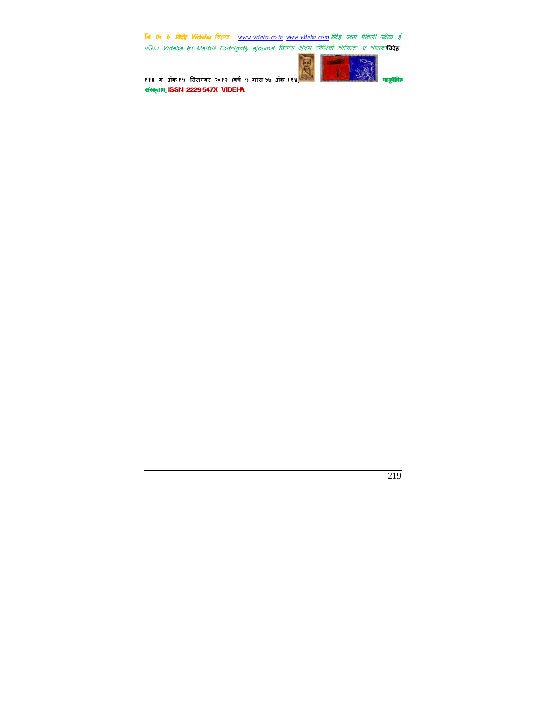

संस्कृतम् ISSN 2229-547X VIDEHA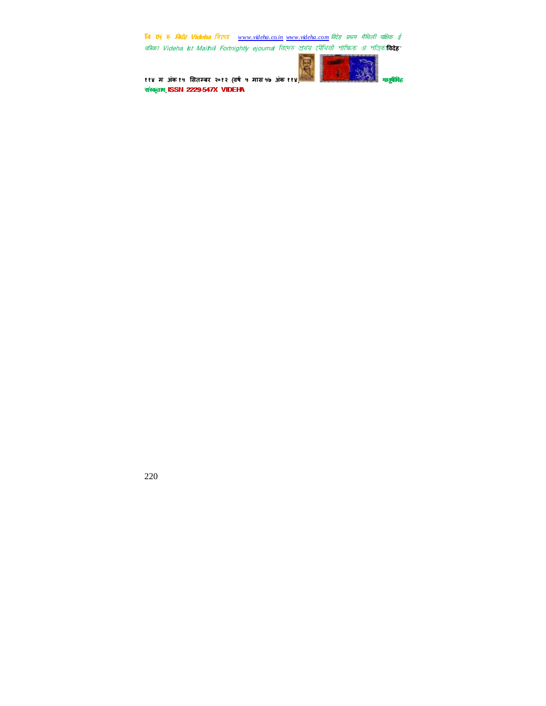

संस्कृतम् ISSN 2229-547X VIDEHA

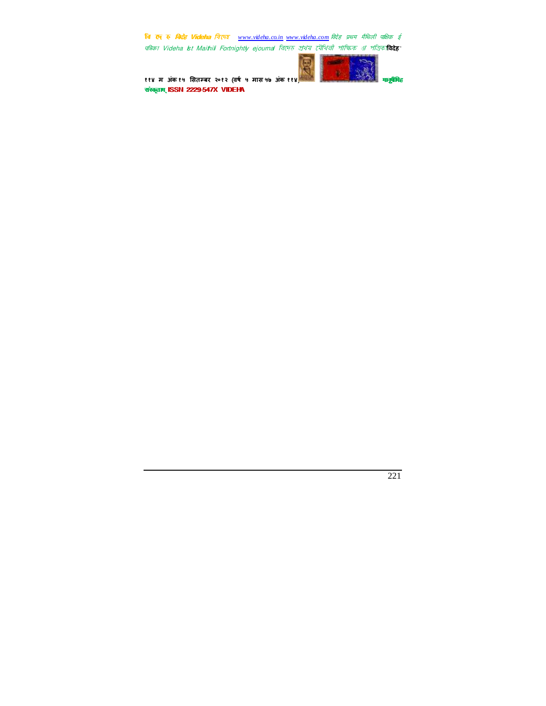

संस्कृतम् ISSN 2229-547X VIDEHA

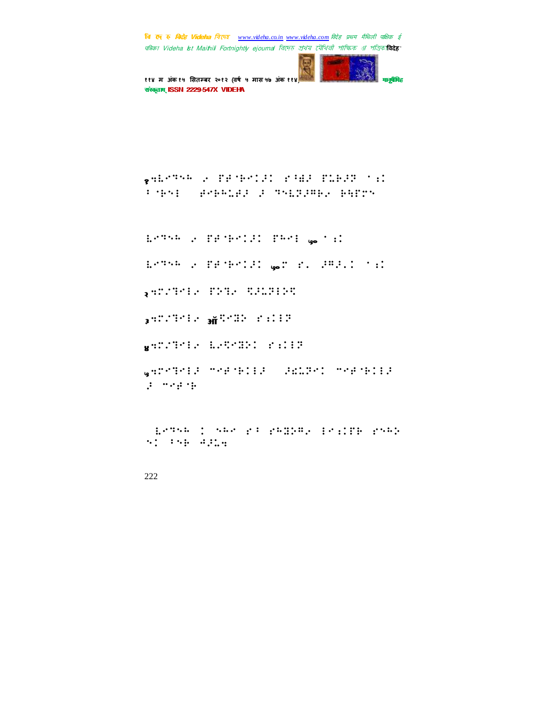

संस्कृतम् ISSN 2229-547X VIDEHA

## १⣒⣇⢹⢳!⢴.&⢾⢷⢼!⢸⣞⢼!&⣅⢷⢼⢽!⣐! ⢷.-!⢾⢷⢳⣅⢾⢼!⢼!⢹⣇⢽⢼⢻⢷⢴!⢷⣓&!

LATHA & PROBLEM PACE Q. 11

⣇⢹⢳!⢴.&⢾⢷⢼!५०!>!⢼⢻⢼>!⣐!

 $\alpha$ 90.1991. $\alpha$  . Denote the set of  $\alpha$ 

asin'ilay ampirina dia kaominina mpikambana amin'ny fivondronan-kaominin'i A

 $y$ arvinis istrinis istrinis in the second second second second second second second second second second second second second second second second second second second second second second second second second second seco

ुच:नामा अध्यापानी पुराणी पुराणी पुराणी पुराणी पुराणी पुराणी पुराणी पुराणी पुराणी पुराणी पुराणी पुराणी पुराणी<br>पुराणी पुराणी पुराणी पुराणी पुराणी पुराणी पुराणी पुराणी पुराणी पुराणी पुराणी पुराणी पुराणी पुराणी पुराणी पुराण ⢼!0⢾⢷!Njuijmb!Qbjoujoh0!

#⣇⢹⢳#!⢳!⢸!⢳⣝⢵⢻⢴!.⣐&⢷!⢳⢵! !⢷!⢺⢼⣅⣒!!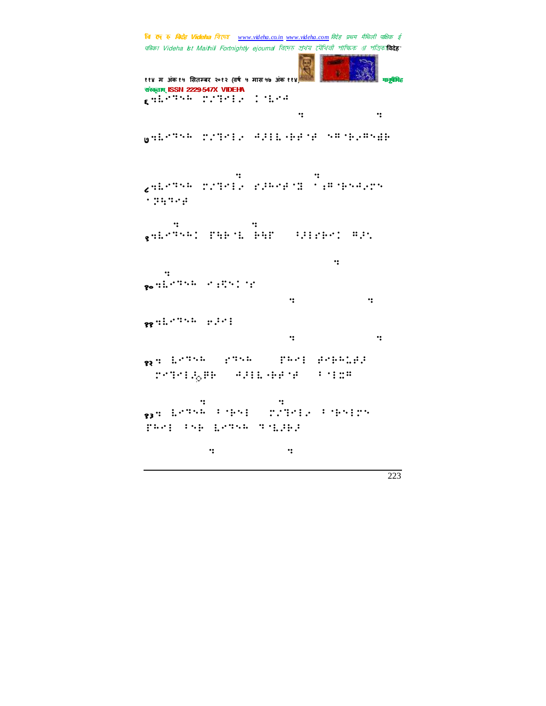**त्रि एन रु क्रिटेह Videha** विएम्ब \_www.videha.co.in\_www.videha.com विदेह प्रथम मैथिली पाक्षिक ई पत्रिका Videha Ist Maithili Fortnightly ejournal রিদেহ প্রথম মৌথিরী পাক্ষিক প্র পত্রিকা**বিदेह**' ११४ म अंक १५ सितम्बर २०१२ (वर्ष ५ मास ५७ अंक ११४) मानुषी मानुषी मानुषी मिट संस्कृतम् ISSN 2229-547X VIDEHA مەسى: 1967 - 1968 - 1968 <mark>: 1</mark>974 - 1989 - 1989 - 1989 - 1989 - 1989 - 1989 - 198 ius;00wjefibration;00wjefibration;00wjefibration;00wjefibration;00wjefibration;00wjefibration;00wjefibration; ७∰ि प्राप्त स्टाउल्ले हिन्दी स्टाउल्ले अस्टाप्त स्टाउल्ले अस्टाप्त । bhship shows the control of the control of the control of the control of the control of the control of the control of the control of the control of the control of the control of the control of the control of the control of ८⣒⣇⢹⢳!"⣙.⢴!⢼⢳⢾⣝!⣐⢻⢷⢺⢴! ⢽⣓⢹⢾! bsuch the control of the control of the control of the control of the control of the control of the control of ९⣒⣇⢹⢳!&⣓⢷⣇.⢷⣓&!#⢸⢼.⢷!⢻⢼⣁#!! iuuq;00hbkfoesbuiblvs⣒cmphtq puòde della contra-१० सक्रमण स्थान का अधिकारित स्थान का अधिकारित स्थान का अधिकारित स्थान का अधिकारित स्थान का अधिकारित स्थान का अ<br>इन्द्र संस्कृतिकारित स्थान का अधिकारित स्थान का अधिकारित स्थान का अधिकारित स्थान का अधिकारित स्थान का अधिकारि iuuq;00wjefib234⣒cmphtqpu⣒dpn १<mark>१</mark>९ मध्य प्राप्त करने के लिख है। ius;00wjefib234,000wjefib234 १२ %) हिल्पा देवा दिने हे अपने स्टाइमेंट (  $\sim$  2010  $\pm$   $\sim$   $\sim$   $\pm$   $\sim$   $\pm$   $\sim$   $\pm$   $\sim$   $\pm$   $\sim$   $\pm$   $\sim$   $\pm$   $\sim$   $\pm$   $\sim$   $\pm$   $\sim$   $\pm$   $\sim$   $\pm$   $\sim$   $\pm$   $\sim$   $\pm$   $\sim$   $\pm$   $\sim$   $\pm$   $\sim$   $\pm$   $\sim$   $\pm$   $\sim$   $\pm$   $\sim$   $\pm$   $\sim$   $\pm$   $\sim$   $\pm$  tbefore the control of the control of the control of the control of the control of the control of the control of the control of the control of the control of the control of the control of the control of the control of the १३ मा अधिकारित का अधिकारित का अधिकारित का अधिकारित का अधिकारित का अधिकारित का अधिकारित का अधिकारित का अधिकारित<br>पुत्र FERI SAN LETTER STREET csbimmed and the control of the control of the control of the control of the control of the control of the control of the control of the control of the control of the control of the control of the control of the control of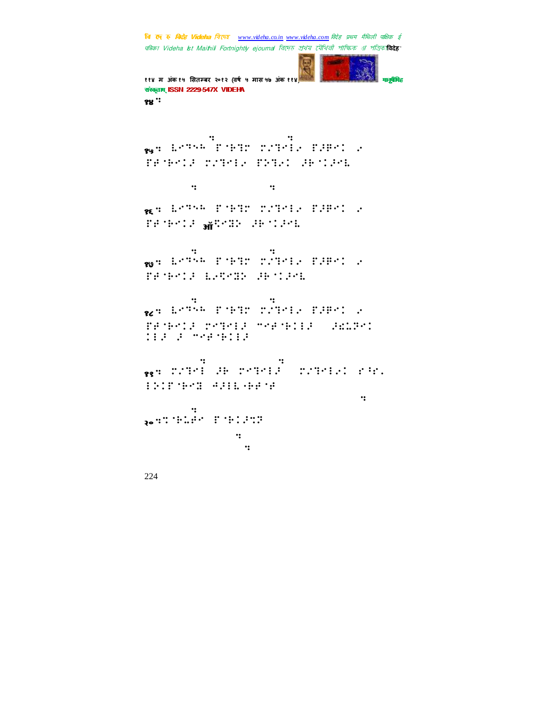

११४ म अंक १५ सितम्बर २०१२ (वर्ष ५ मास ५७ अंक ११४) मानुषी मानुसी मानुसी के संस्कृतम् ISSN 2229-547X VIDEHA  $\mathbf{y}$  will be a set of the set of the set of the set of the set of the set of the set of the set of the set of the set of the set of the set of the set of the set of the set of the set of the set of the set of the set

bsdie bedruik in der deutsche bedruik in der deutsche bedruik in der deutsche bedruik in der deutsche bedruik <sub>१७</sub>९ 1/555 P.B. P.B. 2006 &⢾⢷⢼!"⣙.⢴!&⢵⣙⢴!⢼⢷⢼⣇!

 $q_1$ cmpht $q_2$ dpuij $\alpha$ 

 $_{\rm g}$ g : 1975 - Pobert Pobert (1985) &⢾⢷⢼!ऑ⣋⣝⢵!⢼⢷⢼⣇!

by the control of the control of the control of the control of the control of the control of the control of the १७⣒!⣇⢹⢳!&⢷⣙!"⣙.⢴!&⢼⢿!⢴! &⢾⢷⢼!⣇⢴⣋⣝⢵!⢼⢷⢼⣇!

where  $\alpha$  is the positive point of the positive point of the point of the point of the point of the point of the point of the point of the point of the point of the point of the point of the point of the point of the poin  $_{\rm 86}$ g istron Pont (Pont (Pont ) and  $_{\rm 86}$ &⢾⢷⢼!⣙.⢼!0⢾⢷.⢼-!⢼⣎⣅⢽! .⢼!⢼!0⢾⢷.⢼!

quadre control of the control of the control of the control of the control of the control of the control of the control of the control of the control of the control of the control of the control of the control of the contr १९९ - 2019'E - 28 - 2919'E - 2019'E - 2019'E - 2019'E - 2019'E - 2019'E - 2019'E - 2019'E - 2019'E - 2019'E -.⢵&⢷⣝!⢺⢼.⣇-⢷⢾⢾\*! ius;00nbjuijmbvsnjuijmbvsnjuijmbvsniuijmbvsniuijmbvsniuijmbvsniuijmbvsniuijmbvsniuijmbvsniuijmbvsniuijmbvsniui https://www.file.com <sub>२०</sub>०९'82##\* F1B1932 ius in control de la control de la control de la control de la control de la control de la control de la control de la control de la control de la control de la control de la control de la control de la control de la contr

 $\frac{1}{2}$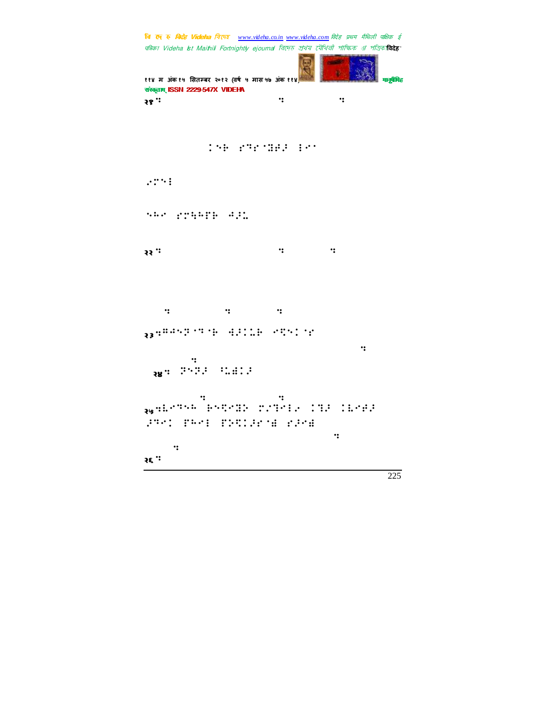an an an

*<u>Programma</u>* 

| ११४ म अंक १५ सितम्बर २०१२ (वर्ष ५ मास ५७ अंक ११४ वर्ष म<br>संस्कृतम् ISSN 2229-547X VIDEHA |      | मानवीमिह |
|--------------------------------------------------------------------------------------------|------|----------|
| <b>De</b> "                                                                                | <br> |          |

WHERE STRINGERS

 $\mathcal{L}^{\text{max}}$ 

\$&&&&&&&&&&&

 $22$ <sup>u</sup>

 $\mathbf{v}_1$  and  $\mathbf{v}_2$  and  $\mathbf{v}_3$  and  $\mathbf{v}_4$  and  $\mathbf{v}_5$ 

<sub>२३ प</sub>समध्य राष्ट्रीय संस्था संस्था का अनुसार राष्ट्रीय संस्था का

ius;00hbkfoesbuibloesbuibloesbuibloesbuibloesbuibloesbuibloesbuibloesbuibloesbuibloesbuibloesbuibloesbuibloesb https://www.file.com

<sub>२४</sub>: २०३३ साल

libco de la contrada de la contrada de la contrada de la contrada de la contrada de la contrada de la contrada <sub>२५</sub>qirsh engrik rijel (1930) ⢼⢹!&⢳.!&⢵⣋⢼⣞!⢼⣞!

ius (1983) in the control of the control of the control of the control of the control of the control of the co  $\cdot$ : २६  $:$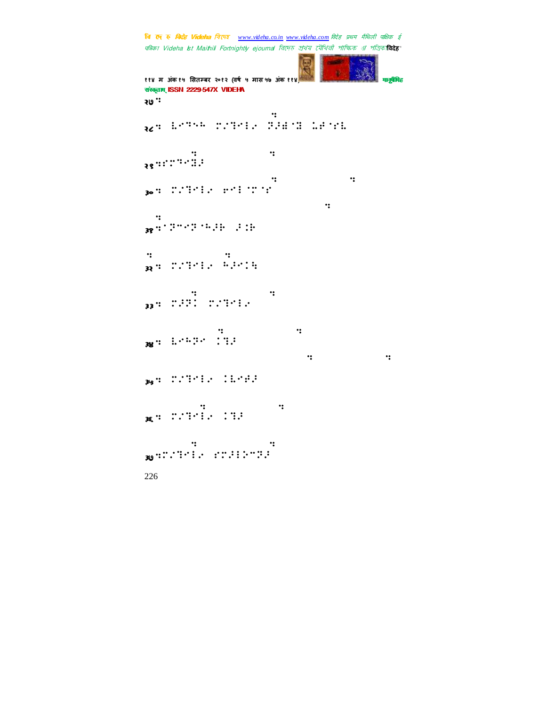**त्रि एन रु क्रिटेह Videha** विएम्ब \_www.videha.co.in\_www.videha.com विदेह प्रथम मैथिली पाक्षिक ई पत्रिका Videha Ist Maithili Fortnightly ejournal রিদেহ প্রথম মৌথিরী পাক্ষিক প্র পত্রিকা**বিदेह**' ११४ म अंक १५ सितम्बर २०१२ (वर्ष ५ मास ५७ अंक ११४) मानुसी मानुसी मानुसी के संस्कृतम् ISSN 2229-547X VIDEHA 226 २७ $\mathcal{P}$  : which we first the  $\mathcal{P}$  $\mathbf{g}$  is a set of  $\mathbf{g}$  is a set of  $\mathbf{g}$ २८º Es<sup>unda</sup> (1195) (1296) (1296) (1296) esbnb, esbnb, esbnb, esbnb, esbnb, esbnb, esbnb, esbnb, esbnb, esbnb, esbnb, esbnb, esbnb, esbnb, esbnb, esbnb २९ :::::::::::::: ius (10ftbnbbe) in the company of the company of the company of the company of the company of the company of the company of the company of the company of the company of the company of the company of the company of the comp <sub>३०</sub>० :2799:20 :279 :279 ius;00nbjuijmjegimntoja (1900-1900) u⣒dpn0!! <sub>३१</sub> ५ ° २००३ कि.से. (२०० ⣒cmphtqpu⣒dpn0!! <sub>32</sub>q: 2019:16 - 52016 ibility of the company of the company of the company of the company of the company of the company of the company of the company of the company of the company of the company of the company of the company of the company of t <sub>33</sub>q: 2330 (2019) nbjurga (1990), provincia (1990), provincia (1990), provincia (1990), provincia (1990), provincia (1990), provi <sub>38</sub>q ⊟r∺Pr (PD) ius dialektura dialektura dialektura dialektura dialektura dialektura dialektura dialektura dialektura dialekt<br>Dialektura dialektura dialektura dialektura dialektura dialektura dialektura dialektura dialektura dialektura <sub>34</sub>: 229:12 16793 lbwydd a chwaraeth a chwaraeth a chwaraeth a chwaraeth a chwaraeth a chwaraeth a chwaraeth a chwaraeth a chwar<br>Daeth a chwaraeth a chwaraeth a chwaraeth a chwaraeth a chwaraeth a chwaraeth a chwaraeth a chwaraeth a chwara <sub>क्</sub>यः "ः""ः : "ः" lbuib $\mathcal{L}$ <sub>30</sub> =::::::: : :::::::::::::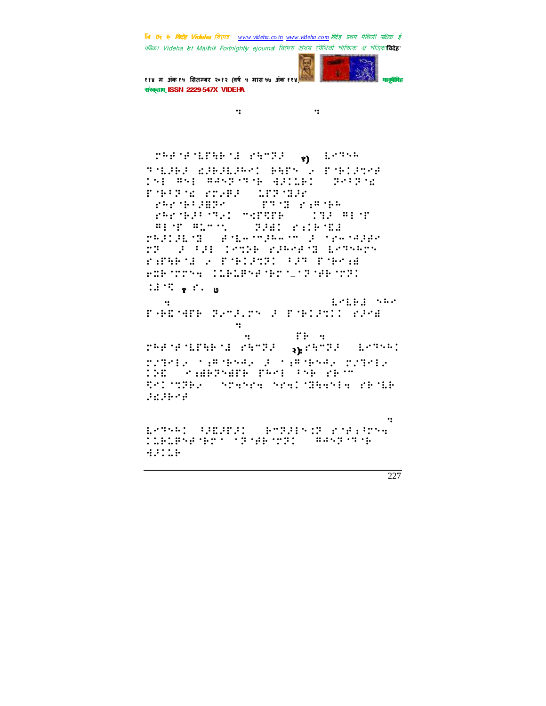

११४ म अंक १५ सितम्बर २०१२ (वर्ष ५ मास ५७ अंक ११४) मानुसी मानुसीमह संस्कृतम् ISSN 2229-547X VIDEHA

tbnbmpdiobate both products and the products of the products of the products of the products of the products of the products of the products of the products of the products of the products of the products of the products o

!⢳⢾⢾⣇&⣓⢷⣜!⣓0⢽⢼;)१) (⣇⢹⢳(! ⢹⣇⢼⢷⢼!⣎⢼⢷⢼⣇⢼⢳!⢷⣓&!⢴.&⢷⢼⣉⢾! .!⢻.!⢻⢺⢽⢹⢷!⣚⢼⣅⢷!!⢽⢽⣎.  $\mathbb{R}^n$ ) (19)  $^{\circ}$  (20)  $^{\circ}$  (20)  $^{\circ}$  (20)  $^{\circ}$  (20)  $^{\circ}$  (20)  $^{\circ}$  (20)  $^{\circ}$  (20)  $^{\circ}$  (20)  $^{\circ}$ )<br>Consequent and the consequent of the consequent of the consequent of the consequent of the consequent of the consequent of the consequent of the consequent of the consequent of the consequent of the consequent of the con )⢻.&.⢻⣅0⣁\*-!⢽⢼⣞)⣐⢷⣏⣜\*-! ⢳⢼⢼⣇⣝!)⢾⣇⢲0⢼⢳⢲0!⢼!⢲⢺⢼⢾!  $\mathbb{R}^n$  ,  $\mathbb{R}^n$  ,  $\mathbb{R}^n$  ,  $\mathbb{R}^n$  ,  $\mathbb{R}^n$  ,  $\mathbb{R}^n$  ,  $\mathbb{R}^n$  ,  $\mathbb{R}^n$  ,  $\mathbb{R}^n$  ,  $\mathbb{R}^n$  ,  $\mathbb{R}^n$  ,  $\mathbb{R}^n$  ,  $\mathbb{R}^n$  ,  $\mathbb{R}^n$  ,  $\mathbb{R}^n$  ,  $\mathbb{R}^n$  ,  $\mathbb{R}^n$  , ⣐&⣓⢷⣜!⢴.&⢷⢼⣉⢽!⢼⢹!&⢷⣐⣞! ⢶⣍⢷⣒!⣅⢷⣅⢿⢾⢷–⢽⢾⢷⢽! ⣈⣜⣋.१ >!७ Dpncjofe!JTCO! Op 39.92.1883:00 10.92.1883:00 10.93.1883:00 10.93.1883:00 10.93.1883:00 10.93.1883:00 10.93.1883:00 10.93.18 &-⢷⣏⣚&⢷!⢽⢴0⢼>!⢼!&⢷⢼⣉!⢼⣞! ius in control de la control de la control de la control de la control de la control de la control de la control de la control de la control de la control de la control de la control de la control de la control de la contr qvcmjdbujpo<br>Departement (1990) of the second property of the second property of the second property of the second property ;nee ne namee na conent co<sub>ol</sub>erent co "⣙.⢴.⣐⢻⢷⢺⢴!⢼!⣐⢻⢷⢺⢴!"⣙.⢴!  $^{\circ}$  ) ) = 0.000  $^{\circ}$  (0.000  $^{\circ}$  ) = 0.000  $^{\circ}$  (0.000  $^{\circ}$  ) = 0.000  $^{\circ}$ ⣋⣉⢽⢷⢴\*!⣒⣒!⣒⣝⣓⣒.⣒!⢷⣇⢷!  $J: C: F \to F$ Fohmjti.Nbjuijmj!Ejdujpobsz⣒! ⣇⢹⢳!⢸⢼⣏⢼&⢼.!⢷0⢽⢼.⣈⢽!⢾⣐⢸⣒!  $\mathbf{G}$ ⣚⢼⣅⢷!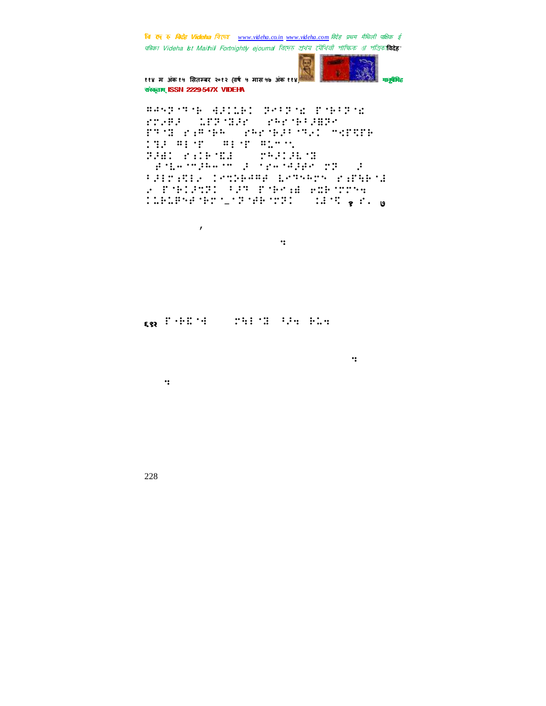

११४ म अंक १५ सितम्बर २०१२ (वर्ष ५ मास ५७ अंक ११४) मानुसीर मानुसीरे मानुसीरे ह संस्कृतम् ISSN 2229-547X VIDEHA

⊞ASP'S HE INCONS  $\cdot$  . The state of the state of the state of the state of the state of the state of the state of the state of &⢹⣝.⣐⢻⢷⢳!)⢳⢷⢼⢹⢴!0⣊&⣋&⢷\*-! ⣙⢼.⢻.&!)⢻.&!⢻⣅0⣁\*-! BH : :HE'BI → TELHE ) engan termini di senyagan dan seba ි.∄!raqia (aqsheep baqshers raqheid)  $\sim$  P/B1252. E2P P/B4:B e2B/2254. ⣅⢷⣅⢿⢾⢷–⢽⢾⢷⢽-!⣈⣜⣋.१ >!<sup>७</sup>

Uiblist van die Grootste van die Grootste van die Grootste van die Grootste van die Grootste van die Grootste<br>Gebeure

 $\mathcal{S}_{\mathcal{A}}$ 

 $\mathcal{L}$ 

६९२ &-⢷⣏⣚!;!⣓.⣝!⢸⢼⣒!⢷⣅⣒!2110.

)bee!dpvsjfs!dibshft!St⣒610.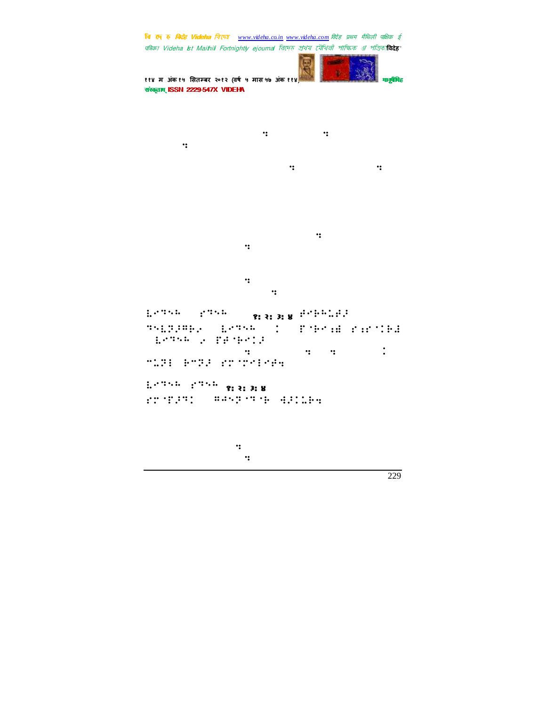११४ म अंक १५ सितम्बर २०१२ (वर्ष ५ मास ५७ अंक ११४) मानुसीर मानुसीरे मानुसीरे ह संस्कृतम् ISSN 2229-547X VIDEHA



⢹⣇⢽⢼⢻⢷⢴!#⣇⢹⢳#!-!&⢷⣐⣞!⣐⢷⣜! ;⣇⢹⢳.⢴.&⢾⢷⢼!  $\ddot{\textbf{u}}$  (i)  $\ddot{\textbf{u}}$  (i)  $\ddot{\textbf{u}}$  (i)  $\ddot{\textbf{v}}$ 0⣅⢽.!⢷0⢽⢼!.⢾⣒!  $\frac{1}{2}$ ,  $\frac{1}{2}$ ,  $\frac{1}{2}$ ;  $\frac{1}{2}$ ;  $\frac{1}{2}$ ;  $\frac{1}{2}$ ;  $\frac{1}{2}$ ;  $\frac{1}{2}$ ;  $\frac{1}{2}$ ;  $\frac{1}{2}$ &⢼⢹;!⢻⢺⢽⢹⢷!⣚⢼⣅⢷⣒!

ius in control de la control de la control de la control de la control de la control de la control de la control de la control de la control de la control de la control de la control de la control de la control de la contr qvcmjdbujpo buje na postala po postala po postala po postala po postala po postala po postala po postala po po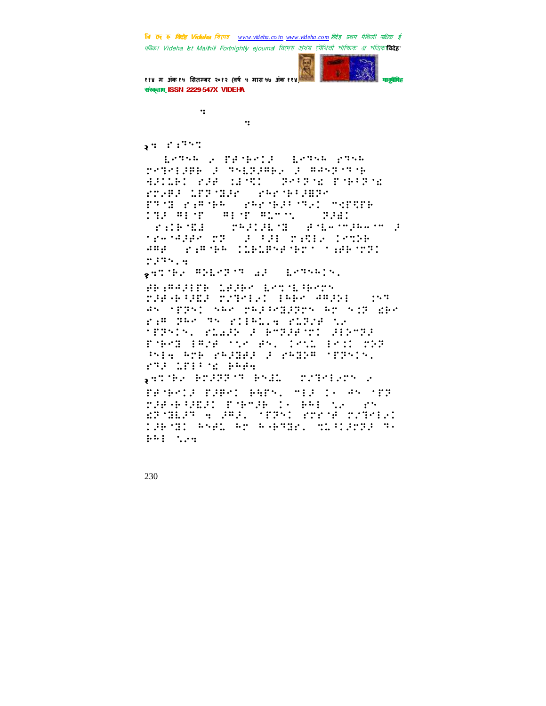

११४ म अंक १५ सितम्बर २०१२ (वर्ष ५ मास ५७ अंक ११४) संस्कृतम् ISSN 2229-547X VIDEHA

 $\ddot{\cdot}$ 

 $\ddot{\cdot}$ 

 $29.33333$ 

Fourth  $\mathcal{P}$  , i.e. device . Fourth , for  $\mathcal{P}$ reneign i manger, peaspers HAILBI RAF (1951) (Proport Poboror roses deponse ( seroessere ET SE VIRGE - VEVIER STAT SAPRER **THE WEATHER WEATHER THE START** SANDARI SANDARI SANDARI S nekomune di alam banda (sobe<br>Amerikan ne (1919-1920) nam osu permanental de l'ancienne

SPORTS SOF raegeara rraggi pes gere (199 ski (pps) sak paliegipps ap sip gar ram Berlan rightia ribbe to STRAIN, PLARK 2 BMP28-MIL 210MP2 rêzê lehe wî ek. 1811 leword Prim Are regular a redie fronts. FULLISH & PRES

permanent programment. **CONSTRUCTION** PROPOSE PRESS BARS, MERCIA AS OPP

THERBUILD FORTH IS HE NE YOU EPSELPE A PARL STRAINSTRIPHENT 196781 ANAL AM A GARE. MIRIPER TH  $1.1.1 - 1.0.01$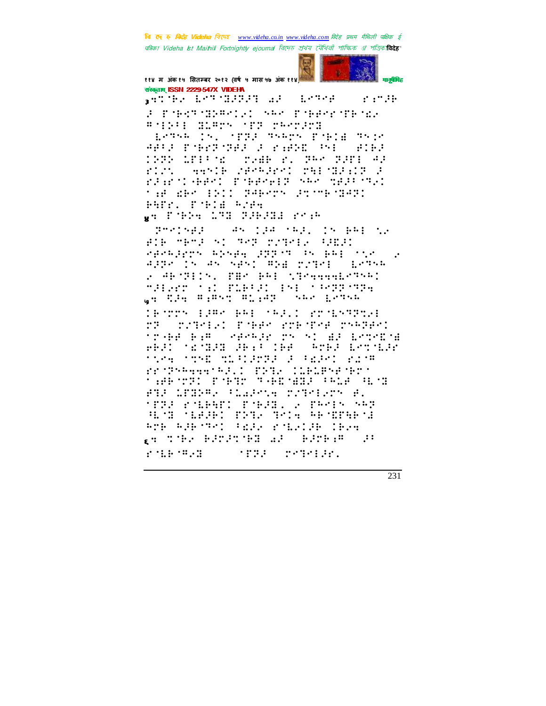

११४ म अंक १५ सितम्बर २०१२ (वर्ष ५ मास ५७ अंक ११४) संस्कृतम् ISSN 2229-547X VIDEHA

**SANAR STAR AUTOR RESIDENCE** F PORTOBERIAL SES PORTOBOL # HIPPI HARMY TER MARKETH

ESTAR IN STEP TARTA ESPIESTAIS APLE PYRTYPED D'YARD PH ( BIRD 1989 LEEP YOU TWEE YOU BRY BATE AR TAANIE VARAGERT VAL MIELING D  $\mathcal{L}^{\bullet}$  ,  $\mathcal{L}^{\bullet}$  ,  $\mathcal{L}^{\bullet}$ radrighed poperate secondatory: taR der 1911 Peers (Streedway) PATE. PORTH ROAD ga Pobla 173 Subugu prim

(45 124 152, 15 BB) 52  $3991542$ BIR MEMP NI REP MINER PREPI epangers nosphi grow (no phi sice)<br>Agregers nosphi grow (no phi sice) 2 ABYSIN, PBY BAI (Synagairse) MARKET SAL PLEAR (191) SAMPROPPH WHERE THEY' TO HE SAY LATER

IPTER HARR PRESSRAIN PESERENT MP ( MATHER) Pother and The Sheeper trake kan sakean ry yn Angelerda eBAI SEMBAR ABAS IBE (Preal bondbar **TORY TERE SERIES IN REPORTS** rryngggerg: This Macherer taeren presideakan daging FIS LTIPS (CLEMA TITMETS E. **TERPORAGEI PORTLA PROVINCE** H. T. TERRY STOR TOOK ARTENTS RTE REPORT FEED POLICIE CEDE pe the Baranned Wall Barber (a) POLENELSE **STRA PORTABLE**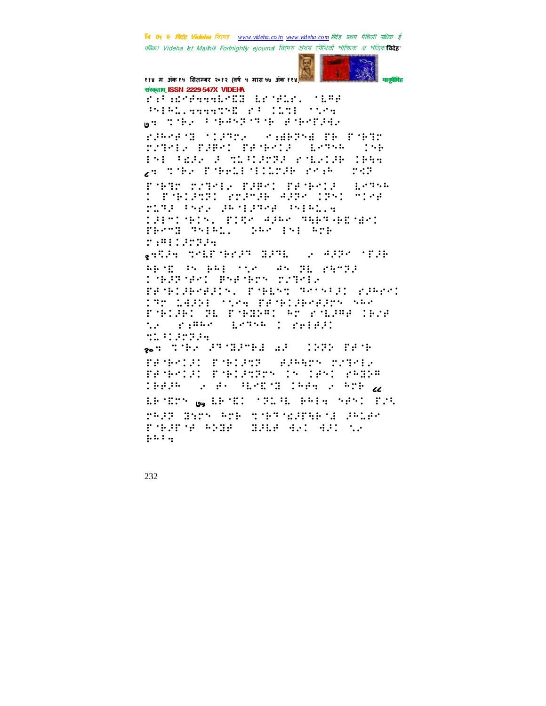

११४ म अंक १५ सितम्बर २०१२ (वर्ष ५ मास ५७ अंक ११४) संस्कृतम् ISSN 2229-547X VIDEHA

मनुबैमिह

 $\cdot \cdot$ .

riturgeentem bronz. 188 Princements of Club Stre **WHIPE PROPERTY STATE** 

rakofol (1995) (naboka proport TITME FIRM TRANSF EMTHALLING PAP PERSON MISCRIPE POLSCHE CHAR ye the Pomentichem remo  $\mathbb{R}^n \times \mathbb{R}^n$ 

FORT TERM FREE TROCK  $\mathbb{R}^n$  . The set of  $\mathbb{R}^n$ D'EMBIANNI ENAMAR AANK (INSI MIKE ring through prepared things, 19151-1915, EIRK APAK SABSABINEN<br>EBKSI SSIBL, CORK ISI BOB r.Hillrich

**SANDA MALE MALES BURG CONSTRUCTED** 

**ABOR IN BAE MUSIC AN PE PROPER CONSTRUCT PRESENT CORPOR** FACEISEMENTS, FORDST TECNISI FIREMI 175 1422: Ting Billieders Sko

POSSED SE PORTAGE AT POLINE CENE tro rambo dense porable

misteral. position and manual and components

PENNSYL PHILED (BJPANY MUTH) FRONTIE PORTREN IN 1851 PABAR TERRA (2018) HERMAN TARRI 2018-22 LE TECT <sub>OG</sub> LE TEI (TRIEL ERIG) NENI FIN rage mars are the magnesic games rangera beza zuen aut aut

232

 $1.1.1.1$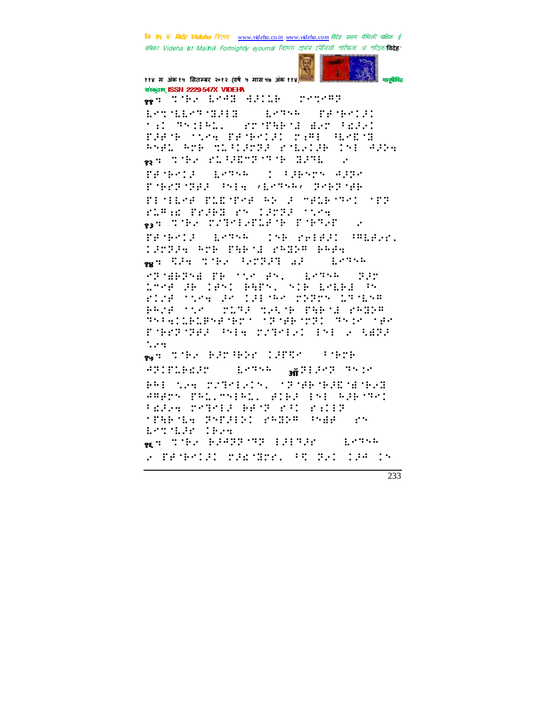

११४ म अंक १५ सितम्बर २०१२ (वर्ष ५ मास ५७ अंक ११४) संस्कृतम् ISSN 2229-547X VIDEHA

es the Ergs Adda cropper

1. THE THIRD THE STATE OF THE TABLE (1075) provide **MID THIRD. WE THE ME BET FRIED** EPPORTUGE EPOPOLICIE SECENE PARL POR MISLANDA ROBALIB INE APPA gen with an electronic management

PROBATE LATAR (1981-1982) APPA PORTUGE SHE ALSON PORTUE FISING TERMINE AND SCHEENING STR rimar fræg av 19599 stög  $\ddot{\phantom{0}}$ 

PROPOSI ESTAR CONFIGURACIONES. **CONSERVE THEM SHIPE BAR** <sub>ew</sub>e fire the Goutlet alone a guerran

rangered ab through, cleans offer 1789 JE 1851 **SHERE SID BRIDE IN** rice time an islam refry 1734-8 PROF TO STORE THE PRESS PROPER asignaphese Groot (aptement as politics) PORTUGE PHA TITULE IN 2 1872  $\ddots$  :

**Resource Format Control State** HPIELBERT (BRTSB) WEBPERTSCH PRESSURE CONFERENCE STREET REPORT ARATH PALLMAIRL, AIRS INE RSP MAC PERSONAL PROPERTY FOR STR

TEACHER PRESENT PARAGURARY (PR Estat March **e** with BPPP TP EBTH ( Enth)

2 PANERIS MARTEMA PROPER DAN 15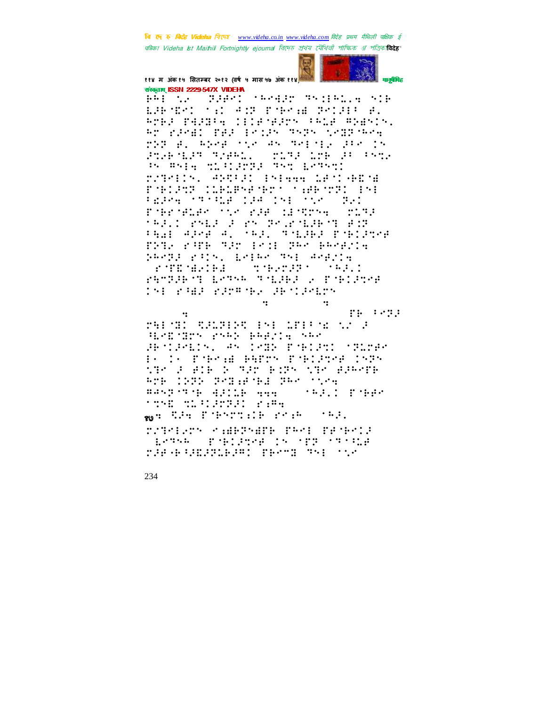

११४ म अंक १५ सितम्बर २०१२ (वर्ष ५ मास ५७ अंक ११४<mark>, व</mark> संस्कृतम् ISSN 2229-547X VIDEHA

SPRESS SARGED SPORAGE POR  $1.41 \pm .1.4$ LAPSES TELLASE POPPER POSTED B. ROBA PAARTA (1118-1840) TRUB REARIS. PE PARED PAR PRINT THEN NATESPAR PPP B. ANGELES AN BEFIND DIE IN Prekirs Seek. This brains and as well that here were here. rrants, applicites between 1871-8078 PORTAGE CORDENFORM (1981-1991) ENE Falke STORE 198 151 Thr. TEST Portonia transference and *TRAIN BREAK AND PROPORTIONS* PAUL APPE AL SAPL STEPHE PORTROW FRID KATE THE BASE CONTROL PROPERTY SRATE PAIN, EMIRA THE RABILE SOFEMALES (1962281) (PAL) PROTECT LOOK TOLER & TORISON 15: PART PROFINE RESIRED  $\cdot$ :  $\bullet$ 

are tere PHIMIC RELEEST INFORMATION OF P HAINTY PAGE BERTH SEA SECONDINA AN OVER POBLETI CRIMAC Britis Pobrad Barry Poblaced 1979 the again to many body of programs. RTB (1930) SPRAGUE SPACE TOPS sangere gaile aan  $\left\langle \left( \begin{array}{cc} 0 & 0 & 0 \\ 0 & 0 & 0 \\ 0 & 0 & 0 \end{array} \right) \right\rangle_{\mathcal{H}} = \left\langle \begin{array}{cc} 0 & 0 & 0 \\ 0 & 0 & 0 \\ 0 & 0 & 0 \end{array} \right\rangle_{\mathcal{H}} = \left\langle \begin{array}{cc} 0 & 0 & 0 \\ 0 & 0 & 0 \\ 0 & 0 & 0 \end{array} \right\rangle_{\mathcal{H}}$ \*\*\*\* \*\*\*\*\*\*\*\*\* \*\*\* gga Slam Echnologie regen (1911) rotelers easpsare pack packets

**LOTAR PORTFOLIO IN TER CICER** referencement from The Sto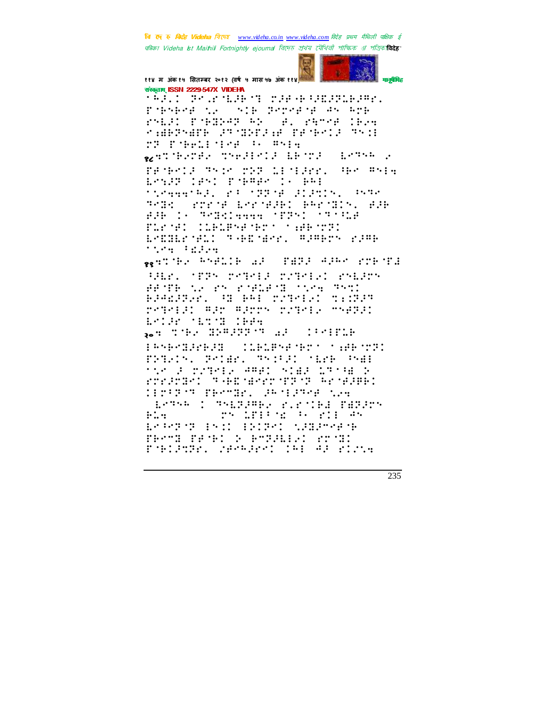

११४ म अंक १५ सितम्बर २०१२ (वर्ष ५ मास ५७ अंक ११४) संस्कृतम् ISSN 2229-547X VIDEHA

tél: prangen regenoseer. Pobobne ta (nib Porneof 45 Arb rnic rumar m al sand Cha PARTMER CONSIDER BENCH ON **MF PARLEMAN : WALK** ggen thoraco checkings albord (alboraco) FRONT TYPE TRICE IN THE SPECIAL ESSER TEST POPPES IN BRE Steamer Racher (1991) and any property of the Probe and the Lindership Benedicts, Bulk BR : THRISTER (PP) (TIME TLE THE CLALARYA TACK THAN 1771 <u> 1981 - 1991 - 1992 - 1993 - 1994 - 1995 - 1996 - 1996 - 1996 - 1997 - 1998 - 1999 - 1999 - 1999 - 1999 - 199</u> **TACH PERSON** <sub>20</sub>83/82 5591118 all codes specification AREA (1995 PERSI PIRAGI PALER PROTECTA IN POPULEOI COMMUNICO BRANCH SHE TIMES THUR redelli Alr Alrre ridell medili **ACCEPTED TO THE** post the demander ad construct :PRESENT COOPERTY THETE PRINCE POINT TENNIS TEN PAN the Porters American Critery spokraci (Pépraén prés Angéré) **CENTRAL PRANSEL SEATERED SAM** SPORT I ORIGINAL PLENIBE PERSON  $\vdots$ graduations in a graduate ESPERT END ENDROLLOGENSEN FROM PROBLEM ROBBERT POOR Poblache, Sacharet lei Al riche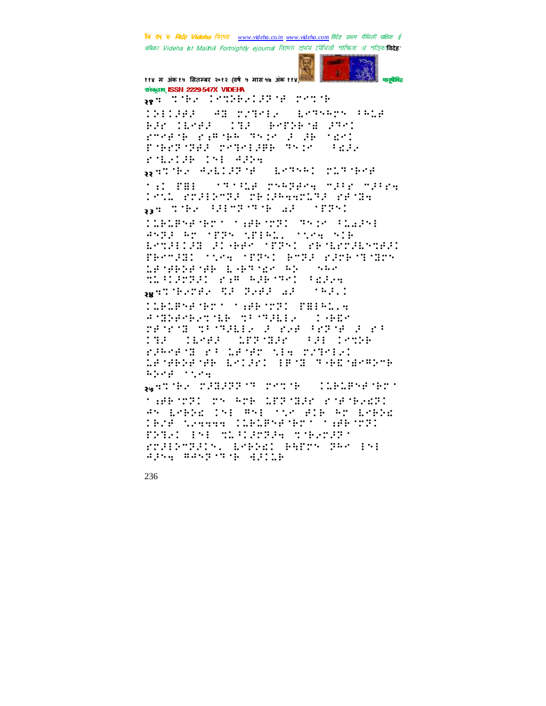

११४ म अंक १५ सितम्बर २०१२ (वर्ष ५ मास ५७ अंक ११४) संस्कृतम् ISSN 2229-547X VIDEHA

per Tibe Condeciable route TRITHE AN MINIMUM RETARD PAGE Bar (1843) (TD) Brooking and rocking rightphonoric dodge card PORTUGE TETERN TER SER robelsh 151 Asha

marked and the concept of the second service til PB: (191826 pregade make makes

TRIL POSSENS OF CRANDS PRIMA  $\overline{\mathbf{a}}$  , which is the set of  $\mathbf{a}$  is the set of  $\mathbf{a}$  $\rightarrow$  225  $\cdot$  3

CONSENTANT THEORY TRIP FOURTH ASPA AP (1885) SEEAL (1894) SIB<br>Espainar an Abes (1885) Vermerhenden EBANGEL (1984) 18951 (BNGG) 2008-191905<br>1919-1920-1930 (ESPITER) 300 (SAR) the control of the special control Spatificate the Poed and Step.1

**CONSENSATION CONSENSATION ANDREWSTER TRINING CONTROL** TENTI TETRIC E PAR PRIME E PE TEMPER CONFIDENTIAL CONTENT  $1.3311$ rament ra dener de rother 19 yekan en Grijki Terdîsabûyeraye  $\mathcal{U}^{\mathcal{A}}_{\mathcal{A}}\mathcal{U}^{\mathcal{A}}_{\mathcal{A}}\mathcal{U}^{\mathcal{A}}_{\mathcal{A}}\mathcal{U}^{\mathcal{A}}_{\mathcal{A}}\mathcal{U}^{\mathcal{A}}_{\mathcal{A}}\mathcal{U}^{\mathcal{A}}_{\mathcal{A}}$ 

**WAS THE CONDITENT CONSTRUCTION OF A SECTION** 

**THE TEL TY ATE LEFTER STRIKER** An Especial (ni Ani Sove Ale Ar Espec TEZE Szaada (LELESENET) (HESTE) FRIED INE MISCRIPH MORERTY rratherals, behhal burrs ree is: aps, maspere apile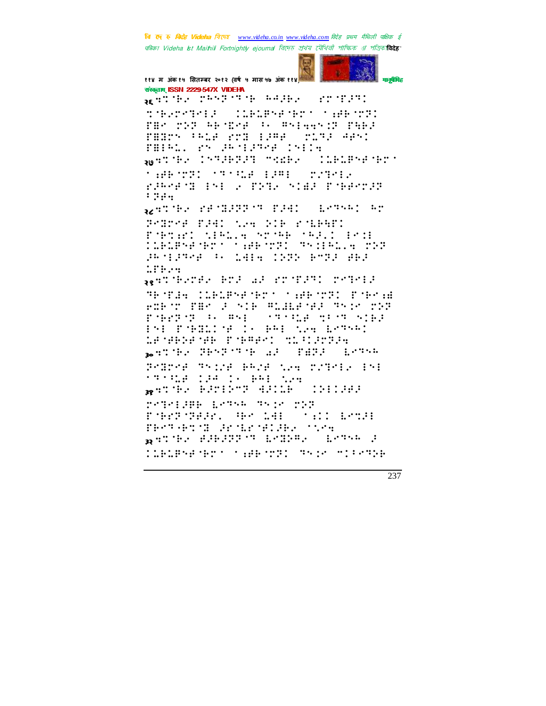

११४ म अंक १५ सितम्बर २०१२ (वर्ष ५ मास ५७ अंक ११४) संस्कृतम् ISSN 2229-547X VIDEHA RESULTS AND STATES  $\mathbb{R}^n$  and  $\mathbb{R}^n$  are the set of  $\mathbb{R}^n$  . **MOREOVER SECTIONS OF A SERIES AND SERIES** FBP 253 AB-200 (A #514452 FAB) FARTS PALE FTA 1988 (TLTP ARS) FHIRD AN URBIURG INITY posting conduction media **CONSIDERING MARK MARK BARK STAR** rawreng in: 2 Thu, nigh Pherrar  $: :: ::$ WHITE PROBRET PRESS ESTAT AP POINCE FARI NAME DIE KOREANI PORTHER SERVICE STORE CREAT EST <u> 11616-620 Martin Schule Br</u> janging a tiga ng programa **WEBST** ABSOLUTES AN APPROXIMATION TRING CORDENSIVE SHERTIC PIPER FOR THE PERSON PLEASE TO THE TER representation and the state state of the ENE PORTLINE IN BRE NEW LETTER LENGROSE PARANT MISTRIA **WATTER PROPERTY APPEARED LETTER** Promet Shine Bane new promete 151 **SACRE THE TEAM OF SACR** sending Bardana Aarle (1981aBa reterned between the repr PORTUGE HANGE THIS ROOM FROM HOME SECRETALIZED COMM parte Albert Lemba, Lemba P CONCRETENT SHENGED ASSESSMENT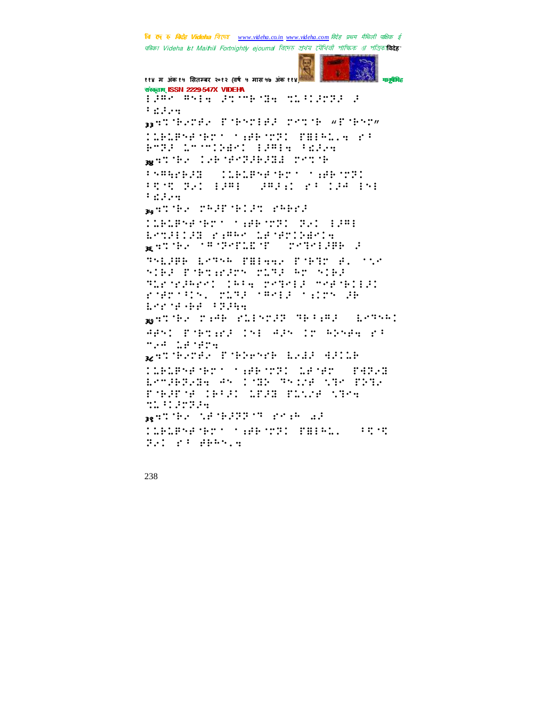

११४ म अंक १५ सितम्बर २०१२ (वर्ष ५ मास ५७ अंक ११४) संस्कृतम् ISSN 2229-547X VIDEHA flak asle schede chinere s  $\frac{1}{2}$  :  $\frac{1}{2}$  .  $\frac{1}{2}$  .  $\frac{1}{2}$  $_{33}$ un (Bernee, Portrere per renormal wroches) **CONSENSATION CONSENSATION** 8733 127711471 13814 (12324 website the General Property **PARABAR CORDRESPONSIBLES** FRONT RED 1991 (1991) 29-109-101  $\mathbf{1}$  :  $\mathbf{1}$  :  $\mathbf{1}$  :  $\mathbf{1}$ **Northenon-Profiles and Service** CONSENSATION AND MORE CONSENSES ESTELLER PARKS LENETIMSIN WHITE CRIPPELE TO POTPILER 2 THERE ESTA FRIEND FORT AL SAS SIEP POPTERPDS TIME AT SIEP Sirnebro: 1934 robels mornicle: reposes play seem sire ar **MANUFACTION** mostle red rience measure commun APSI PORTER ISE APS IN ADSPECT med defense genomer Pommer brak aktor **CONSENSATION CONTROLLERS CONSENSE** ESTIBEDED AN INED TRIDE NEW BRID rent e lett ditte richt ver  $11.312234$ send the control PPP of control and CONFIDENTIAL CONTROLL CONT Tel r: Abbr.4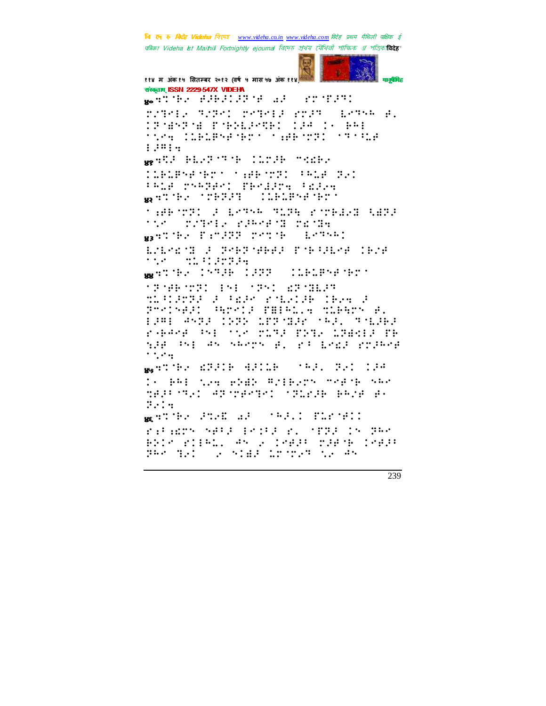

११४ म अंक १५ सितम्बर २०१२ (वर्ष ५ मास ५७ अंक ११४) संस्कृतम् ISSN 2229-547X VIDEHA

watter BBBCB18 aF (priEPC rately tated retell and wilestam d. CRYBYRYB PYRGLARDD (1947). BAD ting Clebenship (1961-22) (31109  $: . . . . .$ 

well bladen in the manne

CONFERENT THEORY PROFISIO **FALE TRAGERY SERIETH FERRY**  $_{12}$  = T (February 10)  $_{12}$ **CONSERVATOR** 

**THE TOO F LOOK SERVE FOOTERS RES** tic reports competing retor watcher Pangge perig  $\mathbf{L}$  and  $\mathbf{L}$ 

LARAM F TRETHBEFTBEHAR IBA **The Million State** 

WHITE INTER 1972 **CONDITARY** 

**MINE YOU IN MINI WINDER** tillere a lake rikide ikke a SPRINGED SAMPLE PHIRL.4 MIGGEN S. 1381 4593 1282 129-932 563. 951383 reade the tid ring free insered fr APP PAI AN NAMPN B. PA LMEP POPAME  $\cdots$ 

<sub>Ma</sub>Horie, Bosch Halle (1963) duck 194

In 891 New 2015 RM18275 MM2 16 SAM MARK MAIL AR MARMAIL CRIPARE BANA (B)  $3.4.4$ 

westike Pred af (1921) Planett

rilms and ferric no spride par BRIC PIERL, AN 2 ICPEP TERM ICPEP BRACHEL SCALER LEADER NE AN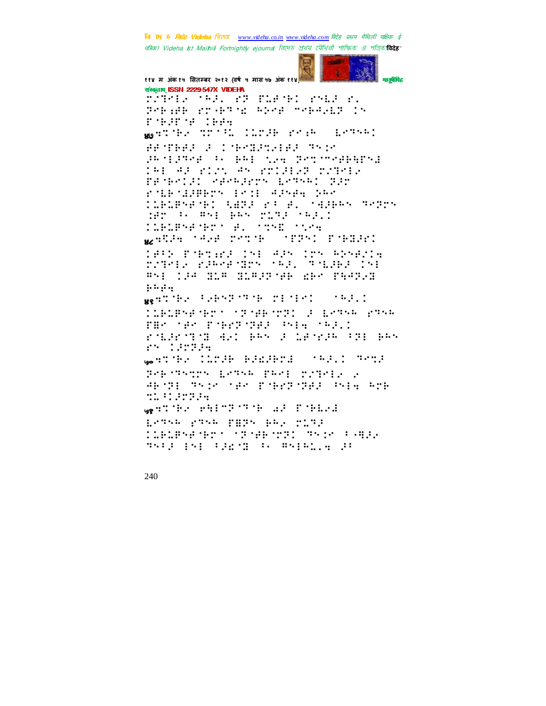

११४ म अंक १५ सितम्बर २०१२ (वर्ष ५ मास ५७ अंक ११४) संस्कृतम् ISSN 2229-547X VIDEHA rMéle (Al. 23 Milet 2013 2. Poblek roletor abor correlat (5 PORTON CHA weather trib. Clrde read (1956) BETHER S CORNERSES TYPE *photomage in this time proconditional* IRE AS RICH AN ROLSERS OUTCER FRONTIL SPEARERS ESTARD FRO ribusher bol shee be CLAIRSANAI RAPJ 23 A. 14JAS 75225 NP 8 891 889 2003 3831 **CLELBYFIET B. TTYE TIME** WARPA TAGA PARTE (TEPS) ETHIPPI 1952 Pobser 151 925 125 9259219 Brief Billede (19. Telepite  $......$ went the chemical three products.  $\cdots$  :  $\cdots$ ClelBrener (19786-201) 2 Express 20re THE SAFET THAT THE SHARE IN THE STATE OF THE SAFETY OF THE STATE OF THE STATE OF THE STATE OF THE STATE OF THE ringriding and away in the real specials rn Caraa Gond the Clarge Boarders (1992.1 Seng Personal Leone Peel protein a AB TE TRIP TAP PIRETTER TREATHER **MARISHER** wentle emisticate af Pomman Beth Pink 1825 Ber Mill CONCRETENT STORES TO THE CONTROL THE PAPERSON CONTROL OF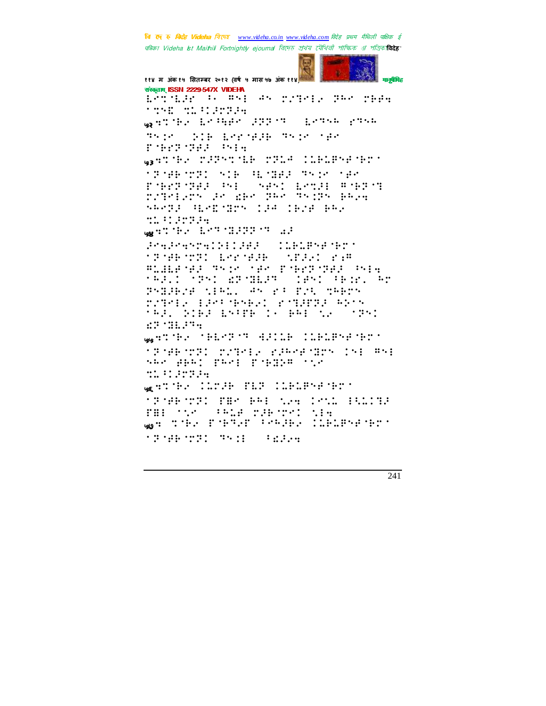**Service** 

ø ११४ म अंक १५ सितम्बर २०१२ (वर्ष ५ मास ५७ अंक ११४) मानुबैमिह संस्कृतम् ISSN 2229-547X VIDEHA ERTAIN WORKER AN STREET BAY SEAR watche beside chronic beach gash Third Die Lerele Third Me rusture: Wie watcher Supportion School (1982) and the C SPORTS SIE BOBE SYDNES PORTUGE PH SENTIFYED PORTU retriers as has taken to have adde SARRE HERBYBYS 198 1928 BAS the students and went is definition and Prefrence:Dichil (1961PhPress **MINE MAY LEADER AND LOCATE** RINGER AND THE PAPERTER ONLY **TRACK TOO SPORTS INTO RESEARC** Prisers with an ellips ceer DZIMER EJMI (BNBR) (DYTJERJ PRYN TRAVISINA ENTRAIN PRIVAT (TRI :27 131.374 Westiff HERT' HERE INFLESS THIS **TRIAN TRACK TO THE STATE TO A SERVE THAT** sar gaa: par: prana rur misturnum GENUTRY CLOSE FER CLELENFORD **SPERING THE RAILWAY INSIDE** THE MAN PROFINE THE MAN SERVICE we the Post form and the Second thro **STARATE TEST PRIME**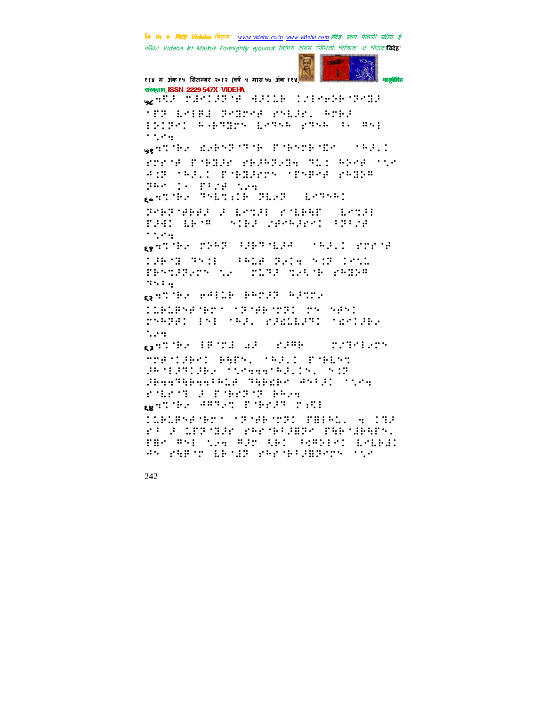

११४ म अंक १५ सितम्बर २०१२ (वर्ष ५ मास ५७ अंक ११४) संस्कृतम् ISSN 2229-547X VIDEHA west rancers actor corner mode 'TT LAIBE TAINAR PALEN, AMBI ppiner aspended heads gada in mor  $\mathcal{L}^{\bullet}$  ,  $\mathcal{L}^{\bullet}$  as Gentlike Expression in Popper (Englished) rrene Phille regarded the above the **ANY MARK PRESENT SPARE PASSA PRO 13 PENS NAM** control Princip BioB (10956) POPROBBE F ESTE FOLFAT (LSTE FAAD LETE (SIER SAMPARY) FRISE  $\gamma$  ,  $\gamma$  , perchanging specials computered **THE MOST CONSTRUCTS OF SAME IN THE SECOND** FRAMERINAL CONTECTATOR PRESE  $3.44<sub>1</sub>$ gender efflik bangs agene **CONDENSATION OF THE TOPS ON ASSOC** ryage: Exporter, Remarks: Manigue  $\ddots$  : gander from 23 (2006) (2006)200 **MORALDRAIN RAPS, SARLI PARAM** JR NEJPOJEL SNAMMANNJON, SOD Shaanhhaaffile nhhibr 45131 'ira FARM FIRETT PRA general sensor parken part **CLELPSEMENT MOMENTS: PHIRL, 4 CTD** r: Planner recenter medien. FBP AND NEW ART ART ANALYZ EMERGY AN PARTY ERTIFY PAPTRIZERTY TO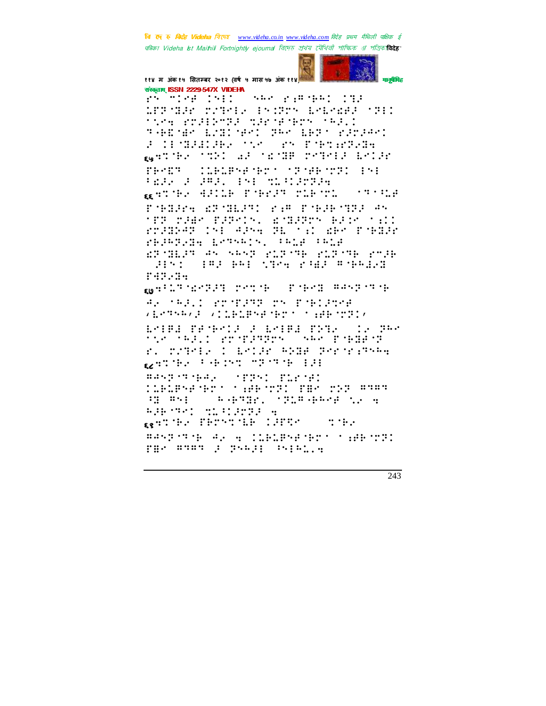वि एक रु क्रिटेड Videha विएम्ब www.videha.co.in www.videha.com विदेह प्रथम मैथिली पाक्षिक ई

पत्रिका Videha Ist Maithili Fortnightly ejournal রিদেত প্রথম মৌথিনী পাক্ষিক প্রা পত্রিকা**বিदेह**'

संस्कृतम् ISSN 2229-547X VIDEHA  $25.792 \pm 1911$ 

ranone:

मानुबेमिह

११४ म अंक १५ सितम्बर २०१२ (वर्ष ५ मास ५७ अंक ११४)  $\begin{picture}(150,10) \put(0,0){\vector(1,0){10}} \put(10,0){\vector(1,0){10}} \put(10,0){\vector(1,0){10}} \put(10,0){\vector(1,0){10}} \put(10,0){\vector(1,0){10}} \put(10,0){\vector(1,0){10}} \put(10,0){\vector(1,0){10}} \put(10,0){\vector(1,0){10}} \put(10,0){\vector(1,0){10}} \put(10,0){\vector(1,0){10}} \put(10,0){\vector(1,0){10}} \put(10,0){\vector($ 

LEP MAR CONFER IN CRON EMERGEA (191) **TORA ROBERTE CHRISTEOR TEACH** THEMA LOOKER THA LET YOUGH! F CENERAL MAN PROPERTIES

EESTER SPILE FOREPT TIESTL

FEAR A ARAL INE MISSANARY

FRANK (MARARAMENT SPORKSTED 151

<sub>EG</sub>ATIER (TIR) AF TETER PATALE EALER

 $\mathbb{R}^n \times \mathbb{R}^n \times \mathbb{R}^n$ 

243

ment and the second of the second second responsibility of the second second second second second second second second second second second second second second second second second second second second second second secon

 $\mathbf{r}$  :  $\mathbf{r}$  :

**JEAR THE BAILTEAL PART RIGHTS** 

EMIRI PROPOR F EMIRI PROVINCI DA PAM the tag portrained that premier r. Mathia : 1913r Abde Phronithe

**CONSERVANT CONSERVATION CONSERVANCE** 

##SPORTH #2 & CLELBS#TECT TAPETCRI

**A. BASSET AREADY SERVICE** 

EPSHEP AN NENP PERSON PERSONAL POP

AP TREE STORES TO POSSETE **VERTHALL VIGEORSFIET 1 SERIET.** 

general Person Shows 191 **AASPITERS TERRITLETS** 

an esperantista (n. 1879).<br>Adentes (n. 1822).

EQUIPPED FROM THE CHEEK

phe susse popular correlation

FRINGER BROWNIN, PALE PALE

PRESENT IN APHLIBUTION WHO POBLE

MER CABM EARNIN, BMBARCH BAIR MEI

POBBER EPOBLET PAR POBBOTER 45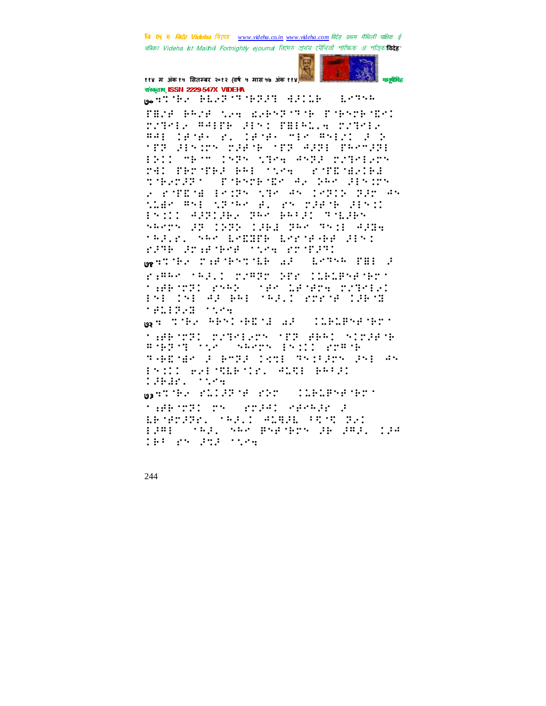

११४ म अंक १५ सितम्बर २०१२ (वर्ष ५ मास ५७ अंक ११४) संस्कृतम् ISSN 2229-547X VIDEHA

**1980: 2000: 2000: 2000: 2000: 2000: 2000: 2000: 2000: 2000: 2000: 2000: 2000: 2000: 2000: 2000: 2000: 2000: 20**  $\mathbb{R}^{n \times n \times n}$ 

FEAR PRAP NAME RAPARTED FOR THE CONTROL rately weigh also folkly rately BAE CENEVAL CENEVATE BYEND 2 2 'FF HS:rS rH'B 'FF 4PH FR'SPH ERIC MESM (1929) VIAN ANGEL CATALACH red feromes employees and decent there we have the serve that the server 2 POTENE ESSTA NES AN CRITIA INS AN MAR PHE MESPO B. PS THESE HEAT ESIL 4221262 265 66521 SERPS AN INNE IABA NER MSIL AANA **TRACK SRM LEDGIB LEFTRARE ADSI** rank arended the rrinan **Genothen Side Theory List Constitution Constitution Constitution Constitution** 

rime (Sell removing Claument) ta#From anthor ten lenera competit ESE CSE AP BAE SAPLI PRESP CPRSH **MELIPAR MARY** 

me the Procesos and Clearents tament provides the man singles

BOBSON CAR SARES ENCLOSED TO THEIMA J PTE COTE TYPEN PYEST **INIL BALMADYING ALSO BALL!** 1.88.80 march

marthe slipped spr (liminator)

ta#From: or conferencement ERSPIRE, SARIO ALBRE FRONTRI panel (sag) say pspeper ap anal pag 195 PM 252 1574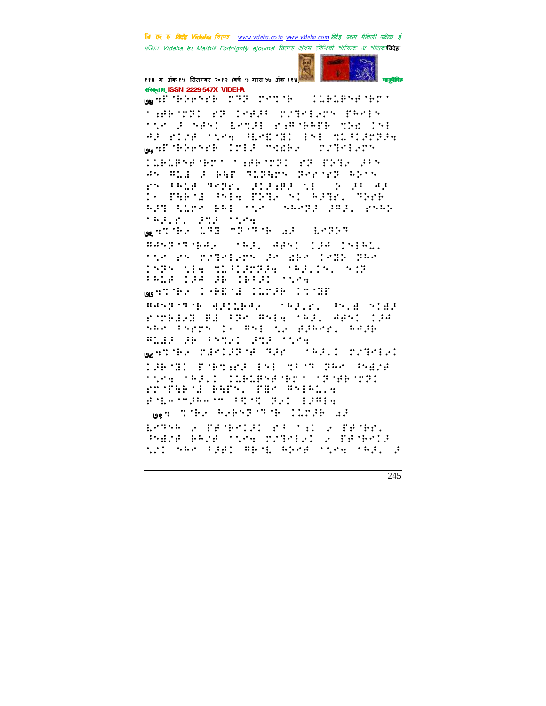

११४ म अंक १५ सितम्बर २०१२ (वर्ष ५ मास ५७ अंक ११४) संस्कृतम् ISSN 2229-547X VIDEHA

**Gy** difference of the property of **CONSERVATOR THE TEL PE LABBE TRIMINTS PRAIN** TAC FOREST ECOFFOREMENTE MPECINE AF PICE STRA GERESEN ENE MIGLEMER waff (blendb) (1912) ndablo (1917) 1976) <u> Cleipsenbrit (epinri 27 populats</u> AN ALE F BAT SLEEPN PARATE APAN PS PALE ROBEL JISHES NEW 2008 AS In Parts wie Pracht and Card ' skryf joll (fil **WEB ENDY BWE TEN** *SARIEL ANA STRAG* **GENERAL LINE STRATHS WAS SERVICE** ##SPYPYB#2 (1821-4#SPICP# 18181) the re-rubblers as may left fac 1585 MACHINERA SARINI SIR **FALE (28 28 1852) 1124 WORTHOUGHEAD** INTERNATIONAL ##SPSPE BRIDGE (SARD) PVB SIB rocklas Bl (20 Angy 142, 485) 124 SAR PSPPS IN RSE NE BIARE, ARIA BLEE HE PATE: PTP TIPS WHITE THATHE THE SEAL TITLE DESI PASAGE PESTAGE PAS tion (PAP): Claudenater() (Poalorr) FT THE GUESTING THAN ANIBLES File make the Control and Camar West Today Report the Clinde ad ESTAR A PROPOSICION CON PROPO PARA PRIP TOTE TITTLE & PROPOS thi secondari mendo esca cica cello d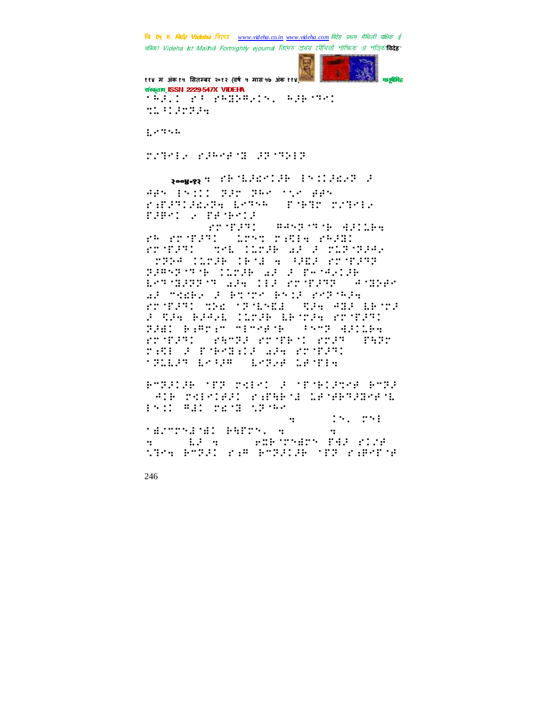> **Service** मानुबैमिह

११४ म अंक १५ सितम्बर २०१२ (वर्ष ५ मास ५७ अंक ११४) संस्कृतम् ISSN 2229-547X VIDEHA  $\mathcal{F}(\hat{\mu},\hat{\mu})$  and  $\mathcal{F}(\hat{\mu},\hat{\mu})$  and  $\mathcal{F}(\hat{\mu},\hat{\mu})$  and  $\mathcal{F}(\hat{\mu},\hat{\mu})$ **MARK PERSON** 

 $L$  and the field  $L$ 

retria ribriti di Condi

Roomer The Management of the Seamon of

ABS ESIL TRO TAK TEM BBS ranches best component **PERMIT AND PROPERTY** 

an mand **SHART SEAR AND ARE** an archeol (1898 radio aneg:<br>archeol (1961-1189) af e sigleed **THE COOR OF SAME REPORTS** BRASTEN CONFE AR 2 BANAVIR EST MARRIT APA (112 PENDARI ) ANDAS AF MARRY F BOOM BRIE PARTNER FOURTH THE CROSSES CHA AND SPOOP 2 SAN BARAN (LOAR NETOAN POTER) FAAD BARTAT TETERIB (FSTP)AADLBA FOREST PROTECTIVE CONTROL - 2422 ran a pyenda ag ergan **TELLER LEADER LETTER** 

BORING OFF SERVICE OF STORIES BORI **ATE MODELED PARENT LENGRISHEN INST WAIT TEST STORY** 

 $15.75$  $\dddot{\bullet}$ **MARKET START START AND START AND START AND A**  $\cdot$ :  $\mathbb{R}^3$  . **FOR THE SERVICE**  $\mathbf{B}$  and STER ROOF PAR ROOF MED PARENT